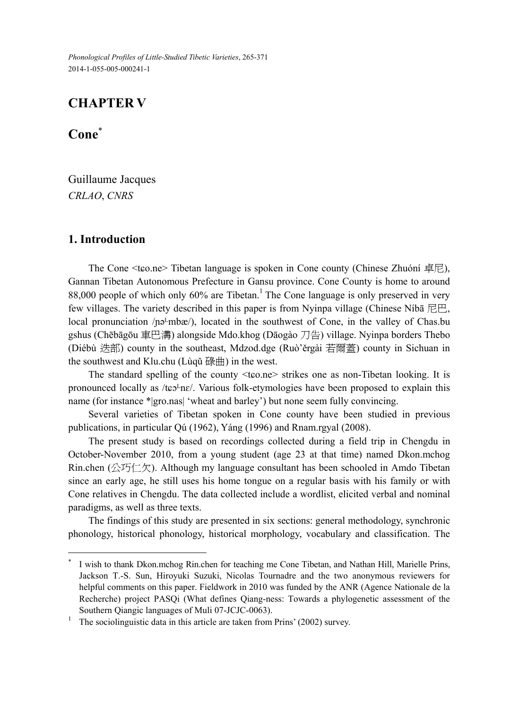*Phonological Profiles of Little-Studied Tibetic Varieties*, 265-371 2014-1-055-005-000241-1

# **CHAPTER V**

**Cone**

 $\overline{a}$ 

Guillaume Jacques *CRLAO*, *CNRS* 

### **1. Introduction**

The Cone  $\leq$  teo.ne $\geq$  Tibetan language is spoken in Cone county (Chinese Zhuóní  $\neq \neq \infty$ ), Gannan Tibetan Autonomous Prefecture in Gansu province. Cone County is home to around 88,000 people of which only  $60\%$  are Tibetan.<sup>1</sup> The Cone language is only preserved in very few villages. The variety described in this paper is from Nyinpa village (Chinese Níbā 尼巴, local pronunciation /pə<sup>L</sup>mbæ/), located in the southwest of Cone, in the valley of Chas.bu gshus (Chēbāgōu 車巴溝) alongside Mdo.khog (Dāogào 刀告) village. Nyinpa borders Thebo (Diébù 迭部) county in the southeast, Mdzod.dge (Ruò'ěrgài 若爾蓋) county in Sichuan in the southwest and Klu.chu (Lùqǔ 碌曲) in the west.

The standard spelling of the county  $\langle \text{tco} \rangle$  strikes one as non-Tibetan looking. It is pronounced locally as /tɛɔ<sup>L</sup>nɛ/. Various folk-etymologies have been proposed to explain this name (for instance \*|gro.nas| 'wheat and barley') but none seem fully convincing.

Several varieties of Tibetan spoken in Cone county have been studied in previous publications, in particular Qú (1962), Yáng (1996) and Rnam.rgyal (2008).

The present study is based on recordings collected during a field trip in Chengdu in October-November 2010, from a young student (age 23 at that time) named Dkon.mchog Rin.chen (公巧仁欠). Although my language consultant has been schooled in Amdo Tibetan since an early age, he still uses his home tongue on a regular basis with his family or with Cone relatives in Chengdu. The data collected include a wordlist, elicited verbal and nominal paradigms, as well as three texts.

The findings of this study are presented in six sections: general methodology, synchronic phonology, historical phonology, historical morphology, vocabulary and classification. The

<sup>×</sup> I wish to thank Dkon.mchog Rin.chen for teaching me Cone Tibetan, and Nathan Hill, Marielle Prins, Jackson T.-S. Sun, Hiroyuki Suzuki, Nicolas Tournadre and the two anonymous reviewers for helpful comments on this paper. Fieldwork in 2010 was funded by the ANR (Agence Nationale de la Recherche) project PASQi (What defines Qiang-ness: Towards a phylogenetic assessment of the Southern Qiangic languages of Muli 07-JCJC-0063).

<sup>1</sup> The sociolinguistic data in this article are taken from Prins' (2002) survey.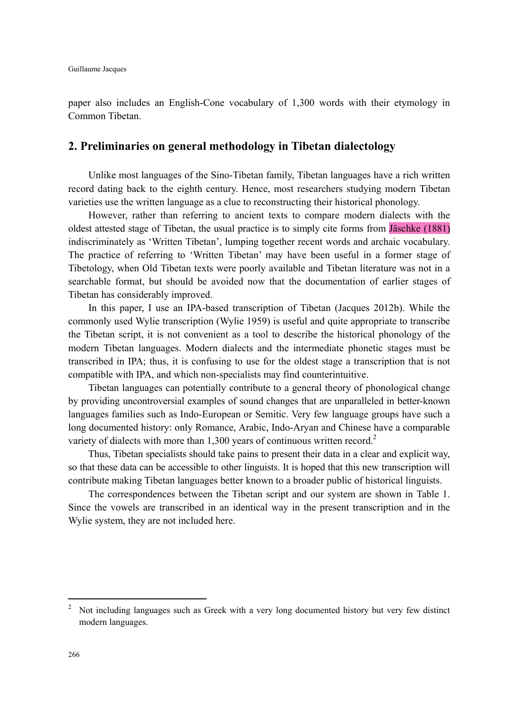paper also includes an English-Cone vocabulary of 1,300 words with their etymology in Common Tibetan.

## **2. Preliminaries on general methodology in Tibetan dialectology**

Unlike most languages of the Sino-Tibetan family, Tibetan languages have a rich written record dating back to the eighth century. Hence, most researchers studying modern Tibetan varieties use the written language as a clue to reconstructing their historical phonology.

However, rather than referring to ancient texts to compare modern dialects with the oldest attested stage of Tibetan, the usual practice is to simply cite forms from Jäschke (1881) indiscriminately as 'Written Tibetan', lumping together recent words and archaic vocabulary. The practice of referring to 'Written Tibetan' may have been useful in a former stage of Tibetology, when Old Tibetan texts were poorly available and Tibetan literature was not in a searchable format, but should be avoided now that the documentation of earlier stages of Tibetan has considerably improved.

In this paper, I use an IPA-based transcription of Tibetan (Jacques 2012b). While the commonly used Wylie transcription (Wylie 1959) is useful and quite appropriate to transcribe the Tibetan script, it is not convenient as a tool to describe the historical phonology of the modern Tibetan languages. Modern dialects and the intermediate phonetic stages must be transcribed in IPA; thus, it is confusing to use for the oldest stage a transcription that is not compatible with IPA, and which non-specialists may find counterintuitive.

Tibetan languages can potentially contribute to a general theory of phonological change by providing uncontroversial examples of sound changes that are unparalleled in better-known languages families such as Indo-European or Semitic. Very few language groups have such a long documented history: only Romance, Arabic, Indo-Aryan and Chinese have a comparable variety of dialects with more than  $1,300$  years of continuous written record.<sup>2</sup>

Thus, Tibetan specialists should take pains to present their data in a clear and explicit way, so that these data can be accessible to other linguists. It is hoped that this new transcription will contribute making Tibetan languages better known to a broader public of historical linguists.

The correspondences between the Tibetan script and our system are shown in Table 1. Since the vowels are transcribed in an identical way in the present transcription and in the Wylie system, they are not included here.

 $\overline{a}$ 

<sup>2</sup> Not including languages such as Greek with a very long documented history but very few distinct modern languages.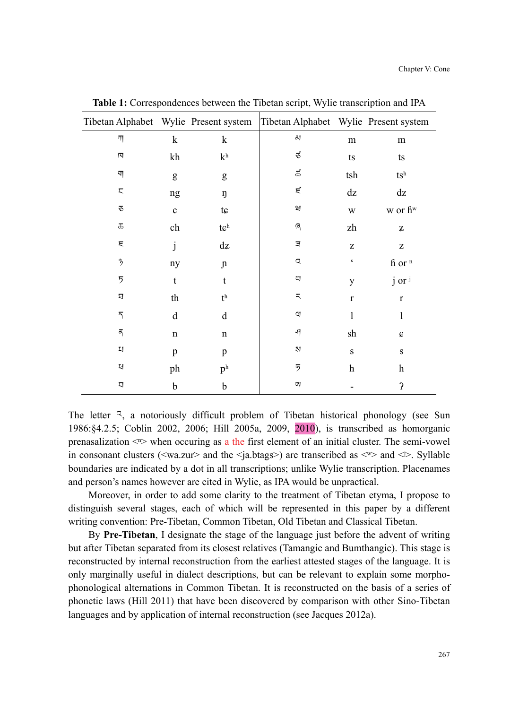|                         |             |                                       | Tibetan Alphabet Wylie Present system Tibetan Alphabet Wylie Present system |                                                       |                                                                                                    |
|-------------------------|-------------|---------------------------------------|-----------------------------------------------------------------------------|-------------------------------------------------------|----------------------------------------------------------------------------------------------------|
| 깨                       | $\mathbf k$ | $\mathbf k$                           | $\Delta I$                                                                  | m                                                     | m                                                                                                  |
| Ν                       | kh          | $\mathbf{k}^\mathrm{h}$               | $\mathcal{L}$                                                               | $\mathop{\text{ts}}$                                  | t s                                                                                                |
|                         | g           | g                                     | $\mathrm{d} \vec{\mathrm{d}}$                                               | tsh                                                   | $\mathfrak{t}\mathbf{s}^{\text{h}}$                                                                |
| ς                       | ng          | ŋ                                     | $\mathbf{r}$                                                                | $\mathrm{d} z$                                        | dz                                                                                                 |
| $\mathcal{L}$           | $\mathbf c$ | $t \varepsilon$                       | $\Xi$                                                                       | $\mathbf W$                                           | w or fi <sup>w</sup>                                                                               |
| $\overline{\mathrm{d}}$ | ch          | $\mathfrak{t}\mathfrak{c}^{\text{h}}$ | $\mathbb{Q}$                                                                | zh                                                    | $\rm{z}$                                                                                           |
| Ę                       | j           | dz                                    | Ξ                                                                           | $\mathbf{Z}% ^{T}=\mathbf{Z}^{T}\times\mathbf{Z}^{T}$ | $\mathbf{Z}% ^{T}=\mathbf{Z}^{T}\times\mathbf{Z}^{T}$                                              |
| $\mathfrak{Z}$          | ny          | $\mathfrak n$                         | $\mathbf{\Omega}$                                                           | $\boldsymbol{\varsigma}$                              | fi or $n$                                                                                          |
| 5                       | t           | t                                     | αJ                                                                          | y                                                     | j or i                                                                                             |
| 되                       | th          | $\mathfrak{t}^{\text{h}}$             | ᅐ                                                                           | $\mathbf r$                                           | $\mathbf r$                                                                                        |
| $\overline{\eta}$       | $\mathbf d$ | $\mathbf d$                           | $\alpha$                                                                    | $\mathbf{l}$                                          | $\mathbf{l}$                                                                                       |
| क्                      | $\mathbf n$ | n                                     | $\mathcal{A}$                                                               | sh                                                    | $\mathbf{G}% _{M_{1},M_{2}}^{\alpha,\beta}(\mathbf{G})=G_{M_{1},M_{2}}^{\alpha,\beta}(\mathbf{G})$ |
| IJ                      | p           | $\, {\bf p}$                          | N                                                                           | $\mathbf S$                                           | $\mathbf S$                                                                                        |
| $\rm{Z}$                | ph          | p <sup>h</sup>                        | 5                                                                           | $\boldsymbol{\mathrm{h}}$                             | $\boldsymbol{h}$                                                                                   |
| Д                       | $\mathbf b$ | b                                     | τŊ                                                                          |                                                       | $\mathbf{S}$                                                                                       |

**Table 1:** Correspondences between the Tibetan script, Wylie transcription and IPA

The letter य, a notoriously difficult problem of Tibetan historical phonology (see Sun 1986:§4.2.5; Coblin 2002, 2006; Hill 2005a, 2009, 2010), is transcribed as homorganic prenasalization  $\langle \mathbb{R} \rangle$  when occuring as a the first element of an initial cluster. The semi-vowel in consonant clusters ( $\langle wa,zur \rangle$  and the  $\langle a,btags \rangle$ ) are transcribed as  $\langle \neg \rangle$  and  $\langle \rangle$ . Syllable boundaries are indicated by a dot in all transcriptions; unlike Wylie transcription. Placenames and person's names however are cited in Wylie, as IPA would be unpractical.

Moreover, in order to add some clarity to the treatment of Tibetan etyma, I propose to distinguish several stages, each of which will be represented in this paper by a different writing convention: Pre-Tibetan, Common Tibetan, Old Tibetan and Classical Tibetan.

By **Pre-Tibetan**, I designate the stage of the language just before the advent of writing but after Tibetan separated from its closest relatives (Tamangic and Bumthangic). This stage is reconstructed by internal reconstruction from the earliest attested stages of the language. It is only marginally useful in dialect descriptions, but can be relevant to explain some morphophonological alternations in Common Tibetan. It is reconstructed on the basis of a series of phonetic laws (Hill 2011) that have been discovered by comparison with other Sino-Tibetan languages and by application of internal reconstruction (see Jacques 2012a).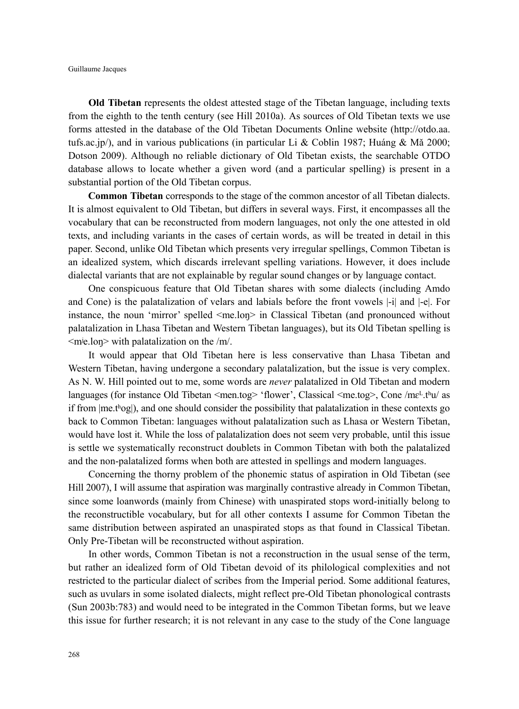**Old Tibetan** represents the oldest attested stage of the Tibetan language, including texts from the eighth to the tenth century (see Hill 2010a). As sources of Old Tibetan texts we use forms attested in the database of the Old Tibetan Documents Online website (http://otdo.aa. tufs.ac.jp/), and in various publications (in particular Li & Coblin 1987; Huáng & M $\ddot{a}$  2000; Dotson 2009). Although no reliable dictionary of Old Tibetan exists, the searchable OTDO database allows to locate whether a given word (and a particular spelling) is present in a substantial portion of the Old Tibetan corpus.

**Common Tibetan** corresponds to the stage of the common ancestor of all Tibetan dialects. It is almost equivalent to Old Tibetan, but differs in several ways. First, it encompasses all the vocabulary that can be reconstructed from modern languages, not only the one attested in old texts, and including variants in the cases of certain words, as will be treated in detail in this paper. Second, unlike Old Tibetan which presents very irregular spellings, Common Tibetan is an idealized system, which discards irrelevant spelling variations. However, it does include dialectal variants that are not explainable by regular sound changes or by language contact.

One conspicuous feature that Old Tibetan shares with some dialects (including Amdo and Cone) is the palatalization of velars and labials before the front vowels |-i| and |-e|. For instance, the noun 'mirror' spelled  $\leq$ me.lon $\geq$  in Classical Tibetan (and pronounced without palatalization in Lhasa Tibetan and Western Tibetan languages), but its Old Tibetan spelling is <mʲe.loŋ> with palatalization on the /m/.

It would appear that Old Tibetan here is less conservative than Lhasa Tibetan and Western Tibetan, having undergone a secondary palatalization, but the issue is very complex. As N. W. Hill pointed out to me, some words are *never* palatalized in Old Tibetan and modern languages (for instance Old Tibetan <men.tog> 'flower', Classical <me.tog>, Cone /mɛ<sup>L</sup>.tʰu/ as if from |me.tʰog|), and one should consider the possibility that palatalization in these contexts go back to Common Tibetan: languages without palatalization such as Lhasa or Western Tibetan, would have lost it. While the loss of palatalization does not seem very probable, until this issue is settle we systematically reconstruct doublets in Common Tibetan with both the palatalized and the non-palatalized forms when both are attested in spellings and modern languages.

Concerning the thorny problem of the phonemic status of aspiration in Old Tibetan (see Hill 2007), I will assume that aspiration was marginally contrastive already in Common Tibetan, since some loanwords (mainly from Chinese) with unaspirated stops word-initially belong to the reconstructible vocabulary, but for all other contexts I assume for Common Tibetan the same distribution between aspirated an unaspirated stops as that found in Classical Tibetan. Only Pre-Tibetan will be reconstructed without aspiration.

In other words, Common Tibetan is not a reconstruction in the usual sense of the term, but rather an idealized form of Old Tibetan devoid of its philological complexities and not restricted to the particular dialect of scribes from the Imperial period. Some additional features, such as uvulars in some isolated dialects, might reflect pre-Old Tibetan phonological contrasts (Sun 2003b:783) and would need to be integrated in the Common Tibetan forms, but we leave this issue for further research; it is not relevant in any case to the study of the Cone language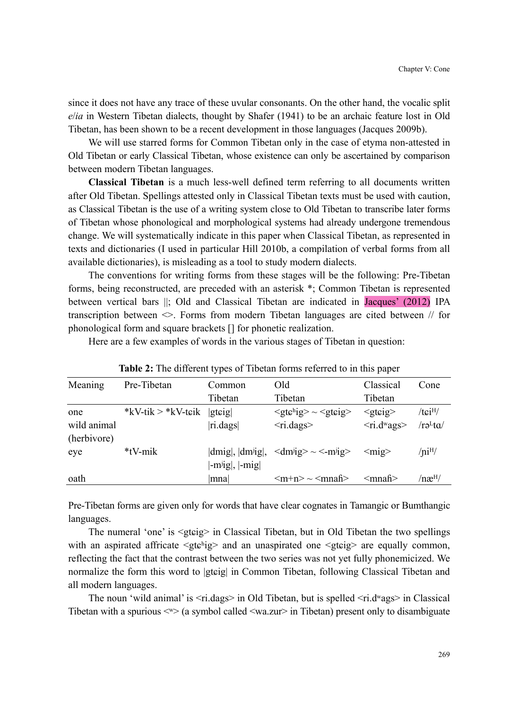since it does not have any trace of these uvular consonants. On the other hand, the vocalic split *e*/*ia* in Western Tibetan dialects, thought by Shafer (1941) to be an archaic feature lost in Old Tibetan, has been shown to be a recent development in those languages (Jacques 2009b).

We will use starred forms for Common Tibetan only in the case of etyma non-attested in Old Tibetan or early Classical Tibetan, whose existence can only be ascertained by comparison between modern Tibetan languages.

**Classical Tibetan** is a much less-well defined term referring to all documents written after Old Tibetan. Spellings attested only in Classical Tibetan texts must be used with caution, as Classical Tibetan is the use of a writing system close to Old Tibetan to transcribe later forms of Tibetan whose phonological and morphological systems had already undergone tremendous change. We will systematically indicate in this paper when Classical Tibetan, as represented in texts and dictionaries (I used in particular Hill 2010b, a compilation of verbal forms from all available dictionaries), is misleading as a tool to study modern dialects.

The conventions for writing forms from these stages will be the following: Pre-Tibetan forms, being reconstructed, are preceded with an asterisk \*; Common Tibetan is represented between vertical bars ||; Old and Classical Tibetan are indicated in Jacques' (2012) IPA transcription between  $\leq$ . Forms from modern Tibetan languages are cited between // for phonological form and square brackets [] for phonetic realization.

Here are a few examples of words in the various stages of Tibetan in question:

| Meaning                           | Pre-Tibetan                | Common                                 | Old                                                                                                            | Classical                                            | Cone                                    |
|-----------------------------------|----------------------------|----------------------------------------|----------------------------------------------------------------------------------------------------------------|------------------------------------------------------|-----------------------------------------|
|                                   |                            | Tibetan                                | Tibetan                                                                                                        | Tibetan                                              |                                         |
| one<br>wild animal<br>(herbivore) | * $kV$ -tik > * $kV$ -teik | gtq<br>ri.dags                         | $\langle \text{gtc}^{\text{high}} \rangle \sim \langle \text{gtc}^{\text{high}} \rangle$<br>$\langle$ ri.dags> | $\leq$ gtcig $>$<br>$\langle$ ri.d <sup>w</sup> ags> | $/t$ $\sinh/$<br>$/r\partial^L t\alpha$ |
| eye                               | *tV-mik                    | dmig ,  dmig ,<br>$ -m^{j}ig ,  -mig $ | $\langle dm \rangle$ = $\langle -m \rangle$                                                                    | $\leq$ mig $>$                                       | $\sqrt{\text{n}^{\text{iH}}/n}$         |
| oath                              |                            | mna                                    | $\langle m+n \rangle \sim \langle mna f \rangle$                                                               | ≺mnah>                                               | $/ n \mathbf{a}^{\text{H}}/$            |

| Table 2: The different types of Tibetan forms referred to in this paper |  |  |  |  |  |  |  |  |  |  |  |  |  |
|-------------------------------------------------------------------------|--|--|--|--|--|--|--|--|--|--|--|--|--|
|-------------------------------------------------------------------------|--|--|--|--|--|--|--|--|--|--|--|--|--|

Pre-Tibetan forms are given only for words that have clear cognates in Tamangic or Bumthangic languages.

The numeral 'one' is  $\leq$ gteig $\geq$  in Classical Tibetan, but in Old Tibetan the two spellings with an aspirated affricate  $\leq$ gte $\frac{h}{g}$  and an unaspirated one  $\leq$ gteig> are equally common, reflecting the fact that the contrast between the two series was not yet fully phonemicized. We normalize the form this word to |gtɛig| in Common Tibetan, following Classical Tibetan and all modern languages.

The noun 'wild animal' is  $\langle$ ri.dags> in Old Tibetan, but is spelled  $\langle$ ri.d<sup>w</sup>ags> in Classical Tibetan with a spurious  $\ll\gg$  (a symbol called  $\ll$ wa.zur> in Tibetan) present only to disambiguate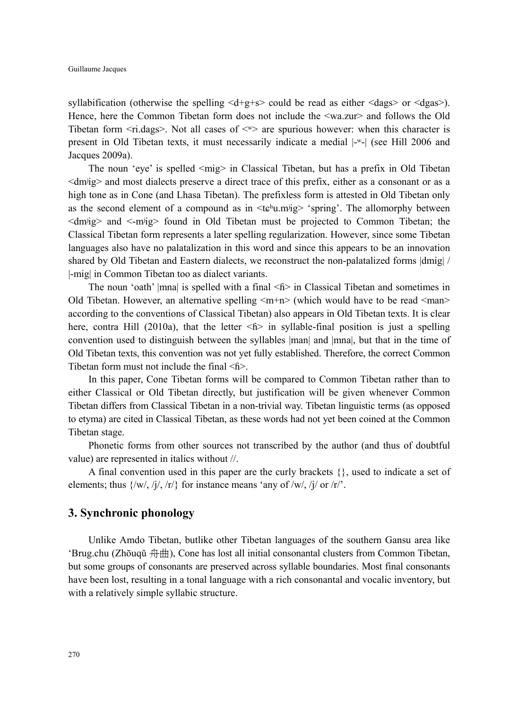syllabification (otherwise the spelling  $\langle d+g+s\rangle$  could be read as either  $\langle dags\rangle$  or  $\langle dgas\rangle$ ). Hence, here the Common Tibetan form does not include the <wa.zur> and follows the Old Tibetan form  $\langle$ ri.dags>. Not all cases of  $\langle$ <sup>w</sup> $\rangle$  are spurious however: when this character is present in Old Tibetan texts, it must necessarily indicate a medial |-ʷ-| (see Hill 2006 and Jacques 2009a).

The noun 'eye' is spelled  $\langle m \rangle$  in Classical Tibetan, but has a prefix in Old Tibetan <dmʲig> and most dialects preserve a direct trace of this prefix, either as a consonant or as a high tone as in Cone (and Lhasa Tibetan). The prefixless form is attested in Old Tibetan only as the second element of a compound as in  $\leq$ te<sup>h</sup>u.m<sup>i</sup>ig> 'spring'. The allomorphy between  $\langle$ dm $\rangle$ ig> and  $\langle$ -m $\rangle$ ig> found in Old Tibetan must be projected to Common Tibetan; the Classical Tibetan form represents a later spelling regularization. However, since some Tibetan languages also have no palatalization in this word and since this appears to be an innovation shared by Old Tibetan and Eastern dialects, we reconstruct the non-palatalized forms  $\dim|i|$ |-mig| in Common Tibetan too as dialect variants.

The noun 'oath' |mna| is spelled with a final  $\leq f$  in Classical Tibetan and sometimes in Old Tibetan. However, an alternative spelling  $\langle m+n \rangle$  (which would have to be read  $\langle man \rangle$ according to the conventions of Classical Tibetan) also appears in Old Tibetan texts. It is clear here, contra Hill (2010a), that the letter  $\leq f$  in syllable-final position is just a spelling convention used to distinguish between the syllables |man| and |mna|, but that in the time of Old Tibetan texts, this convention was not yet fully established. Therefore, the correct Common Tibetan form must not include the final <ɦ>.

In this paper, Cone Tibetan forms will be compared to Common Tibetan rather than to either Classical or Old Tibetan directly, but justification will be given whenever Common Tibetan differs from Classical Tibetan in a non-trivial way. Tibetan linguistic terms (as opposed to etyma) are cited in Classical Tibetan, as these words had not yet been coined at the Common Tibetan stage.

Phonetic forms from other sources not transcribed by the author (and thus of doubtful value) are represented in italics without //.

A final convention used in this paper are the curly brackets {}, used to indicate a set of elements; thus  $\{ /w/$ ,  $/j/$ ,  $/r/$ } for instance means 'any of  $/w/$ ,  $/j/$  or  $/r/$ .

### **3. Synchronic phonology**

Unlike Amdo Tibetan, butlike other Tibetan languages of the southern Gansu area like 'Brug.chu (Zhōuqǔ 舟曲), Cone has lost all initial consonantal clusters from Common Tibetan, but some groups of consonants are preserved across syllable boundaries. Most final consonants have been lost, resulting in a tonal language with a rich consonantal and vocalic inventory, but with a relatively simple syllabic structure.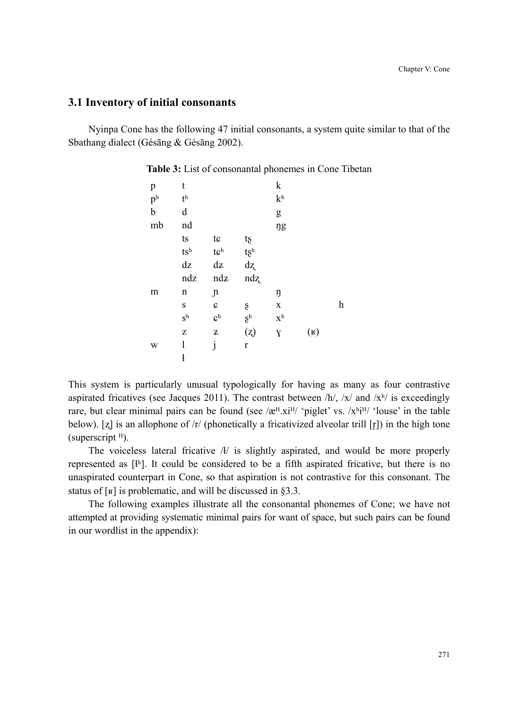### **3.1 Inventory of initial consonants**

Nyinpa Cone has the following 47 initial consonants, a system quite similar to that of the Sbathang dialect (Gésāng & Gésāng 2002).

| p                       | t                                   |                              |                                                     | $\mathbf k$             |                |   |
|-------------------------|-------------------------------------|------------------------------|-----------------------------------------------------|-------------------------|----------------|---|
| $\mathbf{p}^\mathrm{h}$ | $\mathfrak{t}^{\text{h}}$           |                              |                                                     | $\mathbf{k}^\mathrm{h}$ |                |   |
| $\mathbf b$             | d                                   |                              |                                                     | g                       |                |   |
| mb                      | nd                                  |                              |                                                     | ŋg                      |                |   |
|                         | t s                                 | tc                           | tş                                                  |                         |                |   |
|                         | $\mathfrak{t}\mathbf{s}^{\text{h}}$ | $\mathfrak{t}\mathfrak{S}^h$ |                                                     |                         |                |   |
|                         | dz                                  | dz                           | $\begin{array}{c} t \xi^{\rm h} \\ d z \end{array}$ |                         |                |   |
|                         |                                     |                              |                                                     |                         |                |   |
|                         | ndz                                 | ndz                          | ndz                                                 |                         |                |   |
| m                       | n                                   | $\mathfrak n$                |                                                     | ŋ                       |                |   |
|                         | S                                   | C                            | ş                                                   | $\mathbf X$             |                | h |
|                         | $S^h$                               | $\mathbf{G}^\mathrm{h}$      | $\S^{\rm h}$                                        | $\mathbf{X}^\text{h}$   |                |   |
|                         | Z                                   | $\rm{z}$                     | (z)                                                 | $\mathbf{Y}$            | $(\mathbf{R})$ |   |
| W                       | 1                                   | j                            | $\mathbf r$                                         |                         |                |   |

**Table 3:** List of consonantal phonemes in Cone Tibetan

This system is particularly unusual typologically for having as many as four contrastive aspirated fricatives (see Jacques 2011). The contrast between  $/h/$ ,  $/x/$  and  $/x<sup>h</sup>/$  is exceedingly rare, but clear minimal pairs can be found (see  $\alpha$ <sup>H</sup>.xi<sup>H</sup>/ 'piglet' vs.  $\alpha$ <sup>h<sub>i</sub>H/ 'louse' in the table</sup> below). [ $z$ ] is an allophone of /r/ (phonetically a fricativized alveolar trill [r]) in the high tone (superscript  $H$ ).

The voiceless lateral fricative  $A/$  is slightly aspirated, and would be more properly represented as  $[<sup>4</sup>n]$ . It could be considered to be a fifth aspirated fricative, but there is no unaspirated counterpart in Cone, so that aspiration is not contrastive for this consonant. The status of  $\lceil \mathbf{y} \rceil$  is problematic, and will be discussed in §3.3.

The following examples illustrate all the consonantal phonemes of Cone; we have not attempted at providing systematic minimal pairs for want of space, but such pairs can be found in our wordlist in the appendix):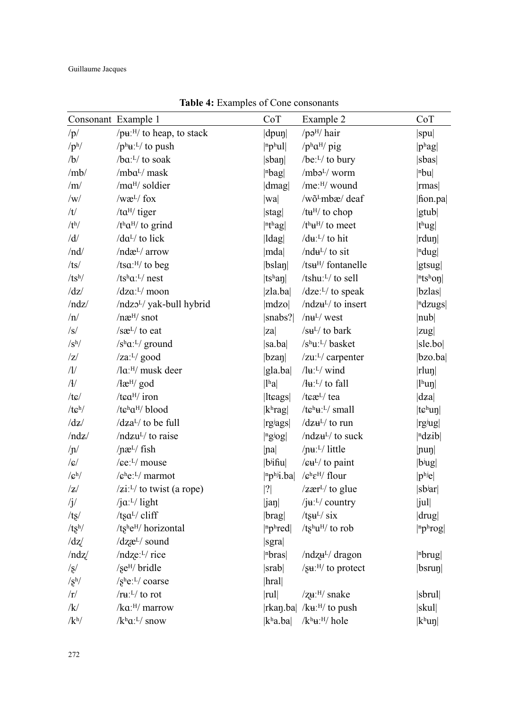|                           | Consonant Example 1                                          | CoT                             | Example 2                                                               | CoT                                     |
|---------------------------|--------------------------------------------------------------|---------------------------------|-------------------------------------------------------------------------|-----------------------------------------|
| /p/                       | /pu: <sup>H</sup> / to heap, to stack                        | $\left \text{dpun}\right $      | / $pəH$ / hair                                                          | spu                                     |
| /p <sup>h</sup>           | $/p^h$ <b>u</b> : <sup>L</sup> / to push                     | $ n$ phul                       | / $p^{\rm h}a^{\rm H}$ / pig                                            | $ p^{\text{h}}$ ag                      |
| /b/                       | /ba:L/ to soak                                               | $ $ sban $ $                    | /be: $L/$ to bury                                                       | sbas                                    |
| /mb/                      | /mbaL/ mask                                                  | $ n$ <sub>bag</sub> $ $         | $/mba^{L}/$ worm                                                        | $ n$ <sub>bu</sub>                      |
| /m/                       | /ma <sup>H</sup> / soldier                                   | dmag                            | /me:H/ wound                                                            | rmas                                    |
| /w/                       | $/wæL/$ fox                                                  | wa                              | /wõ <sup>L</sup> mbæ/ deaf                                              | fion.pa                                 |
| /t/                       | /ta <sup>H</sup> / tiger                                     | stag                            | /tu <sup>H</sup> / to chop                                              | gtub                                    |
| /t <sup>h</sup> /         | / $t^{\rm h}a^{\rm H}$ / to grind                            | $ n$ <sup>th</sup> ag           | $/th$ <del>u</del> <sup>H</sup> / to meet                               | $ t^h u g $                             |
| /d/                       | /da <sup>L</sup> / to lick                                   | $\vert \vert \vert$ dag $\vert$ | / $du: L$ to hit                                                        | $ rdu\eta $                             |
| /nd/                      | /ndæ <sup>L</sup> / arrow                                    | mda                             | / $nduL$ to sit                                                         | $ $ <sup>n</sup> dug $ $                |
| /ts/                      | /tsa: $^{H/}$ to beg                                         | bslan                           | /tsu <sup>H</sup> / fontanelle                                          | gtsug                                   |
| $/ts^h/$                  | / $ts^h a$ : <sup>L</sup> / nest                             | ts <sup>h</sup> an              | /tshu: <sup>L</sup> / to sell                                           | $ $ <sup>n</sup> ts <sup>h</sup> on $ $ |
| $\frac{dz}{z}$            | /dza: <sup>L</sup> / moon                                    | zla.ba                          | $/dze:$ <sup>L</sup> / to speak                                         | $ bz$ las $ $                           |
| /ndz/                     | /ndzo <sup>L</sup> / yak-bull hybrid                         | mdzo                            | /ndzu <sup>L</sup> / to insert                                          | <sup>n</sup> dzugs                      |
| $/\mathrm{n}/$            | $/ne^{H/}$ snot                                              | $ {\rm snabs?} $                | /nu <sup>L</sup> /west                                                  | $ {\rm nub} $                           |
| $\sqrt{s}$                | /sæL/ to eat                                                 | za                              | $\sqrt{\text{su}^L/\text{to}}$ bark                                     | zug                                     |
| $\sqrt{s}$ <sup>h</sup> / | /s <sup>h</sup> a: <sup>L</sup> /ground                      | sa.ba                           | /shu:L/ basket                                                          | sle.bo                                  |
| z                         | $\frac{z}{a!}$ good                                          | $ bza\eta $                     | $/zuL/L$ carpenter                                                      | bzo.ba                                  |
| /1/                       | /la: <sup>H</sup> / musk deer                                | $ $ gla.ba $ $                  | $/\mathrm{lu}$ : <sup>L</sup> / wind                                    | rlun                                    |
| /                         | $/$ læ <sup>H</sup> / god                                    | $ l^{\text{h}}a $               | $/$ + $\mu$ <sup>-L</sup> / to fall                                     | $\vert$ <sup>1</sup> hun $\vert$        |
| $/t \varepsilon$ /        | /tea <sup>H</sup> / iron                                     | ltcags                          | /tcæ <sup>L</sup> / tea                                                 | dza                                     |
| $/tc^h/$                  | /tch <sub>a</sub> H/ blood                                   | $ k^{\rm h}$ rag $ $            | / $t e^{h} u$ : <sup>L</sup> / small                                    | $ t\varepsilonh$ un $ $                 |
| $\frac{dz}{z}$            | /dza <sup>L</sup> / to be full                               | rgiags                          | $\frac{dz}{dt}$ to run                                                  | rgiug                                   |
| /ndz/                     | /ndzu <sup>L</sup> / to raise                                | $ $ <sup>ngjog</sup>            | $/ndzHL/$ to suck                                                       | ndzib                                   |
| $/ \text{nl}$             | $/ \text{na}$ <sup>L</sup> $/$ fish                          | <i>na</i>                       | /pu:L/ little                                                           | $ {\rm nun} $                           |
| $\sqrt{g}/$               | / $\epsilon e^{L}$ / mouse                                   | $ b$ ifiu $ $                   | $/$ $\epsilon$ $\mathbf{u}^{\text{L}}$ to paint                         | $ b^{j}ug $                             |
| $\sqrt{c^h}$              | /e <sup>h</sup> e <sup>L</sup> /marmot                       | $ n\mathbf{p}^{h}$ i.ba         | $\sqrt{\mathbf{c}^{\mathrm{h}}\mathbf{\varepsilon}^{\mathrm{H}}}$ flour | $ p^{hj}e $                             |
| z                         | $\frac{z_i L}{\sqrt{2}}$ to twist (a rope)                   | ?                               | $\frac{1}{2}$ are $\frac{1}{2}$ to glue                                 | $ s$ b <sup>j</sup> ar $ $              |
| $\sqrt{j}$                | /ja: $L/$ light                                              | [jaŋ                            | /j $\mathbf{u}$ : <sup>L</sup> / country                                | jul                                     |
| /tg/                      | /tsa <sup>L</sup> / cliff                                    | brag                            | / $t$ su <sup>L</sup> / six                                             | drug                                    |
| /ts <sup>h</sup>          | /tshe <sup>H</sup> / horizontal                              | $ n$ phred                      | / $ts^h u^H$ to rob                                                     | $ {}^{n}p{}^{h}rog $                    |
| $\frac{dz}{z}$            | /dzæ <sup>L</sup> / sound                                    | sgra                            |                                                                         |                                         |
| /ndz/                     | /ndze: <sup>L</sup> / rice                                   | nbras                           | /ndz <sub>H</sub> <sup>L</sup> /dragon                                  | n <sub>brug </sub>                      |
| $\sqrt{s}$                | /se <sup>H</sup> / bridle                                    | srab                            | $/su$ <sup>H</sup> / to protect                                         | b <sub>srup </sub>                      |
| /g <sup>h</sup> /         | $/\mathrm{s}^{\mathrm{h}}\mathrm{e}$ : <sup>L</sup> / coarse | hral                            |                                                                         |                                         |
| /r/                       | / $ruL$ to rot                                               | rul                             | /zu:H/ snake                                                            | sbrul                                   |
| /k/                       | /ka:H/ marrow                                                |                                 | $ \text{rkan}.ba  / k \mathbf{u}$ : <sup>H</sup> / to push              | skul                                    |
| $/k^{\rm h}/$             | $/k^h a$ : <sup>L</sup> / snow                               | kha.ba                          | $/k^h$ u: $H/$ hole                                                     | $ k^h u \eta $                          |

**Table 4:** Examples of Cone consonants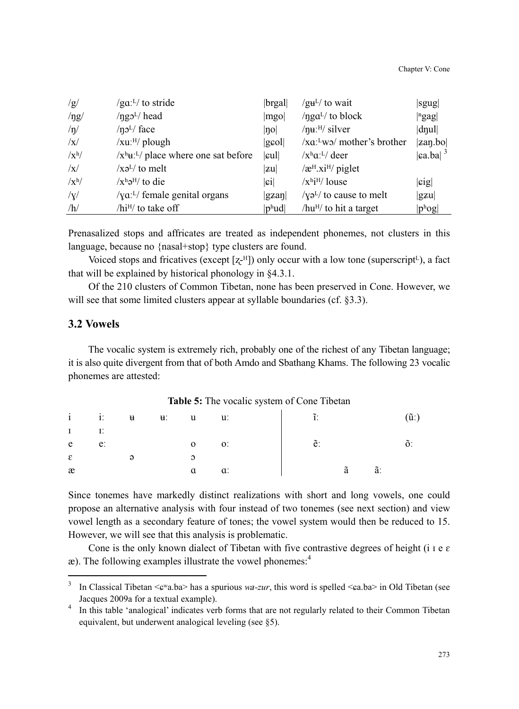| /g/          | $/gaL$ to stride                                          | brgal                                  | $/guL/$ to wait                                 | sgug                                    |
|--------------|-----------------------------------------------------------|----------------------------------------|-------------------------------------------------|-----------------------------------------|
| $/$ ng/      | $\text{/}\eta$ g $\text{J}^{L}$ head                      | mgo                                    | $\eta$ ga <sup>L</sup> / to block               | ngag                                    |
| $/\eta/$     | $/ \eta$ <sup>L</sup> / face                              | no                                     | $/\eta$ u: $^{H}/$ silver                       | $\left  \text{d} \eta \text{u} \right $ |
| $\sqrt{x}$   | $/ x u$ : $^{H/}$ plough                                  | gcol                                   | /xa:Lwo/ mother's brother                       | zap.bo                                  |
| $\sqrt{x^h}$ | $\sqrt{x^h}$ u: <sup>L</sup> / place where one sat before |                                        | $\sqrt{x^h}a^L$ deer                            | $ ca.ba ^{3}$                           |
| $\sqrt{x}$   | $\sqrt{X}$ <sup>L</sup> $\sqrt{Y}$ to melt                | zu                                     | $\alpha$ <sup>H</sup> .xi <sup>H</sup> / piglet |                                         |
| $\sqrt{x^h}$ | $\sqrt{x^h} \partial^H$ to die                            | $ \mathfrak{c}i $                      | $\overline{X^{h}i^{H}}$ louse                   | sig                                     |
| $/\gamma$    | $/\gamma a$ <sup>L</sup> / female genital organs          | $ $ gzan $ $                           | $/\gamma 2^{L/2}$ to cause to melt              | gzu                                     |
| /h/          | /hi <sup>H</sup> / to take off                            | $ p^{\mathrm{h}}\mathrm{u}\mathrm{d} $ | /hu <sup>H</sup> / to hit a target              | $ p^{\mathrm{h}}$ og $ $                |

Prenasalized stops and affricates are treated as independent phonemes, not clusters in this language, because no {nasal+stop} type clusters are found.

Voiced stops and fricatives (except  $[z^{-H}]$ ) only occur with a low tone (superscript<sup>L</sup>), a fact that will be explained by historical phonology in §4.3.1.

Of the 210 clusters of Common Tibetan, none has been preserved in Cone. However, we will see that some limited clusters appear at syllable boundaries (cf. §3.3).

### **3.2 Vowels**

 $\overline{a}$ 

The vocalic system is extremely rich, probably one of the richest of any Tibetan language; it is also quite divergent from that of both Amdo and Sbathang Khams. The following 23 vocalic phonemes are attested:

#### **Table 5:** The vocalic system of Cone Tibetan

|               | $i$ i: $u$ $u$ : $u$ $u$ : |          |              |                | $\tilde{I}$ . |    | $(\tilde{\mathbf{u}})$ |
|---------------|----------------------------|----------|--------------|----------------|---------------|----|------------------------|
| $\mathbf{I}$  |                            |          |              |                |               |    |                        |
| e             | $e$ :                      |          | $\mathbf{O}$ | $\mathbf{0}$ . | $\tilde{e}$ : |    |                        |
| $\varepsilon$ |                            | $\Theta$ |              |                |               |    |                        |
| æ             |                            |          | a            | $\alpha$ :     | $\tilde{a}$   | ã: |                        |

Since tonemes have markedly distinct realizations with short and long vowels, one could propose an alternative analysis with four instead of two tonemes (see next section) and view vowel length as a secondary feature of tones; the vowel system would then be reduced to 15. However, we will see that this analysis is problematic.

Cone is the only known dialect of Tibetan with five contrastive degrees of height (i  $\epsilon \epsilon$ )  $\infty$ ). The following examples illustrate the vowel phonemes:<sup>4</sup>

<sup>3</sup> In Classical Tibetan < $\epsilon_{\rm w}$ a.ba> has a spurious *wa-zur*, this word is spelled <ca.ba> in Old Tibetan (see Jacques 2009a for a textual example).

<sup>4</sup> In this table 'analogical' indicates verb forms that are not regularly related to their Common Tibetan equivalent, but underwent analogical leveling (see §5).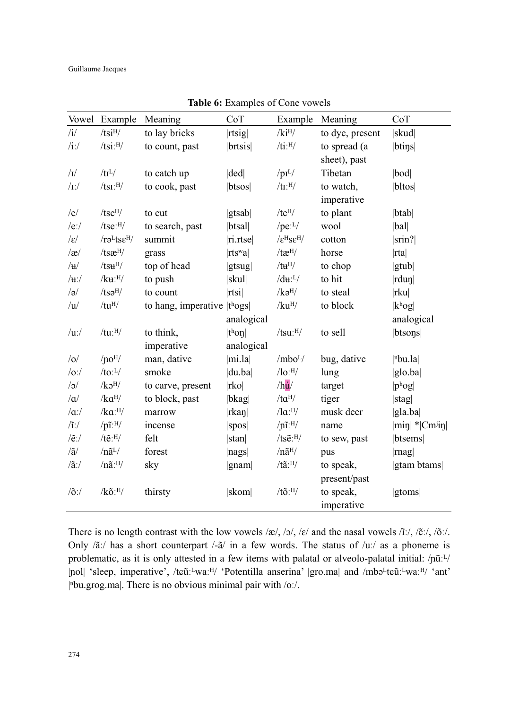| Vowel            | Example                                             | Meaning                                | CoT               | Example                                     | Meaning         | CoT                           |
|------------------|-----------------------------------------------------|----------------------------------------|-------------------|---------------------------------------------|-----------------|-------------------------------|
| $\mathbf{i}$     | $/t\mathrm{si}^{\mathrm{H}}/$                       | to lay bricks                          | rtsig             | $/$ ki <sup>H</sup> $/$                     | to dye, present | skud                          |
| $/i$ :/          | $/tsi$ : $H/$                                       | to count, past                         | brtsis            | $/ti$ : $H/$                                | to spread (a    | btins                         |
|                  |                                                     |                                        |                   |                                             | sheet), past    |                               |
| $/{\rm I}/$      | /tI <sup>L</sup> /                                  | to catch up                            | ded               | $/pi^L/$                                    | Tibetan         | $ b \circ d $                 |
| $/I$ :/          | /tsI:H/                                             | to cook, past                          | btsos             | $/\text{tr:}^{\text{H}}/$                   | to watch,       | bltos                         |
|                  |                                                     |                                        |                   |                                             | imperative      |                               |
| /e/              | tse <sup>H</sup> /                                  | to cut                                 | gtsab             | $/te^{H}/$                                  | to plant        | $ b$ tab $ $                  |
| $/e$ :/          | $/tse:$ <sup>H</sup> /                              | to search, past                        | btsal             | / $pe: L$                                   | wool            | bal                           |
| $ \varepsilon $  | $/r$ ə <sup>L</sup> ts $\varepsilon$ <sup>H</sup> / | summit                                 | ri.rtse           | $/\epsilon^{\rm H} \rm s \epsilon^{\rm H}/$ | cotton          | sin?                          |
| $\alpha$         | /tsæ <sup>H</sup> /                                 | grass                                  | rts <sub>wa</sub> | $/$ tæ $^{H/}$                              | horse           | rta                           |
| $/\mathbf{u}/$   | $/ts$ uH $/$                                        | top of head                            | gtsug             | $/tu^{\rm H/}$                              | to chop         | gtub                          |
| $/\mathbf{u}$ :/ | $/ku:$ <sup>H</sup> /                               | to push                                | skul              | $/d\mathbf{u}$ : <sup>L</sup> /             | to hit          | $ rdu\eta $                   |
| $\sqrt{a}$       | $/ts$ əH $/$                                        | to count                               | rtsi              | /kg <sup>H</sup> /                          | to steal        | rku                           |
| $\overline{u}$   | $/tu^{H/}$                                          | to hang, imperative $ t \text{log} s $ |                   | /ku <sup>H</sup> /                          | to block        | $ k^{\rm h}$ og               |
|                  |                                                     |                                        | analogical        |                                             |                 | analogical                    |
| $/u$ :/          | $/$ tu: $^{H}/$                                     | to think,                              | $ th$ on          | $/tsu:$ <sup>H</sup> $/$                    | to sell         | btsons                        |
|                  |                                                     | imperative                             | analogical        |                                             |                 |                               |
| $ 0\rangle$      | /no <sup>H</sup> /                                  | man, dative                            | mi.la             | $/mbo^L/$                                   | bug, dative     | $ n$ bu.la $ $                |
| o:               | $/$ to: $^{L}/$                                     | smoke                                  | du.ba             | $/$ lo: $^{H}/$                             | lung            | $ g $ o.ba                    |
| $\sqrt{3}$       | /k <sub>2</sub> <sup>H</sup> /                      | to carve, present                      | rko               | /hu/                                        | target          | $ p^{\text{h}}$ og $ $        |
| $/\alpha$        | $/ka^{H/}$                                          | to block, past                         | bkag              | $/ta^{H/}$                                  | tiger           | stag                          |
| $/\alpha$ :/     | $/ka$ : $H/$                                        | marrow                                 | $ \text{rkan} $   | $\sqrt{a}$ : $\frac{H}{A}$                  | musk deer       | $ $ gla.ba                    |
| $\mathcal{L}$    | $/p\tilde{\mathbf{l}}$ :H/                          | incense                                | $ $ spos $ $      | $/ \eta$ <i>ī</i> : $^{H}/$                 | name            | $ \text{min} $ * $ Cm^{j}$ in |
| $/ \tilde{e}$ :/ | $/t\tilde{e}$ : $^{H}/$                             | felt                                   | stan              | $/ts\tilde{e}$ : $^{H}/$                    | to sew, past    | btsems                        |
| $/\tilde{a}/$    | $/n\tilde{a}^L/$                                    | forest                                 | nags              | $/n\tilde{a}^H/$                            | pus             | mag                           |
| $/\tilde{a}$ :/  | $/n\tilde{a}$ : $H/$                                | sky                                    | gnam              | $/t\tilde{a}$ : $H/$                        | to speak,       | gtam btams                    |
|                  |                                                     |                                        |                   |                                             | present/past    |                               |
| $/0$ :/          | $/k\tilde{o}$ : $H/$                                | thirsty                                | skom              | $/t\tilde{o}$ : $^{H}/$                     | to speak,       | <i>stoms</i>                  |
|                  |                                                     |                                        |                   |                                             | imperative      |                               |

**Table 6:** Examples of Cone vowels

There is no length contrast with the low vowels  $\alpha/$ ,  $\alpha/$ ,  $\alpha/$  and the nasal vowels  $\alpha/$ ,  $\beta/$ ,  $\alpha/$ ,  $\alpha/$ . Only  $/\tilde{a}$ :/ has a short counterpart /- $\tilde{a}$ / in a few words. The status of /uː/ as a phoneme is problematic, as it is only attested in a few items with palatal or alveolo-palatal initial: /pũːL/ |ɲol| 'sleep, imperative', /tܨũːᴸwaːᴴ/ 'Potentilla anserina' |gro.ma| and /mbəᴸtܨũːᴸwaːᴴ/ 'ant' |<sup>n</sup>bu.grog.ma|. There is no obvious minimal pair with /oː/.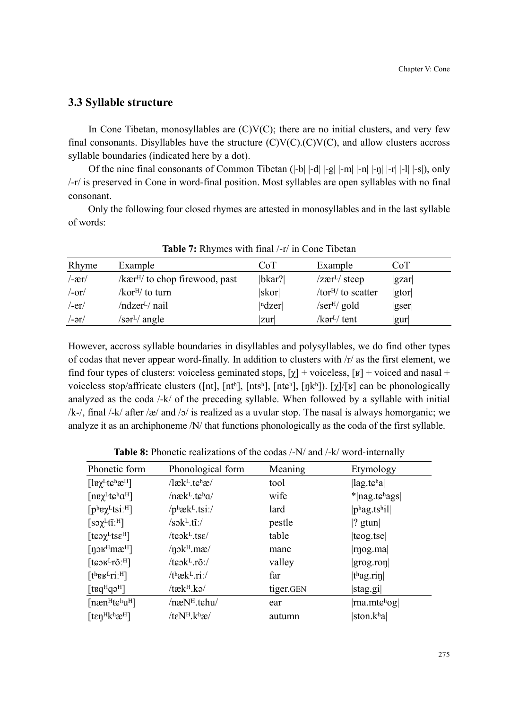### **3.3 Syllable structure**

In Cone Tibetan, monosyllables are  $(C)V(C)$ ; there are no initial clusters, and very few final consonants. Disyllables have the structure  $(C)V(C)$ .  $(C)V(C)$ , and allow clusters accross syllable boundaries (indicated here by a dot).

Of the nine final consonants of Common Tibetan  $(|-b| \cdot |-d| \cdot |-m| \cdot |-m| \cdot |-r| \cdot |-l| \cdot |-s|$ ), only /-r/ is preserved in Cone in word-final position. Most syllables are open syllables with no final consonant.

Only the following four closed rhymes are attested in monosyllables and in the last syllable of words:

| Rhyme            | Example                                                | CoT                               | Example                                   | CoT  |
|------------------|--------------------------------------------------------|-----------------------------------|-------------------------------------------|------|
| $/-\text{er}/$   | $\frac{1}{k}$ are $\frac{1}{k}$ to chop firewood, past | bkar?                             | $\sqrt{z\text{er}^L/\text{steep}}$        | gzar |
| $/-or/$          | /kor <sup><math>H</math></sup> to turn                 | skor                              | /tor <sup>H</sup> / to scatter            | gtor |
| $/$ -er $/$      | /ndzer <sup>L</sup> / nail                             | $\vert$ <sup>n</sup> dzer $\vert$ | /ser <sup>H</sup> /gold                   | gser |
| $/-\vartheta r/$ | /sər <sup>L</sup> / angle                              | zur                               | $\sqrt{k}$ ər <sup>L</sup> $\sqrt{k}$ ent | gur  |

**Table 7:** Rhymes with final /-r/ in Cone Tibetan

However, accross syllable boundaries in disyllables and polysyllables, we do find other types of codas that never appear word-finally. In addition to clusters with /r/ as the first element, we find four types of clusters: voiceless geminated stops,  $[\chi]$  + voiceless,  $[\kappa]$  + voiced and nasal + voiceless stop/affricate clusters ([nt], [ntʰ], [ntsʰ], [ntɕʰ], [ŋkʰ]). [ $\chi$ ]/[ʁ] can be phonologically analyzed as the coda /-k/ of the preceding syllable. When followed by a syllable with initial /k-/, final /-k/ after /æ/ and /ɔ/ is realized as a uvular stop. The nasal is always homorganic; we analyze it as an archiphoneme /N/ that functions phonologically as the coda of the first syllable.

| Phonetic form                                           | Phonological form                                        | Meaning   | Etymology                                          |
|---------------------------------------------------------|----------------------------------------------------------|-----------|----------------------------------------------------|
| $[$ le $\chi^L$ tchæ <sup>H</sup> ]                     | $/$ læk <sup>L</sup> .t $\varepsilon$ <sup>h</sup> æ $/$ | tool      | $\left  \text{lag.te}^{\text{h}} \text{a} \right $ |
| $[n\nu\chi^L$ tc <sup>h</sup> a <sup>H</sup> ]          | $/nek^L.tk^h\alpha/$                                     | wife      | $*$  nag.tchags                                    |
| $[p^{\text{h}}$ e $\chi^{\text{L}}$ tsi: <sup>H</sup> ] | $/p^h$ æk <sup>L</sup> .tsi:/                            | lard      | $ p^{\text{h}}$ ag.tshil                           |
| $\left[$ so $\chi^L$ tī: <sup>H</sup> $\right]$         | $/s$ ok <sup>L</sup> .tĩ:/                               | pestle    | $ ?$ gtun $ $                                      |
| $[$ teo $\chi$ <sup>L</sup> tse <sup>H</sup> $]$        | $t \in \mathbb{R}$ .tse/                                 | table     | $ $ t $\log$ .tse $ $                              |
| [n $\sigma$ $\mu$ <sup>H</sup> mæ <sup>H</sup> ]        | $/\eta$ <sub>2</sub> k <sup>H</sup> .m $\mathfrak{m}$    | mane      | rnog.ma                                            |
| [ $t$ c $\sigma$ $F$ <sup>L</sup> $t$ $\tilde{o}$ $F$ ] | / $ts$ ok <sup>L</sup> .rõ:/                             | valley    | gray,ron                                           |
| $[t^h$ e $F$ ri: $H$ ]                                  | / $t^h$ æk <sup>L</sup> .ri:/                            | far       | $ thag.ri\eta $                                    |
| $[teq^Hq^Hq]$                                           | /tæk <sup>H</sup> .kə/                                   | tiger.GEN | stag.gi                                            |
| $[nænH t6huH]$                                          | /næN <sup>H</sup> .tchu/                                 | ear       | $ {\rm rna.mte}^{\rm h} {\rm og} $                 |
| $[tenHkhxH]$                                            | /teN <sup>H</sup> .khæ/                                  | autumn    | ston.kʰa                                           |

**Table 8:** Phonetic realizations of the codas /-N/ and /-k/ word-internally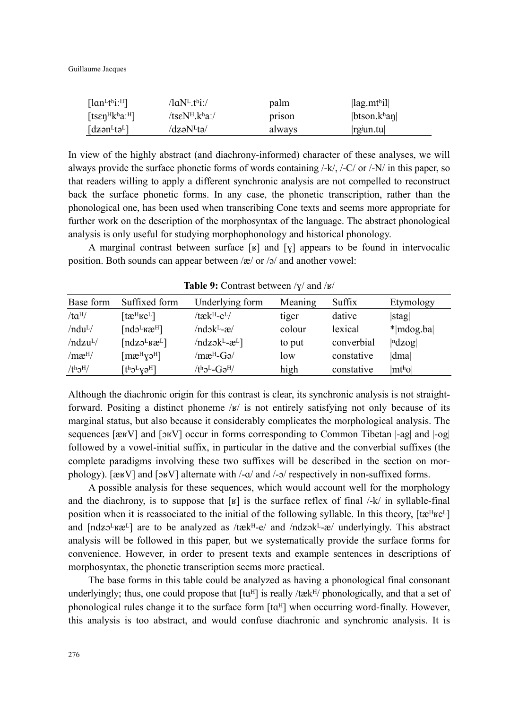Guillaume Jacques

| $\lceil \text{lan}^L$ t <sup>h</sup> i: <sup>H</sup> $\rceil$     | /laN <sup>L</sup> .thi:/  | palm   | $\left  \text{lag.mt}^{\text{h}}\text{i} \right  \right $ |
|-------------------------------------------------------------------|---------------------------|--------|-----------------------------------------------------------|
| [ts $\varepsilon$ n <sup>H</sup> k <sup>h</sup> a: <sup>H</sup> ] | /tseN <sup>H</sup> .kha:/ | prison | btson.k <sup>h</sup> an                                   |
| $\lceil dz \circ n^L t \circ L \rceil$                            | /dzəN <sup>L</sup> tə/    | always | $ rg\$ un.tu                                              |

In view of the highly abstract (and diachrony-informed) character of these analyses, we will always provide the surface phonetic forms of words containing /-k/, /-C/ or /-N/ in this paper, so that readers willing to apply a different synchronic analysis are not compelled to reconstruct back the surface phonetic forms. In any case, the phonetic transcription, rather than the phonological one, has been used when transcribing Cone texts and seems more appropriate for further work on the description of the morphosyntax of the language. The abstract phonological analysis is only useful for studying morphophonology and historical phonology.

A marginal contrast between surface  $[x]$  and  $[y]$  appears to be found in intervocalic position. Both sounds can appear between  $\alpha$  or  $\beta$  and another vowel:

| Base form            | Suffixed form                                              | Underlying form                                 | Meaning | Suffix     | Etymology                         |  |
|----------------------|------------------------------------------------------------|-------------------------------------------------|---------|------------|-----------------------------------|--|
| $/ta^{H/}$           | [tæ $_{\rm HeF}$ ]                                         | /tæk <sup>H</sup> -e <sup>L</sup> /             | tiger   | dative     | stag                              |  |
| /ndu <sup>L</sup> /  | [nd $\sigma^L$ <sub>K</sub> $\mathfrak{B}^H$ ]             | /ndɔk <sup>L</sup> -æ/                          | colour  | lexical    | * mdog.ba                         |  |
| /ndzu <sup>L</sup> / | [ndz $5^L$ kæ $L$ ]                                        | $\langle \text{ndzok}^L - \mathbf{x}^L \rangle$ | to put  | converbial | $\vert$ <sup>n</sup> dzog $\vert$ |  |
| /mæ <sup>H</sup> /   | $[\text{m}\text{e}^{\text{H}}\text{V}\text{e}^{\text{H}}]$ | /mæ <sup>н</sup> -Gə/                           | low     | constative | dma                               |  |
| $/th$ <sup>H</sup> / | $\lceil$ t <sup>h</sup> o <sup>L</sup> yə <sup>H</sup> l   | $/t^{\rm h}$ ລ <sup>L</sup> -Ga <sup>H</sup> /  | high    | constative | $ mt$ <sup>h</sup> o $ $          |  |

**Table 9:** Contrast between  $/\gamma$  and  $/\kappa$ 

Although the diachronic origin for this contrast is clear, its synchronic analysis is not straightforward. Positing a distinct phoneme  $\frac{1}{s'}$  is not entirely satisfying not only because of its marginal status, but also because it considerably complicates the morphological analysis. The sequences  $[\text{z} \in V]$  and  $[\text{z} \in V]$  occur in forms corresponding to Common Tibetan  $[-\text{ag}]$  and  $[-\text{og}]$ followed by a vowel-initial suffix, in particular in the dative and the converbial suffixes (the complete paradigms involving these two suffixes will be described in the section on morphology). [æʁV] and [ɔʁV] alternate with /-a/ and /-ɔ/ respectively in non-suffixed forms.

A possible analysis for these sequences, which would account well for the morphology and the diachrony, is to suppose that  $[x]$  is the surface reflex of final /-k/ in syllable-final position when it is reassociated to the initial of the following syllable. In this theory,  $[\text{tæ<sup>H</sup>ke<sup>L</sup>]$ and  $\left[\text{ndzo}^{\text{L}}\text{xa}^{\text{L}}\right]$  are to be analyzed as /tæk $^{\text{H}}$ -e/ and /ndz $\text{ok}^{\text{L}}$ -æ/ underlyingly. This abstract analysis will be followed in this paper, but we systematically provide the surface forms for convenience. However, in order to present texts and example sentences in descriptions of morphosyntax, the phonetic transcription seems more practical.

The base forms in this table could be analyzed as having a phonological final consonant underlyingly; thus, one could propose that  $[t\alpha^{H}]$  is really /tæk $^{H}$ / phonologically, and that a set of phonological rules change it to the surface form  $[\text{ta}^H]$  when occurring word-finally. However, this analysis is too abstract, and would confuse diachronic and synchronic analysis. It is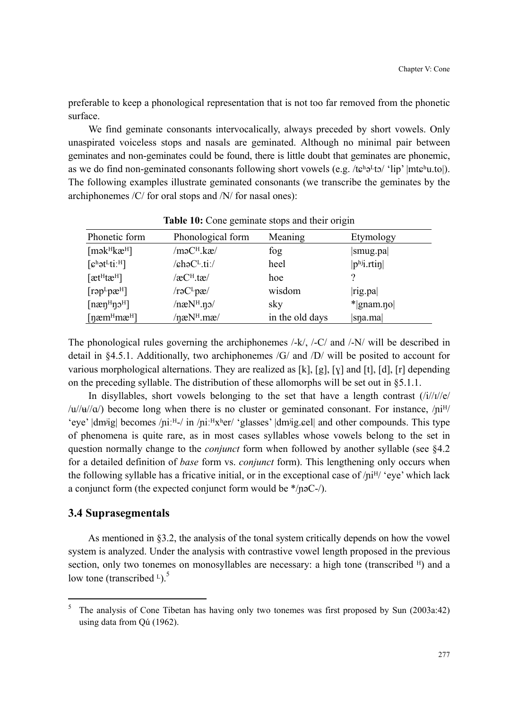preferable to keep a phonological representation that is not too far removed from the phonetic surface.

We find geminate consonants intervocalically, always preceded by short vowels. Only unaspirated voiceless stops and nasals are geminated. Although no minimal pair between geminates and non-geminates could be found, there is little doubt that geminates are phonemic, as we do find non-geminated consonants following short vowels (e.g. /tɕʰə<sup>L</sup>tɔ/ 'lip' |mtɕʰu.to|). The following examples illustrate geminated consonants (we transcribe the geminates by the archiphonemes /C/ for oral stops and /N/ for nasal ones):

| Phonetic form                                                                                              | Phonological form                 | Meaning         | Etymology      |
|------------------------------------------------------------------------------------------------------------|-----------------------------------|-----------------|----------------|
| $[m\inftyH]$                                                                                               | /məC <sup>H</sup> .kæ/            | fog             | smug.pa        |
| $\lceil \mathfrak{c}^{\text{h}} \mathfrak{d}^{\text{L}} \mathfrak{t} \mathfrak{i} \cdot^{\text{H}} \rceil$ | /chəC <sup>L</sup> .ti:/          | heel            | $ phj1$ .rtin  |
| [ætHtæH]                                                                                                   | /æC <sup>H</sup> .tæ/             | hoe             |                |
| $[\text{rep}^{\text{L}} \text{p} \text{æ}^{\text{H}}]$                                                     | /rəC <sup>L</sup> pæ/             | wisdom          | rig.pa         |
| $[n\mathfrak{E} \mathfrak{q}^H \mathfrak{p} \mathfrak{z}^H]$                                               | /naN <sup>H</sup> .n <sub>0</sub> | sky             | $*$  gnam.no   |
| [næm <sup>H</sup> mæ <sup>H</sup> ]                                                                        | $/$ næ $N$ <sup>H</sup> .mæ $/$   | in the old days | $ s$ na.ma $ $ |

**Table 10:** Cone geminate stops and their origin

The phonological rules governing the archiphonemes /-k/, /-C/ and /-N/ will be described in detail in §4.5.1. Additionally, two archiphonemes /G/ and /D/ will be posited to account for various morphological alternations. They are realized as  $[k]$ ,  $[g]$ ,  $[y]$  and  $[t]$ ,  $[d]$ ,  $[r]$  depending on the preceding syllable. The distribution of these allomorphs will be set out in §5.1.1.

In disyllables, short vowels belonging to the set that have a length contrast  $(i)/i/|e|$  $\langle u/u/u' \rangle$  become long when there is no cluster or geminated consonant. For instance,  $\langle ni^{H} \rangle$ 'eye' |dmʲig| becomes /niːH-/ in /niːHxʰer/ 'glasses' |dmʲig.eel| and other compounds. This type of phenomena is quite rare, as in most cases syllables whose vowels belong to the set in question normally change to the *conjunct* form when followed by another syllable (see §4.2 for a detailed definition of *base* form vs. *conjunct* form). This lengthening only occurs when the following syllable has a fricative initial, or in the exceptional case of  $/ni^{H/-}$  eye' which lack a conjunct form (the expected conjunct form would be \*/ɲəC-/).

### **3.4 Suprasegmentals**

 $\overline{a}$ 

As mentioned in §3.2, the analysis of the tonal system critically depends on how the vowel system is analyzed. Under the analysis with contrastive vowel length proposed in the previous section, only two tonemes on monosyllables are necessary: a high tone (transcribed  $H$ ) and a low tone (transcribed  $L$ ).<sup>5</sup>

<sup>5</sup> The analysis of Cone Tibetan has having only two tonemes was first proposed by Sun (2003a:42) using data from Qú (1962).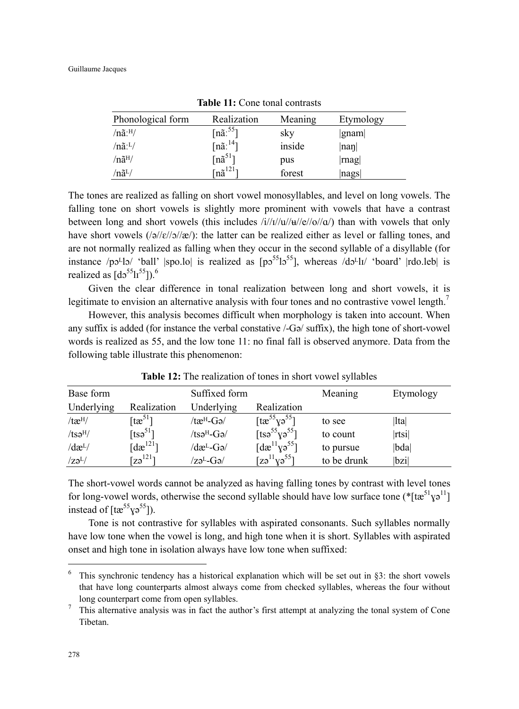| Phonological form              | Realization                       | Meaning | Etymology |
|--------------------------------|-----------------------------------|---------|-----------|
| $/n\tilde{a}$ : $^{H}/$        | $[n\tilde{a}]^{55}$ ]             | sky     | gnam      |
| $/n\tilde{a}$ : <sup>L</sup> / | $[n\tilde{a}]^{14}$ ]             | inside  | nan       |
| $/n\tilde{a}^H/$               | $[n\tilde{a}^{51}]$               | pus     | mag       |
| $/n\tilde{a}^L/$               | $\lceil n \tilde{a}^{121} \rceil$ | forest  | nags      |

**Table 11:** Cone tonal contrasts

The tones are realized as falling on short vowel monosyllables, and level on long vowels. The falling tone on short vowels is slightly more prominent with vowels that have a contrast between long and short vowels (this includes  $\frac{i}{t}{t}$ / $\frac{d}{dt}$ /e//o// $a$ ) than with vowels that only have short vowels  $\frac{\frac{1}{2}}{\frac{e}{\sqrt{e}}}{\sqrt{e}}$ : the latter can be realized either as level or falling tones, and are not normally realized as falling when they occur in the second syllable of a disyllable (for instance /pɔ<sup>L</sup>lɔ/ 'ball' |spo.lo| is realized as  $[p555]$ , whereas /dɔ<sup>L</sup>lɪ/ 'board' |rdo.leb| is realized as  $[d555]^{55}]^{6}$ .

Given the clear difference in tonal realization between long and short vowels, it is legitimate to envision an alternative analysis with four tones and no contrastive vowel length.<sup>7</sup>

However, this analysis becomes difficult when morphology is taken into account. When any suffix is added (for instance the verbal constative /-Gə/ suffix), the high tone of short-vowel words is realized as 55, and the low tone 11: no final fall is observed anymore. Data from the following table illustrate this phenomenon:

| Base form              |                                                | Suffixed form                                                                                                 |                                               | Meaning     | Etymology |
|------------------------|------------------------------------------------|---------------------------------------------------------------------------------------------------------------|-----------------------------------------------|-------------|-----------|
| Underlying             | Realization                                    | Underlying                                                                                                    | Realization                                   |             |           |
| $/$ tæ $^{H/}$         | $\lceil \mathfrak{t} \mathfrak{w}^{51} \rceil$ | /tæ <sup>н</sup> -Gə/                                                                                         | $\left[ \text{tx}^{55}\text{y3}^{55} \right]$ | to see      | $ $ lta   |
| $/ts$ ə <sup>H</sup> / | [tso <sup>51</sup> ]                           | $/ts$ ə <sup>H</sup> -Gə $/$                                                                                  | [tsə <sup>55</sup> $\gamma$ ə <sup>55</sup> ] | to count    | rtsi      |
| $\frac{d}{dt}$         | [d $\mathbf{a}^{121}$ ]                        | $\sqrt{d\mathbf{\mathfrak{E}}^{\mathsf{L}}\mathbf{\mathfrak{G}}\mathbf{\mathfrak{d}}}/d\mathbf{\mathfrak{E}}$ | [d $\mathbf{a}^{11}$ yə <sup>55</sup> ]       | to pursue   | bda       |
| $\sqrt{z} \partial^L$  | $[z_9^{121}]$                                  | $\rm Z\vartheta^L\text{-}G\vartheta/$                                                                         | $[z$ ə $^{11}$ yə $^{55}]$                    | to be drunk | bzi       |

**Table 12:** The realization of tones in short vowel syllables

The short-vowel words cannot be analyzed as having falling tones by contrast with level tones for long-vowel words, otherwise the second syllable should have low surface tone ( $*$ [tæ<sup>51</sup> $y$ <sup>11</sup>] instead of  $[\text{tx}^{55}\text{y}^{\text{}}^{55}]\text{.}$ 

Tone is not contrastive for syllables with aspirated consonants. Such syllables normally have low tone when the vowel is long, and high tone when it is short. Syllables with aspirated onset and high tone in isolation always have low tone when suffixed:

 $\overline{a}$ 

<sup>6</sup> This synchronic tendency has a historical explanation which will be set out in §3: the short vowels that have long counterparts almost always come from checked syllables, whereas the four without long counterpart come from open syllables.

<sup>7</sup> This alternative analysis was in fact the author's first attempt at analyzing the tonal system of Cone Tibetan.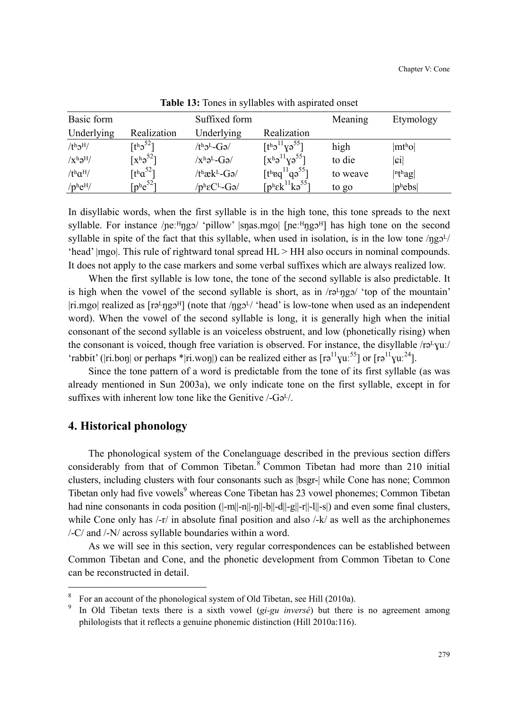| Basic form                     |                                                 | Suffixed form              |                                               | Meaning  | Etymology                  |
|--------------------------------|-------------------------------------------------|----------------------------|-----------------------------------------------|----------|----------------------------|
| Underlying                     | Realization                                     | Underlying                 | Realization                                   |          |                            |
| $/th$ <sup>H</sup> /           | [t <sup>h</sup> 2 <sup>52</sup> ]               | $/th$ ə <sup>L</sup> -Gə/  | $[th211Y55]$                                  | high     | $ mt$ <sup>h</sup> o $ $   |
| $/x^{\rm h} \partial^{\rm H}/$ | $\lceil x^h e^{52} \rceil$                      | $/x^h$ ə <sup>L</sup> -Gə/ | $\lceil x^h e^{11} y e^{55} \rceil$           | to die   | $ \mathfrak{c}\mathrm{i} $ |
| $/t^h a^H$                     | $\lceil \text{t}^{\text{h}} \alpha^{52} \rceil$ | /tʰæk <sup>L</sup> -Gə/    | [theq $^{11}$ qə <sup>55</sup> ]              | to weave | $ n$ <sup>th</sup> ag      |
| $/$ phe <sup>H</sup> $/$       | $\lceil p^{\text{h}} e^{52} \rceil$             | $/p^h \epsilon C^L$ -Gə/   | $[p^h \varepsilon k^{11} k \varepsilon^{55}]$ | to go    | $ p^{\text{h}} ebs $       |

**Table 13:** Tones in syllables with aspirated onset

In disyllabic words, when the first syllable is in the high tone, this tone spreads to the next syllable. For instance / $\text{pe:}\text{H}$ ngɔ/ 'pillow' |snas.mgo| [ $\text{pe:}\text{H}$ ngɔ<sup> $\text{H}$ </sup>] has high tone on the second syllable in spite of the fact that this syllable, when used in isolation, is in the low tone  $/\eta g_2$ <sup>L</sup>/ 'head' |mgo|. This rule of rightward tonal spread HL > HH also occurs in nominal compounds. It does not apply to the case markers and some verbal suffixes which are always realized low.

When the first syllable is low tone, the tone of the second syllable is also predictable. It is high when the vowel of the second syllable is short, as in  $/r\sigma\gamma\gamma\gamma'$  top of the mountain' |ri.mgo| realized as  $[r\partial^L \eta g \partial^H]$  (note that / $\eta g \partial^L$ / 'head' is low-tone when used as an independent word). When the vowel of the second syllable is long, it is generally high when the initial consonant of the second syllable is an voiceless obstruent, and low (phonetically rising) when the consonant is voiced, though free variation is observed. For instance, the disyllable /rə<sup>L</sup>yuː/ 'rabbit' (|ri.boŋ| or perhaps \*|ri.woŋ|) can be realized either as  $[r\phi^{11}yu^{.55}]$  or  $[r\phi^{11}yu^{.24}]$ .

Since the tone pattern of a word is predictable from the tone of its first syllable (as was already mentioned in Sun 2003a), we only indicate tone on the first syllable, except in for suffixes with inherent low tone like the Genitive  $\frac{1}{G}$ .

## **4. Historical phonology**

 $\overline{a}$ 

The phonological system of the Conelanguage described in the previous section differs considerably from that of Common Tibetan.<sup>8</sup> Common Tibetan had more than 210 initial clusters, including clusters with four consonants such as |bsgr-| while Cone has none; Common Tibetan only had five vowels<sup>9</sup> whereas Cone Tibetan has 23 vowel phonemes; Common Tibetan had nine consonants in coda position  $(|-m||-n||-n||-b||-d||-g||-r||-1||-s|$  and even some final clusters, while Cone only has  $\frac{1}{r}$  in absolute final position and also  $\frac{1}{k}$  as well as the archiphonemes /-C/ and /-N/ across syllable boundaries within a word.

As we will see in this section, very regular correspondences can be established between Common Tibetan and Cone, and the phonetic development from Common Tibetan to Cone can be reconstructed in detail.

<sup>8</sup> For an account of the phonological system of Old Tibetan, see Hill (2010a).

<sup>9</sup> In Old Tibetan texts there is a sixth vowel (*gi-gu inversé*) but there is no agreement among philologists that it reflects a genuine phonemic distinction (Hill 2010a:116).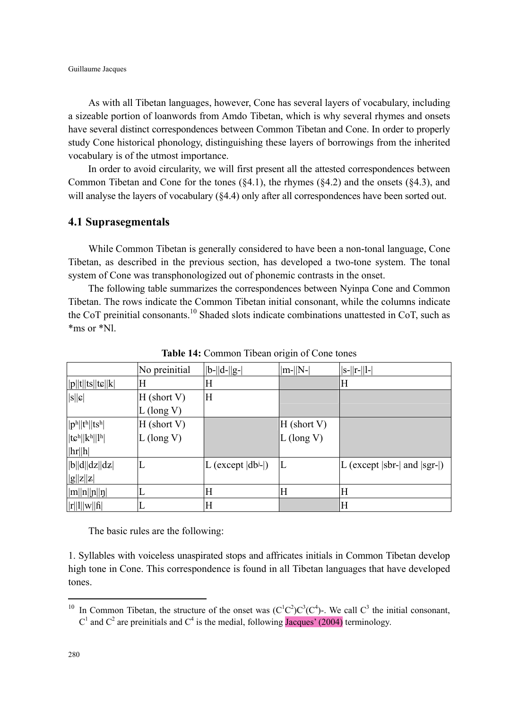As with all Tibetan languages, however, Cone has several layers of vocabulary, including a sizeable portion of loanwords from Amdo Tibetan, which is why several rhymes and onsets have several distinct correspondences between Common Tibetan and Cone. In order to properly study Cone historical phonology, distinguishing these layers of borrowings from the inherited vocabulary is of the utmost importance.

In order to avoid circularity, we will first present all the attested correspondences between Common Tibetan and Cone for the tones  $(\S4.1)$ , the rhymes  $(\S4.2)$  and the onsets  $(\S4.3)$ , and will analyse the layers of vocabulary ( $§4.4$ ) only after all correspondences have been sorted out.

#### **4.1 Suprasegmentals**

While Common Tibetan is generally considered to have been a non-tonal language, Cone Tibetan, as described in the previous section, has developed a two-tone system. The tonal system of Cone was transphonologized out of phonemic contrasts in the onset.

The following table summarizes the correspondences between Nyinpa Cone and Common Tibetan. The rows indicate the Common Tibetan initial consonant, while the columns indicate the CoT preinitial consonants.<sup>10</sup> Shaded slots indicate combinations unattested in CoT, such as \*ms or \*Nl.

|                                                           | No preinitial | $  b-  d-  g- $                      | $ m-  N- $    | $ s-  r-  l- $                                    |
|-----------------------------------------------------------|---------------|--------------------------------------|---------------|---------------------------------------------------|
| $  p  t  ts  t\varepsilon  k  $                           | Η             | Н                                    |               | Н                                                 |
| $ s  \mathbf{c} $                                         | $H$ (short V) | Η                                    |               |                                                   |
|                                                           | $L$ (long V)  |                                      |               |                                                   |
| $ p^h  t^h  ts^h $                                        | $H$ (short V) |                                      | $H$ (short V) |                                                   |
| $ t\mathfrak{c}^{\text{h}}  k^{\text{h}}  l^{\text{h}} $  | $L$ (long V)  |                                      | $L$ (long V)  |                                                   |
| $\vert \vert h \vert \vert h \vert$                       |               |                                      |               |                                                   |
| b  d  dz  dz                                              |               | L (except $ db$ <sup>j</sup> - $ $ ) | L             | L (except $ {}$ sbr- $ {}$ and $ {}$ sgr- $ {}$ ) |
| g  z  z                                                   |               |                                      |               |                                                   |
| $\vert m \vert \vert n \vert \vert n \vert \vert n \vert$ | L             | Η                                    | Η             | Η                                                 |
| r  1  w  fi                                               |               | Η                                    |               | Н                                                 |

**Table 14:** Common Tibean origin of Cone tones

The basic rules are the following:

1. Syllables with voiceless unaspirated stops and affricates initials in Common Tibetan develop high tone in Cone. This correspondence is found in all Tibetan languages that have developed tones.

 $\overline{a}$ 

<sup>&</sup>lt;sup>10</sup> In Common Tibetan, the structure of the onset was  $(C^1C^2)C^3(C^4)$ -. We call  $C^3$  the initial consonant, C<sup>1</sup> and C<sup>2</sup> are preinitials and C<sup>4</sup> is the medial, following Jacques' (2004) terminology.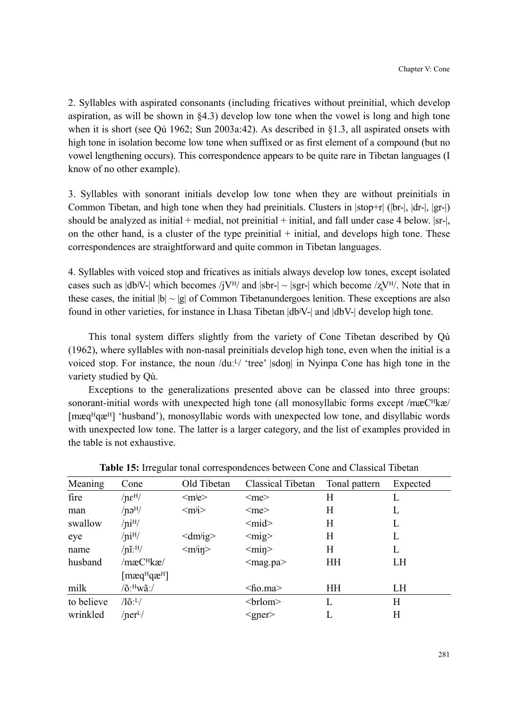2. Syllables with aspirated consonants (including fricatives without preinitial, which develop aspiration, as will be shown in §4.3) develop low tone when the vowel is long and high tone when it is short (see Qú 1962; Sun 2003a:42). As described in §1.3, all aspirated onsets with high tone in isolation become low tone when suffixed or as first element of a compound (but no vowel lengthening occurs). This correspondence appears to be quite rare in Tibetan languages (I know of no other example).

3. Syllables with sonorant initials develop low tone when they are without preinitials in Common Tibetan, and high tone when they had preinitials. Clusters in  $|stop+r|$  ( $|br-|, |dr-|, |gr-|$ ) should be analyzed as initial + medial, not preinitial + initial, and fall under case 4 below.  $|sr|$ , on the other hand, is a cluster of the type preinitial  $+$  initial, and develops high tone. These correspondences are straightforward and quite common in Tibetan languages.

4. Syllables with voiced stop and fricatives as initials always develop low tones, except isolated cases such as  $|db^jV-|$  which becomes /j $V^H$ / and  $|sbr-| \sim |sgr-|$  which become /z $V^H$ /. Note that in these cases, the initial  $|b| \sim |g|$  of Common Tibetanundergoes lenition. These exceptions are also found in other varieties, for instance in Lhasa Tibetan |dbʲV-| and |dbV-| develop high tone.

This tonal system differs slightly from the variety of Cone Tibetan described by Qú (1962), where syllables with non-nasal preinitials develop high tone, even when the initial is a voiced stop. For instance, the noun /duːL/ 'tree' |sdon| in Nyinpa Cone has high tone in the variety studied by Qú.

Exceptions to the generalizations presented above can be classed into three groups: sonorant-initial words with unexpected high tone (all monosyllabic forms except /mæ $C^{H}$ kæ/ [mæq<sup>H</sup>qæ<sup>H</sup>] 'husband'), monosyllabic words with unexpected low tone, and disyllabic words with unexpected low tone. The latter is a larger category, and the list of examples provided in the table is not exhaustive.

| Meaning    | Cone                                  | Old Tibetan                    | Classical Tibetan          | Tonal pattern | Expected |
|------------|---------------------------------------|--------------------------------|----------------------------|---------------|----------|
| fire       | $/ne^{\rm H/}$                        | $\langle$ m <sup>j</sup> e $>$ | $<$ me $>$                 | H             | L        |
| man        | $/$ nə $^{H/}$                        | $\langle m$ j>                 | $<$ me $>$                 | H             | L        |
| swallow    | /ni <sup>H</sup> /                    |                                | $<$ mid $>$                | H             | L        |
| eye        | /ni <sup>H</sup> /                    | $\langle dm \rangle$           | $<$ mig $>$                | H             | L        |
| name       | $/n1.$ H/                             | $\langle m \rangle$ in         | $<$ min $>$                | H             | L        |
| husband    | /mæC <sup>H</sup> kæ/                 |                                | $\langle$ mag.pa $\rangle$ | HH            | LH       |
|            | $[\text{maq}^H \text{qa}^H]$          |                                |                            |               |          |
| milk       | $/$ õ: $^{\rm H}$ wã: $/$             |                                | $<$ ho.ma $>$              | HH            | LH       |
| to believe | $\sqrt{\mathrm{10}}$ : <sup>L</sup> / |                                | <br>lom>                   | L             | H        |
| wrinkled   | / $nerL$ /                            |                                | $<$ gner $>$               |               | H        |

**Table 15:** Irregular tonal correspondences between Cone and Classical Tibetan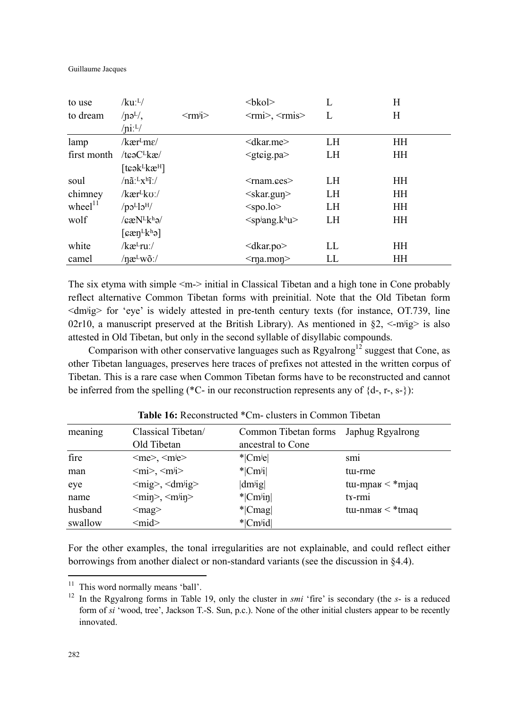Guillaume Jacques

| to use              | $/ku$ : <sup>L</sup> /                                                             |                              | $kbko$                                                 |     | H         |
|---------------------|------------------------------------------------------------------------------------|------------------------------|--------------------------------------------------------|-----|-----------|
| to dream            | $/ne^{L/}$                                                                         | $\leq$ rm <sup>j</sup> i $>$ | $\langle \text{rmi}\rangle, \langle \text{rmi}\rangle$ | L   | Η         |
|                     | $\ln 1/L$                                                                          |                              |                                                        |     |           |
| lamp                | /kær <sup>l</sup> me/                                                              |                              | $<$ dkar.me $>$                                        | LH  | HH        |
| first month         | /tcə $C^L$ kæ/                                                                     |                              | $\leq$ gteig.pa $>$                                    | LH  | HH        |
|                     | [teək $k$ kæ $H$ ]                                                                 |                              |                                                        |     |           |
| soul                | $/n\tilde{a}$ : $Lx$ <sup>h</sup> i:/                                              |                              | $<$ mam.ces $>$                                        | LH  | HH        |
| chimney             | /kær <sup>l</sup> ko:/                                                             |                              | $\langle$ skar.gun $\rangle$                           | LH  | HH        |
| wheel <sup>11</sup> | $\gamma$ <sup>H</sup> cl <sup>1</sup> o <sub>p</sub>                               |                              | $<$ spo.lo>                                            | LH  | HH        |
| wolf                | $\sqrt{g}$ e $N^L$ k <sup>h</sup> ə $\sqrt{g}$                                     |                              | $<$ spiang.khu>                                        | LH  | HH        |
|                     | $\lceil \varepsilon \mathfrak{E} \eta^L \mathsf{k}^{\text{h}} \mathfrak{I} \rceil$ |                              |                                                        |     |           |
| white               | /kæ <sup>L</sup> ruː/                                                              |                              | $<$ dkar.po $>$                                        | LL. | HH        |
| camel               | $/$ næ <sup>L</sup> wõ:/                                                           |                              | $<$ rna.mon $>$                                        | LL  | <b>HH</b> |

The six etyma with simple <m-> initial in Classical Tibetan and a high tone in Cone probably reflect alternative Common Tibetan forms with preinitial. Note that the Old Tibetan form <dmʲig> for 'eye' is widely attested in pre-tenth century texts (for instance, OT.739, line 02r10, a manuscript preserved at the British Library). As mentioned in  $\S2$ , <-m $\frac{1}{2}$  is also attested in Old Tibetan, but only in the second syllable of disyllabic compounds.

Comparison with other conservative languages such as Rgyalrong<sup>12</sup> suggest that Cone, as other Tibetan languages, preserves here traces of prefixes not attested in the written corpus of Tibetan. This is a rare case when Common Tibetan forms have to be reconstructed and cannot be inferred from the spelling (\*C- in our reconstruction represents any of  $\{d-, r-, s-\}$ ):

| meaning | Classical Tibetan/                                         | Common Tibetan forms   | Japhug Rgyalrong            |
|---------|------------------------------------------------------------|------------------------|-----------------------------|
|         | Old Tibetan                                                | ancestral to Cone      |                             |
| fire    | $\langle me \rangle$ , $\langle m \rangle$                 | $ \text{Cme} $         | SM <sub>1</sub>             |
| man     | $\langle \text{mi}\rangle, \langle \text{mi}\rangle$       | $* Cm^j$               | tui-rme                     |
| eye     | $\langle \text{mig}\rangle$ , $\langle \text{dmig}\rangle$ | $dm^{ji}g$             | tu-mpa $\mathsf{K}$ < *mjaq |
| name    | $\langle \text{min}\rangle, \langle \text{min}\rangle$     | $*$ Cm <sup>j</sup> in | $tx$ - $rmi$                |
| husband | $\langle mag \rangle$                                      | $*$ [Cmag]             | tu-nma $\mu$ < *tmaq        |
| swallow | $<$ mid $>$                                                | * Cm <sup>j</sup> id   |                             |

**Table 16:** Reconstructed \*Cm- clusters in Common Tibetan

For the other examples, the tonal irregularities are not explainable, and could reflect either borrowings from another dialect or non-standard variants (see the discussion in §4.4).

 $\overline{a}$ 

 $11$  This word normally means 'ball'.

<sup>12</sup> In the Rgyalrong forms in Table 19, only the cluster in *smi* 'fire' is secondary (the *s*- is a reduced form of *si* 'wood, tree', Jackson T.-S. Sun, p.c.). None of the other initial clusters appear to be recently innovated.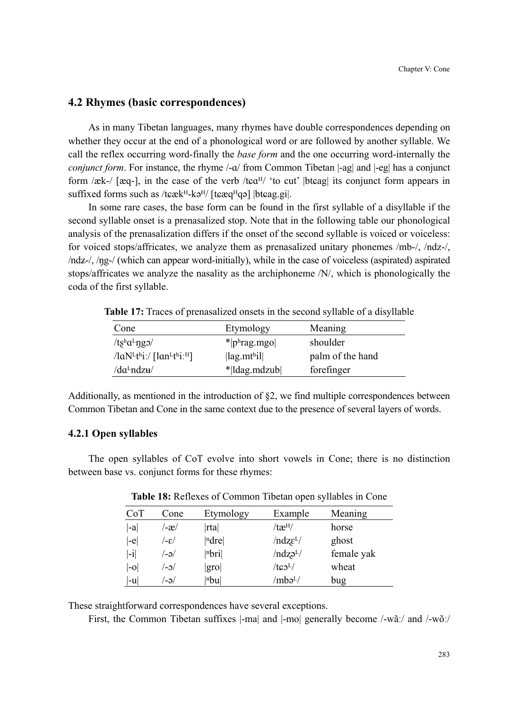## **4.2 Rhymes (basic correspondences)**

As in many Tibetan languages, many rhymes have double correspondences depending on whether they occur at the end of a phonological word or are followed by another syllable. We call the reflex occurring word-finally the *base form* and the one occurring word-internally the *conjunct form*. For instance, the rhyme /- $\alpha$ / from Common Tibetan |-ag| and |-eg| has a conjunct form /æk-/ [æq-], in the case of the verb /t $\epsilon \alpha^{H}$  'to cut' |bt $\epsilon$ ag| its conjunct form appears in suffixed forms such as  $/$ t $\varepsilon \&$ H $-k$ ə<sup>H</sup> $/$  [t $\varepsilon \&$ q<sup>H</sup>qə] |bt $\varepsilon$ ag.gi|.

In some rare cases, the base form can be found in the first syllable of a disyllable if the second syllable onset is a prenasalized stop. Note that in the following table our phonological analysis of the prenasalization differs if the onset of the second syllable is voiced or voiceless: for voiced stops/affricates, we analyze them as prenasalized unitary phonemes /mb-/, /ndz-/,  $/ndz$ -/,  $/ng$ -/ (which can appear word-initially), while in the case of voiceless (aspirated) aspirated stops/affricates we analyze the nasality as the archiphoneme /N/, which is phonologically the coda of the first syllable.

| Cone                                                        | Etymology                                         | Meaning          |
|-------------------------------------------------------------|---------------------------------------------------|------------------|
| /tshal-ngo/                                                 | $*$  phrag.mgo                                    | shoulder         |
| $\frac{1}{\text{ln}}$ /lan <sup>Lth</sup> i: <sup>H</sup> ] | $\left  \text{lag.mt}^{\text{h}}\text{i} \right $ | palm of the hand |
| /da <sup>L</sup> ndz <del>u</del> /                         | * ldag.mdzub                                      | forefinger       |

**Table 17:** Traces of prenasalized onsets in the second syllable of a disyllable

Additionally, as mentioned in the introduction of §2, we find multiple correspondences between Common Tibetan and Cone in the same context due to the presence of several layers of words.

#### **4.2.1 Open syllables**

The open syllables of CoT evolve into short vowels in Cone; there is no distinction between base vs. conjunct forms for these rhymes:

| CoT    | Cone   | Etymology           | Example              | Meaning    |
|--------|--------|---------------------|----------------------|------------|
| -a     | ′-æ/   | rta                 | /tæ <sup>H</sup> /   | horse      |
| $ -e $ | /ع-/   | $ n$ dre $ $        | $/ndz\epsilon^{L/}$  | ghost      |
| $ -i $ | /-ə/   | $ n$ <sub>bri</sub> | /ndz <sub>9</sub> L/ | female yak |
| $ -0 $ | $\sim$ | gro                 | $/t$ c $0L/$         | wheat      |
| -u     | '-ə/   | $ n$ bu $ $         | /mbə <sup>L</sup>    | bug        |

**Table 18:** Reflexes of Common Tibetan open syllables in Cone

These straightforward correspondences have several exceptions.

First, the Common Tibetan suffixes |-ma| and |-mo| generally become /-wãː/ and /-wõː/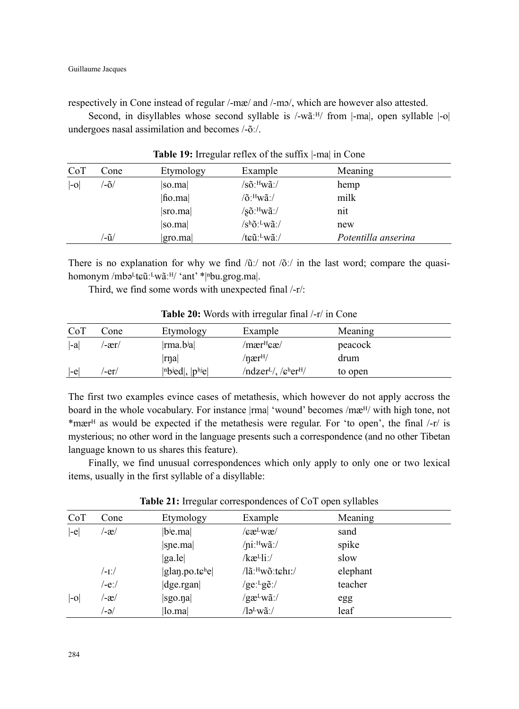respectively in Cone instead of regular /-mæ/ and /-mo/, which are however also attested.

Second, in disyllables whose second syllable is  $/$ -wã: $^{H/}$  from  $|-$ ma $|$ , open syllable  $|-o|$ undergoes nasal assimilation and becomes /-õː/.

| CoT  | Cone          | Etymology | Example                                | Meaning             |
|------|---------------|-----------|----------------------------------------|---------------------|
| l-ol | $-\tilde{O}/$ | so.mal    | /sõː <sup>н</sup> wãː/                 | hemp                |
|      |               | fio.ma    | $\sqrt{0}$ : <sup>H</sup> wã:/         | milk                |
|      |               | sro.ma    | $/\mathrm{s}$ õ: Hwã: /                | nit                 |
|      |               | so.ma     | $\sqrt{\sinh^2(\mathbf{w}\mathbf{a})}$ | new                 |
|      | ′-ũ/          | gro.ma    | /tɕũː <sup>L</sup> wãː/                | Potentilla anserina |

**Table 19:** Irregular reflex of the suffix |-ma| in Cone

There is no explanation for why we find  $/ü$ : not  $/õ$ : in the last word; compare the quasihomonym /mbə<sup>L</sup>tɕũː<sup>L</sup>wãː<sup>H</sup>/ 'ant' \*|<sup>n</sup>bu.grog.ma|.

Third, we find some words with unexpected final /-r/:

| CoT    | Cone  | Etymology            | Example               | Meaning |  |
|--------|-------|----------------------|-----------------------|---------|--|
| $ -a $ | /-ær/ | ma.bia               | /mær <sup>н</sup> ¢æ/ | peacock |  |
|        |       | $ \text{rna} $       | /nær <sup>н</sup> /   | drum    |  |
| $ -e$  | '-er/ | $ n$ bied, $ p$ hiel | $/ndzerL$ , $/genH$   | to open |  |

**Table 20:** Words with irregular final /-r/ in Cone

The first two examples evince cases of metathesis, which however do not apply accross the board in the whole vocabulary. For instance  $|rm|$  'wound' becomes /mæ<sup>H</sup>/ with high tone, not \*mær<sup>H</sup> as would be expected if the metathesis were regular. For 'to open', the final /-r/ is mysterious; no other word in the language presents such a correspondence (and no other Tibetan language known to us shares this feature).

Finally, we find unusual correspondences which only apply to only one or two lexical items, usually in the first syllable of a disyllable:

| CoT    | Cone  | Etymology                                      | Example                                                 | Meaning  |
|--------|-------|------------------------------------------------|---------------------------------------------------------|----------|
| $ -e $ | /-æ/  | b <sup>j</sup> e.ma                            | $\langle \text{ca}^{\text{L}} \text{w} \text{a}\rangle$ | sand     |
|        |       | $ $ sne.ma $ $                                 | $/$ ni: $^{\rm H}$ wã:/                                 | spike    |
|        |       | ga le                                          | $kæL1i$ :/                                              | slow     |
|        | /-1:/ | $ $ glan.po.t $\varepsilon$ <sup>h</sup> e $ $ | /lãː <sup>н</sup> wõːtɕhɪː/                             | elephant |
|        | /-eː/ | $ {\rm d}$ ge.rgan $ $                         | /ge: $Lg\tilde{e}$ :/                                   | teacher  |
| $ -0 $ | /-æ/  | sgo.na                                         | $\gamma$ gæ <sup>L</sup> wã:/                           | egg      |
|        | /-ə/  | lo.ma                                          | $\sqrt{2}$ lə $\frac{L}{W}$ a $\frac{1}{2}$             | leaf     |

**Table 21:** Irregular correspondences of CoT open syllables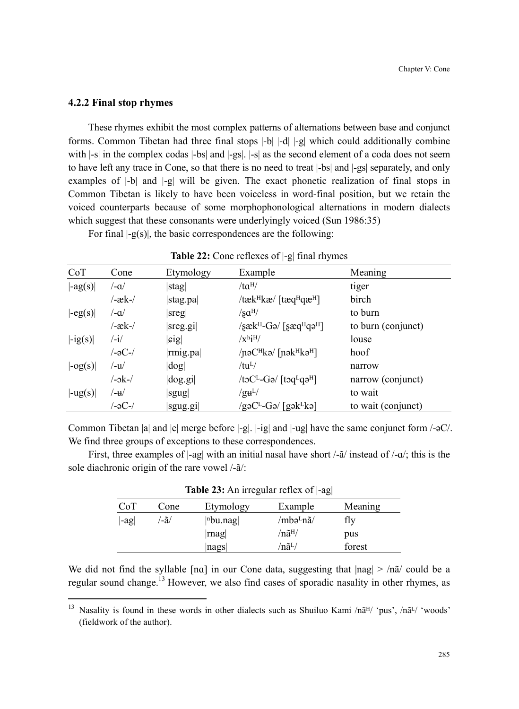#### **4.2.2 Final stop rhymes**

 $\overline{a}$ 

These rhymes exhibit the most complex patterns of alternations between base and conjunct forms. Common Tibetan had three final stops |-b| |-d| |-g| which could additionally combine with  $\vert$ -s| in the complex codas  $\vert$ -bs| and  $\vert$ -gs|.  $\vert$ -s| as the second element of a coda does not seem to have left any trace in Cone, so that there is no need to treat |-bs| and |-gs| separately, and only examples of |-b| and |-g| will be given. The exact phonetic realization of final stops in Common Tibetan is likely to have been voiceless in word-final position, but we retain the voiced counterparts because of some morphophonological alternations in modern dialects which suggest that these consonants were underlyingly voiced (Sun 1986:35)

For final  $|-g(s)|$ , the basic correspondences are the following:

| CoT                         | Cone                      | Etymology          | . .<br>Example                                                             | Meaning            |
|-----------------------------|---------------------------|--------------------|----------------------------------------------------------------------------|--------------------|
| $\left  -ag(s) \right $     | /-a/                      | stag               | $/ta^{H/}$                                                                 | tiger              |
|                             | /-æk-/                    | stag.pa            | /tæk <sup>H</sup> kæ/ [tæq <sup>H</sup> qæ <sup>H</sup> ]                  | birch              |
| $\left -eg(s)\right $       | /-a/                      | $ s$ reg $ $       | $\sqrt{\text{sa}^{\text{H}}}$                                              | to burn            |
|                             | $-æk-$                    | sreg.gi            | $\sqrt{8}$ æk <sup>H</sup> -Gə/ $\sqrt{8}$ æq <sup>H</sup> qə <sup>H</sup> | to burn (conjunct) |
| $-ig(s)$                    | $\mathbf{-i}$             | sig                | $\sqrt{x^h}i^H/$                                                           | louse              |
|                             | /-əC-/                    | rmig.pa            | $/$ nə $CH$ kə $/$ [nək $H$ kə <sup><math>H</math></sup> ]                 | hoof               |
| $\left -og(s)\right $       | $-u$                      | $\log$             | $/tu^{L/}$                                                                 | narrow             |
|                             | $/-$ <sub>2</sub> k $-$ / | $\log$ .gi $\vert$ | $/toC^L-Go/[toq^Lqo^H]$                                                    | narrow (conjunct)  |
| $\vert \text{-ug}(s) \vert$ | /-u/                      | sgug               | $/g\mathbf{u}^{\text{L}}/$                                                 | to wait            |
|                             | /-əC-/                    | sgug.gi            | /gəC <sup>L</sup> -Gə/ [gək <sup>L</sup> kə]                               | to wait (conjunct) |

|  | Table 22: Cone reflexes of  -g  final rhymes |  |  |
|--|----------------------------------------------|--|--|
|--|----------------------------------------------|--|--|

Common Tibetan |a| and |e| merge before |-g|. |-ig| and |-ug| have the same conjunct form /-əC/. We find three groups of exceptions to these correspondences.

First, three examples of  $|$ -ag| with an initial nasal have short /- $\tilde{a}$ / instead of /- $\alpha$ /; this is the sole diachronic origin of the rare vowel /-ã/:

| CoT     | Cone | Etymology   | Example               | Meaning |
|---------|------|-------------|-----------------------|---------|
| $ -ag $ | ′-ã∕ | $ n$ bu.nag | /mbə <sup>L</sup> nã/ | fly     |
|         |      | mag         | /nã <sup>H</sup> /    | pus     |
|         |      | nags        | /nã <sup>L</sup> /    | forest  |

**Table 23:** An irregular reflex of |-ag|

We did not find the syllable [na] in our Cone data, suggesting that  $|nag| > n\tilde{a}/$  could be a regular sound change.<sup>13</sup> However, we also find cases of sporadic nasality in other rhymes, as

<sup>&</sup>lt;sup>13</sup> Nasality is found in these words in other dialects such as Shuiluo Kami /nã<sup>H</sup>/ 'pus', /nã<sup>L</sup>/ 'woods' (fieldwork of the author).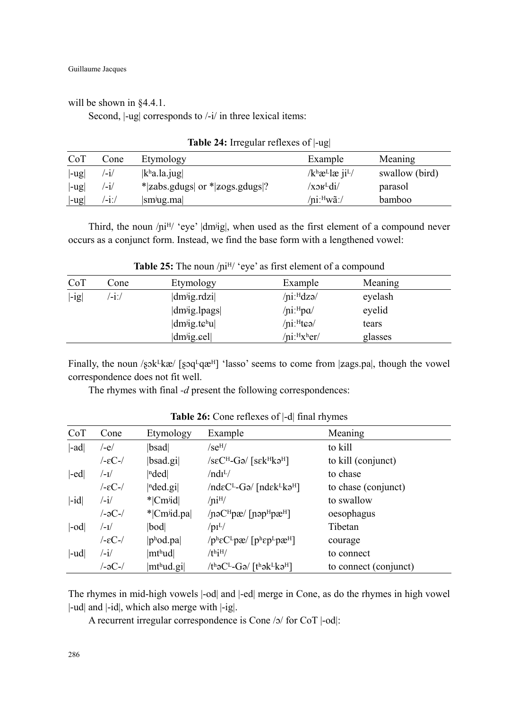will be shown in §4.4.1.

Second,  $\vert$ -ug $\vert$  corresponds to  $\vert$ -i $\vert$  in three lexical items:

| CoT     | Cone  | Etymology                                           | Example                                               | Meaning        |
|---------|-------|-----------------------------------------------------|-------------------------------------------------------|----------------|
| $ -ug $ | /-1/  | $\vert k^{\text{h}}a.\vert a.\vert \text{u} g\vert$ | $/k$ <sup>h</sup> æ <sup>L</sup> læ ji <sup>L</sup> / | swallow (bird) |
| $ -ug $ | /-1/  | $ zabs.gdugs $ or $ zogs.gdugs ?$                   | $\chi$ <sub>2</sub> $\mu$ <sup>L</sup> di             | parasol        |
| $ -ug $ | /-1:/ | $\vert \text{sm} \rangle$ ug.ma                     | $/$ ni: $^{\rm H}$ wã: $/$                            | bamboo         |

**Table 24:** Irregular reflexes of |-ug|

Third, the noun  $\pi$ <sup>H</sup>/ 'eye' |dm<sup>j</sup>ig|, when used as the first element of a compound never occurs as a conjunct form. Instead, we find the base form with a lengthened vowel:

| CoT     | Cone             | Etymology                        | Example                              | Meaning |  |
|---------|------------------|----------------------------------|--------------------------------------|---------|--|
| $ -ig $ | $^{\prime}$ -i:/ | $\text{dm}$ <sup>j</sup> ig.rdzi | $/$ ni: $^{H}$ dzə $/$               | eyelash |  |
|         |                  | dm <sup>j</sup> ig.lpags         | / $\pi$ :Hpa/                        | eyelid  |  |
|         |                  | $ dm^{ji}g.tc^{h}u $             | $/$ ni: $H$ teə $/$                  | tears   |  |
|         |                  | $dm^{ji}g$ eel                   | /ni: <sup>H</sup> x <sup>h</sup> er/ | glasses |  |

**Table 25:** The noun /ni<sup>H</sup>/ 'eye' as first element of a compound

Finally, the noun  $\sqrt{s}$ k $\frac{K}{k\alpha}$  [sq<sup>L</sup>q $\alpha$ <sup>H</sup>] 'lasso' seems to come from |zags.pa|, though the vowel correspondence does not fit well.

The rhymes with final *-d* present the following correspondences:

| CoT         | Cone                 | Etymology                             | Example                                                                                               | Meaning               |
|-------------|----------------------|---------------------------------------|-------------------------------------------------------------------------------------------------------|-----------------------|
| $ $ -ad $ $ | /-e/                 | bsad                                  | $/$ se <sup>H</sup> $/$                                                                               | to kill               |
|             | $-EC-$ /             | $ $ bsad.gi $ $                       | $\sqrt{\text{seC}^{\text{H}}-\text{G}}$ $\sqrt{\text{sek}^{\text{H}}\text{k}}$ $\vartheta^{\text{H}}$ | to kill (conjunct)    |
| -ed         | $/$ -I $/$           | nded                                  | /ndI <sup>L</sup> /                                                                                   | to chase              |
|             | $-$ εC- $/$          | nded.gi                               | $/nd \epsilon C^{L}$ -Gə/ [nd $\epsilon$ k $l$ -kə <sup>H</sup> ]                                     | to chase (conjunct)   |
| $ -id $     | $\frac{1}{\sqrt{2}}$ | * Cm <sup>j</sup> id                  | /ni <sup>H</sup> /                                                                                    | to swallow            |
|             | /-əC-/               | * Cm <sup>j</sup> id.pa               | $/noCHpa/[noPHpaH]$                                                                                   | oesophagus            |
| -od         | $/$ - $\mathbf{I}$   | bod                                   | $/pi^L/$                                                                                              | Tibetan               |
|             | $-$ εC- $/$          | p <sup>h</sup> odpa                   | $/ p^h \epsilon C^L p \mathbf{r}$ [phepLp $\mathbf{r}$ H]                                             | courage               |
| $ -ud $     | /-i/                 | mthud                                 | $/$ thi $\rm{H}$                                                                                      | to connect            |
|             | /-əC-/               | $\vert$ mt <sup>h</sup> ud.gi $\vert$ | $/th$ əC <sup>L</sup> -Gə/ $[th$ ək <sup>L</sup> kə <sup>H</sup> ]                                    | to connect (conjunct) |

**Table 26:** Cone reflexes of |-d| final rhymes

The rhymes in mid-high vowels |-od| and |-ed| merge in Cone, as do the rhymes in high vowel |-ud| and |-id|, which also merge with |-ig|.

A recurrent irregular correspondence is Cone  $/2/$  for CoT  $|-od|$ :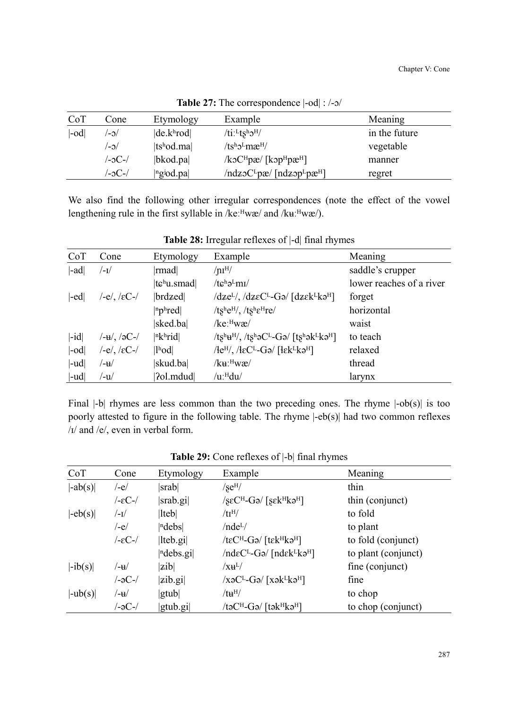| CoT | Cone   | Etymology                             | Example                                                               | Meaning       |
|-----|--------|---------------------------------------|-----------------------------------------------------------------------|---------------|
| -od | /c-/   | de.k <sup>h</sup> rod                 | /ti: $L$ tsh $\sigma$ H/                                              | in the future |
|     | $\sim$ | $ tshod$ .ma                          | $/ts^h\mathcal{D}Lm\mathcal{B}^H$                                     | vegetable     |
|     | /-əC-/ | $ bkod$ .pa $ $                       | $\sqrt{k}$ oC <sup>H</sup> pæ $/$ [kɔp <sup>H</sup> pæ <sup>H</sup> ] | manner        |
|     | /-əC-/ | $ $ <sup>n</sup> g <sup>j</sup> od.pa | $/ndz_0C^Lpx/$ [ndz $op^Lpx^H$ ]                                      | regret        |

**Table 27:** The correspondence  $\text{-}$ od $\text{ }$ : /- $\text{-}$ /

We also find the following other irregular correspondences (note the effect of the vowel lengthening rule in the first syllable in /keːHwæ/ and /kuːHwæ/).

| CoT         | Cone                         | Etymology                                    | Example                                                                                    | Meaning                  |
|-------------|------------------------------|----------------------------------------------|--------------------------------------------------------------------------------------------|--------------------------|
| $ $ -ad $ $ | /−1/                         | mad                                          | $/ \text{nI}^{\text{H}}/$                                                                  | saddle's crupper         |
|             |                              | $ t\mathbf{c}^{\mathrm{h}}\mathbf{u}$ . smad | $/tc^{\text{h}}\partial^{\text{L}}m\text{I}$                                               | lower reaches of a river |
| $ -ed $     | /-e/, /εC-/                  | brdzed                                       | $\frac{dze^L}{\sqrt{dz^2C^L-G^2}}$ [dz $\epsilon$ k <sup>L</sup> kə <sup>H</sup> ]         | forget                   |
|             |                              | $ n$ <sub>p</sub> h <sub>red</sub> $ $       | / $ts^he^{H}$ , / $ts^he^{H}re$ /                                                          | horizontal               |
|             |                              | sked.ba                                      | $/$ ke: $^{\rm H}$ wæ $/$                                                                  | waist                    |
| $ -id $     | $/$ - $\mu$ /, /əC-/         | $ n$ khrid                                   | $/ts^h u^H$ , $/ts^h o^L-Go$ [tshok <sup>L</sup> ko <sup>H</sup> ]                         | to teach                 |
| $ -od $     | $/-e/$ , / $\varepsilon$ C-/ | $\vert$ l <sup>h</sup> od $\vert$            | $/$ le <sup>H</sup> $/$ , $/$ leC <sup>L</sup> -Ga $/$ [lek <sup>L</sup> ka <sup>H</sup> ] | relaxed                  |
| $ -ud $     | /−u                          | skud.ba                                      | /ku: <sup>H</sup> wæ/                                                                      | thread                   |
| -ud         | /-u/                         | Pol.mdud                                     | $/u$ : $Hdu$                                                                               | larynx                   |

**Table 28:** Irregular reflexes of |-d| final rhymes

Final  $|$ -b $|$  rhymes are less common than the two preceding ones. The rhyme  $|$ -ob(s) $|$  is too poorly attested to figure in the following table. The rhyme |-eb(s)| had two common reflexes /ɪ/ and /e/, even in verbal form.

| CoT                   | Cone        | Etymology       | Example                                                                                         | Meaning             |
|-----------------------|-------------|-----------------|-------------------------------------------------------------------------------------------------|---------------------|
| $ -ab(s) $            | /-e/        | srab            | $/$ se $^{H/}$                                                                                  | thin                |
|                       | /-εC-/      | srab.gi         | $\sqrt{\text{SEC}^{\text{H}}-\text{G}}$ ə $\sqrt{\text{SEk}^{\text{H}}\text{k}}$ ə <sup>H</sup> | thin (conjunct)     |
| $\left -eb(s)\right $ | /-1/        | $ $ lteb $ $    | /tI <sup>H</sup> /                                                                              | to fold             |
|                       | /-e/        | ndebs           | /nde <sup>L</sup> /                                                                             | to plant            |
|                       | $-$ εC- $/$ | $ $ lteb.gi $ $ | /t $\varepsilon$ C <sup>H</sup> -Gə/ [t $\varepsilon$ k <sup>H</sup> kə <sup>H</sup> ]          | to fold (conjunct)  |
|                       |             | ndebs.gi        | $/nd \varepsilon C^{L}$ -Gə/ $[nd \varepsilon k^{L}k$ ə <sup>H</sup> ]                          | to plant (conjunct) |
| $ -ib(s) $            | /-₩         | zib             | $/ \mathrm{\chi H}^{\rm L} /$                                                                   | fine (conjunct)     |
|                       | /-əC-/      | zib.gi          | $\sqrt{XQ^{-1}-GQ}/[XQ^{-1}KQ^{H}]$                                                             | fine                |
| $ -\text{ub}(s) $     | /-₩         | gtub            | $/tu^H$                                                                                         | to chop             |
|                       | /-əC-/      | $ $ gtub.gi $ $ | /təC <sup>H</sup> -Gə/ [tək <sup>H</sup> kə <sup>H</sup> ]                                      | to chop (conjunct)  |

**Table 29:** Cone reflexes of |-b| final rhymes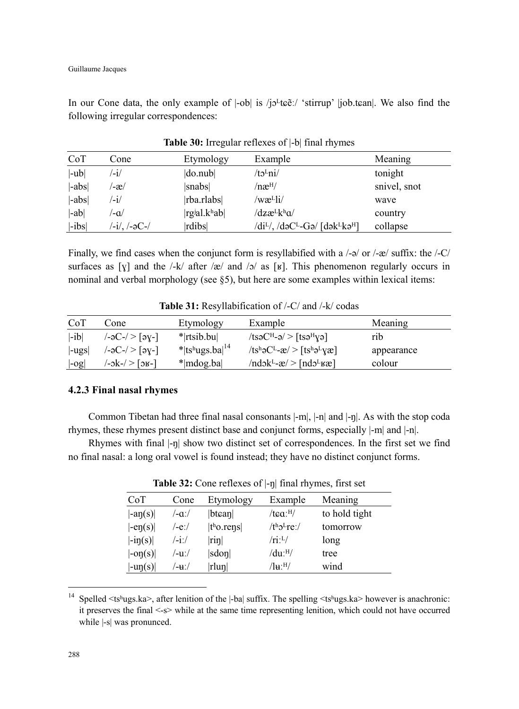In our Cone data, the only example of  $|-ob|$  is  $/jo<sup>L</sup>tæ:/-'$  stirrup'  $|job.tean|$ . We also find the following irregular correspondences:

| CoT      | Cone          | Etymology               | Example                                                                      | Meaning      |
|----------|---------------|-------------------------|------------------------------------------------------------------------------|--------------|
| $ -ub $  | $\mathbf{-i}$ | do.nub                  | /tɔ <sup>L</sup> ni/                                                         | tonight      |
| $ -abs $ | /-æ/          | snabs                   | $/ n \mathbf{\mathfrak{E}}^{\mathrm{H}}/$                                    | snivel, snot |
| $ -abs $ | $\mathbf{-i}$ | rba.rlabs               | /wæ <sup>L</sup> li/                                                         | wave         |
| $ -ab $  | /−a           | rgial.k <sup>h</sup> ab | /dzæ <sup>l</sup> k <sup>h</sup> a/                                          | country      |
| $ -ibs $ | /-i/, /-əC-/  | rdibs                   | $\frac{d}{dt}$ , $\frac{d}{dt}$ $\frac{d}{dt}$ $\frac{d}{dt}$ $\frac{d}{dt}$ | collapse     |

|  | Table 30: Irregular reflexes of  -b  final rhymes |  |  |  |
|--|---------------------------------------------------|--|--|--|
|--|---------------------------------------------------|--|--|--|

Finally, we find cases when the conjunct form is resyllabified with a  $/-\sigma$  or  $/-\alpha$  suffix: the  $/-C/$ surfaces as [ $\chi$ ] and the /-k/ after /æ/ and /ɔ/ as [ $\kappa$ ]. This phenomenon regularly occurs in nominal and verbal morphology (see §5), but here are some examples within lexical items:

| CoT                  | Cone                                                      | Etymology            | Example                                                       | Meaning    |
|----------------------|-----------------------------------------------------------|----------------------|---------------------------------------------------------------|------------|
| $ -ib $              | $\left -\frac{1}{2}C-\right  > \left[\frac{1}{2}C\right]$ | $*$  rtsib.bu        | $ t$ səC <sup>H</sup> -ə $ $ > $ t$ sə <sup>H</sup> yə        | rib        |
| $\vert$ -ugs $\vert$ | /-әС-/ > [әү-]                                            | * tshugs.ba  $^{14}$ | $ tsh_0C^L-\mathbf{r}  > [tsh_0L_0\mathbf{r}]$                | appearance |
| log                  | $-\alpha k$ -/>[ $\alpha k$ -]                            | $*$  mdog.ba         | $\text{Indok}^L - \mathcal{X}$ > $\text{Indol}^L \mathcal{X}$ | colour     |

**Table 31:** Resyllabification of /-C/ and /-k/ codas

#### **4.2.3 Final nasal rhymes**

Common Tibetan had three final nasal consonants |-m|, |-n| and |-ŋ|. As with the stop coda rhymes, these rhymes present distinct base and conjunct forms, especially |-m| and |-n|.

Rhymes with final  $\vert \text{-}\eta \vert$  show two distinct set of correspondences. In the first set we find no final nasal: a long oral vowel is found instead; they have no distinct conjunct forms.

| CoT                                              | Cone        | Etymology             | Example              | Meaning       |
|--------------------------------------------------|-------------|-----------------------|----------------------|---------------|
| $\vert \text{-an}(s) \vert$                      | $/-a$ :/    | $ b$ tcan             | /tca: <sup>H</sup> / | to hold tight |
| $\text{-}en(s)$                                  | /-eː/       | t <sup>h</sup> o.rens | $/th2Lre$ :/         | tomorrow      |
| $\left  -i\eta(s) \right $                       | $/$ -i: $/$ | $ \text{rin} $        | /ri: L/              | long          |
| $\vert$ -on(s) $\vert$                           | /-uː/       | sdon                  | $/du$ : $^{H/}$      | tree          |
| $\vert \text{-}\mathrm{u}\eta(\mathrm{s}) \vert$ | ′-u∵/       | rlun                  | /lн:Ҹ/               | wind          |

**Table 32:** Cone reflexes of |-ŋ| final rhymes, first set

 $\overline{a}$ 

<sup>&</sup>lt;sup>14</sup> Spelled  $\lt$ tsʰugs.ka>, after lenition of the  $\vert$ -ba $\vert$  suffix. The spelling  $\lt$ tsʰugs.ka> however is anachronic: it preserves the final <-s> while at the same time representing lenition, which could not have occurred while |-s| was pronunced.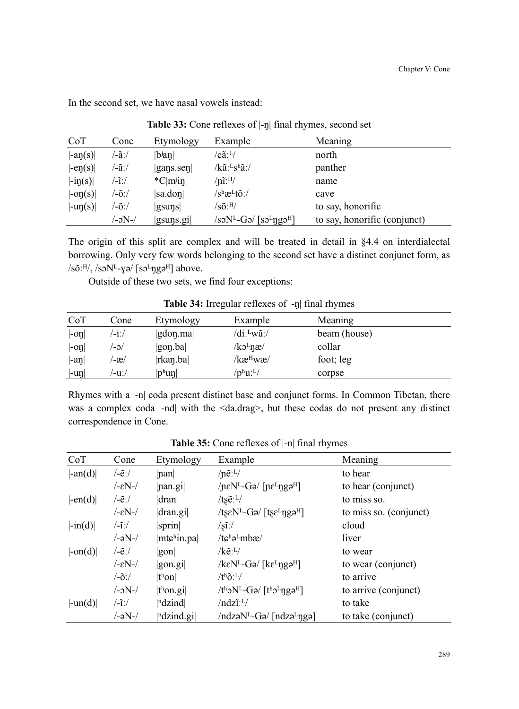| CoT                            | Cone   | Etymology                     | Example                                                                      | Meaning                      |
|--------------------------------|--------|-------------------------------|------------------------------------------------------------------------------|------------------------------|
| $\vert$ -an $(s)\vert$         | ′-ã:/  | $ b^{\mathrm{j}}$ an $ $      | /cãːL/                                                                       | north                        |
| $\left -ep(s)\right $          | ′-ã:/  | $ {\rm gaps}.\rm{sep} $       | $/k$ ã: <sup>L</sup> s <sup>h</sup> ã:/                                      | panther                      |
| $\vert -i\eta(s)\vert$         | /-ĩː/  | $^{\ast}$ C m <sup>j</sup> in | $/n1.$ H/                                                                    | name                         |
| $\left  -\text{op}(s) \right $ | /-õ:/  | sa.don                        | $/s^h$ æ $L$ tõ:/                                                            | cave                         |
| $\vert \text{-up}(s) \vert$    | /-õ:/  | $ g\text{suns} $              | $/\rm s\tilde{o}$ : $^{\rm H}/$                                              | to say, honorific            |
|                                | /-əN-/ | $ $ gsuns.gi $ $              | $\sqrt{3}$ soN <sup>L</sup> -Gə/ $\sqrt{5}$ so <sup>L</sup> ngə <sup>H</sup> | to say, honorific (conjunct) |

In the second set, we have nasal vowels instead:

|  | Table 33: Cone reflexes of  -ŋ  final rhymes, second set |  |  |  |
|--|----------------------------------------------------------|--|--|--|
|--|----------------------------------------------------------|--|--|--|

The origin of this split are complex and will be treated in detail in §4.4 on interdialectal borrowing. Only very few words belonging to the second set have a distinct conjunct form, as  $/$ sõ: $^{H/}$ ,  $/$ sɔ $N<sup>L</sup>$ -ɣə $/$  [sɔ $^{L}$ ngə $^{H}$ ] above.

Outside of these two sets, we find four exceptions:

|                             | $ \cdots$ $\cdots$ $\cdots$ $\cdots$ $\cdots$ $\cdots$ $\cdots$ $\cdots$ $\cdots$ $\cdots$ $\cdots$ $\cdots$ $\cdots$ $\cdots$ $\cdots$ $\cdots$ |                                        |                                                       |              |  |
|-----------------------------|--------------------------------------------------------------------------------------------------------------------------------------------------|----------------------------------------|-------------------------------------------------------|--------------|--|
| CoT                         | Cone                                                                                                                                             | Etymology                              | Example                                               | Meaning      |  |
| $\left -o\eta\right $       | $-1$ :/                                                                                                                                          | $\left  \text{gdon}.\text{ma} \right $ | /di: <sup>L</sup> wã:/                                | beam (house) |  |
| $\left  -\text{on} \right $ | $\sim$                                                                                                                                           | gon.ba                                 | $/k$ <sup><math>\text{L}</math>næ<math>/</math></sup> | collar       |  |
| $\vert$ -aŋ $\vert$         | '-æ/                                                                                                                                             | $ $ rkan.ba $ $                        | /kæ <sup>н</sup> wæ/                                  | foot; leg    |  |
| $ -$ uŋ $ $                 | /−u:/                                                                                                                                            | $ p^{\rm h}$ uŋ $ $                    | $/ \rm p^h\rm u^.$ L $/$                              | corpse       |  |

Table 34: Irregular reflexes of  $\text{-}$ n final rhymes

Rhymes with a |-n| coda present distinct base and conjunct forms. In Common Tibetan, there was a complex coda |-nd| with the <da.drag>, but these codas do not present any distinct correspondence in Cone.

| CoT                            | Cone                                              | Etymology                                       | Example                                                                                   | Meaning                |
|--------------------------------|---------------------------------------------------|-------------------------------------------------|-------------------------------------------------------------------------------------------|------------------------|
| $\vert$ -an(d) $\vert$         | $\frac{\tilde{\epsilon}}{\tilde{\epsilon}}$       | nan                                             | $/ne:$ <sup>L</sup> $/$                                                                   | to hear                |
|                                | $- \epsilon N$ -/                                 | $ $ nan.gi $ $                                  | $/neN^L-Ga/[ne^Lnga^H]$                                                                   | to hear (conjunct)     |
| $\left  -en(d) \right $        | $\frac{\tilde{\epsilon}}{\tilde{\epsilon}}$       | dran                                            | /ts $\tilde{e}$ : <sup>L</sup> /                                                          | to miss so.            |
|                                | $- \epsilon N$ -/                                 | dran.gi                                         | /tseN <sup>L</sup> -Gə/ [tse <sup>L</sup> ngə <sup>H</sup> ]                              | to miss so. (conjunct) |
| $\left  -\text{in}(d) \right $ | $\frac{-\tilde{\mathbf{i}}}{\tilde{\mathbf{i}}}}$ | spring                                          | $/\tilde{\sin}/$                                                                          | cloud                  |
|                                | $/-aN-$                                           | mtchin.pa                                       | $/te^h\partial^Lm b\mathcal{E}/$                                                          | liver                  |
| $ -\text{on}(d) $              | $\sqrt{-e}$ :/                                    | gon                                             | $/ke^{L}/$                                                                                | to wear                |
|                                | $-\epsilon N$ -/                                  | gon.gi                                          | $\sqrt{k\varepsilon N^L-G}$ a/ [ $k\varepsilon^L$ nga <sup>H</sup> ]                      | to wear (conjunct)     |
|                                | $\frac{\tilde{o}}{\tilde{o}}$                     | t <sup>h</sup> on                               | $/t^h\tilde{o}L$                                                                          | to arrive              |
|                                | $/-\text{N}$ -/                                   | $ th$ on.gi $ $                                 | $/th$ <sub>2</sub> N <sup>L</sup> -G <sub>2</sub> $/[th2L$ ng <sub>2</sub> <sup>H</sup> ] | to arrive (conjunct)   |
| $ -un(d) $                     | $\frac{-\tilde{\mathbf{i}}}{\tilde{\mathbf{i}}}}$ | $\vert$ <sup>n</sup> dzind $\vert$              | $/ndz\tilde{\iota}$ : <sup>L</sup> /                                                      | to take                |
|                                | /-əN-/                                            | $\left  \right $ <sup>n</sup> dzind.gi $\left $ | $/ndz9NL-G9/[ndz9Lng9]$                                                                   | to take (conjunct)     |

**Table 35:** Cone reflexes of |-n| final rhymes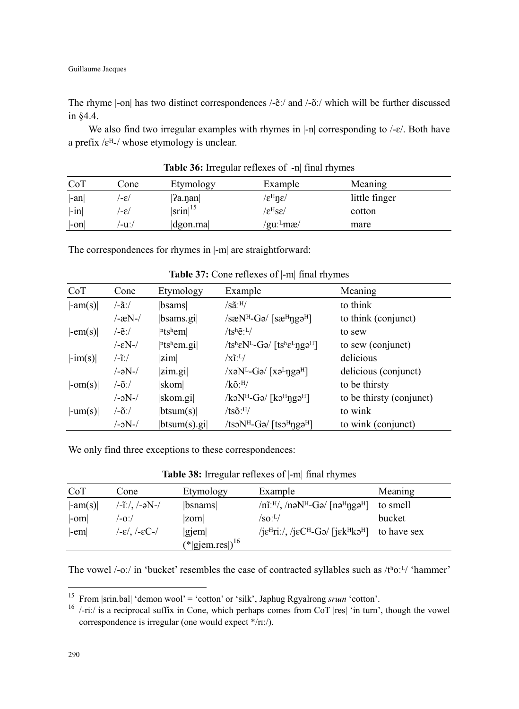The rhyme |-on| has two distinct correspondences /-ẽː/ and /-õː/ which will be further discussed in §4.4.

We also find two irregular examples with rhymes in  $\vert$ -n $\vert$  corresponding to  $\vert$ - $\varepsilon$  $\vert$ . Both have a prefix / $\varepsilon$ <sup>H</sup>-/ whose etymology is unclear.

| CoT     | Cone  | Etymology                | Example                                     | Meaning       |  |
|---------|-------|--------------------------|---------------------------------------------|---------------|--|
| $ -an $ | '-ε/  | ?a.nan                   | $\sqrt{\varepsilon^H} \eta \varepsilon$ /   | little finger |  |
| $ -in $ | '-ε/  | $\left \sin\right ^{15}$ | $\rm \langle \epsilon^H s \epsilon \rangle$ | cotton        |  |
| -on     | /−uː/ | $\alpha$                 | /guː-mæ/                                    | mare          |  |

**Table 36:** Irregular reflexes of |-n| final rhymes

The correspondences for rhymes in |-m| are straightforward:

| CoT                    | Cone                            | Etymology               | Example                                                                 | Meaning                  |
|------------------------|---------------------------------|-------------------------|-------------------------------------------------------------------------|--------------------------|
| $\vert$ -am(s) $\vert$ | $/$ -ãː/                        | bsams                   | $/s\tilde{a}$ :H/                                                       | to think                 |
|                        | $-xN-$                          | bsams.gi                | $/s\mathcal{R}N^H-G\mathcal{A}$ [s $\mathcal{R}^H$ ng $\mathcal{A}^H$ ] | to think (conjunct)      |
| $\vert$ -em(s) $\vert$ | $\sqrt{-e}$ :/                  | $ n$ tshem              | $/ts^h\tilde{e}^L$                                                      | to sew                   |
|                        | $- \epsilon N$ -/               | $ n$ tshem.gil          | /tsheN <sup>L</sup> -Ga/ [tshe <sup>L</sup> nga <sup>H</sup> ]          | to sew (conjunct)        |
| $ -im(s) $             | $\frac{1}{1}$                   | zim                     | $\sqrt{x}$ <sup>1</sup> : <sup>L</sup> /                                | delicious                |
|                        | /-əN-/                          | zim.gi                  | $/xaN^L-Ga/[xa^L\eta g a^H]$                                            | delicious (conjunct)     |
| $ -om(s) $             | $\sqrt{-\tilde{\mathbf{O}}}$ :/ | skom                    | $\sqrt{k} \tilde{o}$ : H                                                | to be thirsty            |
|                        | $/-\text{N}$ -/                 | skom.gi                 | $/k\text{d}N^{\text{H}}$ -Gə/ [kə $^{\text{H}}$ ngə $^{\text{H}}$ ]     | to be thirsty (conjunct) |
| $ -um(s) $             | $\sqrt{-\tilde{\mathbf{O}}}$ :/ | btsum(s)                | $/ts\tilde{o}$ : H/                                                     | to wink                  |
|                        | /-əN-/                          | $ $ btsum $(s)$ .gi $ $ | /tsoN <sup>H</sup> -Gə/ [tso <sup>H</sup> ngə <sup>H</sup> ]            | to wink (conjunct)       |

**Table 37:** Cone reflexes of |-m| final rhymes

We only find three exceptions to these correspondences:

| Table 38: Irregular reflexes of  -m  final rhymes |
|---------------------------------------------------|
|                                                   |

| CoT                    | Cone                                       | Etymology                          | Example                                                                                                   | Meaning  |
|------------------------|--------------------------------------------|------------------------------------|-----------------------------------------------------------------------------------------------------------|----------|
| $\vert$ -am(s) $\vert$ | $/ -i$ :/, /-əN-/                          | <i>b</i> snams                     | $\ln 1$ .H/, $\ln 2$ N <sup>H</sup> -Ga/ $\ln 2$ Hnga <sup>H</sup>                                        | to smell |
| $ -om $                | /-oː/                                      | zom                                | /SO <sub>1</sub>                                                                                          | bucket   |
| $ -em $                | $(-\varepsilon)$ , $(-\varepsilon C$ - $/$ | giem                               | / $i\epsilon^H$ ri:/, / $i\epsilon C^H$ -Gə/ [ $i\epsilon k^H$ kə <sup><math>H</math></sup> ] to have sex |          |
|                        |                                            | $(* $ gjem.res $ $ ) <sup>16</sup> |                                                                                                           |          |

The vowel /-oː/ in 'bucket' resembles the case of contracted syllables such as /tʰoːL/ 'hammer'

 $\overline{a}$ 

<sup>&</sup>lt;sup>15</sup> From |srin.bal| 'demon wool' = 'cotton' or 'silk', Japhug Rgyalrong *srun* 'cotton'.

<sup>&</sup>lt;sup>16</sup> /-riː/ is a reciprocal suffix in Cone, which perhaps comes from CoT  $|res|$  'in turn', though the vowel correspondence is irregular (one would expect \*/rɪː/).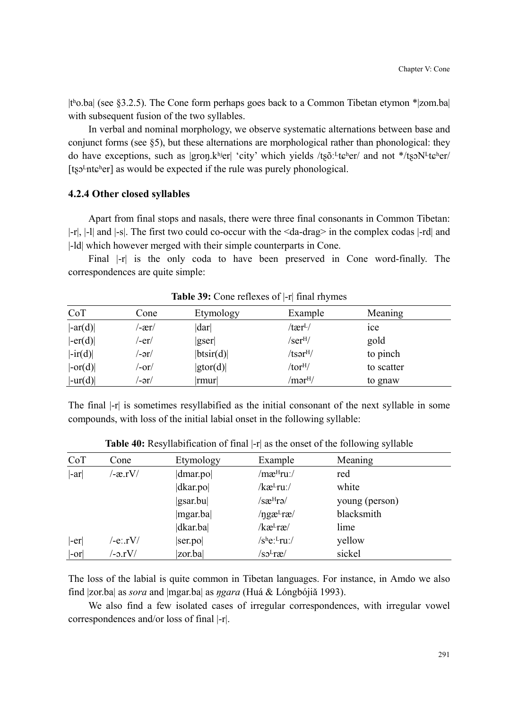|tʰo.ba| (see §3.2.5). The Cone form perhaps goes back to a Common Tibetan etymon \*|zom.ba| with subsequent fusion of the two syllables.

In verbal and nominal morphology, we observe systematic alternations between base and conjunct forms (see §5), but these alternations are morphological rather than phonological: they do have exceptions, such as  $|group.k^{hi}er|$  'city' which yields /t $s\delta$ :  $t\epsilon$ <sup>h</sup>er/ and not \*/t $s\delta$ N<sup>L</sup>t $\epsilon$ <sup>h</sup>er/ [ $ts<sup>1</sup>nt<sub>ε</sub><sup>h</sup>er]$  as would be expected if the rule was purely phonological.

#### **4.2.4 Other closed syllables**

Apart from final stops and nasals, there were three final consonants in Common Tibetan: |-r|, |-l| and |-s|. The first two could co-occur with the <da-drag> in the complex codas |-rd| and |-ld| which however merged with their simple counterparts in Cone.

Final |-r| is the only coda to have been preserved in Cone word-finally. The correspondences are quite simple:

| Etymology | Example              | Meaning        |
|-----------|----------------------|----------------|
| dar       | /tær <sup>L</sup> /  | <sub>1ce</sub> |
| gser      | /ser <sup>H</sup> /  | gold           |
| btsir(d)  | /tsər <sup>н</sup> / | to pinch       |
| gtor(d)   | /tor <sup>H</sup> /  | to scatter     |
| rmur      | /mər <sup>н</sup> /  | to gnaw        |
|           |                      |                |

**Table 39:** Cone reflexes of |-r| final rhymes

The final |-r| is sometimes resyllabified as the initial consonant of the next syllable in some compounds, with loss of the initial labial onset in the following syllable:

| CoT     | Cone          | Etymology                 | Example                                | Meaning        |
|---------|---------------|---------------------------|----------------------------------------|----------------|
| $ -ar $ | $/-x.rV/$     | dmar.po                   | /mæ <sup>н</sup> ruː/                  | red            |
|         |               | d <i>k</i> ar. <i>p</i> o | $/$ kæ $L$ ru: $/$                     | white          |
|         |               | $ $ gsar.bu $ $           | /sæ <sup>н</sup> rə/                   | young (person) |
|         |               | mgar.ba                   | /ngæ <sup>L</sup> ra/                  | blacksmith     |
|         |               | $ d$ kar.ba               | /kæ <sup>L</sup> ræ/                   | lime           |
| $ -er $ | /-e∷rV/       | ser.pop                   | $/s$ he: <sup>L</sup> ru:/             | yellow         |
| $ -or $ | $\sim$ -0.rV/ | zor.ba                    | $\sqrt{\mathrm{s}}$ o <sup>L</sup> ræ/ | sickel         |

**Table 40:** Resyllabification of final |-r| as the onset of the following syllable

The loss of the labial is quite common in Tibetan languages. For instance, in Amdo we also find |zor.ba| as *sora* and |mgar.ba| as *ŋgara* (Huá & Lóngbójiǎ 1993).

We also find a few isolated cases of irregular correspondences, with irregular vowel correspondences and/or loss of final |-r|.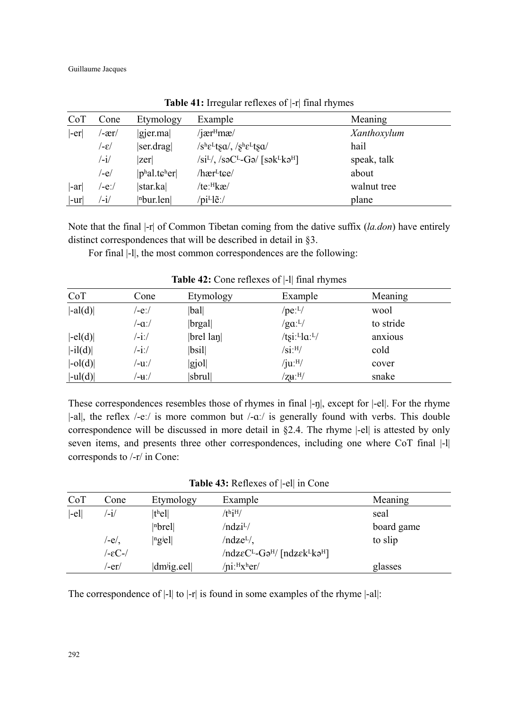Guillaume Jacques

| CoT     | Cone          | Etymology                                         | Example                                        | Meaning     |
|---------|---------------|---------------------------------------------------|------------------------------------------------|-------------|
| -er     | /-ær/         | gier.ma                                           | $/$ jær $H$ mæ $/$                             | Xanthoxylum |
|         | /−ε/          | ser.drag                                          | $/s^h \epsilon^L$ tsa/, $/s^h \epsilon^L$ tsa/ | hail        |
|         | /-i/          | zer                                               | $/si^L/$ , $/soC^L-Go/$ [sək $^Lko^H$ ]        | speak, talk |
|         | /-e/          | $ p^{\text{h}}$ al.t $\epsilon^{\text{h}}$ er $ $ | /hær <sup>L</sup> tee/                         | about       |
| -ar     | /-eː/         | star.ka                                           | /te:Hkæ/                                       | walnut tree |
| $ -ur $ | $\mathbf{-i}$ | $ $ <sup>n</sup> bur.len $ $                      | $\pi$ i <sup>L</sup> le:/                      | plane       |

**Table 41:** Irregular reflexes of |-r| final rhymes

Note that the final |-r| of Common Tibetan coming from the dative suffix (*la.don*) have entirely distinct correspondences that will be described in detail in §3.

For final |-l|, the most common correspondences are the following:

| CoT                 | Cone  | Etymology        | Example                     | Meaning   |  |
|---------------------|-------|------------------|-----------------------------|-----------|--|
| $ -al(d) $          | /-eː/ | bal              | $/$ pe: $^{L}/$             | wool      |  |
|                     | /-aː/ | brgal            | $\gamma$ ga: <sup>L</sup> / | to stride |  |
| $ -el(d) $          | /-iː/ | $ $ brel lan $ $ | /tsi: $L$ la: $L$ /         | anxious   |  |
| $ -il(d) $          | /-iː/ | bsil             | $/\rm{Si}$ :H/              | cold      |  |
| $ -\text{ol}(d) $   | /-uː/ | gjol             | /ju: <sup>H</sup> /         | cover     |  |
| $ -\mathrm{ul}(d) $ | /−uː/ | sbrul            | $'\mathsf{ZH}\mathsf{H}'$   | snake     |  |

**Table 42:** Cone reflexes of |-l| final rhymes

These correspondences resembles those of rhymes in final |-ŋ|, except for |-el|. For the rhyme  $\vert$ -all, the reflex /-eː/ is more common but /-aː/ is generally found with verbs. This double correspondence will be discussed in more detail in §2.4. The rhyme |-el| is attested by only seven items, and presents three other correspondences, including one where CoT final |-l| corresponds to /-r/ in Cone:

| CoT     | Cone            | Etymology                | Example                        | Meaning    |
|---------|-----------------|--------------------------|--------------------------------|------------|
| $ -el $ | $^{\prime}$ -i/ | t <sup>h</sup> e         | /thjH/                         | seal       |
|         |                 | $ n$ <sub>brel</sub> $ $ | /ndzi <sup>L</sup> /           | board game |
|         | /-e/.           | ngje                     | $/ndzeL$ ,                     | to slip    |
|         | /-εC-/          |                          | $/ndzeCL-G9H/[ndzekLkaH]$      |            |
|         | /-er/           | $ dm^{ji}g$ eel          | $/$ ni: $H$ x <sup>h</sup> er/ | glasses    |

The correspondence of |-1| to |-r| is found in some examples of the rhyme |-al|: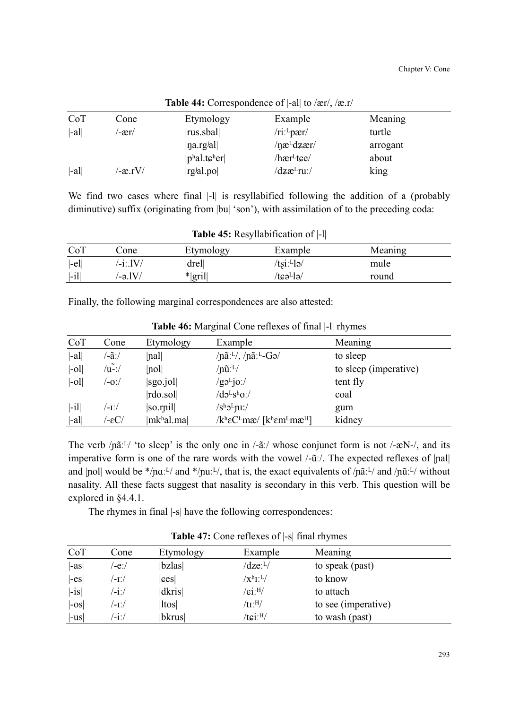| CoT    | Cone      | Etymology                                     | Example                | Meaning  |
|--------|-----------|-----------------------------------------------|------------------------|----------|
| $ -a $ | $-xr/$    | $ rus.$ sbal $ $                              | /ri: <sup>L</sup> pær/ | turtle   |
|        |           | na.rgial                                      | /næ <sup>L</sup> dzær/ | arrogant |
|        |           | $ p^{\text{h}}$ al.t $\epsilon^{\text{h}}$ er | /hær <sup>L</sup> tɕe/ | about    |
| -al    | $-ax_1V/$ | rgial.po                                      | /dzæ <sup>L</sup> ruː/ | king     |

**Table 44:** Correspondence of |-al| to /ær/, /æ.r/

We find two cases where final |-1| is resyllabified following the addition of a (probably diminutive) suffix (originating from  $|bu|$  'son'), with assimilation of to the preceding coda:

| <b>Table 45:</b> Resyllabification of  -1 |             |           |                |         |  |
|-------------------------------------------|-------------|-----------|----------------|---------|--|
| CoT                                       | Cone        | Etymology | Example        | Meaning |  |
| $ -el $                                   | $/$ -i:.lV/ | drel      | $/t\sin Ll$ a/ | mule    |  |
| $ -i1 $                                   | /-ə 1V/     | $* gril $ | /tɕəʰlə/       | round   |  |

Finally, the following marginal correspondences are also attested:

| CoT                 | Cone  | Etymology           | Example                                                                                 | Meaning               |
|---------------------|-------|---------------------|-----------------------------------------------------------------------------------------|-----------------------|
| $ -a $              | /-ãː/ | $\vert$ nal $\vert$ | /nãː <sup>L</sup> /, /nãː <sup>L</sup> -Gə/                                             | to sleep              |
| $ -\text{o}1 $      | /u-:/ | no                  | $/$ nũ: $^{L}/$                                                                         | to sleep (imperative) |
| $\left  -0 \right $ | /-oː/ | sgo.jol             | $/goLio$ :/                                                                             | tent fly              |
|                     |       | rdo.sol             | $/d_0L_5h_0$ :/                                                                         | coal                  |
| $ -i1 $             | /-1:/ | so[rail]            | $/s^h5^L$ nı:/                                                                          | gum                   |
| $ -a $              | /-εC/ | mkhal.ma            | $/k$ <sup>h</sup> εC <sup>L</sup> mæ/ [k <sup>h</sup> ɛm <sup>L</sup> mæ <sup>H</sup> ] | kidney                |

**Table 46:** Marginal Cone reflexes of final |-l| rhymes

The verb  $/pi$ <sup> $L$ </sup>/ 'to sleep' is the only one in  $/-\tilde{a}$ :/ whose conjunct form is not  $/-\tilde{a}N$ -/, and its imperative form is one of the rare words with the vowel  $\frac{\partial u}{\partial x}$ . The expected reflexes of  $\left| \text{nal} \right|$ and  $|pol|$  would be \*/paːL/ and \*/puːL/, that is, the exact equivalents of /pãːL/ and /pũːL/ without nasality. All these facts suggest that nasality is secondary in this verb. This question will be explored in §4.4.1.

The rhymes in final |-s| have the following correspondences:

| CoT                  | Cone               | Etymology | Example                     | Meaning             |
|----------------------|--------------------|-----------|-----------------------------|---------------------|
| $\left  -as \right $ | /-eː/              | bzlas     | $\rm{d}$ ze: <sup>L</sup> / | to speak (past)     |
| $ -es $              | '-1:/              | ces       | $/\mathrm{X^{h}L^{L}}$      | to know             |
| $ -is $              | $\frac{-i}{\cdot}$ | dkris     | $/$ ci: $^{H/}$             | to attach           |
| $ -0S $              | /-1./              | ltos      | $/$ tı: $^{\rm H/}$         | to see (imperative) |
| $ -us $              | $^{\prime}$ -i:/   | bkrus     | /tci: <sup>H</sup> /        | to wash (past)      |

**Table 47:** Cone reflexes of |-s| final rhymes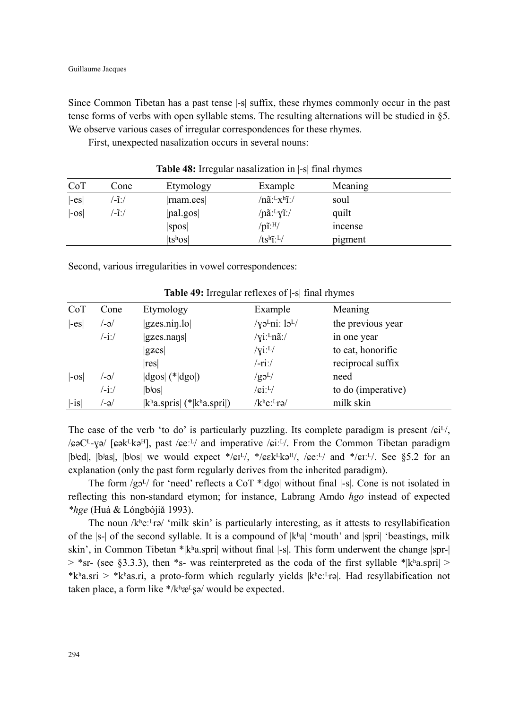Since Common Tibetan has a past tense |-s| suffix, these rhymes commonly occur in the past tense forms of verbs with open syllable stems. The resulting alternations will be studied in §5. We observe various cases of irregular correspondences for these rhymes.

First, unexpected nasalization occurs in several nouns:

| CoT                | Cone              | Etymology        | Example                                | Meaning |  |
|--------------------|-------------------|------------------|----------------------------------------|---------|--|
| $ -es $            | $\mathcal{L}$ i:/ | $ $ rnam.ces $ $ | $/n\tilde{a}$ : $L_X$ <sup>h</sup> i:/ | soul    |  |
| $\left -os\right $ | ′-ĩ:/             | <i>pal.gos</i>   | /nã: <sup>L</sup> yĩ:/                 | quilt   |  |
|                    |                   | spos             | $/p\tilde{\text{i}}$ :H/               | incense |  |
|                    |                   | $ tsh$ os $ $    | $/ts^h\tilde{L}^L$                     | pigment |  |

**Table 48:** Irregular nasalization in |-s| final rhymes

Second, various irregularities in vowel correspondences:

| CoT     | Cone          | Etymology                                              | Example                               | Meaning                     |
|---------|---------------|--------------------------------------------------------|---------------------------------------|-----------------------------|
| $ -es $ | '-ə/          | $ {\rm gzes.nin.lo} $                                  | /yə <sup>L</sup> ni: $15^{L/}$        | the previous year           |
|         | $\frac{1}{1}$ | $ {\rm gzes}$ .nans                                    | $\sqrt{x}i$ : <sup>L</sup> nã:/       | in one year                 |
|         |               | $ {\rm g}{\rm zes} $                                   | $\sqrt{x}i:$ <sup>L</sup> $\sqrt{x}$  | to eat, honorific           |
|         |               | res                                                    | $/$ -ri:/                             | reciprocal suffix           |
| $ -0S $ | $\sim$        | $ dgos $ (* $ dgo $ )                                  | $/$ g $\mathcal{O}^L$                 | need                        |
|         | /-iː/         | $ b$ ios $ $                                           | $/$ ci: $^{L}/$                       | to do ( <i>imperative</i> ) |
| $ -is $ | /-ə/          | $ k^{\text{h}}$ a.spris $ (* k^{\text{h}}$ a.spri $ )$ | $/k$ <sup>h</sup> e: <sup>L</sup> rə/ | milk skin                   |

**Table 49:** Irregular reflexes of |-s| final rhymes

The case of the verb 'to do' is particularly puzzling. Its complete paradigm is present  $/e^i/\sqrt{e^i}$ ,  $/\epsilon$ <sup>o</sup>C<sup>L</sup>- $\gamma$ <sup>o</sup>/ [ $\epsilon$ ək $\epsilon$ <sup>L</sup>kə<sup>H</sup>], past / $\epsilon$ e:<sup>L</sup>/ and imperative / $\epsilon$ i:<sup>L</sup>/. From the Common Tibetan paradigm |bied|, |bias|, |bios| we would expect \*/ $\epsilon I / \sqrt{k}$  \*/ $\epsilon E^L$ kə<sup>H</sup>/, / $\epsilon e^{\epsilon I}$  and \*/ $\epsilon I$ . See §5.2 for an explanation (only the past form regularly derives from the inherited paradigm).

The form  $/g_2L$  for 'need' reflects a CoT \*|dgo| without final |-s|. Cone is not isolated in reflecting this non-standard etymon; for instance, Labrang Amdo *hgo* instead of expected *\*hge* (Huá & Lóngbójiӽ 1993).

The noun /kʰeː<sup>L</sup>rə/ 'milk skin' is particularly interesting, as it attests to resyllabification of the  $|s-|$  of the second syllable. It is a compound of  $|k^h a|$  'mouth' and  $|spri|$  'beastings, milk skin', in Common Tibetan \*|kʰa.spri| without final |-s|. This form underwent the change |spr-|  $>$  \*sr- (see §3.3.3), then \*s- was reinterpreted as the coda of the first syllable \*|kʰa.spri|  $>$ \*kʰa.sri > \*kʰas.ri, a proto-form which regularly yields  $|k^he:Yr\phi|$ . Had resyllabification not taken place, a form like  $*$ /kʰæ $E$ sə/ would be expected.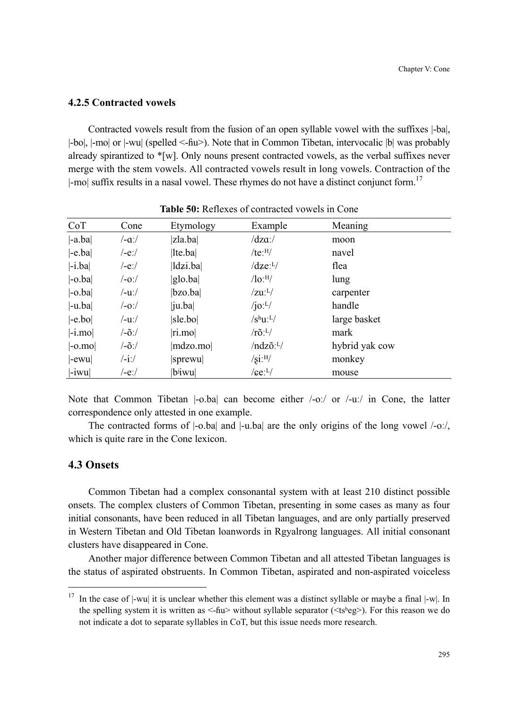## **4.2.5 Contracted vowels**

Contracted vowels result from the fusion of an open syllable vowel with the suffixes |-ba|, |-bo|, |-mo| or |-wu| (spelled <-ɦu>). Note that in Common Tibetan, intervocalic |b| was probably already spirantized to  $\sqrt[k]{w}$ . Only nouns present contracted vowels, as the verbal suffixes never merge with the stem vowels. All contracted vowels result in long vowels. Contraction of the |-mo| suffix results in a nasal vowel. These rhymes do not have a distinct conjunct form.<sup>17</sup>

| CoT                            | Cone     | Etymology                | Example                            | Meaning        |
|--------------------------------|----------|--------------------------|------------------------------------|----------------|
| $ -a$ .ba $ $                  | /-aː/    | zla.ba                   | $\frac{dz}{a}$                     | moon           |
| $ -e$ .ba                      | /-eː/    | $ $ lte.ba $ $           | /te <sup>·H</sup> /                | navel          |
| $ -i$ .ba                      | /-eː/    | ldzi.ba                  | $/dze:$ <sup>L</sup> /             | flea           |
| $ -\text{o}.ba $               | /-oː/    | glo.ba                   | $\sqrt{\text{lo:}}^{\text{H}}$     | lung           |
| $ -\text{o}.ba $               | /-uː/    | bzo.ba                   | $/zu:$ <sup>L</sup> $/$            | carpenter      |
| $ -u$ .ba                      | /-oː/    | $ {\rm i} u. {\rm b} a $ | $\sqrt{10}$ : <sup>L</sup> /       | handle         |
| $ -e_{.}bo $                   | /-uː/    | sle.bo                   | $/s^h u^L$                         | large basket   |
| $ -i$ .mo                      | /-õː/    | $\vert$ ri.mo $\vert$    | $/r\tilde{o}$ : <sup>L</sup> /     | mark           |
| $\left  -0. \text{mo} \right $ | /-õː/    | mdzo.mo                  | $/ndz\tilde{o}$ : <sup>L</sup> $/$ | hybrid yak cow |
| $ -ewu $                       | $- i$ :/ | sprewu                   | $\sqrt{\text{si}}$ : $\text{H}/$   | monkey         |
| $\left  -iwu \right $          | /-eː/    | b <sup>j</sup> iwu       | $/$ ce: $^{L}/$                    | mouse          |

**Table 50:** Reflexes of contracted vowels in Cone

Note that Common Tibetan  $\vert$ -o.ba| can become either  $\vert$ -o:/ or  $\vert$ -u:/ in Cone, the latter correspondence only attested in one example.

The contracted forms of |-o.ba| and |-u.ba| are the only origins of the long vowel /-oː/, which is quite rare in the Cone lexicon.

### **4.3 Onsets**

 $\overline{a}$ 

Common Tibetan had a complex consonantal system with at least 210 distinct possible onsets. The complex clusters of Common Tibetan, presenting in some cases as many as four initial consonants, have been reduced in all Tibetan languages, and are only partially preserved in Western Tibetan and Old Tibetan loanwords in Rgyalrong languages. All initial consonant clusters have disappeared in Cone.

Another major difference between Common Tibetan and all attested Tibetan languages is the status of aspirated obstruents. In Common Tibetan, aspirated and non-aspirated voiceless

 $17$  In the case of  $|-wu|$  it is unclear whether this element was a distinct syllable or maybe a final  $|-w|$ . In the spelling system it is written as  $\langle$ -fiu> without syllable separator ( $\langle$ tsʰeg>). For this reason we do not indicate a dot to separate syllables in CoT, but this issue needs more research.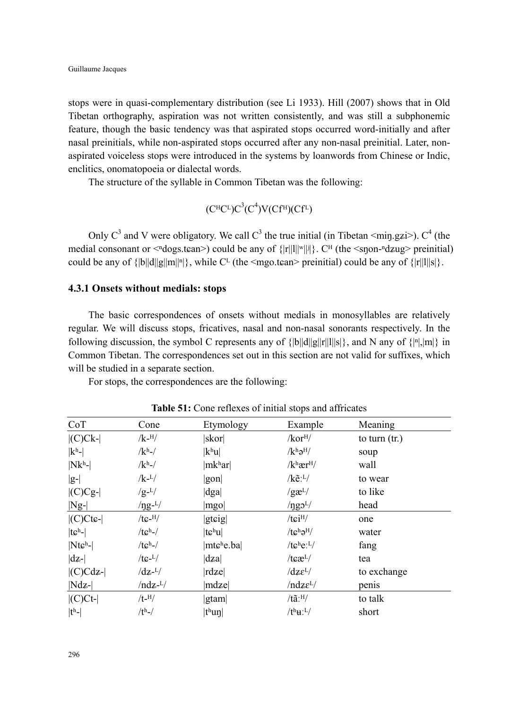stops were in quasi-complementary distribution (see Li 1933). Hill (2007) shows that in Old Tibetan orthography, aspiration was not written consistently, and was still a subphonemic feature, though the basic tendency was that aspirated stops occurred word-initially and after nasal preinitials, while non-aspirated stops occurred after any non-nasal preinitial. Later, nonaspirated voiceless stops were introduced in the systems by loanwords from Chinese or Indic, enclitics, onomatopoeia or dialectal words.

The structure of the syllable in Common Tibetan was the following:

 $(C^{\text{H}}C^{\text{L}})C^3(C^4)V(Cf^{\text{H}})(Cf^{\text{L}})$ 

Only  $C^3$  and V were obligatory. We call  $C^3$  the true initial (in Tibetan <min.gzi>).  $C^4$  (the medial consonant or  $\leq$ <sup>n</sup>dogs.tɛan>) could be any of  $\{|r||w||\}$ . C<sup>H</sup> (the  $\leq$ snon-<sup>n</sup>dzug> preinitial) could be any of  ${\|\mathbf{b}\| d\|\mathbf{g}\|\mathbf{m}\|^n\}$ , while C<sup>L</sup> (the <mgo.tean> preinitial) could be any of  ${\|\mathbf{r}\| \|\mathbf{s}\}$ .

### **4.3.1 Onsets without medials: stops**

The basic correspondences of onsets without medials in monosyllables are relatively regular. We will discuss stops, fricatives, nasal and non-nasal sonorants respectively. In the following discussion, the symbol C represents any of  $\{|b||d||g||r||l||s|\}$ , and N any of  $\{|m|, |m|\}$  in Common Tibetan. The correspondences set out in this section are not valid for suffixes, which will be studied in a separate section.

For stops, the correspondences are the following:

| CoT                | Cone                 | Etymology                         | Example                                 | Meaning         |
|--------------------|----------------------|-----------------------------------|-----------------------------------------|-----------------|
| $  (C) C k -  $    | $/k$ - $^{H}/$       | skor                              | $/$ kor $^{H/}$                         | to turn $(tr.)$ |
| $ k^h$ -           | $/kh$ -/             | $ k^{\rm h}$ u $ $                | $/k^h\partial^H$                        | soup            |
| $ Nk^h$ -          | $/kh$ -/             | mk <sup>h</sup> ar                | $/k$ <sup>h</sup> ær <sup>H</sup> /     | wall            |
| $ g-$              | $/k - L/$            | gon                               | $/$ k $\tilde{e}$ : <sup>L</sup> $/$    | to wear         |
| $  (C)Cg-$         | $/g-L/$              | dga                               | $/g\mathfrak{E}^{L/2}$                  | to like         |
| $ Ng-$             | $\frac{1}{2}$        | mgo                               | $/$ ngo <sup>L</sup> $/$                | head            |
| $ $ (C)Ctc- $ $    | $/tc$ -H $/$         | gteig                             | $/t$ $\sinh/$                           | one             |
| $ t\varepsilonh$ - | /te <sup>h</sup>     | $ t\varepsilonhu $                | $/tc^{\text{h}}\partial^{\text{H}}/$    | water           |
| $ Nteh$ - $ $      | $/tch-/$             | mtche.ba                          | / $t e^{h} e^{L}$                       | fang            |
| $ dz-$             | $/tc^{-L}/$          | $\vert \text{d} z \text{a} \vert$ | $/t \epsilon \mathbf{r}$ <sup>L</sup> / | tea             |
| $ $ (C)Cdz- $ $    | $\rm{dz}$ - $\rm{L}$ | rdze                              | $\frac{dz}{dt}$                         | to exchange     |
| $ Ndz- $           | $/ndz$ - $L/$        | mdze                              | $/ndz\epsilon^{L}/$                     | penis           |
| $ $ (C)Ct- $ $     | $/t$ - $^{H}/$       | gtam                              | $/t\tilde{a}$ : $^{H}/$                 | to talk         |
| $ t^h-$            | $/th$ -/             | t <sup>h</sup> un                 | $/t^h$ <b>H</b> : <sup>L</sup> /        | short           |
|                    |                      |                                   |                                         |                 |

**Table 51:** Cone reflexes of initial stops and affricates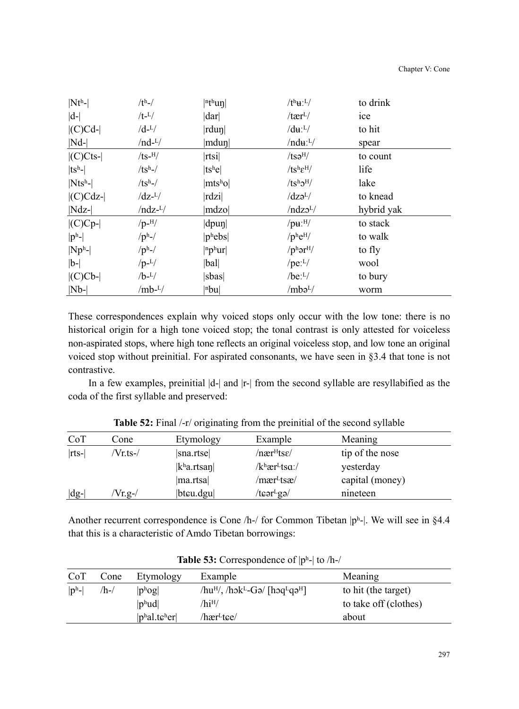| $ Nt^h-$        | $/th$ -/              | $ n$ <sup>th</sup> un                  | $/t^h$ <b>u</b> : <sup>L</sup> / | to drink   |
|-----------------|-----------------------|----------------------------------------|----------------------------------|------------|
| $ d-$           | $/t$ - $L/$           | dar                                    | $/ \text{ter}^L/$                | ice        |
| $  (C)Cd-$      | $/d$ - <sup>L</sup> / | $ rdu\eta $                            | $/d\mathbf{u}$ : <sup>L</sup> /  | to hit     |
| $ Nd-$          | $/nd-L/$              | mdun                                   | $/ndu:$ <sup>L</sup> $/$         | spear      |
| $ $ (C)Cts- $ $ | $/ts$ - $^{H}/$       | rtsi                                   | /ts <sub>0</sub> <sup>H</sup> /  | to count   |
| $ tsh$ -        | $/tsh-/$              | ts <sup>h</sup> e                      | $/ts^h\epsilon^H$                | life       |
| $ Ntsh$ - $ $   | $/tsh-/$              | $ {\rm mts}^{\rm h}{\rm o} $           | $/ts^h2^H$                       | lake       |
| $ $ (C)Cdz- $ $ | $\rm{dz}$ - $\rm{L}$  | rdzi                                   | $\frac{dz}{dt}$                  | to knead   |
| $ Ndz-$         | $/ndz$ - $L/$         | mdzo                                   | /ndzo <sup>L</sup> /             | hybrid yak |
| $  (C)Cp-$      | $/p$ -H/              | $ dp$ un $ $                           | $/$ pu: $^{H/}$                  | to stack   |
| $ p^h$ -        | $/p^h$ -/             | $ p^{\text{h}} ebs $                   | $/$ phe <sup>H</sup> $/$         | to walk    |
| $ Np^h$ -       | $/p^h$ -/             | $ $ <sup>n</sup> p <sup>h</sup> ur $ $ | $/p^{\rm h}$ ər <sup>H</sup> /   | to fly     |
| $ b-$           | $/p-L/$               | bal                                    | / $pe: L$                        | wool       |
| $  (C) C b -  $ | $/b-L/$               | sbas                                   | $/be:$ <sup>L</sup> $/$          | to bury    |
| $ Nb- $         | $/mb^{-L}/$           | nbu                                    | $/mbb$ <sup>L</sup> /            | worm       |

These correspondences explain why voiced stops only occur with the low tone: there is no historical origin for a high tone voiced stop; the tonal contrast is only attested for voiceless non-aspirated stops, where high tone reflects an original voiceless stop, and low tone an original voiced stop without preinitial. For aspirated consonants, we have seen in §3.4 that tone is not contrastive.

In a few examples, preinitial  $|d-|$  and  $|r-|$  from the second syllable are resyllabified as the coda of the first syllable and preserved:

| CoT      | Cone     | Etymology                   | Example                                 | Meaning         |  |
|----------|----------|-----------------------------|-----------------------------------------|-----------------|--|
| $ rts- $ | /Vr.ts-/ | sna.rtse                    | / nær <sup>H</sup> tse/                 | tip of the nose |  |
|          |          | k <sup>h</sup> a.rtsan      | $/k$ <sup>h</sup> ær <sup>L</sup> tsa:/ | yesterday       |  |
|          |          | ma.rtsa                     | /mær <sup>L</sup> tsæ/                  | capital (money) |  |
| $ dg-$   | $Vr.g-/$ | $ $ bt $\epsilon$ u.dgu $ $ | $/t$ cər $E$ gə $/$                     | nineteen        |  |

**Table 52:** Final /-r/ originating from the preinitial of the second syllable

Another recurrent correspondence is Cone /h-/ for Common Tibetan |pʰ-|. We will see in §4.4 that this is a characteristic of Amdo Tibetan borrowings:

| CoT                 | Cone | Etymology                                     | Example                                                                | Meaning               |
|---------------------|------|-----------------------------------------------|------------------------------------------------------------------------|-----------------------|
| $ p^{\mathrm{h}}- $ | /h-/ | $ p^{\rm h}$ og                               | $/hu^{H}$ , /hok <sup>L</sup> -Gə/ [hoq <sup>L</sup> qə <sup>H</sup> ] | to hit (the target)   |
|                     |      | $ p^h u d $                                   | /hi <sup>H</sup> /                                                     | to take off (clothes) |
|                     |      | $ p^{\text{h}}$ al.t $\epsilon^{\text{h}}$ er | /hær <sup>L</sup> tce/                                                 | about                 |

**Table 53:** Correspondence of |pʰ-| to /h-/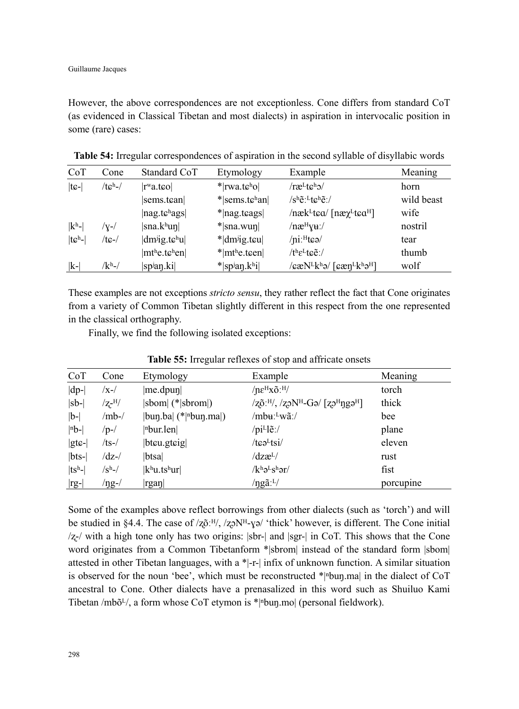However, the above correspondences are not exceptionless. Cone differs from standard CoT (as evidenced in Classical Tibetan and most dialects) in aspiration in intervocalic position in some (rare) cases:

| CoT              | Cone                  | Standard CoT                                             | Etymology                                | Example                                                                                          | Meaning    |
|------------------|-----------------------|----------------------------------------------------------|------------------------------------------|--------------------------------------------------------------------------------------------------|------------|
| $ t\mathbf{G}$ - | $/tc^{\mathrm{h}}$ -/ | $rw$ a.t $\epsilon$ ol                                   | $*$  rwa.tcho                            | $/r$ æ $t$ tch $\frac{1}{\sqrt{2}}$                                                              | horn       |
|                  |                       | sems.tean                                                | $*$  sems.t $\varepsilon$ han            | $/s^h \tilde{e}$ : [teh $\tilde{e}$ :/                                                           | wild beast |
|                  |                       | nag.tc <sup>h</sup> ags                                  | $*$  nag.t $\alpha$ gs                   | $/nekL$ tea/ [næ $\chiL$ tea <sup>H</sup> ]                                                      | wife       |
| $ k^h $          | /v-/                  | sna.k <sup>h</sup> un                                    | $*$ sna.wun                              | $/ne^{H}$ yu:/                                                                                   | nostril    |
| $ t eh$ -        | /tɕ-/                 | $dm^{ji}g.tc^{h}u$                                       | $*$ dm <sup>j</sup> ig.teu               | $/ni$ <sup>H</sup> tea $/$                                                                       | tear       |
|                  |                       | $ m$ <sup>th</sup> e.t $\varepsilon$ <sup>h</sup> en $ $ | $* m$ <sup>th</sup> e.teen               | $/t^h \epsilon^L t \epsilon \tilde{e}$ :/                                                        | thumb      |
| $ k-$            | /kʰ-/                 | spian.ki                                                 | $*$  sp <sup>j</sup> an.k <sup>h</sup> i | $\sqrt{\varepsilon \varepsilon N^L k^h}$ ə/ [ $\varepsilon \varepsilon n^L k^h$ ə <sup>H</sup> ] | wolf       |

**Table 54:** Irregular correspondences of aspiration in the second syllable of disyllabic words

These examples are not exceptions *stricto sensu*, they rather reflect the fact that Cone originates from a variety of Common Tibetan slightly different in this respect from the one represented in the classical orthography.

Finally, we find the following isolated exceptions:

| CoT      | Cone                    | Etymology                    | Example                                                                                                   | Meaning   |
|----------|-------------------------|------------------------------|-----------------------------------------------------------------------------------------------------------|-----------|
| $ dp-$   | $\sqrt{x}$ - $\sqrt{x}$ | $ me.dpu\eta $               | $/ne^{H}x\tilde{o}$ : $^{H}/$                                                                             | torch     |
| $ sb- $  | $/$ z- $^{H/}$          | $ sbom $ (* $ sbrom $ )      | $\sqrt{q}$ $^{H/}$ , $\sqrt{q}$ $N$ <sup>H</sup> $-G$ ə $/$ $\sqrt{q}$ $^{H}$ ngə <sup>H</sup> $\sqrt{q}$ | thick     |
| $ b-$    | $/mb-$                  | $ bun.ba $ (* nbun.ma )      | /mbʉː <sup>L</sup> wãː/                                                                                   | bee       |
| $ nb- $  | $/p-$ /                 | $ $ <sup>n</sup> bur.len $ $ | $\pi$ i <sup>L</sup> le:/                                                                                 | plane     |
| $ gtc-$  | $/ts-$                  | $ $ bt $ $ u.gt $ $          | $/t\epsilon e^{L}tsi/$                                                                                    | eleven    |
| $ bts-$  | $\rm{dz-}$              | btsa                         | $\frac{dz}{dt}$                                                                                           | rust      |
| $ tsh- $ | $/{\rm S}^{\rm h}$ -/   | $ k^h u.ts^h u r $           | $/k^h$ ə <sup>L</sup> s <sup>h</sup> ər/                                                                  | fist      |
| $ rg- $  | /ŋg-/                   | rgan                         | /ngã: $L/$                                                                                                | porcupine |

**Table 55:** Irregular reflexes of stop and affricate onsets

Some of the examples above reflect borrowings from other dialects (such as 'torch') and will be studied in §4.4. The case of  $\frac{Z\tilde{O}H}{Z\tilde{O}}$ ,  $\frac{Z\tilde{O}N}{T}$ - $\gamma\tilde{\sigma}$  'thick' however, is different. The Cone initial  $\sqrt{z}$  with a high tone only has two origins:  $|\text{str-}|$  and  $|\text{sqrt-}|$  in CoT. This shows that the Cone word originates from a Common Tibetanform \*|sbrom| instead of the standard form |sbom| attested in other Tibetan languages, with a \*|-r-| infix of unknown function. A similar situation is observed for the noun 'bee', which must be reconstructed  $*$ | $\Delta$ | $\Delta$ buŋ.ma| in the dialect of CoT ancestral to Cone. Other dialects have a prenasalized in this word such as Shuiluo Kami Tibetan /mbõ $L/$ , a form whose CoT etymon is \*|nbun.mo| (personal fieldwork).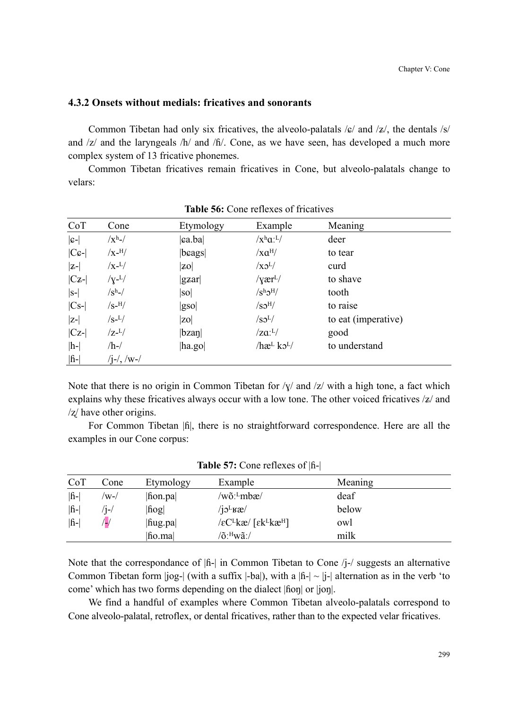### **4.3.2 Onsets without medials: fricatives and sonorants**

Common Tibetan had only six fricatives, the alveolo-palatals  $\frac{1}{2}$  and  $\frac{1}{2}$ , the dentals  $\frac{1}{s}$ and  $\frac{z}{a}$  and the laryngeals  $\frac{h}{a}$  and  $\frac{h}{b}$ . Cone, as we have seen, has developed a much more complex system of 13 fricative phonemes.

Common Tibetan fricatives remain fricatives in Cone, but alveolo-palatals change to velars:

| CoT                | Cone             | Etymology      | Example                                                   | Meaning             |
|--------------------|------------------|----------------|-----------------------------------------------------------|---------------------|
| $ c-$              | $/xh$ -/         | ca.ba          | $/x^h a^L$                                                | deer                |
| $ C \mathcal{G}$ - | $/X$ -H/         | beags          | $\sqrt{xa^H}$                                             | to tear             |
| $ z-$              | $/x$ - $L/$      | <b>ZO</b>      | $\sqrt{X}S^L$                                             | curd                |
| $ Cz-$             | $/\gamma$ - $L/$ | $ {\rm g}$ zar | $/\gamma$ ær <sup>L</sup> $/$                             | to shave            |
| $ S-$              | $\sqrt{s^h}$ -/  | so             | $\sqrt{\mathrm{S}^{\mathrm{h}}\mathrm{O}^{\mathrm{H}}/2}$ | tooth               |
| $ Cs- $            | $/S$ -H/         | gso            | /SO <sup>H</sup> /                                        | to raise            |
| $ z-$              | $\sqrt{s}-L/2$   | <b>zol</b>     | $\sqrt{SO^L/2}$                                           | to eat (imperative) |
| $ Cz-$             | $\rm Z^{-L}/$    | bzan           | $/za:^L/$                                                 | good                |
| $ h$ -             | $/h$ -/          | ha.go          | $/\hbar$ æL ko <sup>L</sup> $/$                           | to understand       |
| $ \hat{h}$ -       | $(i-1)$ , $/w-1$ |                |                                                           |                     |

**Table 56:** Cone reflexes of fricatives

Note that there is no origin in Common Tibetan for  $/\gamma$  and  $/z$  with a high tone, a fact which explains why these fricatives always occur with a low tone. The other voiced fricatives  $|z|$  and  $\frac{z}{x}$  have other origins.

For Common Tibetan  $|\hat{\mathbf{h}}|$ , there is no straightforward correspondence. Here are all the examples in our Cone corpus:

| CoT      | Cone  | Etymology | Example                                                                   | Meaning |  |
|----------|-------|-----------|---------------------------------------------------------------------------|---------|--|
| <b>f</b> | /w-/  | fion.pa   | /wõ: <sup>L</sup> mbæ/                                                    | deaf    |  |
| <b>f</b> | $1 -$ | hog       | $/j$ <sup>L</sup> <sub>K</sub> æ $/$                                      | below   |  |
| <b>f</b> | /پ    | hug.pa    | $\sqrt{\varepsilon}C^Lk\mathfrak{E}/\sqrt{\varepsilon}k^Lk\mathfrak{E}^H$ | owl     |  |
|          |       | fio.ma    | /õ: <sup>H</sup> wã:/                                                     | milk    |  |

**Table 57:** Cone reflexes of |ɦ-|

Note that the correspondance of  $|\hat{h}|\$  in Common Tibetan to Cone /j-/ suggests an alternative Common Tibetan form  $|jog-|$  (with a suffix  $|-bal|$ ), with a  $|h-| \sim |j-|$  alternation as in the verb 'to come' which has two forms depending on the dialect |ɦoŋ| or |joŋ|.

We find a handful of examples where Common Tibetan alveolo-palatals correspond to Cone alveolo-palatal, retroflex, or dental fricatives, rather than to the expected velar fricatives.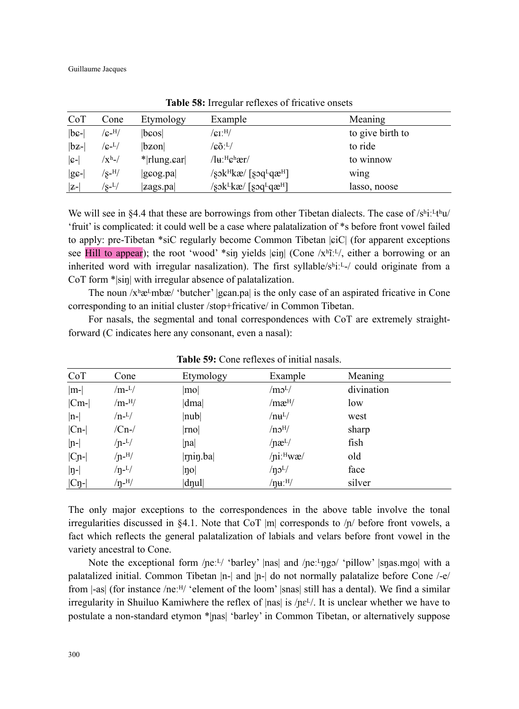| CoT               | Cone                       | Etymology      | Example                                                            | Meaning          |
|-------------------|----------------------------|----------------|--------------------------------------------------------------------|------------------|
| $ bc- $           | $/$ c- $^{\rm H/}$         | lbcosl         | $\rm /c_{I}.$ <sup>H</sup> $/$                                     | to give birth to |
| $ {\rm b}z$ - $ $ | $/\rm{g}$ - $\rm{L}/$      | bzon           | $\langle \mathfrak{c}\mathfrak{d}\rangle^\mathrm{L}/2$             | to ride          |
| $ c-$             | $/{\rm X}^{\rm h}$ -/      | $*$  rlung.car | $/\mathrm{I}$ u: <sup>H</sup> c <sup>h</sup> ær/                   | to winnow        |
| $ gg-$            | $/\rm s$ - $^{H}/$         | gcog.pa        | $\sqrt{8}$ sk <sup>H</sup> kæ/ [sɔq <sup>L</sup> qæ <sup>H</sup> ] | wing             |
| $ z-$             | $^{\prime}$ s- $^{\rm L/}$ | zags.pa        | /sɔk <sup>L</sup> kæ/ [sɔq <sup>L</sup> qæ <sup>H</sup> ]          | lasso, noose     |

**Table 58:** Irregular reflexes of fricative onsets

We will see in §4.4 that these are borrowings from other Tibetan dialects. The case of  $/s<sup>h</sup>i<sup>1</sup>t<sup>th</sup>u/$ 'fruit' is complicated: it could well be a case where palatalization of \*s before front vowel failed to apply: pre-Tibetan \*siC regularly become Common Tibetan |ܨiC| (for apparent exceptions see Hill to appear); the root 'wood' \*sin yields  $|\sin|$  (Cone /xʰīːL/, either a borrowing or an inherited word with irregular nasalization). The first syllable/ $s^h$ i:  $L$ -/ could originate from a CoT form \*|sin| with irregular absence of palatalization.

The noun  $x<sup>h</sup>æ<sup>L</sup>mbæ'$  'butcher' |gɛan.pa| is the only case of an aspirated fricative in Cone corresponding to an initial cluster /stop+fricative/ in Common Tibetan.

For nasals, the segmental and tonal correspondences with CoT are extremely straightforward (C indicates here any consonant, even a nasal):

| CoT               | Cone                      | Etymology                       | Example                  | Meaning    |  |
|-------------------|---------------------------|---------------------------------|--------------------------|------------|--|
| $ m- $            | /m- $L/$                  | mol                             | /m <sub>0</sub> L/       | divination |  |
| $ Cm-$            | $/m$ - $^{H}/$            | dma                             | /mæ <sup>H</sup> /       | low        |  |
| $ n-$             | $/n-L/$                   | nub                             | $/$ nu <sup>L</sup> $/$  | west       |  |
| $ Cn-$            | $/Cn$ - $/$               | mo                              | /no <sup>H</sup> /       | sharp      |  |
| $ n-$             | $/n-L/$                   | na                              | $/ næ^{L/}$              | fish       |  |
| $ C_{n-} $        | $/$ n- $^{H}/$            | $ r$ nin.ba                     | $/$ ni: $H$ wæ $/$       | old        |  |
| $ n-$             | $/\eta$ <sup>-L</sup> $/$ | $  \eta o  $                    | $/$ n $\mathcal{O}^{L/}$ | face       |  |
| $ C_{\eta}$ - $ $ | $/\eta$ - $^{H}/$         | $\left  \text{d}$ nul $\right $ | $/\eta$ u:H $/$          | silver     |  |

**Table 59:** Cone reflexes of initial nasals.

The only major exceptions to the correspondences in the above table involve the tonal irregularities discussed in §4.1. Note that CoT |m| corresponds to  $/p/$  before front vowels, a fact which reflects the general palatalization of labials and velars before front vowel in the variety ancestral to Cone.

Note the exceptional form / $\text{pe:}^L$ / 'barley' |nas| and / $\text{pe:}^L$ ngɔ/ 'pillow' |snas.mgo| with a palatalized initial. Common Tibetan |n-| and |ɲ-| do not normally palatalize before Cone /-e/ from  $|-as|$  (for instance /neː $H/$  'element of the loom' |snas| still has a dental). We find a similar irregularity in Shuiluo Kamiwhere the reflex of  $|nas|$  is  $/ne<sup>L</sup>/$ . It is unclear whether we have to postulate a non-standard etymon \*|ɲas| 'barley' in Common Tibetan, or alternatively suppose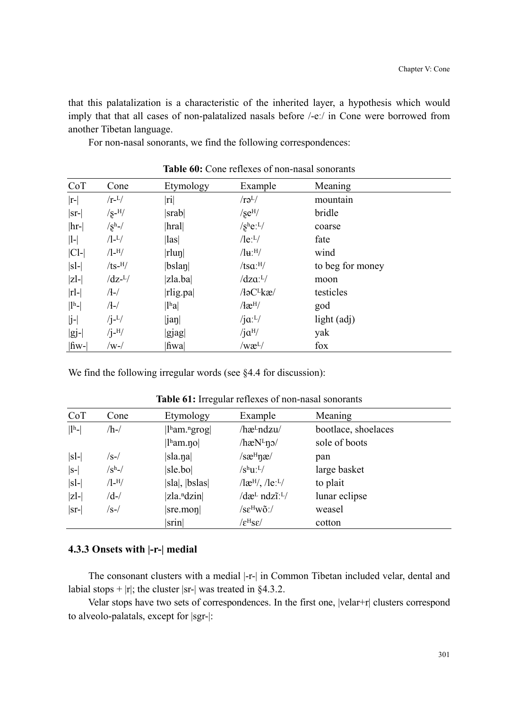that this palatalization is a characteristic of the inherited layer, a hypothesis which would imply that that all cases of non-palatalized nasals before /-eː/ in Cone were borrowed from another Tibetan language.

For non-nasal sonorants, we find the following correspondences:

| CoT                                      | Cone              | Etymology                 | Example                                          | Meaning          |
|------------------------------------------|-------------------|---------------------------|--------------------------------------------------|------------------|
| $ r-$                                    | $/r$ - $L/$       | $ \text{ri} $             | $/r\partial^L/$                                  | mountain         |
| $ sr- $                                  | $\sqrt{s}$ -H $/$ | srab                      | $/$ se <sup>H</sup> $/$                          | bridle           |
| $ hr- $                                  | $/sh$ -/          | $\vert$ hral $\vert$      | $/s$ he: $L/$                                    | coarse           |
| $ 1-$                                    | $/1 - L/$         | $\vert \vert$ as $\vert$  | $\sqrt{\text{le}}$ : $\frac{L}{\sqrt{\text{e}}}$ | fate             |
| $ Cl-$                                   | $/$ l- $^{H/}$    | rlun                      | $\sqrt{\mathbf{H}^{\cdot H}}$                    | wind             |
| $ sl-$                                   | $/ts$ - $^{H}/$   | $ b$ slan $ $             | $/tsa:$ <sup>H</sup> /                           | to beg for money |
| $ z$ -                                   | $\sqrt{dz^{-L}}$  | zla.ba                    | $\sqrt{d}za:^L$                                  | moon             |
| $ r -$                                   | $/$ - $/$         | rlig.pa                   | $/$ łə $C^L$ kæ $/$                              | testicles        |
| $\left  \mathrm{l}^{\mathrm{h}} \right $ | $/$ - $/$         | $ l^{\rm h}a $            | $\lambda$ æ <sup>H</sup>                         | god              |
| $ j-$                                    | $/j-L/$           | $\left \text{jan}\right $ | $/$ j $\alpha$ : <sup>L</sup> $/$                | light $(adj)$    |
| $ gj-$                                   | $/j$ - $^{H}/$    | gjag                      | $/$ j $\alpha$ <sup>H</sup> $/$                  | yak              |
| $ \text{fw-} $                           | /w-/              | fiwa                      | /wæ <sup>L</sup> /                               | fox              |

**Table 60:** Cone reflexes of non-nasal sonorants

We find the following irregular words (see §4.4 for discussion):

| CoT                       | Cone                                  | Etymology                                          | Example                                                  | Meaning             |
|---------------------------|---------------------------------------|----------------------------------------------------|----------------------------------------------------------|---------------------|
| $\vert\vert\vert^h-\vert$ | $/h$ -/                               | $\vert$ <sup>h</sup> am. <sup>n</sup> grog $\vert$ | /hæ <sup>L</sup> ndzu/                                   | bootlace, shoelaces |
|                           |                                       | $\vert$ l <sup>h</sup> am.no $\vert$               | $/$ hæN $L$ n $\alpha$                                   | sole of boots       |
| $ sl-$                    | /s-/                                  | sla.na                                             | $/s\mathbf{a}^{\mathrm{H}}\mathbf{n}\mathbf{a}$          | pan                 |
| $ S-$                     | $/\mathrm{S}^{\mathrm{h}}\mathsf{-}/$ | sle.bo                                             | $/s^h u^L$                                               | large basket        |
| $ sl-$                    | $/1 - H/$                             | sla ,  bslas                                       | $\frac{1}{e^{H}}$ , $\frac{1}{e^{H}}$                    | to plait            |
| $ z $ -                   | /d-/                                  | $ z a.^n$ dzin $ $                                 | $\det$ ndzī: <sup>L</sup> /                              | lunar eclipse       |
| $ sr- $                   | /s-/                                  | $ $ sre.mon $ $                                    | $\sqrt{\text{se}^{\text{H}}\text{W}\tilde{\text{O}}}$ :/ | weasel              |
|                           |                                       | srin                                               | $\sqrt{\varepsilon^{\mathrm{H}}\mathrm{S}\varepsilon}/$  | cotton              |

**Table 61:** Irregular reflexes of non-nasal sonorants

# **4.3.3 Onsets with |-r-| medial**

The consonant clusters with a medial |-r-| in Common Tibetan included velar, dental and labial stops +  $|r|$ ; the cluster |sr-| was treated in §4.3.2.

Velar stops have two sets of correspondences. In the first one, |velar+r| clusters correspond to alveolo-palatals, except for |sgr-|: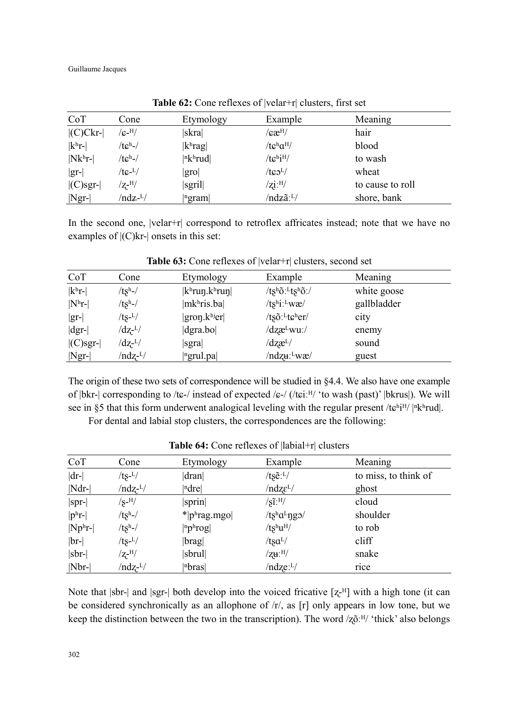Guillaume Jacques

| CoT             | Cone                           | Etymology               | Example                        | Meaning          |
|-----------------|--------------------------------|-------------------------|--------------------------------|------------------|
| $ $ (C)Ckr- $ $ | $/\mathrm{g}$ -H $/$           | skra                    | $/$ æ $^{\rm H/}$              | hair             |
| $ k^h$ r-       | $/tc^h$ -/                     | $ k^{\text{h}}$ rag $ $ | / $tc^h a^H$ /                 | blood            |
| $ Nk^hr $       | $/tch-/$                       | n k <sup>h</sup> r u d  | $/tc$ hi <sup>H</sup> /        | to wash          |
| $ gr- $         | /tc- <sup>L</sup> /            | gro                     | $/t \odot L$                   | wheat            |
| $ $ (C)sgr- $ $ | $/\mathrm{Z}$ - $^\mathrm{H}/$ | sgril                   | $\sqrt{zi}$ : <sup>H</sup> $/$ | to cause to roll |
| $ Ngr- $        | /ndz- <sup>L</sup> /           | ngram                   | /ndzã:L/                       | shore, bank      |

**Table 62:** Cone reflexes of |velar+r| clusters, first set

In the second one,  $|velar+r|$  correspond to retroflex affricates instead; note that we have no examples of  $|(C)$ kr- $|$  onsets in this set:

| CoT                         | Cone                 | Etymology                                   | Example                               | Meaning     |  |
|-----------------------------|----------------------|---------------------------------------------|---------------------------------------|-------------|--|
| $ k^h$ r-                   | $/tsh$ -/            | $ k^{\text{h}}$ run. $k^{\text{h}}$ run $ $ | /tshõ: <sup>L</sup> tshõ:/            | white goose |  |
| $ N^{\rm h}r$ -             | $/tsh-/$             | mkhris.ba                                   | $/ts^{\text{hi}:\text{L}}w\mathbf{r}$ | gallbladder |  |
| $ gr- $                     | $/ts-L/$             | $ gron.khjer $                              | $/t$ sõ: <sup>L</sup> tcher/          | city        |  |
| $\left \mathrm{dgr}\right $ | $\rm{d}z$ - $\rm{L}$ | $\left  \text{dgra}.\text{bo} \right $      | $\frac{dz}{dt}wu$ :/                  | enemy       |  |
| $ $ (C)sgr- $ $             | $\rm{d}z$ - $\rm{L}$ | sgra                                        | $\frac{dz}{dt}$                       | sound       |  |
| $ Ngr- $                    | /ndz- <sup>L</sup> / | <sup>n</sup> grul.pa                        | /ndzu: <sup>L</sup> wæ/               | guest       |  |

**Table 63:** Cone reflexes of |velar+r| clusters, second set

The origin of these two sets of correspondence will be studied in §4.4. We also have one example of |bkr-| corresponding to /tɕ-/ instead of expected /ɕ-/ (/tɕiːH/ 'to wash (past)' |bkrus|). We will see in §5 that this form underwent analogical leveling with the regular present /te<sup>h<sub>i</sub>H/</sup> |<sup>n</sup>k<sup>h</sup>rud|.

For dental and labial stop clusters, the correspondences are the following:

| CoT          | Cone                           | Etymology            | Example                          | Meaning              |
|--------------|--------------------------------|----------------------|----------------------------------|----------------------|
| $ dr-$       | $/ts^{-L}/$                    | dran                 | /ts $\tilde{e}$ : <sup>L</sup> / | to miss, to think of |
| $ Ndr-$      | $/ndz$ - $^{L}/$               | ndrel                | $/ndz\epsilon^{L}/$              | ghost                |
| $ spr- $     | $\sqrt{s}$ -H $/$              | sprin                | $\sqrt{\text{s}1:\text{H}}$      | cloud                |
| $ p^h r-$    | $/tsh-/$                       | $*$  phrag.mgo       | /tshaLngo/                       | shoulder             |
| $ Np^h r-$   | $/tsh$ -/                      | $ np h \text{rog} $  | $/ts^h u^H$                      | to rob               |
| $ br- $      | $/ts-L/$                       | $\vert$ brag $\vert$ | / $tsa^{L/}$                     | cliff                |
| $ $ sbr- $ $ | $/\mathrm{Z}$ - $^\mathrm{H}/$ | $ $ sbrul $ $        | $/$ zu: $^{H/}$                  | snake                |
| $ Nbr-$      | $/ndz$ - $L/$                  | n <sub>bras</sub>    | $/ndze:$ <sup>L</sup> $/$        | rice                 |

Table 64: Cone reflexes of  $|$ labial+r $|$  clusters

Note that  $|\text{str}|$  and  $|\text{sgr}|$  both develop into the voiced fricative  $[z^{-H}]$  with a high tone (it can be considered synchronically as an allophone of  $/r<sub>1</sub>$ , as [r] only appears in low tone, but we keep the distinction between the two in the transcription). The word  $\overline{Q}$ <sup>[H</sup>/ 'thick' also belongs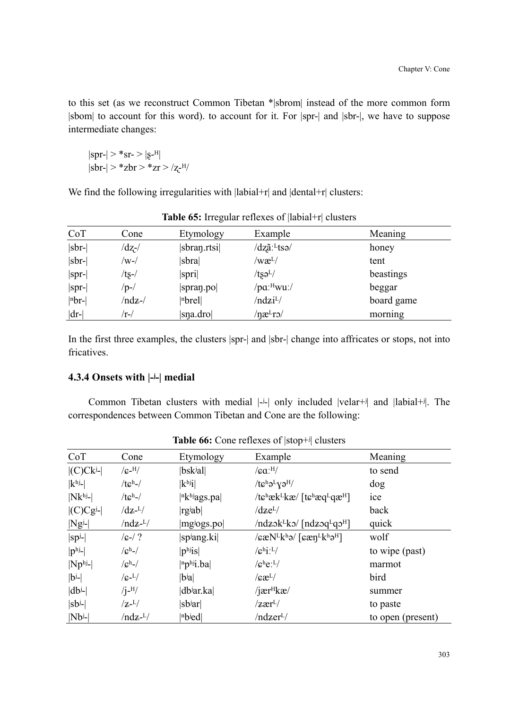to this set (as we reconstruct Common Tibetan \*|sbrom| instead of the more common form |sbom| to account for this word). to account for it. For |spr-| and |sbr-|, we have to suppose intermediate changes:

$$
\begin{array}{c} |spr{-}| > *sr{-} > |g{-}^{H}| \\ |sbr{-}| > *zbr> > *z{r} > /z{}^{-H/} \end{array}
$$

We find the following irregularities with  $|labial+r|$  and  $|dental+r|$  clusters:

| CoT      | Cone   | Etymology                | Example                          | Meaning    |
|----------|--------|--------------------------|----------------------------------|------------|
| sbr-     | /dz-/  | sbran.rtsi               | /dzãː <sup>L</sup> tsə/          | honey      |
| sbr-     | /w-/   | sbra                     | $\rm{w}\mathrm{\alpha}^{\rm{L}}$ | tent       |
| $ spr- $ | /ts-/  | spri                     | $/t$ şə $^{L}/$                  | beastings  |
| $ spr- $ | /p-/   | spran.po                 | /pa: <sup>H</sup> wu:/           | beggar     |
| $ nbr- $ | /ndz-/ | $ n$ <sub>brel</sub> $ $ | /ndzi <sup>L</sup> /             | board game |
| $ dr-$   | /r-/   | sna.dro                  | $\eta$ æ <sup>L</sup> ro/        | morning    |

|  |  |  | <b>Table 65:</b> Irregular reflexes of $\vert$ labial+r $\vert$ clusters |  |
|--|--|--|--------------------------------------------------------------------------|--|
|--|--|--|--------------------------------------------------------------------------|--|

In the first three examples, the clusters |spr-| and |sbr-| change into affricates or stops, not into fricatives.

# **4.3.4 Onsets with |-ʲ-| medial**

Common Tibetan clusters with medial  $|\cdot|$  only included  $|velar+$ <sup>j</sup> and  $|labia|+$ <sup>j</sup>. The correspondences between Common Tibetan and Cone are the following:

| CoT                | Cone                      | Etymology                   | Example                                                                                                                            | Meaning           |
|--------------------|---------------------------|-----------------------------|------------------------------------------------------------------------------------------------------------------------------------|-------------------|
| $ $ (C)Cki- $ $    | $/$ c- $^{H/}$            | $ b$ sk <sup>j</sup> al $ $ | $/ca$ : $H/$                                                                                                                       | to send           |
| $ khj$ -           | $/tch$ -/                 | k <sup>h</sup> j            | $/t\epsilon^h\partial^Ly\partial^H$                                                                                                | dog               |
| $ Nk^{hj}$ -       | $/tch$ -/                 | $ n$ <sub>khj</sub> ags.pa  | /tchæk <sup>L</sup> kæ/ [tchæq <sup>L</sup> qæ <sup>H</sup> ]                                                                      | ice               |
| $  (C)Cgj$ -       | $\rm{dz}$ - $\rm{L}$      | rgiab                       | $\rm dze^{L/}$                                                                                                                     | back              |
| $ Ng^{j}$ - $ $    | $/ndz$ - <sup>L</sup> $/$ | mgiogs.po                   | $/ndz$ <sub>2</sub> k <sup>L</sup> k <sub>2</sub> $/$ $[ndz$ <sub>2</sub> q <sup>L</sup> q <sub>2</sub> <sup>H</sup> $]$           | quick             |
| $ sp^j$ -          | $/6 - / ?$                | spjang.ki                   | $\sqrt{\varepsilon \mathcal{L}}$ N <sup>L</sup> k <sup>h</sup> ə/ $\sqrt{\varepsilon \mathcal{L}}$ n <sup>L</sup> khə <sup>H</sup> | wolf              |
| $ p^{\text{hj}}- $ | $\sqrt{c^{h-1}}$          | $ p^{h}$ is                 | $\sqrt{g^h i!}$                                                                                                                    | to wipe (past)    |
| $ Np^{hj}$ -       | $\sqrt{c^h}$ -/           | $ n\mathbf{p}^{h}$ i.ba     | $/$ c <sup>h</sup> e: <sup>L</sup> /                                                                                               | marmot            |
| $ b^j- $           | $\sqrt{G-L/2}$            | $ b^{\mathrm{i}}a $         | $\sqrt{c}x^L$                                                                                                                      | bird              |
| $ db^{j-} $        | $/$ j <sup>-H</sup> $/$   | dbiar.ka                    | $/$ jær <sup><math>H</math></sup> kæ $/$                                                                                           | summer            |
| $ sb^j-$           | $\rm Z$ - $\rm L/$        | sb <sup>j</sup> ar          | $\sqrt{z}$ ær <sup>L</sup> /                                                                                                       | to paste          |
| $ Nb^{j-}$         | $/ndz$ - <sup>L</sup> $/$ | nbjed                       | /ndzer <sup>L</sup> /                                                                                                              | to open (present) |

**Table 66:** Cone reflexes of |stop+ʲ| clusters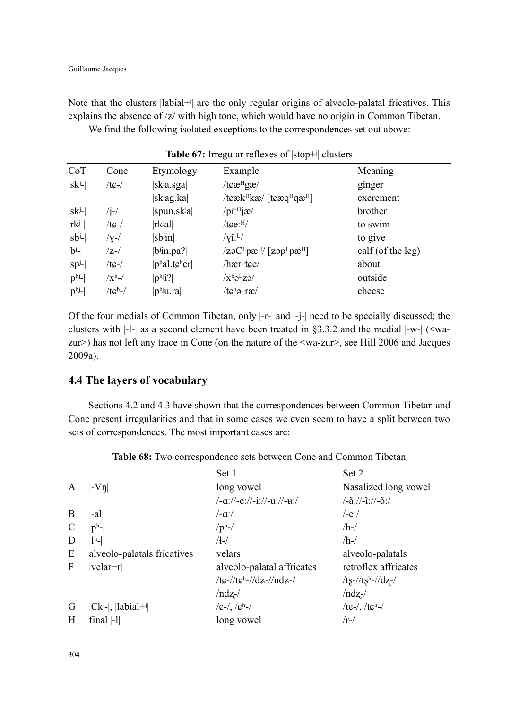Note that the clusters |labial+ $\dot{v}$ | are the only regular origins of alveolo-palatal fricatives. This explains the absence of  $\frac{z}{x}$  with high tone, which would have no origin in Common Tibetan.

We find the following isolated exceptions to the correspondences set out above:

| CoT                    | Cone           | Etymology                                     | Example                                                                          | Meaning           |
|------------------------|----------------|-----------------------------------------------|----------------------------------------------------------------------------------|-------------------|
| $ sk^j-$               | $/tc$ -/       | sk <sup>j</sup> a.sga                         | /tcæ <sup>H</sup> gæ/                                                            | ginger            |
|                        |                | sk <sup>j</sup> ag.ka                         | /teæk $H$ kæ/ [teæq $H$ qæ $H$ ]                                                 | excrement         |
| $ sk^j-$               | $\frac{1}{1}$  | spun.skja                                     | $/p\tilde{\text{i}}$ :H $j\text{ }x/$                                            | brother           |
| $ rk^{j-}$             | $/t$ $G$ - $/$ | rkʲal                                         | $/$ tce: $^{H}/$                                                                 | to swim           |
| $ sb^j- $              | $/y-$ /        | $ sb$ in $ $                                  | $/\gamma$ <sup><math>\tilde{1}</math></sup> : <sup>L</sup> $/$                   | to give           |
| $ b^{j-} $             | $ z- $         | $ b$ in.pa?                                   | $\sqrt{z}$ əC <sup>L</sup> pæ <sup>H</sup> / [zəp <sup>L</sup> pæ <sup>H</sup> ] | calf (of the leg) |
| $ sp^j- $              | $/tc$ -/       | $ p^{\text{h}}$ al.t $\epsilon^{\text{h}}$ er | /hær <sup>L</sup> tee/                                                           | about             |
| $ p^{\text{hj}}- $     | $\sqrt{x^h}$ - | $ p^{h}j? $                                   | $\sqrt{x^h} \partial^L z \partial$                                               | outside           |
| $ p^{\rm hj}\text{-} $ | $/tch-/$       | $ p^{hj}u-ra $                                | $/t\epsilon^h\partial^L r\epsilon$                                               | cheese            |

Table 67: Irregular reflexes of  $|stop+*i*|$  clusters

Of the four medials of Common Tibetan, only |-r-| and |-j-| need to be specially discussed; the clusters with  $|-l-|$  as a second element have been treated in §3.3.2 and the medial  $|-w-|$  (<wazur>) has not left any trace in Cone (on the nature of the <wa-zur>, see Hill 2006 and Jacques 2009a).

# **4.4 The layers of vocabulary**

Sections 4.2 and 4.3 have shown that the correspondences between Common Tibetan and Cone present irregularities and that in some cases we even seem to have a split between two sets of correspondences. The most important cases are:

|   |                             | Set 1                          | Set 2                                                                        |
|---|-----------------------------|--------------------------------|------------------------------------------------------------------------------|
| A | $ V_{\eta} $                | long vowel                     | Nasalized long vowel                                                         |
|   |                             | /-a://-e://-i://-u://-u:/      | $\frac{-\tilde{a}\frac{1}{2} - \tilde{a}\frac{1}{2}}{-\tilde{a}\frac{1}{2}}$ |
| B | -al                         | $/-\alpha$ :/                  | /-e:/                                                                        |
| C | $ p^{\mathrm{h}}$ - $ $     | $/ph$ -/                       | $/h$ -/                                                                      |
| D | $\vert\vert^h-\vert$        | $/(-)$                         | $/h$ -/                                                                      |
| E | alveolo-palatals fricatives | velars                         | alveolo-palatals                                                             |
| F | velar+r                     | alveolo-palatal affricates     | retroflex affricates                                                         |
|   |                             | /te-//teh-//dz-//ndz-/         | /ts-//tsh-//dz-/                                                             |
|   |                             | $/ndz$ -/                      | $/ndz$ -/                                                                    |
| G | $ Ck^{j-} $ , $ labial+j $  | $/g$ -/, / $g$ <sup>h</sup> -/ | /tc-/, /tch-/                                                                |
| H | final $ -1 $                | long vowel                     | $/r$ -/                                                                      |

**Table 68:** Two correspondence sets between Cone and Common Tibetan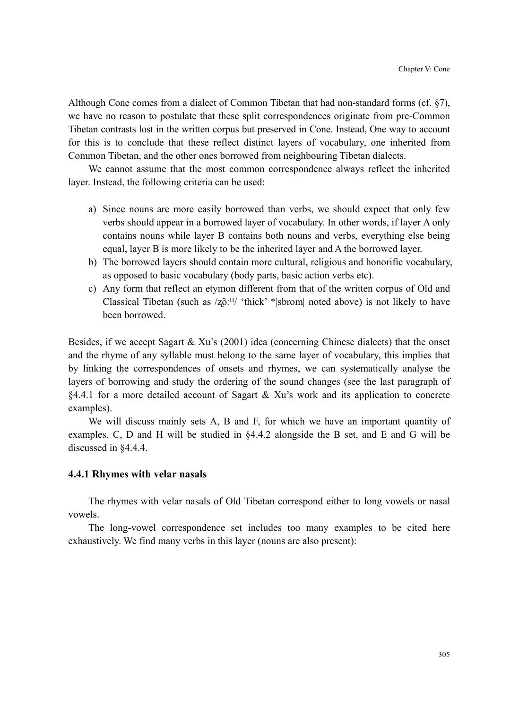Although Cone comes from a dialect of Common Tibetan that had non-standard forms (cf. §7), we have no reason to postulate that these split correspondences originate from pre-Common Tibetan contrasts lost in the written corpus but preserved in Cone. Instead, One way to account for this is to conclude that these reflect distinct layers of vocabulary, one inherited from Common Tibetan, and the other ones borrowed from neighbouring Tibetan dialects.

We cannot assume that the most common correspondence always reflect the inherited layer. Instead, the following criteria can be used:

- a) Since nouns are more easily borrowed than verbs, we should expect that only few verbs should appear in a borrowed layer of vocabulary. In other words, if layer A only contains nouns while layer B contains both nouns and verbs, everything else being equal, layer B is more likely to be the inherited layer and A the borrowed layer.
- b) The borrowed layers should contain more cultural, religious and honorific vocabulary, as opposed to basic vocabulary (body parts, basic action verbs etc).
- c) Any form that reflect an etymon different from that of the written corpus of Old and Classical Tibetan (such as  $\langle z_0^{\alpha,H} \rangle$  'thick' \*|sbrom| noted above) is not likely to have been borrowed.

Besides, if we accept Sagart & Xu's (2001) idea (concerning Chinese dialects) that the onset and the rhyme of any syllable must belong to the same layer of vocabulary, this implies that by linking the correspondences of onsets and rhymes, we can systematically analyse the layers of borrowing and study the ordering of the sound changes (see the last paragraph of §4.4.1 for a more detailed account of Sagart & Xu's work and its application to concrete examples).

We will discuss mainly sets A, B and F, for which we have an important quantity of examples. C, D and H will be studied in §4.4.2 alongside the B set, and E and G will be discussed in §4.4.4.

#### **4.4.1 Rhymes with velar nasals**

The rhymes with velar nasals of Old Tibetan correspond either to long vowels or nasal vowels.

The long-vowel correspondence set includes too many examples to be cited here exhaustively. We find many verbs in this layer (nouns are also present):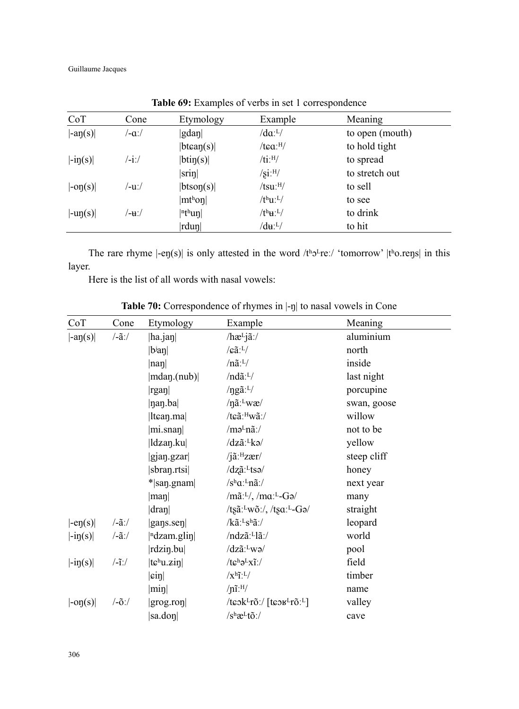Guillaume Jacques

| CoT                            | Cone      | Etymology            | Example                          | Meaning         |
|--------------------------------|-----------|----------------------|----------------------------------|-----------------|
| $\vert -a\eta(s)\vert$         | /-aː/     | gdan                 | $/da$ : <sup>L</sup> $/$         | to open (mouth) |
|                                |           | $ b \tan(s) $        | $/$ tca: $^{H}/$                 | to hold tight   |
| $\left  -i\eta(s) \right $     | $/ -i$ :/ | btin(s)              | $/ti$ : $H/$                     | to spread       |
|                                |           | $\vert$ srin $\vert$ | $\sqrt{\text{si}}$ : $\text{H}/$ | to stretch out  |
| $\left  -\text{on}(s) \right $ | /-uː/     | btson(s)             | $/tsu:$ <sup>H</sup> /           | to sell         |
|                                |           | mt <sup>h</sup> on   | $/t^h u^L$                       | to see          |
| $\vert \text{-up}(s) \vert$    | /-u∶/     | $ \nVert^h$ un       | $/t^h$ <b>u</b> : $L$            | to drink        |
|                                |           | $ rdu\eta $          | $/d\mathbf{u}$ : <sup>L</sup> /  | to hit          |

**Table 69:** Examples of verbs in set 1 correspondence

The rare rhyme  $|-ep(s)|$  is only attested in the word /tho-rei/ 'tomorrow' |tho.rens| in this layer.

Here is the list of all words with nasal vowels:

**Table 70:** Correspondence of rhymes in |-ŋ| to nasal vowels in Cone

| CoT                            | Cone                          | Etymology                                     | Example                                                                      | Meaning     |
|--------------------------------|-------------------------------|-----------------------------------------------|------------------------------------------------------------------------------|-------------|
| $\vert \text{-}a\eta(s)\vert$  | $\frac{\tilde{a}}{\tilde{a}}$ | $ h$ a.jaŋ $ $                                | $/hæLjã$ :/                                                                  | aluminium   |
|                                |                               | $ {\rm b}$ an $ $                             | $\sqrt{a}$ : <sup>L</sup> /                                                  | north       |
|                                |                               | nan                                           | $/n\tilde{a}$ : <sup>L</sup> /                                               | inside      |
|                                |                               | mdan.(nub)                                    | $/nd\tilde{a}$ : <sup>L</sup> $/$                                            | last night  |
|                                |                               | rgan                                          | /ng $\tilde{a}$ : <sup>L</sup> /                                             | porcupine   |
|                                |                               | $ $ nan.ba $ $                                | $/n\tilde{a}$ : $v\alpha$                                                    | swan, goose |
|                                |                               | $ $ lt $\boldsymbol{\epsilon}$ an.ma $ $      | /tɕãː <sup>H</sup> wãː/                                                      | willow      |
|                                |                               | $ \text{mi}.\text{snap} $                     | $/$ mə $L$ nã: $/$                                                           | not to be   |
|                                |                               | ldzan.ku                                      | /dzã: <sup>L</sup> kə/                                                       | yellow      |
|                                |                               | gjan.gzar                                     | $/$ jã: $^{H}$ zær $/$                                                       | steep cliff |
|                                |                               | $ {\rm sbran.rtsi} $                          | /dzã:Ltsə/                                                                   | honey       |
|                                |                               | $*$  san.gnam                                 | $/s^h a$ : <sup>L</sup> nã:/                                                 | next year   |
|                                |                               | $ \text{man} $                                | / $m\tilde{a}$ : <sup>L</sup> /, / $m\alpha$ : <sup>L</sup> -Gə/             | many        |
|                                |                               | dran                                          | /ts $\tilde{a}$ : <sup>L</sup> w $\tilde{o}$ :/, /ts $a$ : <sup>L</sup> -Ga/ | straight    |
| $\left -ep(s)\right $          | $\frac{\tilde{a}}{\tilde{a}}$ | $\left  \text{gays}.\text{sep} \right $       | $/k\tilde{a}$ : <sup>L</sup> s <sup>h</sup> $\tilde{a}$ :/                   | leopard     |
| $\vert -i\eta(s)\vert$         | $\frac{\tilde{a}}{\tilde{a}}$ | $\vert$ <sup>n</sup> dzam.glin $\vert$        | /ndzã:Llã:/                                                                  | world       |
|                                |                               | $\vert$ rdzin.bu $\vert$                      | /dzã:Lwə/                                                                    | pool        |
| $ -i\eta(s) $                  | $\frac{1}{1}$                 | $ t\varepsilon^{\text{h}} u \cdot \vec{z}$ in | $/t\epsilon^{\rm h} \partial^{\rm L} x \tilde{\rm i}$ :/                     | field       |
|                                |                               | $ \sin $                                      | $\sqrt{x^h}i^L$                                                              | timber      |
|                                |                               | $ \text{min} $                                | $/n\tilde{i}$ : $H/$                                                         | name        |
| $\left  -\text{op}(s) \right $ | $\frac{\delta}{\delta}$       | gray![rop                                     | /teok <sup>L</sup> rõ:/ [teok <sup>L</sup> rõ: <sup>L</sup> ]                | valley      |
|                                |                               | sa.don                                        | $/s^h$ æ <sup>L</sup> tõ:/                                                   | cave        |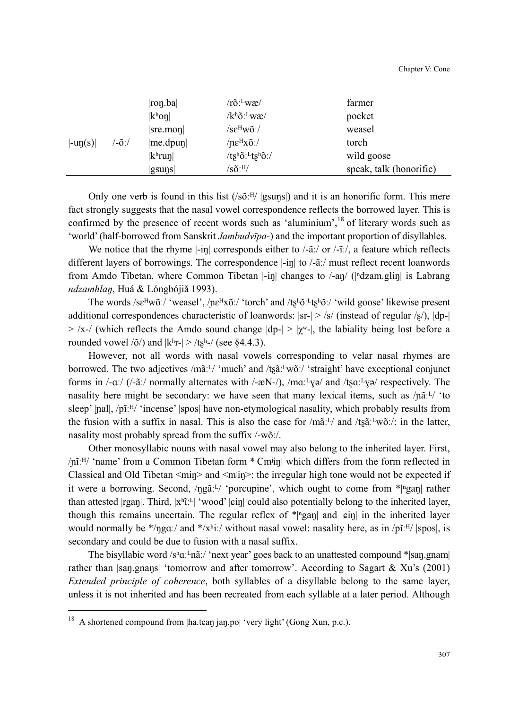|                             |       | ron.ba             | $/r\tilde{o}$ : wæ/                            | farmer                  |
|-----------------------------|-------|--------------------|------------------------------------------------|-------------------------|
|                             |       | $ k^{\rm h}$ on    | $/k^h\tilde{o}$ : $L$ wæ/                      | pocket                  |
|                             |       | $ $ sre.mon        | $/$ s $\epsilon^{\rm H}$ wõ: $/$               | weasel                  |
| $\vert \text{-up}(s) \vert$ | /-õ:/ | me.dpun            | / $n\varepsilon$ <sup>H</sup> x $\tilde{o}$ :/ | torch                   |
|                             |       | k <sup>h</sup> run | /tshõ: <sup>L</sup> tshõ:/                     | wild goose              |
|                             |       | $ g\text{suns} $   | $/\text{s}$ õ: $^{\text{H}}/$                  | speak, talk (honorific) |

Only one verb is found in this list  $(\frac{1}{\sqrt{6}})^{H}$  |gsuns|) and it is an honorific form. This mere fact strongly suggests that the nasal vowel correspondence reflects the borrowed layer. This is confirmed by the presence of recent words such as 'aluminium',<sup>18</sup> of literary words such as 'world' (half-borrowed from Sanskrit *Jambudvīpa*-) and the important proportion of disyllables.

We notice that the rhyme  $\left|\frac{-\text{in}}{\text{in}}\right|$  corresponds either to  $\left|\frac{-\tilde{\text{in}}}{\text{in}}\right|$  or  $\left|\frac{-\tilde{\text{in}}}{\text{in}}\right|$  a feature which reflects different layers of borrowings. The correspondence  $\left|\frac{-\text{in}}{\text{in}}\right|$  to  $\left/\frac{2\pi}{\text{in}}\right|$  must reflect recent loanwords from Amdo Tibetan, where Common Tibetan |-in| changes to /-an/ (|<sup>n</sup>dzam.glin| is Labrang *ndzamhlan*, Huá & Lóngbójiǎ 1993).

The words  $\sqrt{\text{se}}^H w \tilde{\text{o}}$ :/ 'weasel',  $\sqrt{\text{ne}}^H x \tilde{\text{o}}$ :/ 'torch' and  $\sqrt{\text{te}}^h \tilde{\text{o}}$ :/ 'wild goose' likewise present additional correspondences characteristic of loanwords:  $|sr| > |s|$  (instead of regular  $|s|$ ),  $|dp-|$  $>$  /x-/ (which reflects the Amdo sound change  $|dp-| > |\chi^2|$ , the labiality being lost before a rounded vowel  $\langle \delta \rangle$  and  $|k^h r| > \langle \text{ts}^h \rangle$  (see §4.4.3).

However, not all words with nasal vowels corresponding to velar nasal rhymes are borrowed. The two adjectives /mãːL/ 'much' and /tʂãːLwõː/ 'straight' have exceptional conjunct forms in  $/-a$ .  $/$  ( $/-a$ . normally alternates with  $/-a$ N $-$ /),  $/ma$  $\cdot$ <sup>1</sup> $\gamma$  $\rightarrow$  and  $/$ t $sa$  $\cdot$ <sup>1</sup> $\gamma$  $\rightarrow$  respectively. The nasality here might be secondary: we have seen that many lexical items, such as  $/pi^{T}$  'to sleep'  $|pal|$ ,  $p\tilde{i}$ <sup>H</sup> $\prime$  'incense' |spos| have non-etymological nasality, which probably results from the fusion with a suffix in nasal. This is also the case for  $/m\tilde{a}$ : *u* and  $/t\tilde{a}$ : *u* in the latter, nasality most probably spread from the suffix /-wõː/.

Other monosyllabic nouns with nasal vowel may also belong to the inherited layer. First, /ɲĩːᴴ/ 'name' from a Common Tibetan form \*|Cmʲiŋ| which differs from the form reflected in Classical and Old Tibetan  $\langle \text{min} \rangle$  and  $\langle \text{min} \rangle$ : the irregular high tone would not be expected if it were a borrowing. Second,  $/pg\tilde{a}^{L}$  'porcupine', which ought to come from  $\tilde{p}$ <sup>n</sup>gan| rather than attested |rgan|. Third, |xʰĩː<sup>L</sup>| 'wood' |ɕin| could also potentially belong to the inherited layer, though this remains uncertain. The regular reflex of  $\pi$ |**n**gan| and | $\varphi$ |in the inherited layer would normally be \*/ngaː/ and \*/xʰiː/ without nasal vowel: nasality here, as in /pĩːH/ |spos|, is secondary and could be due to fusion with a nasal suffix.

The bisyllabic word /sʰ $\alpha$ ː-nãː/ 'next year' goes back to an unattested compound \*|san.gnam| rather than |saŋ.gnaŋs| 'tomorrow and after tomorrow'. According to Sagart & Xu's (2001) *Extended principle of coherence*, both syllables of a disyllable belong to the same layer, unless it is not inherited and has been recreated from each syllable at a later period. Although

 $\overline{a}$ 

<sup>&</sup>lt;sup>18</sup> A shortened compound from  $|ha.tean$  jan.po $|$  'very light' (Gong Xun, p.c.).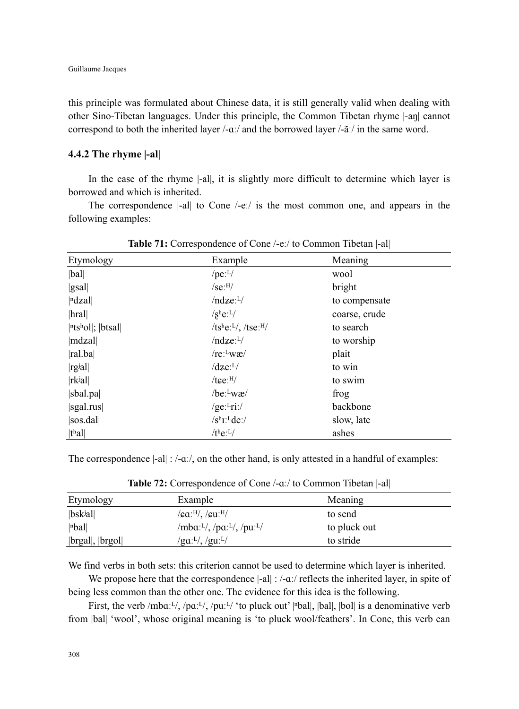this principle was formulated about Chinese data, it is still generally valid when dealing with other Sino-Tibetan languages. Under this principle, the Common Tibetan rhyme |-aŋ| cannot correspond to both the inherited layer  $/-\alpha$ *:*/ and the borrowed layer  $-\alpha$ <sup> $\alpha$ </sup>/ in the same word.

# **4.4.2 The rhyme |-al|**

In the case of the rhyme  $|-a|$ , it is slightly more difficult to determine which layer is borrowed and which is inherited.

The correspondence |-al| to Cone /-eː/ is the most common one, and appears in the following examples:

| Etymology                                    | Example                                          | Meaning       |  |
|----------------------------------------------|--------------------------------------------------|---------------|--|
| bal                                          | $/pe:$ <sup>L</sup> $/$                          | wool          |  |
| gsal                                         | /se <sup>·H/</sup>                               | bright        |  |
| $\vert$ <sup>n</sup> dzal $\vert$            | $/ndze:$ <sup>L</sup> $/$                        | to compensate |  |
| hral                                         | $/s^he$ <sup>-L</sup> /                          | coarse, crude |  |
| $ $ <sup>n</sup> ts <sup>h</sup> ol ;  btsal | / $ts^he$ : <sup>L</sup> /, /tse: <sup>H</sup> / | to search     |  |
| mdzal                                        | $/ndze:$ <sup>L</sup> $/$                        | to worship    |  |
| ral.ba                                       | $/re:$ <sup>L</sup> wæ $/$                       | plait         |  |
| rgial                                        | $\sqrt{dz}e^{-L/2}$                              | to win        |  |
| $ rk$ <sup>j</sup> al $ $                    | $/$ tce: $^{H}/$                                 | to swim       |  |
| $ $ sbal.pa $ $                              | $/be:$ <sup>L</sup> wæ $/$                       | frog          |  |
| sgal.rus                                     | /ge: $l$ ri:/                                    | backbone      |  |
| sos.dal                                      | /s <sup>h</sup> I: <sup>L</sup> de:/             | slow, late    |  |
| t <sup>h</sup> al                            | $/t$ <sup>h</sup> e: <sup>L</sup> /              | ashes         |  |

**Table 71:** Correspondence of Cone /-eː/ to Common Tibetan |-al|

The correspondence  $|\text{-al}|$  :  $/\text{-a}$ :/, on the other hand, is only attested in a handful of examples:

| Etymology                            | Example                                                                                      | Meaning      |
|--------------------------------------|----------------------------------------------------------------------------------------------|--------------|
| $ b$ sk <sup>j</sup> al              | $\sqrt{\mathsf{g} \mathsf{a} \cdot ^{\mathsf{H}} \mathsf{a} \cdot ^{\mathsf{H}} \mathsf{b}}$ | to send      |
| $ n$ bal                             | /mba: $L/$ , /pa: $L/$ , /pu: $L/$                                                           | to pluck out |
| $ {\rm b}$ gal $ ,  {\rm b}$ gol $ $ | $\gamma$ ga: <sup>L/</sup> , /gu: <sup>L/</sup>                                              | to stride    |

**Table 72:** Correspondence of Cone /-aː/ to Common Tibetan |-all

We find verbs in both sets: this criterion cannot be used to determine which layer is inherited.

We propose here that the correspondence  $|-a|$  :  $-a$ *:/* reflects the inherited layer, in spite of being less common than the other one. The evidence for this idea is the following.

First, the verb /mbaːL/, /paːL/, /puːL/ 'to pluck out' |nbal|, |bal|, |bol| is a denominative verb from |bal| 'wool', whose original meaning is 'to pluck wool/feathers'. In Cone, this verb can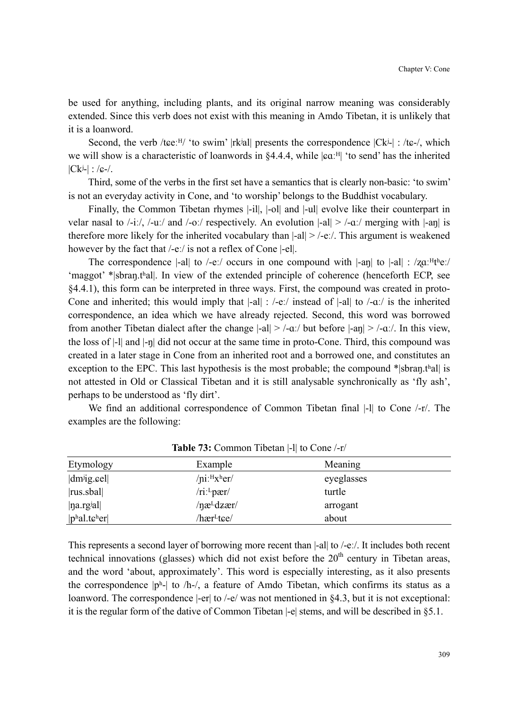be used for anything, including plants, and its original narrow meaning was considerably extended. Since this verb does not exist with this meaning in Amdo Tibetan, it is unlikely that it is a loanword.

Second, the verb /tee: $H/$  'to swim' |rkʲal| presents the correspondence  $|Ck^j|$  : /te-/, which we will show is a characteristic of loanwords in  $\S 4.4.4$ , while  $|\mathbf{c} \alpha|^{\text{H}}$  'to send' has the inherited  $|Ck^{j-}|$  : / $\epsilon$ -/.

Third, some of the verbs in the first set have a semantics that is clearly non-basic: 'to swim' is not an everyday activity in Cone, and 'to worship' belongs to the Buddhist vocabulary.

Finally, the Common Tibetan rhymes |-il|, |-ol| and |-ul| evolve like their counterpart in velar nasal to  $\frac{\cdot}{\cdot}$ .  $\frac{\cdot}{\cdot}$  /-uː/ and  $\frac{\cdot}{\cdot}$  oː/ respectively. An evolution  $\cdot$ -al $\cdot$  /-a:/ merging with  $\cdot$ -an $\cdot$  is therefore more likely for the inherited vocabulary than  $|\text{-}al|$  > /-eː/. This argument is weakened however by the fact that /-eː/ is not a reflex of Cone |-el|.

The correspondence  $|-a||$  to  $/-e$ :/ occurs in one compound with  $|-a||$  to  $|-a||$  :  $\angle z \alpha$ : $H^{\text{th}}e$ :/ 'maggot' \*|sbraŋ.tʰal|. In view of the extended principle of coherence (henceforth ECP, see §4.4.1), this form can be interpreted in three ways. First, the compound was created in proto-Cone and inherited; this would imply that  $|-a|| : /-e$ *:/* instead of  $|-a||$  to  $/-a$ *:/* is the inherited correspondence, an idea which we have already rejected. Second, this word was borrowed from another Tibetan dialect after the change  $|-al|$  >  $/-a$ . but before  $|-an|$  >  $/-a$ . In this view, the loss of |-l| and |-ŋ| did not occur at the same time in proto-Cone. Third, this compound was created in a later stage in Cone from an inherited root and a borrowed one, and constitutes an exception to the EPC. This last hypothesis is the most probable; the compound \*|sbran\,thal| is not attested in Old or Classical Tibetan and it is still analysable synchronically as 'fly ash', perhaps to be understood as 'fly dirt'.

We find an additional correspondence of Common Tibetan final |-I| to Cone /-r/. The examples are the following:

| Etymology                                     | Example                        | Meaning    |
|-----------------------------------------------|--------------------------------|------------|
| $ dm^{ji}g$ eel                               | $/$ ni: $H$ x <sup>h</sup> er/ | eyeglasses |
| $ rus.$ sbal $ $                              | $/ri$ : pær $/$                | turtle     |
| max[1]                                        | $/$ næ <sup>L</sup> dzær/      | arrogant   |
| $ p^{\text{h}}$ al.t $\epsilon^{\text{h}}$ er | /hær <sup>L</sup> tɕe/         | about      |

**Table 73:** Common Tibetan |-l| to Cone /-r/

This represents a second layer of borrowing more recent than  $|\text{-all to }/\text{-e}$ . It includes both recent technical innovations (glasses) which did not exist before the  $20<sup>th</sup>$  century in Tibetan areas, and the word 'about, approximately'. This word is especially interesting, as it also presents the correspondence  $|p^h|$  to  $\Delta h$ - $\Delta h$ , a feature of Amdo Tibetan, which confirms its status as a loanword. The correspondence  $|-er|$  to  $/-e$  was not mentioned in §4.3, but it is not exceptional: it is the regular form of the dative of Common Tibetan |-e| stems, and will be described in §5.1.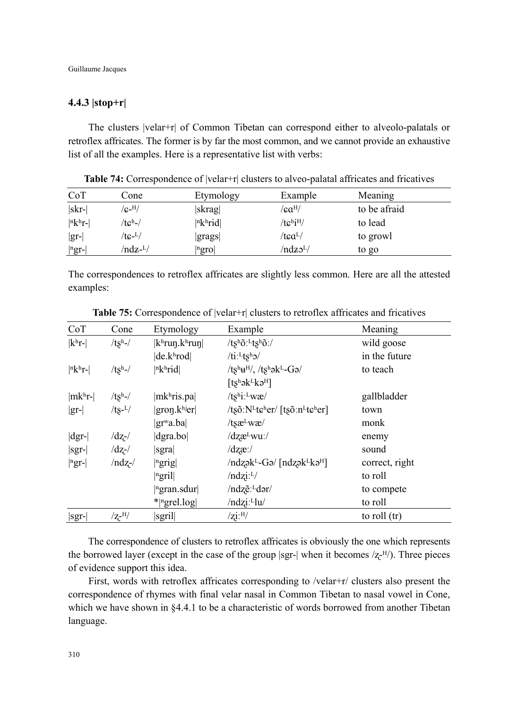# **4.4.3 |stop+r|**

The clusters |velar+r| of Common Tibetan can correspond either to alveolo-palatals or retroflex affricates. The former is by far the most common, and we cannot provide an exhaustive list of all the examples. Here is a representative list with verbs:

| CoT                   | Cone               | Etymology             | Example                    | Meaning      |
|-----------------------|--------------------|-----------------------|----------------------------|--------------|
| skr-                  | $/$ c- $^{\rm H/}$ | skrag                 | /ca <sup>H</sup> /         | to be afraid |
| $ n k h$ r-           | /tcʰ-/             | $ n$ <sup>h</sup> rid | $/te^h$ i <sup>H</sup> $/$ | to lead      |
| $ gr-$                | /tc- <sup>L</sup>  | grags                 | /tca <sup>L</sup> /        | to growl     |
| $ {}^{\rm n}$ gr- $ $ | /ndz- <sup>L</sup> | ngro                  | /ndzo <sup>L</sup> /       | to go        |

**Table 74:** Correspondence of  $|velar+r|$  clusters to alveo-palatal affricates and fricatives

The correspondences to retroflex affricates are slightly less common. Here are all the attested examples:

| CoT                  | Cone            | Etymology                                         | Example                                                                                           | Meaning        |
|----------------------|-----------------|---------------------------------------------------|---------------------------------------------------------------------------------------------------|----------------|
| $ k^{\mathrm{h}}r$ - | $/tsh$ -/       | $ k^{\text{h}}\text{run}.k^{\text{h}}\text{run} $ | /tshõ: <sup>L</sup> tshõ:/                                                                        | wild goose     |
|                      |                 | de.k <sup>h</sup> rod                             | $/ti$ : $Ltsh2/$                                                                                  | in the future  |
| $ n k h$ r-          | $/tsh$ -/       | $ n$ khrid                                        | $/ts^h\!u^H\!/ ,$ /tshək-Gə/                                                                      | to teach       |
|                      |                 |                                                   | $[ts^h$ ək $L$ kə $H$ ]                                                                           |                |
| $ mkhr- $            | $/tsh$ -/       | $ mkh$ ris.pa                                     | $/ts^{\text{h}}i$ : $L$ wæ/                                                                       | gallbladder    |
| $ gr- $              | $/ts-L/$        | $ $ gron. $k$ hjer $ $                            | /tsõ: $N^L$ t $\varepsilon$ <sup>h</sup> er/ [tsõ:n <sup>L</sup> t $\varepsilon$ <sup>h</sup> er] | town           |
|                      |                 | $ gr^{\mathrm{w}}a \cdot ba $                     | $/t$ s $x^L$ w $x$ /                                                                              | monk           |
| $ dgr- $             | $\frac{dz}{dx}$ | $\left  \text{dgra}.\text{bol} \right $           | /dzæ <sup>L</sup> wu:/                                                                            | enemy          |
| $ sqrt-$             | $/dz$ -/        | sgra                                              | $\frac{dz}{dx}$                                                                                   | sound          |
| $ ngr-$              | $/ndz-$         | $ $ <sup>n</sup> grig                             | $/ndz$ ək <sup>L</sup> -Gə/ [ndzək <sup>L</sup> kə <sup>H</sup> ]                                 | correct, right |
|                      |                 | ngril                                             | $/ndzi:$ <sup>L</sup> $/$                                                                         | to roll        |
|                      |                 | $\left  \right $ <sup>n</sup> gran.sdur           | /ndzẽ: <sup>L</sup> dər/                                                                          | to compete     |
|                      |                 | $*$ <sup>[ngrel.log]</sup>                        | /ndzi: <sup>L</sup> lu/                                                                           | to roll        |
| $ sgr-$              | $/2$ -H $/$     | sgril                                             | $\sqrt{zi}$ : <sup>H</sup> /                                                                      | to roll (tr)   |

Table 75: Correspondence of  $|velar+r|$  clusters to retroflex affricates and fricatives

The correspondence of clusters to retroflex affricates is obviously the one which represents the borrowed layer (except in the case of the group |sgr-| when it becomes  $\ell z$ <sup>-H</sup>/). Three pieces of evidence support this idea.

First, words with retroflex affricates corresponding to /velar+r/ clusters also present the correspondence of rhymes with final velar nasal in Common Tibetan to nasal vowel in Cone, which we have shown in §4.4.1 to be a characteristic of words borrowed from another Tibetan language.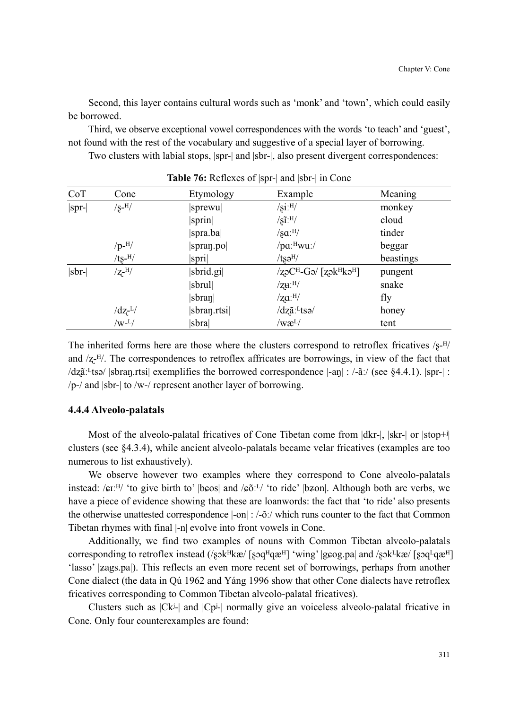Second, this layer contains cultural words such as 'monk' and 'town', which could easily be borrowed.

Third, we observe exceptional vowel correspondences with the words 'to teach' and 'guest', not found with the rest of the vocabulary and suggestive of a special layer of borrowing.

Two clusters with labial stops, |spr-| and |sbr-|, also present divergent correspondences:

| CoT      | Cone              | Etymology       | Example                                                               | Meaning   |
|----------|-------------------|-----------------|-----------------------------------------------------------------------|-----------|
| $ spr- $ | $\sqrt{s}$ -H $/$ | sprewu          | $\sqrt{\text{si}}$ : $\text{H}/$                                      | monkey    |
|          |                   | sprin           | $/\tilde{\text{SI}}$ : $\text{H}/$                                    | cloud     |
|          |                   | spra.ba         | $/$ sa: $^{H/}$                                                       | tinder    |
|          | $/p$ - $^{H}/$    | spran.po        | / $pa:$ <sup>H</sup> wu:/                                             | beggar    |
|          | $/ts$ - $^{H}/$   | spri            | $/ts$ ə <sup>H</sup> /                                                | beastings |
| sbr-     | $\rm Z$ -H/       | sbrid.gi        | $\sqrt{z}$ əC <sup>H</sup> -Gə/ $\sqrt{z}$ ək $\sqrt{z}$ H $\sqrt{z}$ | pungent   |
|          |                   | sbrul           | $/$ zu: $^{H/}$                                                       | snake     |
|          |                   | $ {\rm sbran} $ | $\gamma$ za: $^{H}/$                                                  | fly       |
|          | $\frac{dz^L}{ }$  | sbran.rtsi      | /dzã:Ltsə/                                                            | honey     |
|          | $/w-L/$           | sbra            | /wæ <sup>L</sup> /                                                    | tent      |

**Table 76:** Reflexes of |spr-| and |sbr-| in Cone

The inherited forms here are those where the clusters correspond to retroflex fricatives  $\sqrt{s}$ - $\frac{H}{r}$ and  $\sqrt{z}$ - $H/$ . The correspondences to retroflex affricates are borrowings, in view of the fact that  $\langle \text{dz}\tilde{a}:$  [sbran] trial exemplifies the borrowed correspondence  $\vert -\text{z} \vert$  : /- $\tilde{a}$ :/ (see §4.4.1). |spr-| :  $/p$ -/ and  $|$ sbr- $|$  to /w-/ represent another layer of borrowing.

### **4.4.4 Alveolo-palatals**

Most of the alveolo-palatal fricatives of Cone Tibetan come from  $|dkr|$ ,  $|skr|$  or  $|stop+$ clusters (see §4.3.4), while ancient alveolo-palatals became velar fricatives (examples are too numerous to list exhaustively).

We observe however two examples where they correspond to Cone alveolo-palatals instead: / $\epsilon I^{H}$  'to give birth to' |b $\epsilon$ os| and / $\epsilon \delta I^{H}$  'to ride' |b $\epsilon I^{H}$ . Although both are verbs, we have a piece of evidence showing that these are loanwords: the fact that 'to ride' also presents the otherwise unattested correspondence |-on| : /-õː/ which runs counter to the fact that Common Tibetan rhymes with final |-n| evolve into front vowels in Cone.

Additionally, we find two examples of nouns with Common Tibetan alveolo-palatals corresponding to retroflex instead  $(\sqrt{s}$ sk<sup>H</sup>kæ/ [s $\sqrt{s}$ q $\frac{H}{q}$ æ<sup>H</sup>] 'wing' |g $\cos$ na| and  $/\sqrt{s}$ k $\frac{H}{k}$ æ/ [s $\sqrt{s}$ q $\frac{H}{q}$ æ $\frac{H}{r}$ ] 'lasso' |zags.pa|). This reflects an even more recent set of borrowings, perhaps from another Cone dialect (the data in Qú 1962 and Yáng 1996 show that other Cone dialects have retroflex fricatives corresponding to Common Tibetan alveolo-palatal fricatives).

Clusters such as  $|Ck^j|$  and  $|Cp^j|$  normally give an voiceless alveolo-palatal fricative in Cone. Only four counterexamples are found: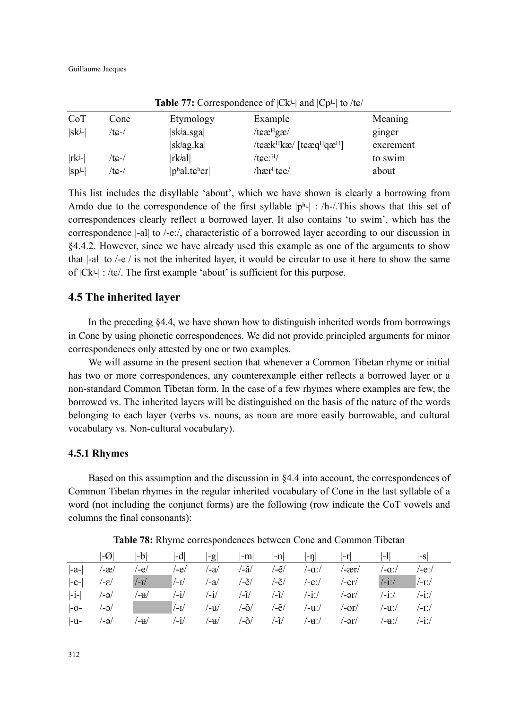| CoT        | Cone  | Etymology                                                         | Example                                                  | Meaning   |  |
|------------|-------|-------------------------------------------------------------------|----------------------------------------------------------|-----------|--|
| $ sk^{j-}$ | /tɕ-/ | $ $ sk <sup>j</sup> a.sga $ $                                     | $t \epsilon \mathbf{r}^{\text{H}} \mathbf{g} \mathbf{r}$ | ginger    |  |
|            |       | $ $ sk <sup>j</sup> ag.ka                                         | $\ell$ teæk $H$ kæ $\ell$ [teæq $H$ qæ $H$ ]             | excrement |  |
| $ rk^{j-}$ | /tɕ-/ | rk <sup>j</sup> al                                                | /tce: <sup>H</sup> /                                     | to swim   |  |
| $ sp^j$ -  | /tc-/ | $ p^{\text{h}}$ al.t $\boldsymbol{\varepsilon}^{\text{h}}$ er $ $ | /hær <sup>L</sup> tce/                                   | about     |  |

**Table 77:** Correspondence of |Ckʲ-| and |Cpʲ-| to /tܨ/

This list includes the disyllable 'about', which we have shown is clearly a borrowing from Amdo due to the correspondence of the first syllable  $|p^h|$  : /h-/. This shows that this set of correspondences clearly reflect a borrowed layer. It also contains 'to swim', which has the correspondence |-al| to /-eː/, characteristic of a borrowed layer according to our discussion in §4.4.2. However, since we have already used this example as one of the arguments to show that |-al| to /-eː/ is not the inherited layer, it would be circular to use it here to show the same of  $|Ck^j|$  : /tɕ/. The first example 'about' is sufficient for this purpose.

# **4.5 The inherited layer**

In the preceding §4.4, we have shown how to distinguish inherited words from borrowings in Cone by using phonetic correspondences. We did not provide principled arguments for minor correspondences only attested by one or two examples.

We will assume in the present section that whenever a Common Tibetan rhyme or initial has two or more correspondences, any counterexample either reflects a borrowed layer or a non-standard Common Tibetan form. In the case of a few rhymes where examples are few, the borrowed vs. The inherited layers will be distinguished on the basis of the nature of the words belonging to each layer (verbs vs. nouns, as noun are more easily borrowable, and cultural vocabulary vs. Non-cultural vocabulary).

# **4.5.1 Rhymes**

Based on this assumption and the discussion in §4.4 into account, the correspondences of Common Tibetan rhymes in the regular inherited vocabulary of Cone in the last syllable of a word (not including the conjunct forms) are the following (row indicate the CoT vowels and columns the final consonants):

|         | $ \hbox{-}{\raisebox{0.15ex}{$\not$}}{\cal O} $ | $ $ -b $ $ | -d            | -g            | $ -m $ | -n   | $ -n $ | l-r   | l-II          | l-Sl        |
|---------|-------------------------------------------------|------------|---------------|---------------|--------|------|--------|-------|---------------|-------------|
| $ -a-$  | /-æ/                                            | /-e/       | /-e/          | /-a/          | /-ã/   | /-ẽ/ | /−aː/  | /-ær/ | /-aː/         | /-eː/       |
| $ -e- $ | /−ε/                                            | $/$ -I $/$ | $/$ -I $/$    | /-a/          | /-ẽ/   | ′-ẽ/ | /-eː/  | /-er/ | $\frac{1}{1}$ | $/$ -1: $/$ |
| $ -i- $ | $/-\partial$                                    | /-₩        | /-i/          | $\mathbf{-i}$ | /-ĩ/   | /-ĩ/ | /-iː/  | /-ər/ | $/ -1$ .      | $- i$ :/    |
| $ -O- $ | /−ɔ/                                            |            | $/ -1/$       | /-u/          | /-õ/   | /-ẽ/ | /-uː/  | /-or/ | /-uː/         | /-1ː/       |
| $ -u-$  | $/-\partial$ /                                  | /-₩        | $\mathbf{-i}$ | /-u           | /-õ/   | /-ĩ/ | /-u∵/  | /-ər/ | /−u∵/         | $-1:$       |

**Table 78:** Rhyme correspondences between Cone and Common Tibetan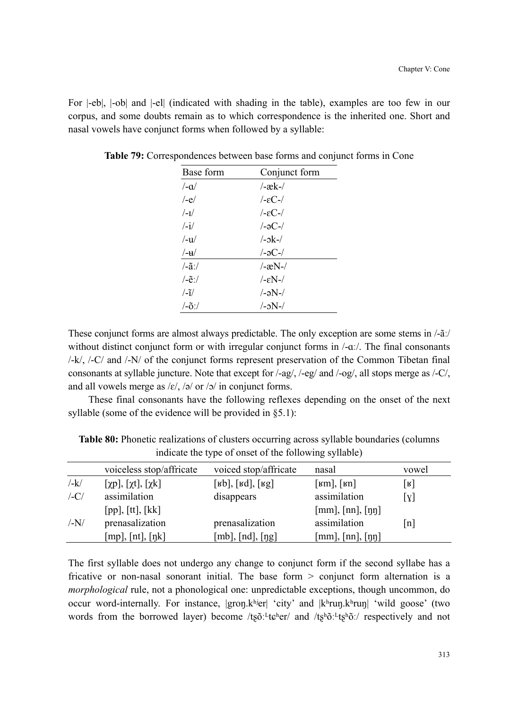For |-eb|, |-ob| and |-el| (indicated with shading in the table), examples are too few in our corpus, and some doubts remain as to which correspondence is the inherited one. Short and nasal vowels have conjunct forms when followed by a syllable:

| Base form                     | Conjunct form        |
|-------------------------------|----------------------|
| $/-\alpha/$                   | $-æk-$               |
| $/-e/$                        | $-EC-$               |
| $/$ - $\frac{1}{2}$           | $-EC-$               |
| $\frac{1}{\sqrt{2}}$          | $/-\partial C$ - $/$ |
| $/$ -u $/$                    | $l - 2k - l$         |
| $-u$                          | /-əC-/               |
| $\frac{\tilde{a}}{\tilde{a}}$ | $-xN-$               |
| /-ẽ:/                         | $ \epsilon$ N- $/$   |
| $\frac{1}{1}$                 | /-əN-/               |
| $/-\tilde{o}$ :/              | $/-\text{N}$ -/      |

**Table 79:** Correspondences between base forms and conjunct forms in Cone

These conjunct forms are almost always predictable. The only exception are some stems in /-ãː/ without distinct conjunct form or with irregular conjunct forms in  $/-\alpha$ . The final consonants /-k/, /-C/ and /-N/ of the conjunct forms represent preservation of the Common Tibetan final consonants at syllable juncture. Note that except for /-ag/, /-eg/ and /-og/, all stops merge as /-C/, and all vowels merge as  $\frac{\varepsilon}{\sqrt{2}}$  or  $\frac{\varepsilon}{\sqrt{2}}$  in conjunct forms.

These final consonants have the following reflexes depending on the onset of the next syllable (some of the evidence will be provided in §5.1):

|               | voiceless stop/affricate             | voiced stop/affricate    | nasal                            | vowel                        |
|---------------|--------------------------------------|--------------------------|----------------------------------|------------------------------|
| $-\mathbf{k}$ | $[\chi p]$ , $[\chi t]$ , $[\chi k]$ | $[kb]$ , $[kd]$ , $[kg]$ | [ $\text{km}$ ], [ $\text{km}$ ] | $\lfloor \texttt{R} \rfloor$ |
| $/-C/$        | assimilation                         | disappears               | assimilation                     | [x]                          |
|               | [pp], [tt], [kk]                     |                          | [mm], [nn], [nn]                 |                              |
| $/-N/$        | prenasalization                      | prenasalization          | assimilation                     | $\lceil n \rceil$            |
|               | [mp], [nt], [ŋk]                     | $[mb]$ , $[nd]$ , $[ng]$ | [mm], [nn], [nn]                 |                              |

**Table 80:** Phonetic realizations of clusters occurring across syllable boundaries (columns indicate the type of onset of the following syllable)

The first syllable does not undergo any change to conjunct form if the second syllabe has a fricative or non-nasal sonorant initial. The base form > conjunct form alternation is a *morphological* rule, not a phonological one: unpredictable exceptions, though uncommon, do occur word-internally. For instance,  $|gron.k<sup>hi</sup>er|$  'city' and  $|k<sup>h</sup>run.k<sup>h</sup>run|$  'wild goose' (two words from the borrowed layer) become /t $\frac{s}{r}$ t $\frac{t}{r}$ e $\frac{h}{r}$  and /t $\frac{s}{r}$ <sup>h</sup> $\frac{t}{r}$ ; respectively and not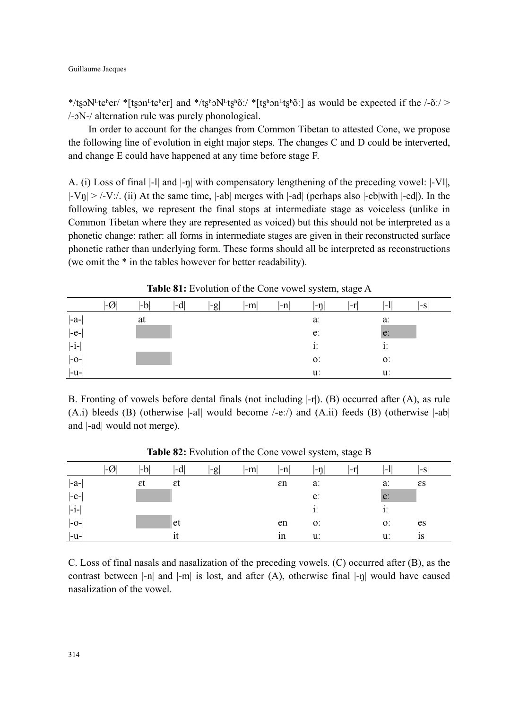\*/tsoN<sup>L</sup>tɕ<sup>h</sup>er/ \*[tson<sup>L</sup>tɕ<sup>h</sup>er] and \*/ts<sup>h</sup>oN<sup>L</sup>ts<sup>h</sup>õ:/ \*[tʂhon<sup>L</sup>tʂhõ:] as would be expected if the /-õː/ > /- $N$ -/ alternation rule was purely phonological.

In order to account for the changes from Common Tibetan to attested Cone, we propose the following line of evolution in eight major steps. The changes C and D could be interverted, and change E could have happened at any time before stage F.

A. (i) Loss of final |-l| and |-ŋ| with compensatory lengthening of the preceding vowel: |-Vl|,  $|-V\eta| > |-V$ . (ii) At the same time,  $|-ab|$  merges with  $|-ad|$  (perhaps also  $|-eb|$ with  $|-ed|$ ). In the following tables, we represent the final stops at intermediate stage as voiceless (unlike in Common Tibetan where they are represented as voiced) but this should not be interpreted as a phonetic change: rather: all forms in intermediate stages are given in their reconstructed surface phonetic rather than underlying form. These forms should all be interpreted as reconstructions (we omit the \* in the tables however for better readability).

|                             | $ \hbox{-}{\raisebox{-.95ex}{\scriptsize{ \mathcal{Q}}}} $ | $ $ - $b $ | l-di | $ -g $ | $ -m $ | -n | $ \text{-}\eta $ | l-r | l-II  | l-sl |
|-----------------------------|------------------------------------------------------------|------------|------|--------|--------|----|------------------|-----|-------|------|
| $ -a-$                      |                                                            | at         |      |        |        |    | a:               |     | a:    |      |
| $ -e- $                     |                                                            |            |      |        |        |    | e:               |     | e:    |      |
| $ -i-$                      |                                                            |            |      |        |        |    | 1.               |     | 1.    |      |
| $\left -\mathrm{O-}\right $ |                                                            |            |      |        |        |    | O.               |     | $O$ : |      |
| $ -u-$                      |                                                            |            |      |        |        |    | u:               |     | u:    |      |

**Table 81:** Evolution of the Cone vowel system, stage A

B. Fronting of vowels before dental finals (not including  $|-r|$ ). (B) occurred after (A), as rule (A.i) bleeds (B) (otherwise  $\vert$ -al| would become  $\vert$ -e: $\vert$ ) and (A.ii) feeds (B) (otherwise  $\vert$ -ab| and |-ad| would not merge).

|         | $ \hbox{-}{\cal O} $ | $ -b $ | $ -d $ | $ -g $ | $ -m $ | $ -n $ | $\left  -\eta \right $ | l-r | $\left\vert -1\right\vert$ | l-sl         |
|---------|----------------------|--------|--------|--------|--------|--------|------------------------|-----|----------------------------|--------------|
| $ -a-$  |                      | εt     | εt     |        |        | εn     | a:                     |     | a:                         | $\epsilon s$ |
| $ -e- $ |                      |        |        |        |        |        | e:                     |     | e:                         |              |
| $ -i-$  |                      |        |        |        |        |        | 1.                     |     | 1.                         |              |
| $ -o- $ |                      |        | et     |        |        | en     | O <sub>1</sub>         |     | O <sub>1</sub>             | es           |
| $ -u-$  |                      |        |        |        |        | 1n     | u:                     |     | u:                         | 1S           |

**Table 82:** Evolution of the Cone vowel system, stage B

C. Loss of final nasals and nasalization of the preceding vowels. (C) occurred after (B), as the contrast between  $|-n|$  and  $|-m|$  is lost, and after  $(A)$ , otherwise final  $|-n|$  would have caused nasalization of the vowel.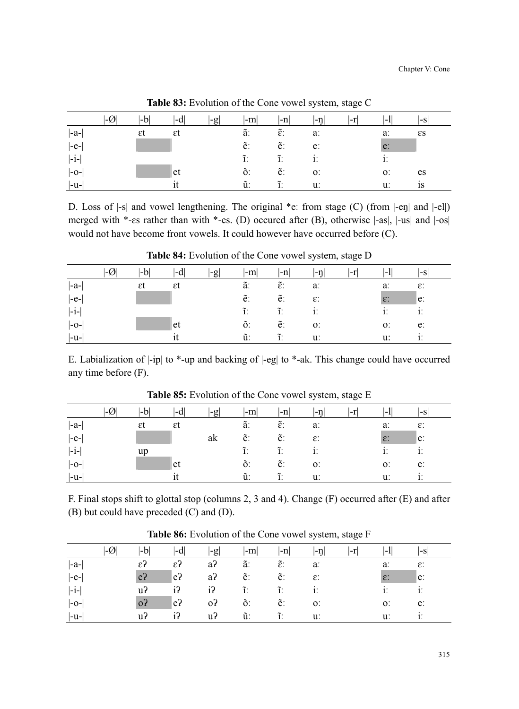|         | -V | -b | l-dl | $ -g $ | $-m$ | $ -n $               | $ - \eta  $    | l-r | -1             | l-sl         |
|---------|----|----|------|--------|------|----------------------|----------------|-----|----------------|--------------|
| $ -a-$  |    | εt | εt   |        | ã.   | $\tilde{\epsilon}$ : | a:             |     | a:             | $\epsilon s$ |
| $ -e- $ |    |    |      |        | ē.   | ĕ.                   | e:             |     | e:             |              |
| $ -i-$  |    |    |      |        | ĩ.   | ĩ.                   | 1.             |     | 1.             |              |
| $ -0-$  |    |    | et   |        | õ.   | ĕ.                   | O <sub>1</sub> |     | O <sub>1</sub> | es           |
| $ -u-$  |    |    |      |        | ũ:   | ĩ.                   | u:             |     | u:             | 1S           |

**Table 83:** Evolution of the Cone vowel system, stage C

D. Loss of  $\vert$ -s| and vowel lengthening. The original \*e: from stage (C) (from  $\vert$ -en| and  $\vert$ -el|) merged with \*-es rather than with \*-es. (D) occured after (B), otherwise  $|-as|$ ,  $|-us|$  and  $|-os|$ would not have become front vowels. It could however have occurred before (C).

|        | $-\mathcal{O}_1$ | l-b | l-d | l-gl | $ -m $ | $ -n $               | l-ni            | l-r | l-l             | l-Sl            |
|--------|------------------|-----|-----|------|--------|----------------------|-----------------|-----|-----------------|-----------------|
| $ -a-$ |                  | εt  | εt  |      | ã.     | $\tilde{\epsilon}$ : | a:              |     | a:              | $\varepsilon$ . |
| $ -e-$ |                  |     |     |      | ē.     | ĕ.                   | $\varepsilon$ : |     | $\varepsilon$ : | $\mathsf{e}$ :  |
| $ -i-$ |                  |     |     |      | ĩ.     | $\tilde{1}$ :        | 1.              |     | 1.              | 1.              |
| $ -0-$ |                  |     | let |      | õ.     | ê.                   | O <sub>1</sub>  |     | O <sub>1</sub>  | e:              |
| $ -u-$ |                  |     |     |      | ũ.     | ĩ.                   | u:              |     | u:              | $1^{\prime}$    |

**Table 84:** Evolution of the Cone vowel system, stage D

E. Labialization of |-ip| to \*-up and backing of |-eg| to \*-ak. This change could have occurred any time before (F).

|         | l-Ø | -b | $ -d $ | $ -g $ | $ -m $        | $-n$                 | l-nl                  | $ -r $ | -1              | l-s                   |
|---------|-----|----|--------|--------|---------------|----------------------|-----------------------|--------|-----------------|-----------------------|
| $ -a- $ |     | εt | εt     |        | ã.            | $\tilde{\epsilon}$ : | $a$ :                 |        | a:              | $\varepsilon$ :       |
| $ -e- $ |     |    |        | ak     | $\tilde{e}$ : | e:                   | $\varepsilon$ :       |        | $\varepsilon$ : | $ e\rangle$           |
| $ -i-$  |     | up |        |        | $\tilde{1}$ . | $\tilde{1}$ .        | $\ddot{\mathbf{i}}$ : |        | 1.              | $\ddot{\mathbf{i}}$ : |
| $ -o-$  |     |    | et     |        | õ.            | ĕ.                   | O <sub>1</sub>        |        | $0$ .           | e:                    |
| $ -u-$  |     |    |        |        | ũ.            | $\tilde{1}$ .        | u:                    |        | u.              | 1.                    |

**Table 85:** Evolution of the Cone vowel system, stage E

F. Final stops shift to glottal stop (columns 2, 3 and 4). Change (F) occurred after (E) and after (B) but could have preceded (C) and (D).

|        | ∣-V | -b              | l-d            | $ -g $         | $ -m $        | $ -n $               | $ -n$           | l-r | 1 – I           | l-S             |
|--------|-----|-----------------|----------------|----------------|---------------|----------------------|-----------------|-----|-----------------|-----------------|
| $ -a-$ |     | $\varepsilon$ ? | $\epsilon$ ?   | a?             | ã.            | $\tilde{\epsilon}$ : | a:              |     | a:              | $\varepsilon$ : |
| $ -e-$ |     | e <sub>2</sub>  | $ e\rangle$    | a <sup>2</sup> | e:            | ĕ.                   | $\varepsilon$ : |     | $\varepsilon$ : | $\mathsf{e}$ :  |
| $ -i-$ |     | u?              | i?             | i?             | $\tilde{1}$ : | $\tilde{1}$ .        |                 |     | 1.              | 1.              |
| $ -0-$ |     | 0?              | e <sub>2</sub> | 0?             | õ.            | ê.                   | $O$ :           |     | 0.              | e:              |
| $ -u-$ |     | u <sup>2</sup>  | i?             | u <sub>2</sub> | ũ.            | ĩ.                   | u:              |     | u:              | 1'              |

**Table 86:** Evolution of the Cone vowel system, stage F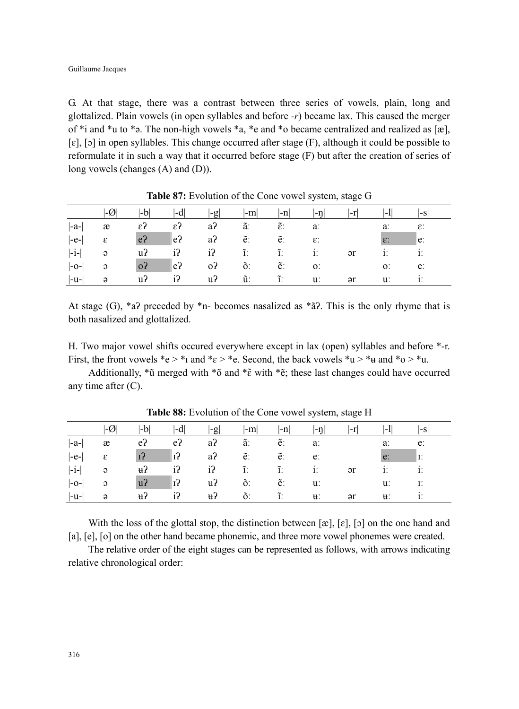G. At that stage, there was a contrast between three series of vowels, plain, long and glottalized. Plain vowels (in open syllables and before *-r*) became lax. This caused the merger of \*i and \*u to \*ə. The non-high vowels \*a, \*e and \*o became centralized and realized as [æ],  $[\epsilon]$ ,  $[\circ]$  in open syllables. This change occurred after stage  $(F)$ , although it could be possible to reformulate it in such a way that it occurred before stage (F) but after the creation of series of long vowels (changes (A) and (D)).

|         | $ \mathcal{A} $            | $ -b $         | $ -d $       | $ -g $              | $-m$ | $ -n $               | $ - \eta $      | $ -r $       | $ -1 $          | $ -S $         |  |
|---------|----------------------------|----------------|--------------|---------------------|------|----------------------|-----------------|--------------|-----------------|----------------|--|
| $ -a- $ | æ                          | $\epsilon$ ?   | $\epsilon$ ? | $a$ ?               | ã.   | $\tilde{\epsilon}$ : | a:              |              | a:              | ε:             |  |
| $ -e- $ | $\boldsymbol{\varepsilon}$ | e <sub>2</sub> | $ e^2 $      | $a$ ?               | e:   | ĕ.                   | $\varepsilon$ : |              | $\varepsilon$ : | $\mathsf{e}$ : |  |
| $ -i- $ | $\theta$                   | u <sub>2</sub> | $i$ ?        | $i$ ? $\tilde{i}$ : |      | $\tilde{1}$ .        | 1.              | $\partial$ r | 1.              | 1.             |  |
| $ -O- $ | $\mathfrak{O}$             | o <sub>2</sub> | $ e\rangle$  | 0 <sup>2</sup>      | õ.   | e:                   | $O$ :           |              | O <sub>1</sub>  | e:             |  |
| $ -u-$  | $\Theta$                   | u <sub>2</sub> | $i$ ?        | $u$ ?               | ũ.   | $\tilde{1}$ .        | $\mathbf{u}$ :  | $\partial$ r | u:              |                |  |

**Table 87:** Evolution of the Cone vowel system, stage G

At stage (G),  $a^2$  preceded by  $a^2$ n- becomes nasalized as  $a^2$ . This is the only rhyme that is both nasalized and glottalized.

H. Two major vowel shifts occured everywhere except in lax (open) syllables and before \*-r. First, the front vowels \*e > \*<sub>I</sub> and \* $\varepsilon$  > \*e. Second, the back vowels \*u > \*u and \*o > \*u.

Additionally, \*ũ merged with \*õ and \*ɛ̃ with \*ẽ; these last changes could have occurred any time after (C).

|         |                | l-bl           | I-di                       | $ -g $         | $ -m $ | $\mathsf{I}\text{-}\mathsf{n}\mathsf{I}$ | ∣-n            |                | -1             | l-S |
|---------|----------------|----------------|----------------------------|----------------|--------|------------------------------------------|----------------|----------------|----------------|-----|
| $ -a-$  | æ              | e <sub>2</sub> | e <sub>2</sub>             | $a$ ?          | ã.     | ẽ.                                       | a:             |                | a:             | e:  |
| $ -e- $ | ε              | 13             | $ 1\rangle$                | a?             | ē.     | ĕ.                                       | e:             |                | e:             | Ī.  |
| $ -i-$  | $\Theta$       | $\mu$ ?        | $i$ ?                      | $i$ ?          | ĩ.     | ĩ.                                       | 1.             | $\mathsf{a}$ r | 1.             |     |
| $ -O- $ | $\mathfrak{O}$ | u <sub>2</sub> | $\vert \mathbf{1} \rangle$ | u <sup>2</sup> | õ.     | ĕ.                                       | u:             |                | u:             | Е.  |
| $ -u- $ | $\Theta$       | H <sub>1</sub> | i?                         | H <sub>1</sub> | õ.     | $\tilde{I}$ .                            | $\mathbf{H}$ . | $\partial$     | $\mathbf{H}$ : |     |

**Table 88:** Evolution of the Cone vowel system, stage H

With the loss of the glottal stop, the distinction between  $[\mathbf{x}]$ ,  $[\mathbf{x}]$ ,  $[\mathbf{b}]$  on the one hand and [a], [e], [o] on the other hand became phonemic, and three more vowel phonemes were created.

The relative order of the eight stages can be represented as follows, with arrows indicating relative chronological order: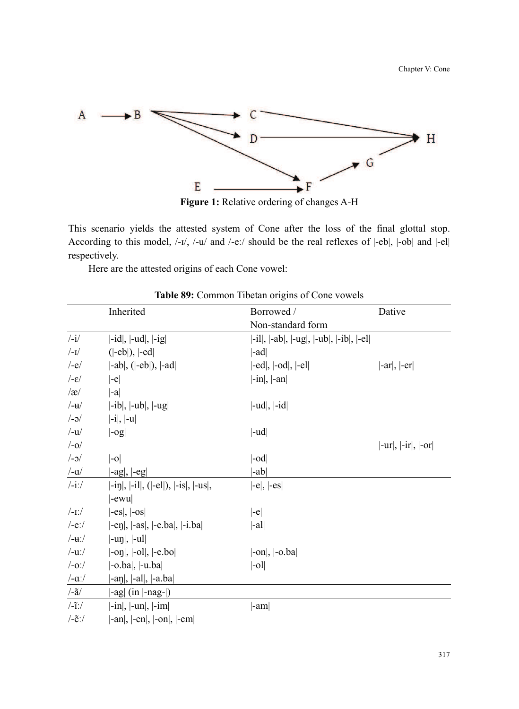

**Figure 1:** Relative ordering of changes A-H

This scenario yields the attested system of Cone after the loss of the final glottal stop. According to this model, /-ɪ/, /-u/ and /-eː/ should be the real reflexes of |-eb|, |-ob| and |-el| respectively.

Here are the attested origins of each Cone vowel:

|                                                   | Inherited                                                          | Borrowed /                                                | Dative                |
|---------------------------------------------------|--------------------------------------------------------------------|-----------------------------------------------------------|-----------------------|
|                                                   |                                                                    | Non-standard form                                         |                       |
| $\frac{1}{\sqrt{2}}$                              | $\left  -id \right $ , $\left  -ud \right $ , $\left  -ig \right $ | $[-il], [-ab], [-ug], [-ub], [-ib], [-el]$                |                       |
| $/$ -I $/$                                        | $( -eb )$ , $ -ed $                                                | $ $ -ad $ $                                               |                       |
| $/-e/$                                            | $\vert -ab \vert$ , $\vert \vert -eb \vert$ ), $\vert -ad \vert$   | $\left[-ed\right], \left[-od\right], \left[-el\right]$    | $ -ar ,  -er $        |
| $\frac{1}{\epsilon}$                              | $ -e $                                                             | $\left  -\text{in} \right $ , $\left  -\text{an} \right $ |                       |
| $\alpha$                                          | $\vert -a \vert$                                                   |                                                           |                       |
| $/$ -u $/$                                        | $ -ib ,  -ub ,  -ug $                                              | $ -ud ,  -id $                                            |                       |
| $/-\partial$                                      | $\vert -i \vert$ , $\vert -u \vert$                                |                                                           |                       |
| $/$ -u $/$                                        | log                                                                | $ -ud $                                                   |                       |
| $/-0/$                                            |                                                                    |                                                           | $ -ur ,  -ir ,  -or $ |
| $/-0/$                                            | $ -0 $                                                             | $ $ -od                                                   |                       |
| $/-\alpha/$                                       | $\vert$ -ag $\vert$ , $\vert$ -eg $\vert$                          | $ -ab $                                                   |                       |
| $/$ -i: $/$                                       | $[-i\eta], [-i\ell], ([-el]), [-is], [-us],$                       | $\left -e\right , \left -es\right $                       |                       |
|                                                   | $ -ewu $                                                           |                                                           |                       |
| $/$ -1: $/$                                       | $\left -es\right , \left -os\right $                               | $ -e $                                                    |                       |
| $/-e$ :/                                          | $[-en]$ , $[-as]$ , $[-e, ba]$ , $[-i, ba]$                        | $\vert$ -al $\vert$                                       |                       |
| $/ - u$ :/                                        | $ -un ,  -ul $                                                     |                                                           |                       |
| $/$ -u: $/$                                       | $[-\text{on}], [-\text{ol}], [-\text{e}, \text{bo}]$               | $[-on], [-o, ba]$                                         |                       |
| $/-o$ :/                                          | $\left[-o \cdot ba\right], \left[-u \cdot ba\right]$               | $\vert$ -ol $\vert$                                       |                       |
| $/ -\alpha$ :/                                    | $[-a\eta], [-a\eta], [-a, ba]$                                     |                                                           |                       |
| $\lambda - \tilde{a}$                             | $\vert$ -ag $\vert$ (in $\vert$ -nag- $\vert$ )                    |                                                           |                       |
| $\frac{-\tilde{\mathbf{i}}}{\tilde{\mathbf{i}}}}$ | $[-in], [-un], [-im]$                                              | $ -am $                                                   |                       |
| $\sqrt{-e}$ :/                                    | $-an \vert, \vert - en \vert, \vert - on \vert, \vert - em \vert$  |                                                           |                       |

**Table 89:** Common Tibetan origins of Cone vowels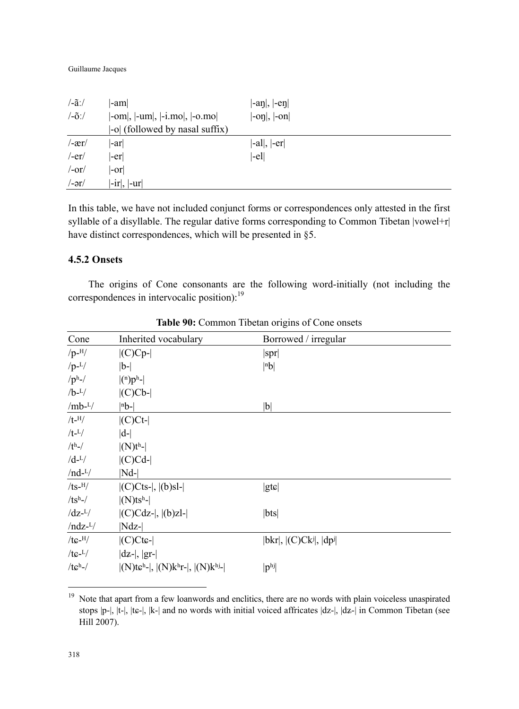#### Guillaume Jacques

| $\frac{1}{a}$                 | -am                                                                                    | $\vert$ -an $\vert$ , $\vert$ -en $\vert$          |
|-------------------------------|----------------------------------------------------------------------------------------|----------------------------------------------------|
| $\frac{\partial}{\partial x}$ | $[-\text{om}], [-\text{um}], [-\text{i} \dots \text{mo}], [-\text{o} \dots \text{mo}]$ | $\left[-\text{on}\right], \left[-\text{on}\right]$ |
|                               | -o  (followed by nasal suffix)                                                         |                                                    |
| $/$ -ær $/$                   | -ar                                                                                    | $\vert$ -al $\vert$ , $\vert$ -er $\vert$          |
| $/$ -er $/$                   | -erl                                                                                   | $ -el $                                            |
| /-or/                         | -orl                                                                                   |                                                    |
| $/-ar/$                       | $ -ir ,  -ur $                                                                         |                                                    |

In this table, we have not included conjunct forms or correspondences only attested in the first syllable of a disyllable. The regular dative forms corresponding to Common Tibetan |vowel+r| have distinct correspondences, which will be presented in §5.

# **4.5.2 Onsets**

The origins of Cone consonants are the following word-initially (not including the correspondences in intervocalic position):<sup>19</sup>

| Cone             | Inherited vocabulary                                                                 | Borrowed / irregular            |
|------------------|--------------------------------------------------------------------------------------|---------------------------------|
| $/p$ - $^{H}/$   | $  (C)Cp-$                                                                           | spr                             |
| $/p-L/$          | $ b-$                                                                                | nb                              |
| $/ph$ -/         | (n)p <sup>h</sup>                                                                    |                                 |
| $/b-L/$          | $  (C) C b -  $                                                                      |                                 |
| $/mb^{-L}/$      | $ nb- $                                                                              | b                               |
| $/t$ - $^{H}/$   | $ $ (C)Ct- $ $                                                                       |                                 |
| $/t$ - $L/$      | $ d-$                                                                                |                                 |
| $/th$ -/         | $ (N)th- $                                                                           |                                 |
| $/d$ - $L/$      | $  (C)Cd- $                                                                          |                                 |
| $/nd-L/$         | $ Nd-$                                                                               |                                 |
| $/ts$ -H $/$     | $  (C)C$ ts- $ ,  (b)$ sl- $ $                                                       | $ {\rm g} {\rm t} \varepsilon $ |
| $/tsh$ -/        | $ (N)tsh- $                                                                          |                                 |
| $\frac{dz^L}{ }$ | $  (C)Cdz$ - $ ,  (b)z$ l- $ $                                                       | bts                             |
| $/ndz$ - $L/$    | $Ndz$ -                                                                              |                                 |
| $/tc$ -H $/$     | $ $ (C)Ctc- $ $                                                                      | $ bkr ,  (C)Ck^j ,  dp^j $      |
| $/tc^{-L/}$      | $ dz- ,  gr- $                                                                       |                                 |
| $/tch$ -/        | $ (N)$ tc <sup>h</sup> - $ ,  (N)$ k <sup>h</sup> r- $ ,  (N)$ k <sup>hj</sup> - $ $ | $ p^{hj} $                      |

**Table 90:** Common Tibetan origins of Cone onsets

<sup>19</sup> Note that apart from a few loanwords and enclitics, there are no words with plain voiceless unaspirated stops  $|p-|$ ,  $|t-|$ ,  $|t-|$ ,  $|k-|$  and no words with initial voiced affricates  $|dz-|$ ,  $|dz-|$  in Common Tibetan (see Hill 2007).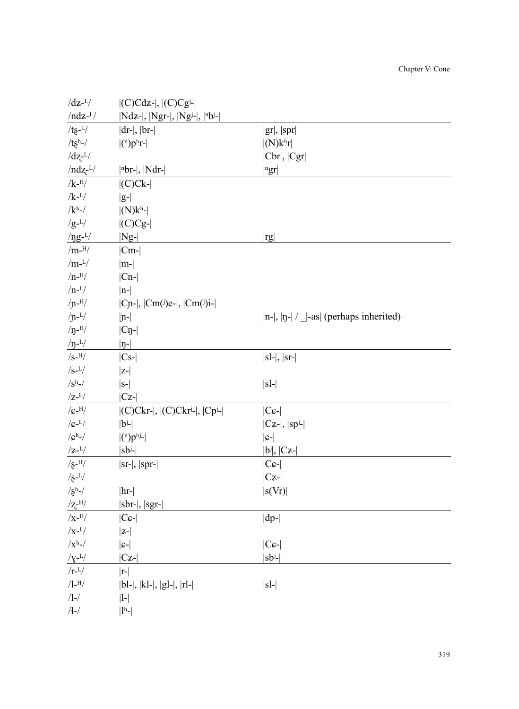| pr  |  |  |  |
|-----|--|--|--|
| r   |  |  |  |
| Cgr |  |  |  |

Chapter V: Cone

| $/ndz$ - $L/$                                                           | $ Ndz- ,  Ngr- ,  Ngi- ,  nbi- $                                |                                                   |
|-------------------------------------------------------------------------|-----------------------------------------------------------------|---------------------------------------------------|
| $/ts^{-L/2}$                                                            | $ dr- ,  br- $                                                  | gr ,  spr                                         |
| $/tsh$ -/                                                               | $ (n)phr- $                                                     | $ (N)k^h r $                                      |
| $\frac{dz^{-L}}{dt}$                                                    |                                                                 | Cbr ,  Cgr                                        |
| $/ndz$ <sup>L/</sup>                                                    | $ nbr- ,  Ndr- $                                                | $ {}^{n}gr $                                      |
| $/k$ - $^{H/}$                                                          | $ $ (C)Ck- $ $                                                  |                                                   |
| $/k$ - $L/$                                                             | $ g- $                                                          |                                                   |
| /kh-/ $\,$                                                              | $ (N)kh$ - $ $                                                  |                                                   |
| $/g-L/$                                                                 | $  (C)Cg-$                                                      |                                                   |
| $/ \eta g$ - <sup>L</sup> /                                             | $ Ng-$                                                          | rg                                                |
| /m- $^{\rm H}/$                                                         | $ Cm-$                                                          |                                                   |
| $/m-L/$                                                                 | $ m- $                                                          |                                                   |
| $/n$ - $^{H}/$                                                          | $ Cn-$                                                          |                                                   |
| $/n-L/$                                                                 | $ n- $                                                          |                                                   |
| $/$ n- $^{H/}$                                                          | $ C_{n-} $ , $ C_{m}(i)e^{-} $ , $ C_{m}(i)i- $                 |                                                   |
| $/$ n <sup>-L<math>/</math></sup>                                       | $ n-$                                                           | $ n- ,  n- $ / $ -\text{as} $ (perhaps inherited) |
| $/p$ -H/                                                                | $ C_{\eta-} $                                                   |                                                   |
| $/p^{-L}/$                                                              | $ \eta$ -                                                       |                                                   |
| /s-H/ $\,$                                                              | $ Cs- $                                                         | $ sl- ,  sr- $                                    |
| /s- $L/$                                                                | $ z-$                                                           |                                                   |
| /sh-/ $\,$                                                              | $ S-$                                                           | $ sl-$                                            |
| $\rm Z^{-L}/$                                                           | $ Cz-$                                                          |                                                   |
| $/$ c-H $/$                                                             | $ $ (C)Ckr- , $ $ (C)Ckr <sup>j</sup> - , $ $ Cp <sup>j</sup> - | $ C \mathcal{G}$ -                                |
| $/c$ - $L/$                                                             | $ b^j-$                                                         | $ Cz- ,  sp- $                                    |
| / $\mathcal{C}^h$ -/                                                    | $ (n)phj- $                                                     | $ c- $                                            |
| $/z$ - $L/$                                                             | $ sb^j-$                                                        | $ b^j ,  Cz- $                                    |
| $/g$ - <sup>H</sup> /                                                   | $ sr- ,  spr- $                                                 | $ C_{\mathcal{G}} $                               |
| $\sqrt{s^{-L}}/$                                                        |                                                                 | $ Cz-$                                            |
| $/gh$ -/                                                                | $\vert$ hr- $\vert$                                             | s(Vr)                                             |
| $\frac{ / \mathbf{Z}^{-\mathrm{H}} / }{ / \mathbf{X}^{-\mathrm{H}} / }$ | $ {}str- ,  sgr- $                                              |                                                   |
|                                                                         | $ C_{\mathcal{G}} $                                             | $ dp-$                                            |
| $/x$ - $L/$                                                             | $ z-$                                                           |                                                   |
| $/xh$ -/                                                                | $ \mathbf{c-} $                                                 | $ C\mathfrak{c}\text{-} $                         |
| $/\gamma$ - $L/$                                                        | $ Cz-$                                                          | sbʲ-                                              |
| /r- $^{\rm L}/$                                                         | $ r-$                                                           |                                                   |
| /l- $^{\rm H/}$                                                         | $ bl- ,  kl- ,  gl- ,  rl- $                                    | $ sl-$                                            |
| /l-/                                                                    | $ l-$                                                           |                                                   |
| /ł-/                                                                    | $ 1h$ -                                                         |                                                   |

 $\frac{|C|C|}{|C|C|}$  |(C)Cdz-|,  $|C|C|C|$ |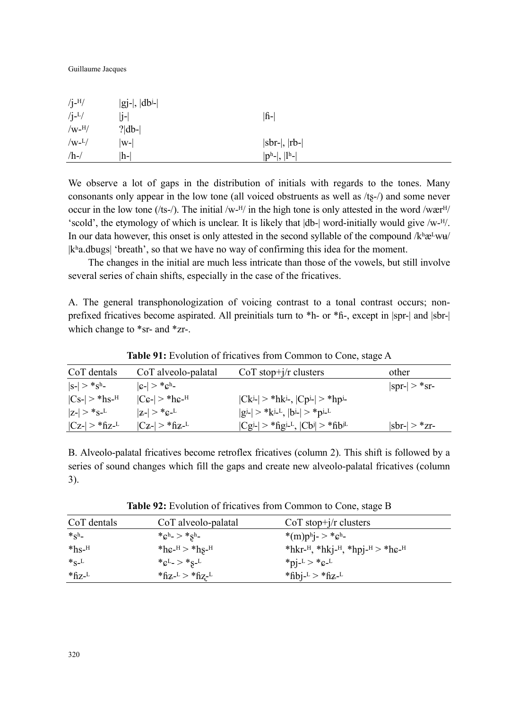Guillaume Jacques

| $/j$ - $^{H}/$ | $ gj- ,  dbj- $ |                  |
|----------------|-----------------|------------------|
| $/$ j- $^{L}/$ | lj-             | <b>f</b>         |
| $/w$ - $^{H}/$ | $? db- $        |                  |
| $/w-L/$        | $ w-$           | $ sbr- ,  rb- $  |
| $/h$ -/        | h-              | $ p^h- ,  l^h- $ |

We observe a lot of gaps in the distribution of initials with regards to the tones. Many consonants only appear in the low tone (all voiced obstruents as well as  $/ts$ -/) and some never occur in the low tone (/ts-/). The initial /w-<sup>H</sup>/ in the high tone is only attested in the word /wær<sup>H</sup>/ 'scold', the etymology of which is unclear. It is likely that  $|db-|$  word-initially would give /w- $H$ . In our data however, this onset is only attested in the second syllable of the compound  $/k^h$ æ<sup>L</sup>wu |kʰa.dbugs| 'breath', so that we have no way of confirming this idea for the moment.

The changes in the initial are much less intricate than those of the vowels, but still involve several series of chain shifts, especially in the case of the fricatives.

A. The general transphonologization of voicing contrast to a tonal contrast occurs; nonprefixed fricatives become aspirated. All preinitials turn to \*h- or \*ɦ-, except in |spr-| and |sbr-| which change to \*sr- and \*zr-.

|                              |                                               | Those of the control of Hitchit to Home common to come, bugge in |                       |
|------------------------------|-----------------------------------------------|------------------------------------------------------------------|-----------------------|
| CoT dentals                  | CoT alveolo-palatal                           | $CoT stop+j/r$ clusters                                          | other                 |
| $ S-  > *Sh$                 | $ c-  > *ch$ -                                |                                                                  | $ spr-  > *sr-$       |
| $ Cs-  > *hs$ - <sup>H</sup> | $ C\epsilon- $ > *h $\epsilon$ - <sup>H</sup> | $ Ck^{j-}  > *hk^{j-}$ , $ Cp^{j-}  > *hp^{j-}$                  |                       |
| $ z-  > *_{S^-}L$            | $ z-  > *c^{-1}$                              | $ g^{j_-}  > *k^{j_-L},  b^{j_-}  > *p^{j_-L}$                   |                       |
| $ Cz-  > *fizL$              | $ C_{Z}$ - $ >$ *fiz- $^{L}$                  | $ Cgi  > *figi-L$ , $ Cb  > *fibiL$                              | $ {\rm sbr-}  > *zr-$ |

**Table 91:** Evolution of fricatives from Common to Cone, stage A

B. Alveolo-palatal fricatives become retroflex fricatives (column 2). This shift is followed by a series of sound changes which fill the gaps and create new alveolo-palatal fricatives (column 3).

**Table 92:** Evolution of fricatives from Common to Cone, stage B

| CoT dentals         | CoT alveolo-palatal                                   | $CoT stop+j/r$ clusters                                                                     |
|---------------------|-------------------------------------------------------|---------------------------------------------------------------------------------------------|
| $*_{\mathcal{S}^h}$ | * $c^{\rm h}$ - > * $S^{\rm h}$ -                     | *(m)ph <sub>1</sub> - > * $c$ <sup>h</sup> -                                                |
| $*$ hs- $^{\rm H}$  | * $he$ <sup>H</sup> > * $hs$ <sup>H</sup>             | *hkr- <sup>H</sup> , *hkj- <sup>H</sup> , *hpj- <sup>H</sup> > *h $\epsilon$ - <sup>H</sup> |
| $*_S_L$             | * $c^{L}$ > * $s^{-L}$                                | *pi- $\frac{1}{2}$ > *c- $\frac{1}{2}$                                                      |
| $*$ fiz- $L$        | * $\rm{f}_{Z}$ - $\rm{L}$ > * $\rm{f}_{Z}$ - $\rm{L}$ | *fibj- $L >$ *fiz- $L$                                                                      |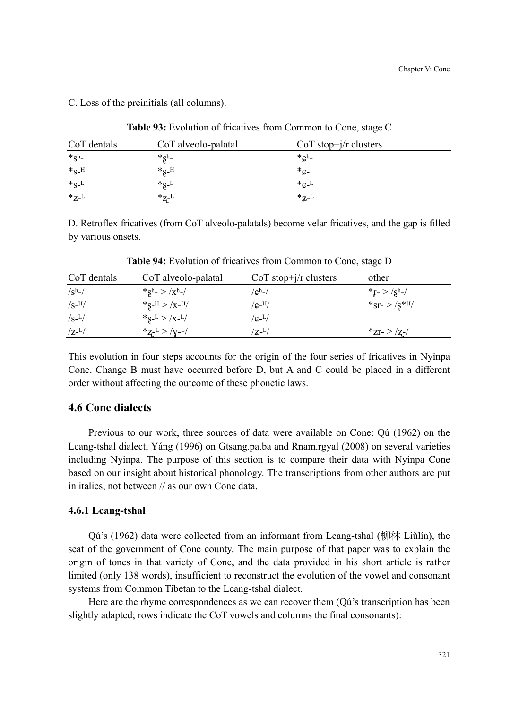| C. Loss of the preinitials (all columns). |  |  |  |  |  |  |
|-------------------------------------------|--|--|--|--|--|--|
|-------------------------------------------|--|--|--|--|--|--|

| CoT dentals       | CoT alveolo-palatal | $CoT stop+j/r$ clusters         |  |
|-------------------|---------------------|---------------------------------|--|
| $*_{\mathrm{Sh}}$ | $*_{S^h-}$          | $*_{\mathbb{C}^{\mathrm{h}}}$ . |  |
| $*_S$ -H          | $*_{S-H}$           | $^*c-$                          |  |
| $*_S_L$           | $*_S$ <sup>L</sup>  | $*_cL$                          |  |
| $*_{Z}L$          | $*_{Z^-}L$          | $*_{Z}L$                        |  |

**Table 93:** Evolution of fricatives from Common to Cone, stage C

D. Retroflex fricatives (from CoT alveolo-palatals) become velar fricatives, and the gap is filled by various onsets.

| CoT dentals                   | CoT alveolo-palatal        | $CoT stop+j/r$ clusters | other                           |
|-------------------------------|----------------------------|-------------------------|---------------------------------|
| $/\mathrm{S}^{\mathrm{h}}$ -/ | $*_{S^h}> x^h $            | $\rm /c^h$ -/           | *r- > /sh-/                     |
| $\sqrt{s}$ -H $/$             | $*_S$ -H > /x-H/           | $/$ c- $^{H}/$          | $*_{ST^-}$ > /s <sup>*H</sup> / |
| $\sqrt{s^{-L}}$               | $*_S - L > /X - L/$        | $/c-1/$                 |                                 |
| $\rm Z$ - $\rm L/$            | $*_{Z^{-L}} >  _{Y^{-L}}/$ | $\rm{Z-L/}$             | $z - z$ /z-                     |

**Table 94:** Evolution of fricatives from Common to Cone, stage D

This evolution in four steps accounts for the origin of the four series of fricatives in Nyinpa Cone. Change B must have occurred before D, but A and C could be placed in a different order without affecting the outcome of these phonetic laws.

# **4.6 Cone dialects**

Previous to our work, three sources of data were available on Cone: Qú (1962) on the Lcang-tshal dialect, Yáng (1996) on Gtsang.pa.ba and Rnam.rgyal (2008) on several varieties including Nyinpa. The purpose of this section is to compare their data with Nyinpa Cone based on our insight about historical phonology. The transcriptions from other authors are put in italics, not between // as our own Cone data.

## **4.6.1 Lcang-tshal**

Oú's (1962) data were collected from an informant from Lcang-tshal (柳林 Liǔlín), the seat of the government of Cone county. The main purpose of that paper was to explain the origin of tones in that variety of Cone, and the data provided in his short article is rather limited (only 138 words), insufficient to reconstruct the evolution of the vowel and consonant systems from Common Tibetan to the Lcang-tshal dialect.

Here are the rhyme correspondences as we can recover them (Qú's transcription has been slightly adapted; rows indicate the CoT vowels and columns the final consonants):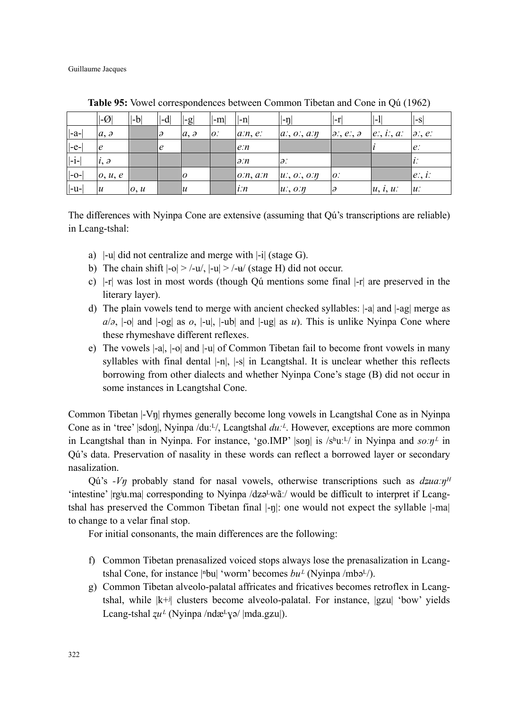Guillaume Jacques

|        | $ \mathcal{A} $  | $\left  -b \right $          | -d | $\left  \cdot \right $ | $ -m $ | $l - n$       | $ - \eta $          | l-r                          | $\mathsf{L}$  | ll-Sl            |
|--------|------------------|------------------------------|----|------------------------|--------|---------------|---------------------|------------------------------|---------------|------------------|
| -a-    | a, a             |                              | IЭ | a, a                   | O      | a:n, e        | a, o, a, m          | $\partial$ :, e:, $\partial$ | $e$ ;, i;, a; | $\partial$ :, e: |
| $ -e-$ | e                |                              | Ιe |                        |        | e:n           |                     |                              |               | $ e\rangle$      |
| $ -i-$ | $i, \partial$    |                              |    |                        |        | $\partial$ :n | $\partial$ .        |                              |               | 1 L .            |
| -0-    | 0, u, e          |                              |    | ΙO                     |        | o:n, a:n      | $u: 0: 0: \eta$     | $ O\rangle$                  |               | $ e, i\rangle$   |
| $ -u-$ | $\boldsymbol{u}$ | $\mathfrak{o}, \mathfrak{u}$ |    | $\mathcal{U}$          |        | i:n           | $u$ ;, $o$ : $\eta$ |                              | u, i, u       | $\mathfrak{u}$ : |

**Table 95:** Vowel correspondences between Common Tibetan and Cone in Qú (1962)

The differences with Nyinpa Cone are extensive (assuming that Qú's transcriptions are reliable) in Lcang-tshal:

- a) |-u| did not centralize and merge with |-i| (stage G).
- b) The chain shift  $|-o| > |-u|$ ,  $|-u| > |-u|$  (stage H) did not occur.
- c) |-r| was lost in most words (though Qú mentions some final |-r| are preserved in the literary layer).
- d) The plain vowels tend to merge with ancient checked syllables: |-a| and |-ag| merge as  $a/\partial$ ,  $|\text{-}o|$  and  $|\text{-}og|$  as  $\partial$ ,  $|\text{-}u|$ ,  $|\text{-}ub|$  and  $|\text{-}ug|$  as *u*). This is unlike Nyinpa Cone where these rhymeshave different reflexes.
- e) The vowels |-a|, |-o| and |-u| of Common Tibetan fail to become front vowels in many syllables with final dental  $|-n|$ ,  $|-s|$  in Lcangtshal. It is unclear whether this reflects borrowing from other dialects and whether Nyinpa Cone's stage (B) did not occur in some instances in Lcangtshal Cone.

Common Tibetan |-Vŋ| rhymes generally become long vowels in Lcangtshal Cone as in Nyinpa Cone as in 'tree' |sdon|, Nyinpa /duː<sup>L</sup>/, Lcangtshal  $du$ <sup>*z*</sup>. However, exceptions are more common in Lcangtshal than in Nyinpa. For instance, 'go.IMP'  $|{\rm son}|$  is  $/s<sup>h</sup>u<sup>1</sup>$  in Nyinpa and  $s\sigma\eta<sup>L</sup>$  in Qú's data. Preservation of nasality in these words can reflect a borrowed layer or secondary nasalization.

Qú's *-V*<sup>*n*</sup> probably stand for nasal vowels, otherwise transcriptions such as  $dz \mu x \eta$ <sup>*H*</sup> 'intestine' |rgʲu.ma| corresponding to Nyinpa /dzə<sup>L</sup>wãː/ would be difficult to interpret if Lcangtshal has preserved the Common Tibetan final  $\vert -\eta \vert$ : one would not expect the syllable  $\vert -\eta \vert$ to change to a velar final stop.

For initial consonants, the main differences are the following:

- f) Common Tibetan prenasalized voiced stops always lose the prenasalization in Lcangtshal Cone, for instance  $|\text{b}u|$  'worm' becomes  $bu^L$  (Nyinpa /mbə<sup>L</sup>/).
- g) Common Tibetan alveolo-palatal affricates and fricatives becomes retroflex in Lcangtshal, while  $|k+j|$  clusters become alveolo-palatal. For instance,  $|g\chi|$  'bow' yields Lcang-tshal  $zu^L$  (Nyinpa /ndæ $\frac{L}{V}$ ə/ |mda.gzu|).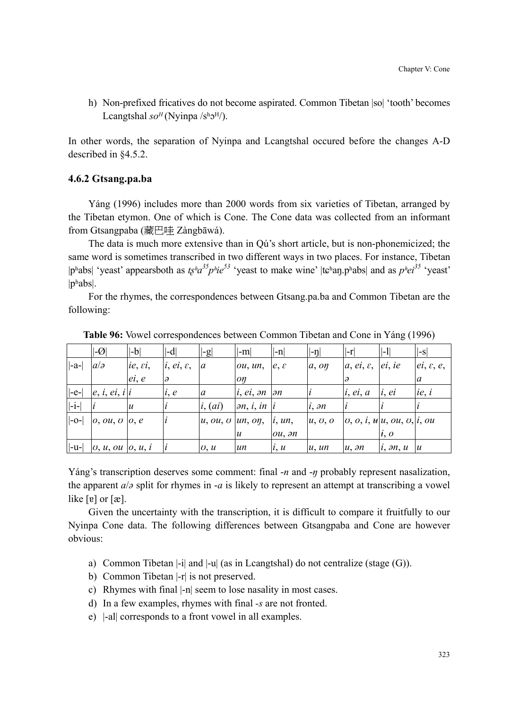h) Non-prefixed fricatives do not become aspirated. Common Tibetan |so| 'tooth' becomes Lcangtshal  $so^H$ (Nyinpa /sh $o^H$ /).

In other words, the separation of Nyinpa and Lcangtshal occured before the changes A-D described in §4.5.2.

#### **4.6.2 Gtsang.pa.ba**

Yáng (1996) includes more than 2000 words from six varieties of Tibetan, arranged by the Tibetan etymon. One of which is Cone. The Cone data was collected from an informant from Gtsangpaba (藏巴哇 Zàngbāwá).

The data is much more extensive than in Qú's short article, but is non-phonemicized; the same word is sometimes transcribed in two different ways in two places. For instance, Tibetan |pʰabs| 'yeast' appearsboth as  $t\xi^{h}a^{35}p^{h}ie^{53}$  'yeast to make wine' |tɕʰaŋ.pʰabs| and as  $p^{h}e^{35}$  'yeast' |pʰabs|.

For the rhymes, the correspondences between Gtsang.pa.ba and Common Tibetan are the following:

|                       | $ \mathcal{A} $                   | $ -b $                | -d                     | $ -g $                                       | ll-ml                        | $ -n $           | $ - \eta $          | $ -r $                                | $ -1 $             | $ -S $                 |
|-----------------------|-----------------------------------|-----------------------|------------------------|----------------------------------------------|------------------------------|------------------|---------------------|---------------------------------------|--------------------|------------------------|
| $ -a- $               | a/a                               | $ie, \varepsilon i$ , | $i, ei, \varepsilon$ , | $\overline{a}$                               | ou, un,                      | $e, \varepsilon$ | a, on               | $a, ei, \varepsilon$                  | ei, ie             | $ ei, \varepsilon, e,$ |
|                       |                                   | ei, e                 | $\partial$             |                                              | oŋ                           |                  |                     | $\partial$                            |                    | a                      |
| $ -e- $               | e, i, ei, i i                     |                       | i, e                   | a                                            | i, ei, on                    | $\partial n$     |                     | i, ei, a                              | i, ei              | ie, i                  |
| $ -i-$                |                                   | $\boldsymbol{u}$      |                        | i, (ai)                                      | $\partial n, i, in \nvert i$ |                  | $i, \partial n$     |                                       |                    |                        |
| $ -0-$                | 0, 0u, v, 0, e                    |                       |                        | $u, \, \omega, \, \sigma \, \mu, \, \omega,$ |                              | i, un,           | $u, \sigma, \sigma$ | $ 0, 0, i, u $ u, ou, $ 0, 0, i, 0$ u |                    |                        |
|                       |                                   |                       |                        |                                              | $\boldsymbol{u}$             | ou, 3n           |                     |                                       | $\dot{t}, o$       |                        |
| $\left  -u - \right $ | $U, u, \omega U$ , $\omega$ , $i$ |                       |                        | U, u                                         | un                           | i, u             | u, un               | $u, \partial n$                       | $i, \partial n, u$ | $\mathcal{U}$          |

**Table 96:** Vowel correspondences between Common Tibetan and Cone in Yáng (1996)

Yáng's transcription deserves some comment: final -*n* and -*ŋ* probably represent nasalization, the apparent *a*/*ə* split for rhymes in -*a* is likely to represent an attempt at transcribing a vowel like  $[v]$  or  $[x]$ .

Given the uncertainty with the transcription, it is difficult to compare it fruitfully to our Nyinpa Cone data. The following differences between Gtsangpaba and Cone are however obvious:

- a) Common Tibetan |-i| and |-u| (as in Lcangtshal) do not centralize (stage (G)).
- b) Common Tibetan |-r| is not preserved.
- c) Rhymes with final |-n| seem to lose nasality in most cases.
- d) In a few examples, rhymes with final *-s* are not fronted.
- e) |-al| corresponds to a front vowel in all examples.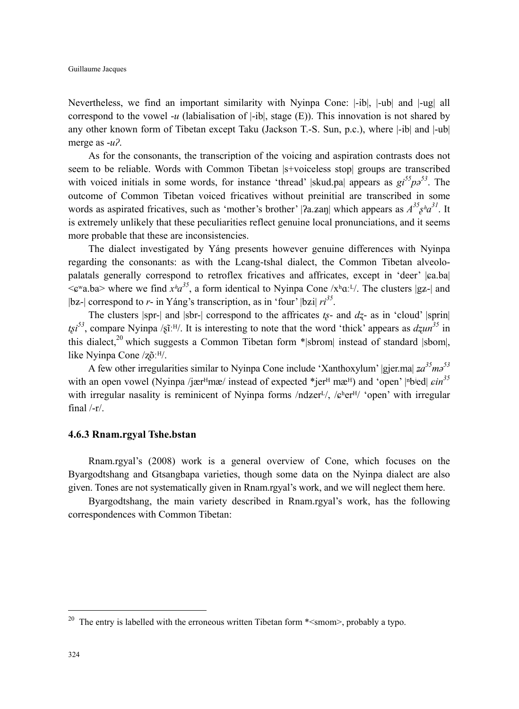Nevertheless, we find an important similarity with Nyinpa Cone: |-ib|, |-ub| and |-ug| all correspond to the vowel - $u$  (labialisation of  $|\text{-ib}|$ , stage  $(E)$ ). This innovation is not shared by any other known form of Tibetan except Taku (Jackson T.-S. Sun, p.c.), where |-ib| and |-ub| merge as -*uʔ*.

As for the consonants, the transcription of the voicing and aspiration contrasts does not seem to be reliable. Words with Common Tibetan |s+voiceless stop| groups are transcribed with voiced initials in some words, for instance 'thread' |skud.pa| appears as  $gi^{55}p^{53}$ . The outcome of Common Tibetan voiced fricatives without preinitial are transcribed in some words as aspirated fricatives, such as 'mother's brother' [ $2a$ . zan] which appears as  $A^{35}g^{\mu}a^{31}$ . It is extremely unlikely that these peculiarities reflect genuine local pronunciations, and it seems more probable that these are inconsistencies.

The dialect investigated by Yáng presents however genuine differences with Nyinpa regarding the consonants: as with the Lcang-tshal dialect, the Common Tibetan alveolopalatals generally correspond to retroflex fricatives and affricates, except in 'deer'  $|a$ .ba  $\leq$   $\infty$ <sup>n</sup>a.ba > where we find  $x^h a^{35}$ , a form identical to Nyinpa Cone /x<sup>h</sup>a.<sup>L</sup>/. The clusters |gz-| and  $|b z$ - $|$  correspond to *r*- in Yáng's transcription, as in 'four'  $|b z i| r i^{35}$ .

The clusters  $|\text{spr-}|$  and  $|\text{shr-}|$  correspond to the affricates  $t<sub>s</sub>$ - and  $d<sub>z</sub>$ - as in 'cloud'  $|\text{sprin}|$  $t\xi i^{53}$ , compare Nyinpa / $\xi i$ ːE/. It is interesting to note that the word 'thick' appears as  $dzun^{35}$  in this dialect,<sup>20</sup> which suggests a Common Tibetan form  $*$ |sbrom| instead of standard |sbom|, like Nyinpa Cone /zõː<sup>H</sup>/.

A few other irregularities similar to Nyinpa Cone include 'Xanthoxylum' |gjer.ma|  $z a^{35} m \delta^{53}$ with an open vowel (Nyinpa /jær<sup>H</sup>mæ/ instead of expected \*jer<sup>H</sup> mæ<sup>H</sup>) and 'open' |<sup>n</sup>b<sup>ied|</sup>  $\epsilon$ *in*<sup>35</sup> with irregular nasality is reminicent of Nyinpa forms  $/ndzer<sup>L</sup>/, /e<sup>h</sup>er<sup>H</sup>/$  'open' with irregular final  $/-r/$ .

#### **4.6.3 Rnam.rgyal Tshe.bstan**

Rnam.rgyal's (2008) work is a general overview of Cone, which focuses on the Byargodtshang and Gtsangbapa varieties, though some data on the Nyinpa dialect are also given. Tones are not systematically given in Rnam.rgyal's work, and we will neglect them here.

Byargodtshang, the main variety described in Rnam.rgyal's work, has the following correspondences with Common Tibetan:

 $\overline{a}$ 

<sup>&</sup>lt;sup>20</sup> The entry is labelled with the erroneous written Tibetan form  $*$ <smom>, probably a typo.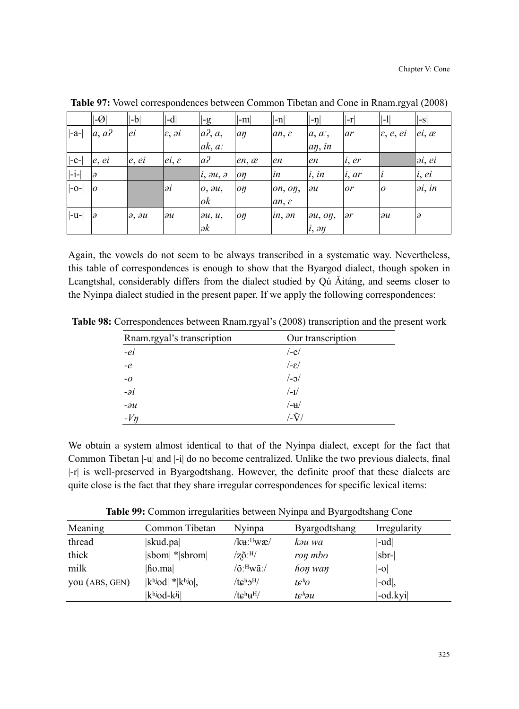|         | $ -Q $         | $ -b $                    | $ -d $                       | $ -g $                     | $ -m $       | $ -n $                  | $\left\vert \left\vert \textrm{-n}\right\vert \right\vert$ | $ -r $       | $\left\vert \left\vert \cdot\right\vert \right\vert$ | $\left  -s\right $   |
|---------|----------------|---------------------------|------------------------------|----------------------------|--------------|-------------------------|------------------------------------------------------------|--------------|------------------------------------------------------|----------------------|
| $ -a- $ | $a, a$ ?       | ei                        | $\varepsilon$ , $\partial i$ | $a$ <sup>2</sup> , $a$ ,   | an           | $an, \varepsilon$       | $a, a$ ;                                                   | ar           | $\varepsilon$ , $e$ , $ei$                           | $ei, \alpha$         |
|         |                |                           |                              | $ak, a$ :                  |              |                         | $a\eta$ , in                                               |              |                                                      |                      |
| $ -e- $ | e, ei          | e, ei                     | $ei, \varepsilon$            | a <sup>2</sup>             | $en, \alpha$ | en                      | en                                                         | i, er        |                                                      | $\partial i, \ell i$ |
| $ -i-$  | lə             |                           |                              | $ i, \partial u, \partial$ | oη           | in                      | i, in                                                      | i, ar        |                                                      | i, ei                |
| $ -o- $ | $\overline{a}$ |                           | Эĺ                           | $o, \partial u$ ,          | oη           | $\omega$ n, $\omega$ n, | $\partial u$                                               | or           | $\overline{0}$                                       | $\partial i$ , in    |
|         |                |                           |                              | ok                         |              | $an, \varepsilon$       |                                                            |              |                                                      |                      |
| $ -u- $ | lə             | $\partial$ , $\partial u$ | $\partial u$                 | $\partial u, u,$           | oη           | in, ən                  | $\partial u$ , $\partial \eta$ ,                           | $\partial r$ | $\partial u$                                         | $\partial$           |
|         |                |                           |                              | $\partial k$               |              |                         | $i, \partial y$                                            |              |                                                      |                      |

**Table 97:** Vowel correspondences between Common Tibetan and Cone in Rnam.rgyal (2008)

Again, the vowels do not seem to be always transcribed in a systematic way. Nevertheless, this table of correspondences is enough to show that the Byargod dialect, though spoken in Lcangtshal, considerably differs from the dialect studied by Qu Aitang, and seems closer to the Nyinpa dialect studied in the present paper. If we apply the following correspondences:

**Table 98:** Correspondences between Rnam.rgyal's (2008) transcription and the present work

| Rnam.rgyal's transcription | Our transcription |
|----------------------------|-------------------|
| $-ei$                      | $/-e/$            |
| $-e$                       | /−ε/              |
| $-O$                       | $/-$              |
| $-i$                       | $/$ -I $/$        |
| $-\partial u$              | /-u/              |
| $-Vn$                      | /-Ũ               |

We obtain a system almost identical to that of the Nyinpa dialect, except for the fact that Common Tibetan |-u| and |-i| do no become centralized. Unlike the two previous dialects, final |-r| is well-preserved in Byargodtshang. However, the definite proof that these dialects are quite close is the fact that they share irregular correspondences for specific lexical items:

**Table 99:** Common irregularities between Nyinpa and Byargodtshang Cone

| Meaning        | Common Tibetan               | Nyinpa                  | Byargodtshang     | Irregularity               |
|----------------|------------------------------|-------------------------|-------------------|----------------------------|
| thread         | skud.pa                      | /kuː <sup>н</sup> wæ/   | kəu wa            | -ud                        |
| thick          | $ sbom $ * $ sbrom $         | $\rm /z\tilde{o}.^{H/}$ | ron mbo           | sbr-                       |
| milk           | fio.ma                       | $\sqrt{0}$ : Hwã: /     | hon wan           | $ -0 $                     |
| you (ABS, GEN) | $ k^{h}$ iod $ * k^{h}$ iol, | $/tc^h2^H$              | tc <sup>h</sup> o | $\mathsf{ \mathsf{-od} },$ |
|                | khjod-kij                    | $/tc^h$ $H$             | tchəu             | -od.kyi                    |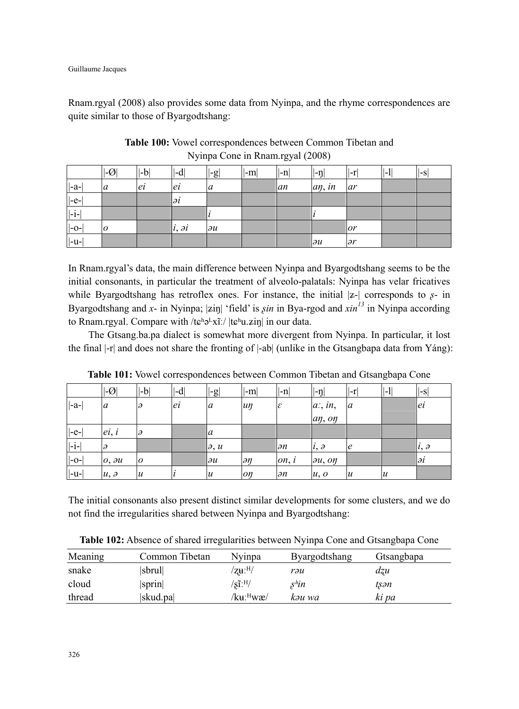Rnam.rgyal (2008) also provides some data from Nyinpa, and the rhyme correspondences are quite similar to those of Byargodtshang:

|                  | $ \mathcal{A} $ | $ $ -b | $ -d $          | $\left  -g \right $ | ∣l-m∣ | $ -n $ | $ \neg$      | II-r'        | $ -1 $ | $ -S $ |
|------------------|-----------------|--------|-----------------|---------------------|-------|--------|--------------|--------------|--------|--------|
| $\vert -a-\vert$ | a               | ei     | ei              | a                   |       | lan    | aŋ, in       | ar           |        |        |
| $ -e- $          |                 |        | әi              |                     |       |        |              |              |        |        |
| $ -i-$           |                 |        |                 |                     |       |        |              |              |        |        |
| $ -o-$           | 10              |        | $i, \partial i$ | $\partial u$        |       |        |              | or           |        |        |
| $ -u-$           |                 |        |                 |                     |       |        | $\partial u$ | $\partial r$ |        |        |

**Table 100:** Vowel correspondences between Common Tibetan and Nyinpa Cone in Rnam.rgyal (2008)

In Rnam.rgyal's data, the main difference between Nyinpa and Byargodtshang seems to be the initial consonants, in particular the treatment of alveolo-palatals: Nyinpa has velar fricatives while Byargodtshang has retroflex ones. For instance, the initial  $|z-|$  corresponds to  $s$ - in Byargodtshang and *x*- in Nyinpa; |ziŋ| 'field' is  $sin$  in Bya-rgod and  $sin^{13}$  in Nyinpa according to Rnam.rgyal. Compare with /tɕʰəLxīː/  $|t\rangle$ in in our data.

The Gtsang.ba.pa dialect is somewhat more divergent from Nyinpa. In particular, it lost the final |-r| and does not share the fronting of |-ab| (unlike in the Gtsangbapa data from Yáng):

|                    | $ \mathcal{A} $ | -b               | $ \text{-d} $ | $ -g $                     | $ -m $          | $ -n $                        | $ - \eta $                     | $ -r $           | $\mathsf{L}$     | l-S                 |
|--------------------|-----------------|------------------|---------------|----------------------------|-----------------|-------------------------------|--------------------------------|------------------|------------------|---------------------|
| $ -a-$             | a               | э                | ei            | $\alpha$                   | $\mu$ n         | $ \varepsilon $               | $a$ ; in,                      | a                |                  | ei                  |
|                    |                 |                  |               |                            |                 |                               | an, on                         |                  |                  |                     |
| $\left -e-\right $ | ei, i           |                  |               | a                          |                 |                               |                                |                  |                  |                     |
| $\vert -i - \vert$ | IЭ              |                  |               | $\partial, u$              |                 | $\partial n$                  | $l, \partial$                  | Ιe               |                  | $\vert l, \partial$ |
| $\left -o-\right $ | $0, \partial u$ | $\overline{0}$   |               | $\partial u$               | $\partial \eta$ | $\mathfrak{on}, \mathfrak{i}$ | $\partial u$ , $\partial \eta$ |                  |                  | ləi                 |
| $\vert -u - \vert$ | $u, \partial$   | $\boldsymbol{u}$ |               | $\boldsymbol{\mathcal{u}}$ | oŋ              | $\partial n$                  | u, o                           | $\boldsymbol{u}$ | $\boldsymbol{u}$ |                     |

**Table 101:** Vowel correspondences between Common Tibetan and Gtsangbapa Cone

The initial consonants also present distinct similar developments for some clusters, and we do not find the irregularities shared between Nyinpa and Byargodtshang:

**Table 102:** Absence of shared irregularities between Nyinpa Cone and Gtsangbapa Cone

| Meaning | Common Tibetan | Nvinpa                              | Byargodtshang     | Gtsangbapa |
|---------|----------------|-------------------------------------|-------------------|------------|
| snake   | sbrul          | $/$ zu: $^{H/}$                     | rəu               | dzu        |
| cloud   | sprin          | $\sqrt{\text{s}1}$ : <sup>H</sup> / | s <sup>h</sup> in | tsən       |
| thread  | skud.pa        | /kuː <sup>н</sup> wæ/               | kəu wa            | ki pa      |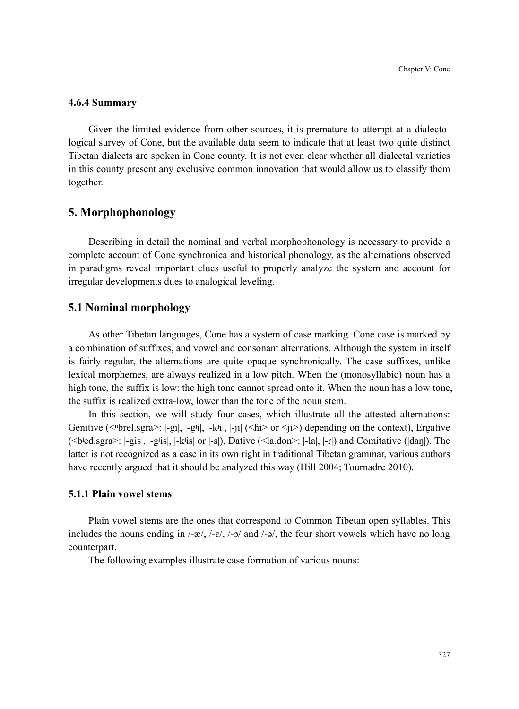# **4.6.4 Summary**

Given the limited evidence from other sources, it is premature to attempt at a dialectological survey of Cone, but the available data seem to indicate that at least two quite distinct Tibetan dialects are spoken in Cone county. It is not even clear whether all dialectal varieties in this county present any exclusive common innovation that would allow us to classify them together.

# **5. Morphophonology**

Describing in detail the nominal and verbal morphophonology is necessary to provide a complete account of Cone synchronica and historical phonology, as the alternations observed in paradigms reveal important clues useful to properly analyze the system and account for irregular developments dues to analogical leveling.

# **5.1 Nominal morphology**

As other Tibetan languages, Cone has a system of case marking. Cone case is marked by a combination of suffixes, and vowel and consonant alternations. Although the system in itself is fairly regular, the alternations are quite opaque synchronically. The case suffixes, unlike lexical morphemes, are always realized in a low pitch. When the (monosyllabic) noun has a high tone, the suffix is low: the high tone cannot spread onto it. When the noun has a low tone, the suffix is realized extra-low, lower than the tone of the noun stem.

In this section, we will study four cases, which illustrate all the attested alternations: Genitive ( $\leq$ <sup>brel.sgra $>$ :  $|-\text{gi}|$ ,  $|-k\text{si}|$ ,  $|-k\text{si}|$ ,  $|-i\text{si}| \leq 6$ i $>$  or  $\leq i$  $>$ ) depending on the context), Ergative</sup>  $(\leq$ bed.sgra $\geq$ :  $|-\text{gis}|$ ,  $|-\text{gis}|$ ,  $|-\text{kis}|$  or  $|-\text{s}|$ ), Dative  $(\leq$ la.don $\geq$ :  $|-\text{la}|$ ,  $|\text{H}|$ ,  $|\text{H}|$ ) and Comitative ( $|\text{dan}|$ ). The latter is not recognized as a case in its own right in traditional Tibetan grammar, various authors have recently argued that it should be analyzed this way (Hill 2004; Tournadre 2010).

## **5.1.1 Plain vowel stems**

Plain vowel stems are the ones that correspond to Common Tibetan open syllables. This includes the nouns ending in  $/-x/$ ,  $/-c/$ ,  $/-o/$  and  $/-a/$ , the four short vowels which have no long counterpart.

The following examples illustrate case formation of various nouns: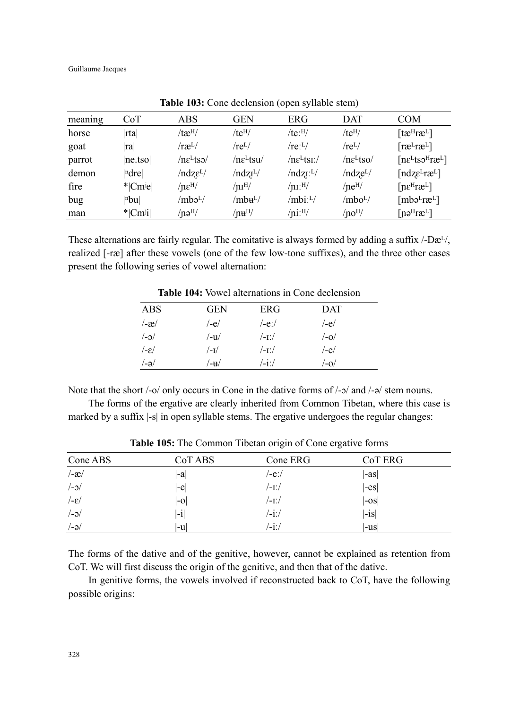Guillaume Jacques

|         |                       |                      |                            | $\sim$ $\blacksquare$<br>$\overline{\phantom{a}}$ |                         |                                                      |
|---------|-----------------------|----------------------|----------------------------|---------------------------------------------------|-------------------------|------------------------------------------------------|
| meaning | CoT                   | ABS                  | <b>GEN</b>                 | ERG                                               | <b>DAT</b>              | <b>COM</b>                                           |
| horse   | Irtal                 | /tæ <sup>H</sup> /   | $/te^{H/}$                 | $/te$ :H $/$                                      | $/te^{H/}$              | $[$ tæ <sup>H</sup> ræ <sup>L</sup> ]                |
| goat    | ra                    | /ræ <sup>L</sup> /   | $/re^L/$                   | (reL/L)                                           | $(re^L/$                | $[{\rm ra}^L{\rm ra}^L]$                             |
| parrot  | ne.tso                | $/ne^L$ tso $/$      | $/ne^L$ tsu $/$            | $/ne^LtsL/$                                       | $/ne^L$ tso $/$         | $[n\varepsilon^L$ tso <sup>H</sup> ræ <sup>L</sup> ] |
| demon   | ndre                  | $/ndz\epsilon^{L/2}$ | /ndzī <sup>L</sup> /       | /ndzI <sup>L</sup> /                              | /ndze <sup>L</sup> /    | $[ndz\epsilon^L r\epsilon^L]$                        |
| fire    | $*$ Cm <sup>j</sup> e | $/ne^{\rm H/}$       | /nI <sup>H</sup>           | $/\rm{m}{\cdot}^{\rm{H}}/$                        | $/ne^{H/}$              | $[n\varepsilon^H r \varepsilon^L]$                   |
| bug     | nbu                   | /mbə <sup>L</sup> /  | /mbʉ <sup>L</sup> /        | /mbi:L/                                           | /mbo <sup>L</sup> /     | $[mbə^Lræ^L]$                                        |
| man     | $* Cm^j$              | $/$ nə $^{H/}$       | $/\mathrm{nu}^\mathrm{H}/$ | $\ln 1$ :H/                                       | $/$ no <sup>H</sup> $/$ | $[n\vartheta^H r\vartheta^L]$                        |

**Table 103:** Cone declension (open syllable stem)

These alternations are fairly regular. The comitative is always formed by adding a suffix  $\sqrt{-D\mathbf{e}^{L}}$ , realized [-ræ] after these vowels (one of the few low-tone suffixes), and the three other cases present the following series of vowel alternation:

ABS GEN ERG DAT /-æ/ /-e/ /-eː/ /-e/  $/$ - $\frac{1}{\sqrt{-1}}$ / $/$  /- $\frac{1}{\sqrt{-1}}$ / $/$  $\angle$ - $\varepsilon$ /  $\angle$ - $I$ /  $\angle$ - $I$ /  $\angle$ - $I$ ./  $\angle$ - $e$ /  $/$ -ə/  $/$ - $+$ d/  $/$ - $i$ ː/  $/$ - $0/$ 

**Table 104:** Vowel alternations in Cone declension

Note that the short  $/$ -o $/$  only occurs in Cone in the dative forms of  $/$ - $\sigma$ / and  $/$ - $\sigma$ / stem nouns.

The forms of the ergative are clearly inherited from Common Tibetan, where this case is marked by a suffix  $\vert$ -s $\vert$  in open syllable stems. The ergative undergoes the regular changes:

| Cone ABS              | CoT ABS | Cone ERG | CoT ERG            |
|-----------------------|---------|----------|--------------------|
| $\frac{-x}{-x}$       | -a      | /-eː/    | $ -as $            |
| $/-0/$                | $ -e $  | /-1:/    | $ -es $            |
| $/$ - $\varepsilon$ / | $ -0 $  | /-1:/    | $\left -os\right $ |
| $/-\partial$          | $ -i $  | /-iː/    | $ -is $            |
| $/-\partial$          | l-ul    | '-iː/    | -us                |

**Table 105:** The Common Tibetan origin of Cone ergative forms

The forms of the dative and of the genitive, however, cannot be explained as retention from CoT. We will first discuss the origin of the genitive, and then that of the dative.

In genitive forms, the vowels involved if reconstructed back to CoT, have the following possible origins: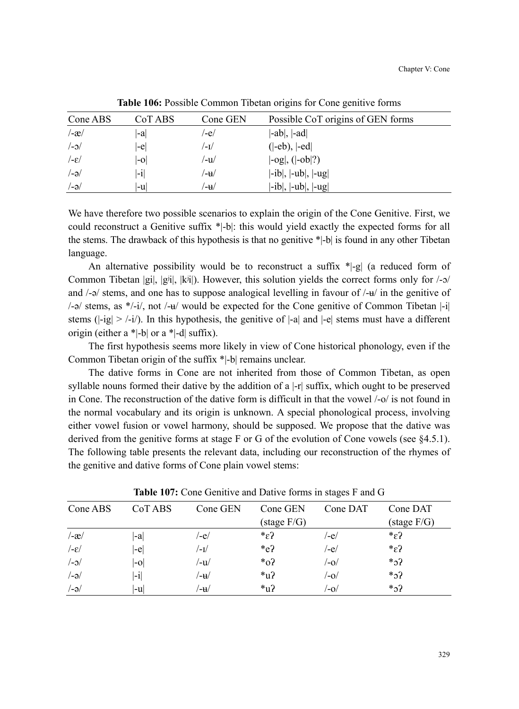| Cone ABS              | CoT ABS                  | Cone GEN | Possible CoT origins of GEN forms                                |
|-----------------------|--------------------------|----------|------------------------------------------------------------------|
| $-x$                  | l-al                     | /-e/     | $ -ab ,  -ad $                                                   |
| $/-$                  | l-el                     | /−1/     | $( -eb),  -ed $                                                  |
| $/$ - $\varepsilon$ / | l-ol                     | /−u      | $\left[-\text{og}\right], \left(\left[-\text{ob}\right]?\right)$ |
| $/$ -ə $/$            | $\mathbf{ }\mathbf{-i} $ | /−u      | $ -ib ,  -ub ,  -ug $                                            |
| $/-\partial$          | l-ul                     | ′-u      | $ -ib ,  -ub ,  -ug $                                            |

**Table 106:** Possible Common Tibetan origins for Cone genitive forms

We have therefore two possible scenarios to explain the origin of the Cone Genitive. First, we could reconstruct a Genitive suffix \*|-b|: this would yield exactly the expected forms for all the stems. The drawback of this hypothesis is that no genitive \*|-b| is found in any other Tibetan language.

An alternative possibility would be to reconstruct a suffix  $\ast$  |-g| (a reduced form of Common Tibetan  $|g_i|$ ,  $|g^{i_j}|$ ,  $|k^{j_j}|$ ). However, this solution yields the correct forms only for  $\lambda$ -o/ and  $\ell$ -ə/ stems, and one has to suppose analogical levelling in favour of  $\ell$ - $\nu$  in the genitive of  $/$ - $\alpha$ / stems, as \*/-i/, not /- $\mu$ / would be expected for the Cone genitive of Common Tibetan |-i| stems ( $|-ig| > |-i|$ ). In this hypothesis, the genitive of  $|-a|$  and  $|-e|$  stems must have a different origin (either a  $\ast$ -b| or a  $\ast$ -d| suffix).

The first hypothesis seems more likely in view of Cone historical phonology, even if the Common Tibetan origin of the suffix \*|-b| remains unclear.

The dative forms in Cone are not inherited from those of Common Tibetan, as open syllable nouns formed their dative by the addition of a |-r| suffix, which ought to be preserved in Cone. The reconstruction of the dative form is difficult in that the vowel /-o/ is not found in the normal vocabulary and its origin is unknown. A special phonological process, involving either vowel fusion or vowel harmony, should be supposed. We propose that the dative was derived from the genitive forms at stage F or G of the evolution of Cone vowels (see §4.5.1). The following table presents the relevant data, including our reconstruction of the rhymes of the genitive and dative forms of Cone plain vowel stems:

| CoT ABS | Cone GEN | Cone GEN              | Cone DAT | Cone DAT              |
|---------|----------|-----------------------|----------|-----------------------|
|         |          | $(\text{stage } F/G)$ |          | $(\text{stage } F/G)$ |
| -a      | /-e/     | $s^*$                 | /-e/     | $*_\varepsilon$ ?     |
| -e      | /−1/     | $*_{e}$ ?             | /-e/     | $*_\varepsilon$ ?     |
| $ -0 $  | /-u/     | $*_{0}?$              | /-0/     | $*_2$ ?               |
| $ -i $  | /-₩      | $*_{\mathrm{u2}}$     | /-0/     | $*_2$ ?               |
| l-ul    | /-u      | $*_{\mathrm{u2}}$     | /-o/     | $*_2?$                |
|         |          |                       |          |                       |

**Table 107:** Cone Genitive and Dative forms in stages F and G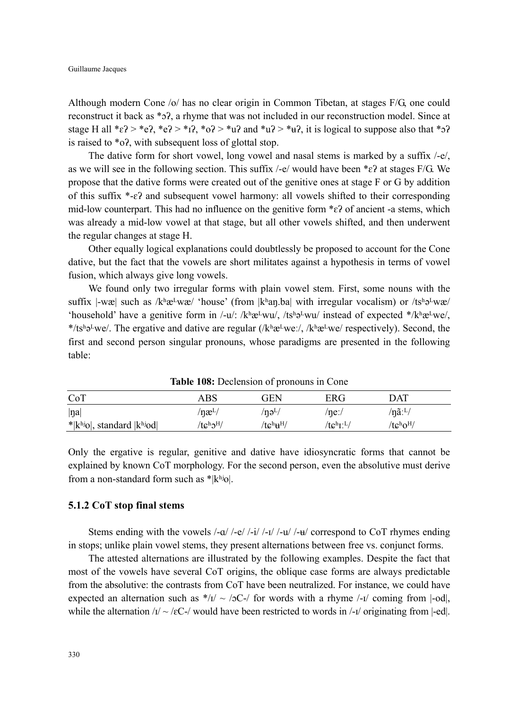Although modern Cone /o/ has no clear origin in Common Tibetan, at stages F/G, one could reconstruct it back as \*ܧʔ, a rhyme that was not included in our reconstruction model. Since at stage H all  $*_c$ ?  $*_c$ ?,  $*_c$ ?  $*_r$ ?,  $*_c$ ?  $*_r$ ?  $*_d$ ? and  $*_u$ ?  $*_d$ ?, it is logical to suppose also that  $*_2$ ? is raised to \*oʔ, with subsequent loss of glottal stop.

The dative form for short vowel, long vowel and nasal stems is marked by a suffix /-e/, as we will see in the following section. This suffix /-e/ would have been  $*_c$ ? at stages F/G. We propose that the dative forms were created out of the genitive ones at stage F or G by addition of this suffix \*-ɛʔ and subsequent vowel harmony: all vowels shifted to their corresponding mid-low counterpart. This had no influence on the genitive form  $*\epsilon$ ? of ancient -a stems, which was already a mid-low vowel at that stage, but all other vowels shifted, and then underwent the regular changes at stage H.

Other equally logical explanations could doubtlessly be proposed to account for the Cone dative, but the fact that the vowels are short militates against a hypothesis in terms of vowel fusion, which always give long vowels.

We found only two irregular forms with plain vowel stem. First, some nouns with the suffix  $|-w\mathbf{x}|$  such as  $/k^h\mathbf{a}^Lw\mathbf{a}$  'house' (from  $|k^h\mathbf{a}n\mathbf{a}|$  with irregular vocalism) or  $/ts^h\mathbf{a}^Lw\mathbf{a}$ 'household' have a genitive form in /-u/: /kʰæ<sup>L</sup>wu/, /tsʰə<sup>L</sup>wu/ instead of expected \*/kʰæ<sup>L</sup>we/, \*/tsh<sub>9</sub>Lwe/. The ergative and dative are regular (/khæLweː/, /khæLwe/ respectively). Second, the first and second person singular pronouns, whose paradigms are presented in the following table:

| CoT                         | ABS                                          | GEN                               | ERG                               | DAT                            |  |
|-----------------------------|----------------------------------------------|-----------------------------------|-----------------------------------|--------------------------------|--|
| <sub>n</sub>                | /næ $L/$                                     | $/$ nə <sup>L</sup> $/$           | /ne:/                             | $/n\tilde{a}$ : <sup>L</sup> / |  |
| $*$  khio , standard  khiod | $/tc^{\mathrm{h}}\mathfrak{I}^{\mathrm{H}}/$ | $/t$ c $^{\rm h}{\rm u}^{\rm H/}$ | $/$ tc $^{\rm h}$ r: $^{\rm L}$ / | $/tc^h0^H$                     |  |

**Table 108:** Declension of pronouns in Cone

Only the ergative is regular, genitive and dative have idiosyncratic forms that cannot be explained by known CoT morphology. For the second person, even the absolutive must derive from a non-standard form such as  $*|k<sup>hjo</sup>|$ .

#### **5.1.2 CoT stop final stems**

Stems ending with the vowels  $\frac{1}{q}$  /-e/  $\frac{1}{q}$  /-i/ /-u/ /-u/ /-u/ correspond to CoT rhymes ending in stops; unlike plain vowel stems, they present alternations between free vs. conjunct forms.

The attested alternations are illustrated by the following examples. Despite the fact that most of the vowels have several CoT origins, the oblique case forms are always predictable from the absolutive: the contrasts from CoT have been neutralized. For instance, we could have expected an alternation such as  $*/1 / \sim /2C^{-1}$  for words with a rhyme  $/1$  coming from  $|-od|$ , while the alternation  $\frac{1}{2}$  ~ /eC-/ would have been restricted to words in /- $\frac{1}{2}$  originating from |-ed|.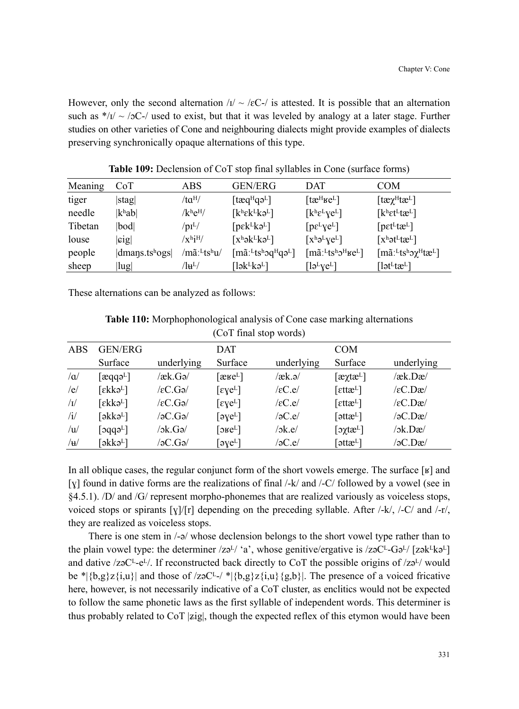However, only the second alternation  $\sqrt{I}$  ~  $\sqrt{E}C$ -/ is attested. It is possible that an alternation such as  $*/1/ \sim /2C^{-1}$  used to exist, but that it was leveled by analogy at a later stage. Further studies on other varieties of Cone and neighbouring dialects might provide examples of dialects preserving synchronically opaque alternations of this type.

| Meaning | CoT                       | ABS                                | GEN/ERG                                                                               | DAT                                                                                                                          | COM                                                                                                                  |
|---------|---------------------------|------------------------------------|---------------------------------------------------------------------------------------|------------------------------------------------------------------------------------------------------------------------------|----------------------------------------------------------------------------------------------------------------------|
| tiger   | stag                      | /ta <sup>H</sup> /                 | [ $t$ æq <sup>H</sup> qə <sup>L</sup> ]                                               | [tæ $^{\rm H}$ ke $^{\rm L}$ ]                                                                                               | $[$ tæ $\chi^{\rm H}$ tæ $^{L}$ ]                                                                                    |
| needle  | k <sup>h</sup> ab         | $/k$ <sup>h</sup> e <sup>H</sup> / | $[k^h \epsilon k^L k \partial^L]$                                                     | $[k^h \varepsilon^L \chi e^L]$                                                                                               | $[k^h \varepsilon t^L t \mathfrak{E}^L]$                                                                             |
| Tibetan | bod                       | $/$ pı $^{L}/$                     | $[pek^Lk\partial^L]$                                                                  | $[pe^Lye^L]$                                                                                                                 | [pet <sup>L</sup> te <sup>L</sup> ]                                                                                  |
| louse   | sig                       | $/x^{\rm h}$ i $^{\rm H/}$         | $[x^h \partial k^L k \partial^L]$                                                     | $[x^h\partial^L ye^L]$                                                                                                       | $[x^h$ ət <sup>L</sup> tæ <sup>L</sup> ]                                                                             |
| people  | dmaps.ts <sup>h</sup> ogs | /mãː <sup>L</sup> tsʰu/            | $[\text{m}\tilde{a}$ : <sup>L</sup> ts <sup>h</sup> oq <sup>H</sup> qə <sup>L</sup> ] | $\left[\text{m}\tilde{\text{a}}\right]$ : <sup>L</sup> ts <sup>h</sup> $\text{J}^{\text{H}}$ <sub>Ke</sub> L $\left[\right]$ | $\left[\text{m}\tilde{a}:\text{L} \text{ts}^{\text{h}} \text{C} \chi^{\text{H}} \text{t} \text{c}^{\text{L}}\right]$ |
| sheep   | lug                       | $^{\prime}$ lu $^{\rm L/}$         | [lək <sup>l</sup> kə <sup>l</sup> ]                                                   | $\lceil 12^{\rm L} \text{V} \text{e}^{\rm L} \rceil$                                                                         | [lət $^{\rm L}$ tæ $^{\rm L}$ ]                                                                                      |

**Table 109:** Declension of CoT stop final syllables in Cone (surface forms)

These alternations can be analyzed as follows:

|                | (CoT final stop words)                 |               |                                  |                    |                                   |                                                |  |  |  |
|----------------|----------------------------------------|---------------|----------------------------------|--------------------|-----------------------------------|------------------------------------------------|--|--|--|
| ABS            | <b>GEN/ERG</b>                         |               | <b>DAT</b>                       |                    | <b>COM</b>                        |                                                |  |  |  |
|                | Surface                                | underlying    | Surface                          | underlying         | Surface                           | underlying                                     |  |  |  |
| $/\alpha$      | $[\text{acq} \mathfrak{q}^{\text{L}}]$ | /æk.Gə/       | $[\text{c} \text{c} \text{c}^L]$ | $\ell$ æk.ə $\ell$ | $[\text{exp}t\text{at}]$          | /æk.Dæ/                                        |  |  |  |
| /e/            | [εkkə <sup>L</sup> ]                   | $/$ εC.Gə $/$ | $\lceil \text{eye}^L \rceil$     | $/$ εC.e/          | $[$ $\epsilon$ ttæ $^{L}$ ]       | $\sqrt{\varepsilon}$ C.Dæ $\sqrt{\varepsilon}$ |  |  |  |
| $\sqrt{I}$     | $\lceil$ ɛkkə $^{\text{\tiny L}}$ ]    | $/$ εC.Gə $/$ | $[\text{eye}^L]$                 | $/$ εC.e/          | $[$ $\epsilon$ ttæ $^{L}$ ]       | $\left  \epsilon$ C.Dæ $\right $               |  |  |  |
| /i/            | $\lceil$ əkkə $^L$ ]                   | /əC.Gə/       | [əye $E$ ]                       | $/$ əC.e $/$       | $\lceil$ əttæ $^L$ ]              | /əC.Dæ/                                        |  |  |  |
| /u/            | [3qqqd]                                | /ək.Gə/       | [эке $L$ ]                       | /ɔk.e/             | $[\alpha x^{\dagger}x^{\dagger}]$ | /ɔk.Dæ/                                        |  |  |  |
| $/\mathbf{H}/$ | [əkkə <sup>L</sup> ]                   | /əC.Gə/       | [əye $^{\rm L}$ ]                | /əC.e/             | [əttæ <sup>L</sup> ]              | /əC.Dæ/                                        |  |  |  |

| <b>Table 110:</b> Morphophonological analysis of Cone case marking alternations |  |
|---------------------------------------------------------------------------------|--|
| $(C_0T$ final stop words)                                                       |  |

In all oblique cases, the regular conjunct form of the short vowels emerge. The surface  $[y]$  and [v] found in dative forms are the realizations of final /-k/ and /-C/ followed by a vowel (see in §4.5.1). /D/ and /G/ represent morpho-phonemes that are realized variously as voiceless stops, voiced stops or spirants  $[\gamma]/[\tau]$  depending on the preceding syllable. After /-k/, /-C/ and /-r/, they are realized as voiceless stops.

There is one stem in /-a/ whose declension belongs to the short vowel type rather than to the plain vowel type: the determiner  $\frac{z^2}{a}$ , whose genitive/ergative is  $\frac{z^2C^2-Ge^{2}}{2g}$  [zək $k^2$ ] and dative  $\ell z_0C^L-e^L$ . If reconstructed back directly to CoT the possible origins of  $\ell z_0L$  would be \* $|\{b,g\}z\{i,u\}|$  and those of /zəC<sup>L</sup>-/ \* $|\{b,g\}z\{i,u\}\{g,b\}|$ . The presence of a voiced fricative here, however, is not necessarily indicative of a CoT cluster, as enclitics would not be expected to follow the same phonetic laws as the first syllable of independent words. This determiner is thus probably related to  $\text{CoT } [\text{zig}]$ , though the expected reflex of this etymon would have been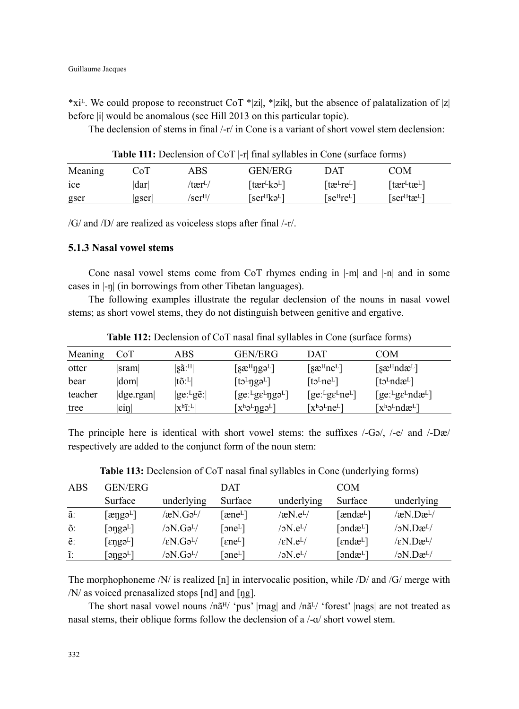\*xi<sup>L</sup>. We could propose to reconstruct CoT \*|zi|, \*|zik|, but the absence of palatalization of |z| before |i| would be anomalous (see Hill 2013 on this particular topic).

The declension of stems in final /-r/ in Cone is a variant of short vowel stem declension:

**Table 111:** Declension of CoT |-r| final syllables in Cone (surface forms)

| Meaning         | CoT  | ABS                 | GEN/ERG                                     | DAT                                | COM                                 |
|-----------------|------|---------------------|---------------------------------------------|------------------------------------|-------------------------------------|
| <sub>1</sub> ce | darl | /tær <sup>L</sup> / | [tær <sup>l</sup> kə <sup>l</sup> ]         | ∣tæ⊦re⊦∣                           | [tær <sup>L</sup> tæ <sup>L</sup> ] |
| gser            | gser | /ser <sup>H</sup>   | $\lceil$ ser <sup>H</sup> kə <sup>L</sup> ] | [se <sup>H</sup> re <sup>L</sup> ] | [ser <sup>H</sup> tæ <sup>L</sup> ] |

/G/ and /D/ are realized as voiceless stops after final /-r/.

### **5.1.3 Nasal vowel stems**

Cone nasal vowel stems come from CoT rhymes ending in |-m| and |-n| and in some cases in |-ŋ| (in borrowings from other Tibetan languages).

The following examples illustrate the regular declension of the nouns in nasal vowel stems; as short vowel stems, they do not distinguish between genitive and ergative.

| Meaning | CoT                | ABS                              | GEN/ERG                                | DAT                                            | COM                                    |
|---------|--------------------|----------------------------------|----------------------------------------|------------------------------------------------|----------------------------------------|
| otter   | sram               | $ \text{sa}:^{\text{H}} $        | $[$ sæ <sup>H</sup> ŋgə <sup>L</sup> ] | $\lceil \sec^{\text{H}} n e^{\text{L}} \rceil$ | [sæ <sup>H</sup> ndæ <sup>L</sup> ]    |
| bear    | dom                | $ t\tilde{o}$ : <sup>L</sup> $ $ | $[to^L$ ngə <sup>L</sup> ]             | [tb <sup>L</sup> ne <sup>L</sup> ]             | [t5Lndæ <sup>L</sup> ]                 |
| teacher | $ {\rm d}$ ge.rgan | $ ge:$ <sup>L</sup> ge:          | $[ge: LgeLng\partial L]$               | $[ge:lg\epsilon^{L}ne^{L}]$                    | $[ge:lg\epsilon^{L}nd\mathcal{R}^{L}]$ |
| tree    | $ \sin $           | $ x^h \tilde{1}$ : <sup>L</sup>  | $[x^h\partial^L \eta g \partial^L]$    | $[x^h\partial^Lne^L]$                          | $[x^h\partial^L \eta d\mathcal{E}^L]$  |

**Table 112:** Declension of CoT nasal final syllables in Cone (surface forms)

The principle here is identical with short vowel stems: the suffixes  $\sqrt{-G}$ ,  $\sqrt{-e}$  and  $\sqrt{-D}$ respectively are added to the conjunct form of the noun stem:

| ABS | GEN/ERG                              |                              | DAT                   |                                | COM                                   |                                            |
|-----|--------------------------------------|------------------------------|-----------------------|--------------------------------|---------------------------------------|--------------------------------------------|
|     | Surface                              | underlying                   | Surface               | underlying                     | Surface                               | underlying                                 |
| ã.  | $[\text{ænga}^L]$                    | $\alpha$ N.Gə <sup>L</sup> / | [æne <sup>L</sup> ]   | /æN.e $L/$                     | [ændæ <sup>L</sup> ]                  | $\sqrt{xN}$ . Dæ <sup>L</sup> /            |
| õ.  | $\lceil \text{onga}^L \rceil$        | /əN.Gə <sup>L</sup> /        | [ $oneL$ ]            | $/2N_{\rm B}$ e <sup>L</sup> / | [ $\text{and}\mathbf{x}^{\text{L}}$ ] | $/2N \cdot Dæ^{L/2}$                       |
| e:  | $[enga^L]$                           | $\ell \in N.G$ ə $^L\ell$    | $[ene^L]$             | $\rm \ell eN.e^L/$             | [ $endæL$ ]                           | $\sqrt{\varepsilon N}$ . Dæ <sup>L</sup> / |
| ĩ.  | $[$ ə $\natural$ gə $^{\tt L}{\tt]}$ | /əN.Gə <sup>L</sup> /        | $\lceil$ əne $\sim$ ] | /əN.e <sup>L</sup> /           | [əndæ $L$ ]                           | /əN.Dæ <sup>L</sup> /                      |

**Table 113:** Declension of CoT nasal final syllables in Cone (underlying forms)

The morphophoneme  $/N/$  is realized [n] in intervocalic position, while  $/D/$  and  $/G/$  merge with /N/ as voiced prenasalized stops [nd] and [ŋg].

The short nasal vowel nouns  $/n\tilde{a}^{H}$  'pus' |rnag| and  $/n\tilde{a}^{L}$  'forest' |nags| are not treated as nasal stems, their oblique forms follow the declension of a  $-a/$  short vowel stem.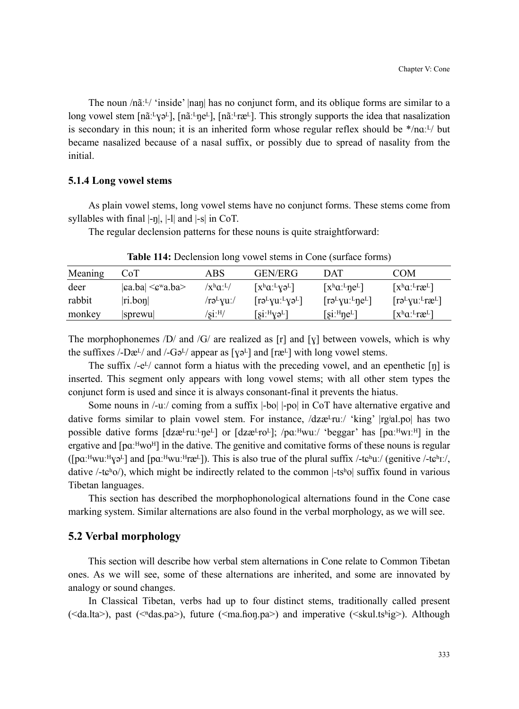The noun  $/n$  $i^{L}$  'inside' |nan| has no conjunct form, and its oblique forms are similar to a long vowel stem  $[n\tilde{a}:\gamma_2\tilde{b}]$ ,  $[n\tilde{a}:\gamma_2\tilde{b}]$ ,  $[n\tilde{a}:\gamma_2\tilde{b}]$ . This strongly supports the idea that nasalization is secondary in this noun; it is an inherited form whose regular reflex should be  $*$ /naː<sup>L</sup>/ but became nasalized because of a nasal suffix, or possibly due to spread of nasality from the initial.

# **5.1.4 Long vowel stems**

As plain vowel stems, long vowel stems have no conjunct forms. These stems come from syllables with final  $\vert -\eta \vert$ ,  $\vert -\eta \vert$  and  $\vert -s \vert$  in CoT.

The regular declension patterns for these nouns is quite straightforward:

| Meaning | CoT                               | ABS                                            | GEN/ERG                                                     | DAT                                          | <b>COM</b>                                                                      |
|---------|-----------------------------------|------------------------------------------------|-------------------------------------------------------------|----------------------------------------------|---------------------------------------------------------------------------------|
| deer    | $ ca.ba  \leq c^{\mathbf{w}}a.ba$ | $\chi^{\rm h}$ a: <sup>L</sup> /               | $\left[ x^{\mathrm{h}}a^{\mathrm{r}}y^{\mathrm{h}} \right]$ | $[x^h a:^L \eta e^L]$                        | $\left[ x^{\mathrm{h}}a:^{\mathrm{L}}\mathrm{r}\mathcal{L}^{\mathrm{L}}\right]$ |
| rabbit  | ri.bon                            | /rə <sup>L</sup> yuː/                          | $\lceil r \partial^L y u^L y \partial^L \rceil$             | $\lceil r \partial^L y u'^L \eta e^L \rceil$ | $\lceil r \partial^L y u \cdot^L r \mathfrak{E}^L \rceil$                       |
| monkey  | sprewu                            | $\sqrt{\text{Si}}$ : $\text{H}/\sqrt{\text{}}$ | $[si: {^{H}Y}0^{L}]$                                        | $[si:^{\text{H}}$ ne <sup>L</sup> ]          | $[x^h a: {}^L r a^L]$                                                           |

**Table 114:** Declension long vowel stems in Cone (surface forms)

The morphophonemes  $\overline{D}$  and  $\overline{G}$  are realized as [r] and [y] between vowels, which is why the suffixes /-Dæ $\frac{1}{2}$  and /-G $\frac{1}{2}$  appear as [ $\gamma$ a<sup>L</sup>] and [ræ<sup>L</sup>] with long vowel stems.

The suffix  $\ell$ -e<sup>L</sup>/ cannot form a hiatus with the preceding vowel, and an epenthetic [ŋ] is inserted. This segment only appears with long vowel stems; with all other stem types the conjunct form is used and since it is always consonant-final it prevents the hiatus.

Some nouns in /-uː/ coming from a suffix |-bo| |-po| in CoT have alternative ergative and dative forms similar to plain vowel stem. For instance,  $\frac{\text{d}z}{\text{d}z}$  /  $\text{d}z/\text{d}z$  |rg<sup>i</sup>al.po| has two possible dative forms  $\left[dz \&u^T \right]$  or  $\left[dz \&u^T \right]$ ; /p $\alpha$ <sup>H</sup>wuː/ 'beggar' has  $\left[px^H \right]$  in the ergative and  $[pqa:Hw0^H]$  in the dative. The genitive and comitative forms of these nouns is regular  $(\lceil pa:^Hwu:^H\gamma e^L\rceil)$  and  $\lceil pa:^Hwu:^H\gamma e^L\rceil)$ . This is also true of the plural suffix /-t $e^h u$ :/ (genitive /-t $e^h u$ :/, dative  $-\text{te}^{\text{h}}(0)$ , which might be indirectly related to the common  $-\text{t}$ <sup>th</sup>o suffix found in various Tibetan languages.

This section has described the morphophonological alternations found in the Cone case marking system. Similar alternations are also found in the verbal morphology, as we will see.

#### **5.2 Verbal morphology**

This section will describe how verbal stem alternations in Cone relate to Common Tibetan ones. As we will see, some of these alternations are inherited, and some are innovated by analogy or sound changes.

In Classical Tibetan, verbs had up to four distinct stems, traditionally called present ( $\leq$ da.lta $>$ ), past ( $\leq$ <sup>n</sup>das.pa $>$ ), future ( $\leq$ ma.ĥoŋ.pa $>$ ) and imperative ( $\leq$ skul.tsʰig $>$ ). Although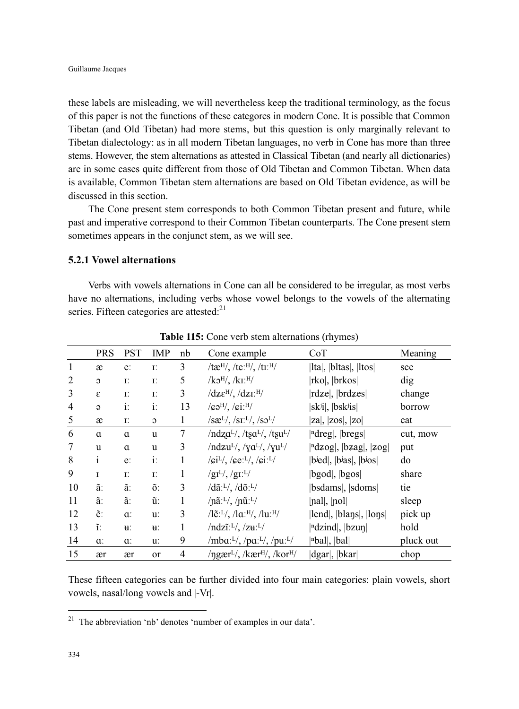these labels are misleading, we will nevertheless keep the traditional terminology, as the focus of this paper is not the functions of these categores in modern Cone. It is possible that Common Tibetan (and Old Tibetan) had more stems, but this question is only marginally relevant to Tibetan dialectology: as in all modern Tibetan languages, no verb in Cone has more than three stems. However, the stem alternations as attested in Classical Tibetan (and nearly all dictionaries) are in some cases quite different from those of Old Tibetan and Common Tibetan. When data is available, Common Tibetan stem alternations are based on Old Tibetan evidence, as will be discussed in this section.

The Cone present stem corresponds to both Common Tibetan present and future, while past and imperative correspond to their Common Tibetan counterparts. The Cone present stem sometimes appears in the conjunct stem, as we will see.

### **5.2.1 Vowel alternations**

Verbs with vowels alternations in Cone can all be considered to be irregular, as most verbs have no alternations, including verbs whose vowel belongs to the vowels of the alternating series. Fifteen categories are attested: $21$ 

|                | <b>PRS</b>                 | <b>PST</b>     | IMP          | nb | Cone example                                                                            | CoT                                                       | Meaning   |
|----------------|----------------------------|----------------|--------------|----|-----------------------------------------------------------------------------------------|-----------------------------------------------------------|-----------|
| $\mathbf{1}$   | æ                          | $e$ :          | Ε.           | 3  | /tæ <sup>H</sup> /, /te: $^{H}$ /, /ti: $^{H}$ /                                        | Ital,  bltas ,  ltos                                      | see       |
| $\overline{2}$ | $\mathfrak{O}$             | Ι.             | Ε.           | 5  | $/koH$ , $/kIH$                                                                         | rko ,  brkos                                              | dig       |
| 3              | $\boldsymbol{\varepsilon}$ | Ι.             | Ε.           | 3  | $\sqrt{dz} \epsilon^{H}$ , $\sqrt{dz} I$ : $^{H}$                                       | rdzeļ,  brdzes                                            | change    |
| 4              | $\Theta$                   | $\ddot{i}$ :   | $\ddot{i}$ : | 13 | $\sqrt{\mathbf{G}}\mathbf{d}^{\mathrm{H}}$ , $\sqrt{\mathbf{G}}\mathbf{i}^{\mathrm{H}}$ | $ sk^{j}i ,  bs^{j}is $                                   | borrow    |
| 5              | æ                          | Ι.             | $\mathbf{C}$ | 1  | $\sqrt{S\mathfrak{E}^L}$ , $\sqrt{S\mathfrak{E}^L}$ , $\sqrt{S\mathfrak{E}^L}$          | $ z\alpha ,  z\alpha ,  z\alpha $                         | eat       |
| 6              | $\alpha$                   | $\alpha$       | u            | 7  | $/ndzaL$ , /tsa <sup>L</sup> /, /tsu <sup>L</sup> /                                     | $\vert$ <sup>n</sup> dreg , $\vert$ bregs                 | cut, mow  |
| 7              | u                          | $\alpha$       | u            | 3  | $/ndzu^L/$ , $/\gamma a^L/$ , $/\gamma u^L/$                                            | <sup>n</sup> dzog ,  bzag ,  zog                          | put       |
| 8              | $\mathbf{i}$               | e:             | $\ddot{i}$ : | 1  | $\sqrt{\text{gi}^L}$ , $\sqrt{\text{ge}^L}$ , $\sqrt{\text{gi}^L}$                      | bied, bias, bios                                          | do        |
| 9              | $\mathbf I$                | Ι.             | Ε.           | 1  | $/gI^{L/}, /gI^{L/}$                                                                    | bgod ,  bgos                                              | share     |
| 10             | ã.                         | ã.             | õ.           | 3  | $\sqrt{d\tilde{a}L}$ , $\sqrt{d\tilde{a}L}$                                             | bsdams ,  sdoms                                           | tie       |
| 11             | ã.                         | ã.             | ũ.           | 1  | /nã: $L/$ , /nũ: $L/$                                                                   | [nal], [pol]                                              | sleep     |
| 12             | ẽ.                         | $a$ :          | u:           | 3  | /lẽ:L/, /laːH/, /luːH/                                                                  | lend ,  blans ,  lons                                     | pick up   |
| 13             | ĩ.                         | $\mathbf{H}$ : | ₩.           | 1  | / $ndz\tilde{\iota}$ : <sup>L</sup> /, /z <b>u</b> : <sup>L</sup> /                     | $\vert$ <sup>n</sup> dzind $\vert$ , $\vert$ bzun $\vert$ | hold      |
| 14             | $a$ :                      | a:             | u:           | 9  | /mba: $L/$ , /pa: $L/$ , /pu: $L/$                                                      | $ n$ bal $ ,  bal $                                       | pluck out |
| 15             | ær                         | ær             | or           | 4  | $\gamma$ ngær <sup>L</sup> /, /kær <sup>H</sup> /, /kor <sup>H</sup> /                  | dgar ,  bkar                                              | chop      |

**Table 115:** Cone verb stem alternations (rhymes)

These fifteen categories can be further divided into four main categories: plain vowels, short vowels, nasal/long vowels and |-Vr|.

 $\overline{a}$ 

 $21$  The abbreviation 'nb' denotes 'number of examples in our data'.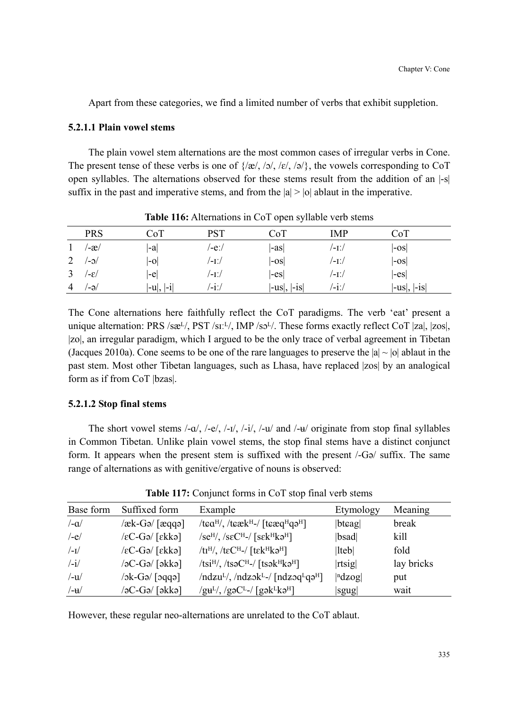Apart from these categories, we find a limited number of verbs that exhibit suppletion.

## **5.2.1.1 Plain vowel stems**

The plain vowel stem alternations are the most common cases of irregular verbs in Cone. The present tense of these verbs is one of  $\{x|, y|, z|, |z|, |z|\}$ , the vowels corresponding to CoT open syllables. The alternations observed for these stems result from the addition of an |-s| suffix in the past and imperative stems, and from the  $|a| > |o|$  ablaut in the imperative.

|   | <b>PRS</b>           | CoT          | PST   | $\mathbf{r}$<br>$\tilde{\phantom{a}}$<br>CoT | IMP   | CoT                |
|---|----------------------|--------------|-------|----------------------------------------------|-------|--------------------|
|   | /-æ/                 | -a           | /-eː/ | $ -as $                                      | /-1ː/ | $ -OS $            |
| ∠ | $/-0/$               | $ -0 $       | /-1./ | $ -0S $                                      | /-1ː/ | $\left -os\right $ |
|   | $\sqrt{-\epsilon/2}$ | l-el         | /-1ː/ | $ -es $                                      | /-1ː/ | $ -es $            |
| 4 | /-ə/                 | $ -u ,  -1 $ | /-iː/ | $ -us ,  -1S $                               | /-1ː/ | $ -us ,  -is $     |

**Table 116:** Alternations in CoT open syllable verb stems

The Cone alternations here faithfully reflect the CoT paradigms. The verb 'eat' present a unique alternation:  $PRS /sæ^{L}/$ ,  $PST /sI^{L}/$ ,  $IMP /s2^{L}/$ . These forms exactly reflect CoT |za|, |zos|, |zo|, an irregular paradigm, which I argued to be the only trace of verbal agreement in Tibetan (Jacques 2010a). Cone seems to be one of the rare languages to preserve the  $|a| \sim |b|$  ablaut in the past stem. Most other Tibetan languages, such as Lhasa, have replaced |zos| by an analogical form as if from CoT |bzas|.

# **5.2.1.2 Stop final stems**

The short vowel stems  $\frac{1}{q}$ ,  $\frac{1}{q}$ ,  $\frac{1}{q}$ ,  $\frac{1}{q}$ ,  $\frac{1}{q}$ ,  $\frac{1}{q}$ ,  $\frac{1}{q}$ ,  $\frac{1}{q}$  originate from stop final syllables in Common Tibetan. Unlike plain vowel stems, the stop final stems have a distinct conjunct form. It appears when the present stem is suffixed with the present /-Gə/ suffix. The same range of alternations as with genitive/ergative of nouns is observed:

| Base form            | Suffixed form                                               | Example                                                                                                             | Etymology            | Meaning    |
|----------------------|-------------------------------------------------------------|---------------------------------------------------------------------------------------------------------------------|----------------------|------------|
| $/-\alpha/$          | $\ell$ æk-Gə $\ell$ [æqqə]                                  | /tea <sup>H</sup> /, /teæk <sup>H</sup> -/ [teæq <sup>H</sup> qə <sup>H</sup> ]                                     | $ b$ t $\epsilon$ ag | break      |
| $/-e/$               | $\sqrt{\varepsilon}C$ -Gə/ $\lceil \varepsilon kk\rangle$   | $\sqrt{\text{se}^{\text{H}}/N}$ , $\sqrt{\text{se}^{\text{H}}/N}$ $\sqrt{\text{se}^{\text{H}}\text{ke}^{\text{H}}}$ | bsad                 | kill       |
| $/$ -I $/$           | $\sqrt{\varepsilon C}$ -Gə/ $\lceil \varepsilon k k \rceil$ | /ti <sup>H</sup> /, /teC <sup>H</sup> -/ [tek <sup>H</sup> ka <sup>H</sup> ]                                        | $ $ lteb $ $         | fold       |
| $\frac{1}{\sqrt{2}}$ | $\sqrt{2C}-G$ ə $/$ [əkkə]                                  | $/tsiH$ , $/tsoCH$ -/ $[tsokHk2H]$                                                                                  | rtsig                | lay bricks |
| $/$ -u $/$           | $\lceil \text{eq} \rceil$ \cD- $\lambda$ c $\lambda$        | $/ndzu^L/$ , $/ndz^L-$ [ndz $sq^Lq^H$ ]                                                                             | $ n \, \text{dzog} $ | put        |
| $/$ -u $/$           | /əC-Gə/ [əkkə]                                              | $/guL$ , /gəC <sup>L</sup> -/ [gək <sup>L</sup> kə <sup>H</sup> ]                                                   | sgug                 | wait       |

**Table 117:** Conjunct forms in CoT stop final verb stems

However, these regular neo-alternations are unrelated to the CoT ablaut.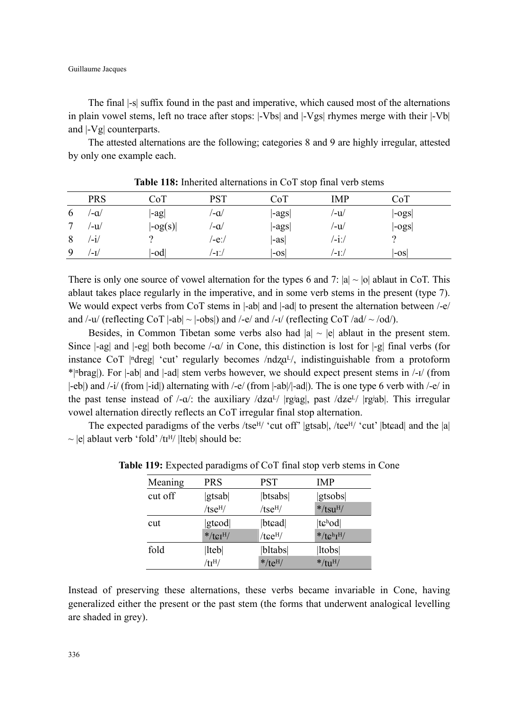Guillaume Jacques

The final |-s| suffix found in the past and imperative, which caused most of the alternations in plain vowel stems, left no trace after stops: |-Vbs| and |-Vgs| rhymes merge with their |-Vb| and |-Vg| counterparts.

The attested alternations are the following; categories 8 and 9 are highly irregular, attested by only one example each.

|   | <b>PRS</b>      | CoT                   | DCT   | CoT   | IMP  | CoT   |
|---|-----------------|-----------------------|-------|-------|------|-------|
| O | ′-a∕            | $ -ag $               | ′-a∕  | -ags  | /-u/ | -ogs  |
|   | ′-u∕            | $\left -og(s)\right $ | /−a   | -ags  | /-u/ | -ogs  |
| Ô | $^{\prime}$ -1/ |                       | /-eː/ | l-asl | /-11 |       |
| 9 | '-1/            | -od                   | '-1./ | l-osl | ′-∐  | l-osl |

**Table 118:** Inherited alternations in CoT stop final verb stems

There is only one source of vowel alternation for the types 6 and 7:  $|a| \sim |b|$  ablaut in CoT. This ablaut takes place regularly in the imperative, and in some verb stems in the present (type 7). We would expect verbs from CoT stems in  $|\text{-ab}|$  and  $|\text{-ad}|$  to present the alternation between  $\text{-e}/\text{-e}/\text{e}$ and /-u/ (reflecting CoT  $|-ab| \sim |-obs|$ ) and /-e/ and /-i/ (reflecting CoT /ad/  $\sim$  /od/).

Besides, in Common Tibetan some verbs also had  $|a| \sim |e|$  ablaut in the present stem. Since  $|-ag|$  and  $|-eg|$  both become  $\angle -a/$  in Cone, this distinction is lost for  $|-g|$  final verbs (for instance CoT | $^{\text{ndreg}}$  'cut' regularly becomes / $\text{ndza}^{\text{L}}$ , indistinguishable from a protoform \*|ⁿbrag|). For |-ab| and |-ad| stem verbs however, we should expect present stems in /-ɪ/ (from |-eb|) and /-i/ (from |-id|) alternating with /-e/ (from |-ab|/|-ad|). The is one type 6 verb with /-e/ in the past tense instead of  $/\text{-}a$ . the auxiliary  $\frac{dz a^{1}}{|\text{gag}|}$ , past  $\frac{dz e^{1}}{|\text{gag}|}$ . This irregular vowel alternation directly reflects an CoT irregular final stop alternation.

The expected paradigms of the verbs /tse<sup>H</sup>/ 'cut off' |gtsab|, /tee<sup>H</sup>/ 'cut' |btead| and the |a|  $\sim$  |e| ablaut verb 'fold' /t<sup>H</sup>/ |lteb| should be:

| Meaning | PRS                | <b>PST</b>                   | <b>IMP</b>                |
|---------|--------------------|------------------------------|---------------------------|
| cut off | gtsab              | btsabs                       | gtsobs                    |
|         | tse <sup>H</sup> / | tse <sup>H</sup> /           | $*$ /tsu <sup>H</sup> /   |
| cut     | gtcod              | btcad                        | $ t\epsilonhod $          |
|         | $*$ /t $gIH$       | $/$ t $e$ e <sup>H</sup> $/$ | $*/t c^h I^H$             |
| fold    | lteb               | bltabs                       | ltobs                     |
|         | $/$ tr $^{H/}$     | $*$ /te <sup>H</sup> /       | $*/\text{tu}^{\text{H}}/$ |

**Table 119:** Expected paradigms of CoT final stop verb stems in Cone

Instead of preserving these alternations, these verbs became invariable in Cone, having generalized either the present or the past stem (the forms that underwent analogical levelling are shaded in grey).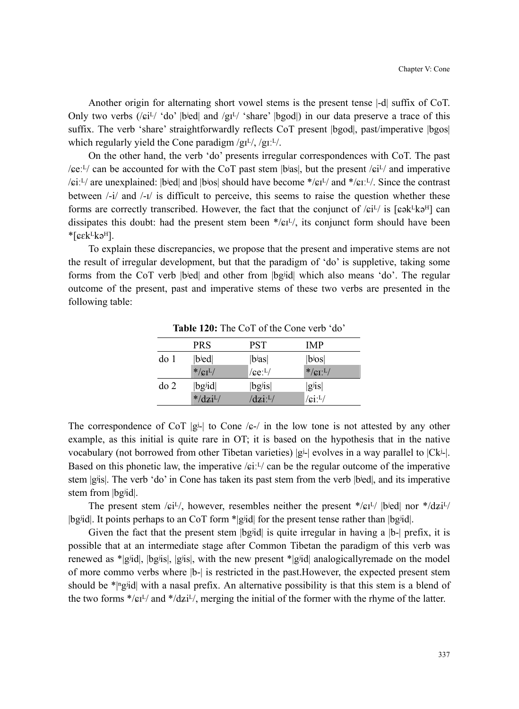Another origin for alternating short vowel stems is the present tense |-d| suffix of CoT. Only two verbs ( $/e^{i\frac{L}{2}}$  'do' |bʲed| and  $/g^{i\frac{L}{2}}$  'share' |bgod|) in our data preserve a trace of this suffix. The verb 'share' straightforwardly reflects CoT present  $|b \text{goal}|$ , past/imperative  $|b \text{gos}|$ which regularly yield the Cone paradigm  $/gI^{L}$ ,  $/gI^{L}$ .

On the other hand, the verb 'do' presents irregular correspondences with CoT. The past / $\text{ce:}^{L}$ / can be accounted for with the CoT past stem |bas|, but the present / $\text{ci}^{L}$ / and imperative / $\epsilon$ i:<sup>L</sup>/ are unexplained: |bʲed| and |bʲos| should have become \*/ $\epsilon$ i<sup>L</sup>/ and \*/ $\epsilon$ i:<sup>L</sup>/. Since the contrast between  $\frac{1}{i}$  and  $\frac{1}{i}$  is difficult to perceive, this seems to raise the question whether these forms are correctly transcribed. However, the fact that the conjunct of  $/\epsilon i^L/i$  is [ $\epsilon \in k^L k e^H$ ] can dissipates this doubt: had the present stem been  $\frac{f}{c}L^1$ , its conjunct form should have been  $*$ [ $\varepsilon$ k $L$ kə<sup>H</sup>].

To explain these discrepancies, we propose that the present and imperative stems are not the result of irregular development, but that the paradigm of 'do' is suppletive, taking some forms from the CoT verb |bʲed| and other from |bgʲid| which also means 'do'. The regular outcome of the present, past and imperative stems of these two verbs are presented in the following table:

|         | PRS                     | PST                   | <b>IMP</b>               |
|---------|-------------------------|-----------------------|--------------------------|
| do 1    | $ b$ ied                | $ b$ <sup>j</sup> as  | $ b$ <sub>jos</sub> $ $  |
|         | $*/cI^{L}/$             | $/$ ce: $^{L}/$       | $*/cI^{L}/$              |
| $d$ o 2 | $ bg$ id                | $ bg$ <sup>j</sup> is | $ g_{i}$ is              |
|         | $*$ /dzi <sup>L</sup> / | $\sqrt{dz}i^L$        | $/$ ci: <sup>L</sup> $/$ |

**Table 120:** The CoT of the Cone verb 'do'

The correspondence of CoT  $|g^{\perp}|$  to Cone / $g$ -/ in the low tone is not attested by any other example, as this initial is quite rare in OT; it is based on the hypothesis that in the native vocabulary (not borrowed from other Tibetan varieties)  $|g_i|$  evolves in a way parallel to  $|C_{ki}|$ . Based on this phonetic law, the imperative / $\epsilon i^{j}$  can be the regular outcome of the imperative stem |gʲis|. The verb 'do' in Cone has taken its past stem from the verb |bʲed|, and its imperative stem from |bgʲid|.

The present stem / $\epsilon i^{L}$ /, however, resembles neither the present \*/ $\epsilon i^{L}$ / |bʲed| nor \*/ $\frac{dz}{l}$ |bgʲid|. It points perhaps to an CoT form \*|gʲid| for the present tense rather than |bgʲid|.

Given the fact that the present stem  $|bg$ id is quite irregular in having a  $|b-|$  prefix, it is possible that at an intermediate stage after Common Tibetan the paradigm of this verb was renewed as \*|gʲid|, |bgʲis|, |gʲis|, with the new present \*|gʲid| analogicallyremade on the model of more commo verbs where |b-| is restricted in the past.However, the expected present stem should be \*| $\alpha$ gid| with a nasal prefix. An alternative possibility is that this stem is a blend of the two forms  $\frac{*}{c}I^{L}/$  and  $\frac{*}{dz}I^{L}/$ , merging the initial of the former with the rhyme of the latter.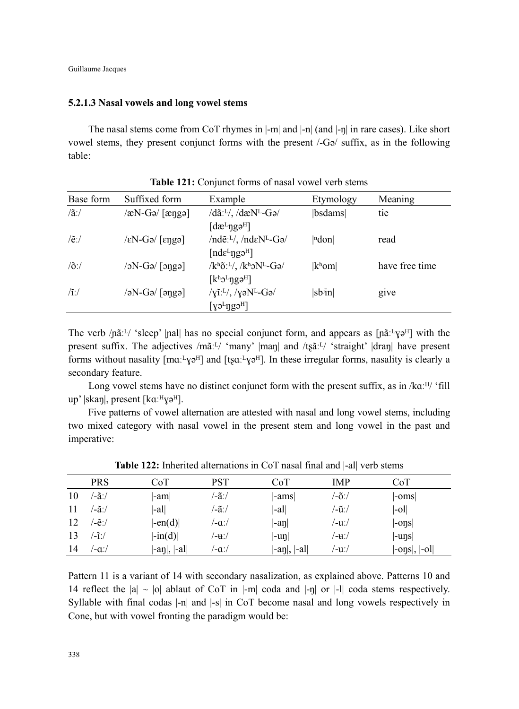#### **5.2.1.3 Nasal vowels and long vowel stems**

The nasal stems come from CoT rhymes in |-m| and |-n| (and |-ŋ| in rare cases). Like short vowel stems, they present conjunct forms with the present /-Gə/ suffix, as in the following table:

| Base form        | Suffixed form                                      | Example                                                             | Etymology           | Meaning        |
|------------------|----------------------------------------------------|---------------------------------------------------------------------|---------------------|----------------|
| $/\tilde{a}$ :/  | $\sqrt{\alpha N}$ -Gə/ $\sqrt{\alpha}$             | $/d\tilde{a}$ : <sup>L</sup> /, $/d\mathcal{R}$ N <sup>L</sup> -Gə/ | bsdams              | tie            |
|                  |                                                    | $\left[$ dæ <sup>L</sup> $\eta$ gə <sup>H</sup> $\right]$           |                     |                |
| $/$ $e$ :/       | $\sqrt{\varepsilon N}$ -Gə/ $\sqrt{\varepsilon N}$ | /nde <sup>11</sup> /, /nde <sup>NL</sup> -Ga/                       | ndon                | read           |
|                  |                                                    | $[nd\varepsilon^L \eta g \partial^H]$                               |                     |                |
| $/$ õ:/          | $\sqrt{g\rho}$ /cg/ $\sqrt{g}$                     | $/k^h\tilde{\sigma}L^/$ , $/k^h\mathcal{N}^L-G\mathcal{A}$          | $ k^{\rm h}$ om $ $ | have free time |
|                  |                                                    | $[k^h2^L$ ngə <sup>H</sup> ]                                        |                     |                |
| $\mathcal{L}$ :/ | $\sqrt{ap q\rangle}$ (and $\sqrt{ap q\rangle}$     | $/\gamma$ ĩ: <sup>L/</sup> , $/\gamma$ əN <sup>L</sup> -Gə/         | $ sb$ in $ $        | give           |
|                  |                                                    | $\lceil \gamma$ ə <sup>L</sup> ngə <sup>H</sup>                     |                     |                |

**Table 121:** Conjunct forms of nasal vowel verb stems

The verb / $n\tilde{a}$ : [ $\tilde{a}$  'sleep' |nal| has no special conjunct form, and appears as [ $n\tilde{a}$  : [ $\nu$ s<sup>H</sup>] with the present suffix. The adjectives  $/m\tilde{a}$ :  $\sim$  'many'  $|m\alpha|$  and  $/t\tilde{a}$ :  $\sim$  'straight'  $|dr\alpha|$  have present forms without nasality  $[ma<sup>+</sup>y<sub>2</sub>]<sup>H</sup>]$  and  $[tsa<sup>+</sup>y<sub>2</sub>]<sup>H</sup>$ . In these irregular forms, nasality is clearly a secondary feature.

Long vowel stems have no distinct conjunct form with the present suffix, as in  $/ka<sup>:H</sup>$  'fill up' |skan|, present [kɑː<code>Hv</code>ə<code><sup>H</sup>].</sup></code>

Five patterns of vowel alternation are attested with nasal and long vowel stems, including two mixed category with nasal vowel in the present stem and long vowel in the past and imperative:

|    | <b>PRS</b>       | CoT                                       | <b>PST</b> | CoT                                       | IMP   | CoT                                                     |
|----|------------------|-------------------------------------------|------------|-------------------------------------------|-------|---------------------------------------------------------|
| 10 | /-ãː/            | -am                                       | /-ãː/      | $ -ams $                                  | /-õː/ | $ -oms $                                                |
| 11 | /-ãː/            | $\left  -a \right $                       | /-ãː/      | $ -a $                                    | /-ũː/ | $\left  -0 \right $                                     |
| 12 | /-ẽː/            | $\left  -\text{en}(d) \right $            | /−aː/      | $ -a\eta $                                | /-uː/ | $\left -ons\right $                                     |
| 13 | $^{\prime}$ -ĩ:/ | $\left  -\text{in}(d) \right $            | /-u∵/      | $ -un $                                   | /-u∵/ | $ -uns $                                                |
| 14 | /−aː/            | $\vert -a\eta \vert, \vert -a\vert \vert$ | /-aː/      | $\vert$ -aŋ $\vert$ , $\vert$ -al $\vert$ | /-uː/ | $\left  -\text{ons} \right , \left  -\text{ol} \right $ |

**Table 122:** Inherited alternations in CoT nasal final and |-al| verb stems

Pattern 11 is a variant of 14 with secondary nasalization, as explained above. Patterns 10 and 14 reflect the  $|a| \sim |o|$  ablaut of CoT in  $|-m|$  coda and  $|-n|$  or  $|-1|$  coda stems respectively. Syllable with final codas |-n| and |-s| in CoT become nasal and long vowels respectively in Cone, but with vowel fronting the paradigm would be: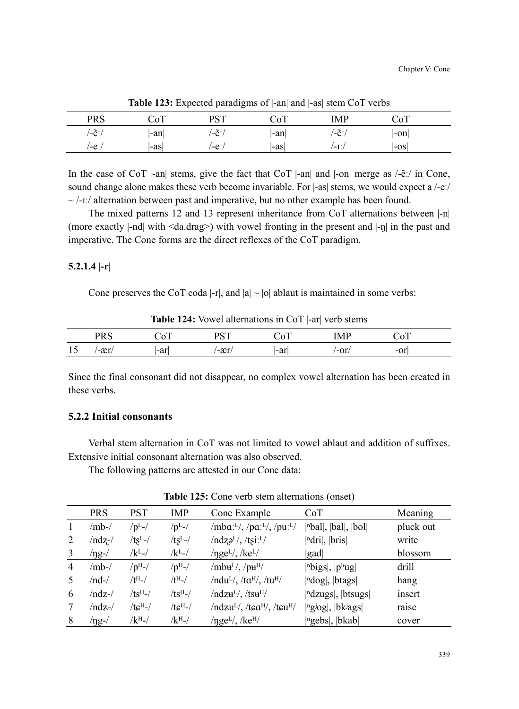|            |        | $\overline{\phantom{a}}$<br>. .<br>$\tilde{\phantom{a}}$ |     |       |       |  |
|------------|--------|----------------------------------------------------------|-----|-------|-------|--|
| <b>PRS</b> |        | <b>DCT</b>                                               | ΣoТ | 'MP   |       |  |
| /-ẽː/      | -an    | $/ - \tilde{e}$ :                                        | -an | /−ẽ:, | -on   |  |
| /-e∶       | $-a$ s | $-e$ :                                                   | -as | '-L'/ | l-osl |  |

**Table 123:** Expected paradigms of |-an| and |-as| stem CoT verbs

In the case of CoT |-an| stems, give the fact that CoT |-an| and |-on| merge as  $\sqrt{-e}$ : in Cone, sound change alone makes these verb become invariable. For |-as| stems, we would expect a /-eː/  $\sim$ /-i:/ alternation between past and imperative, but no other example has been found.

The mixed patterns 12 and 13 represent inheritance from CoT alternations between |-n| (more exactly |-nd| with <da.drag>) with vowel fronting in the present and |-ŋ| in the past and imperative. The Cone forms are the direct reflexes of the CoT paradigm.

#### **5.2.1.4 |-r|**

Cone preserves the CoT coda  $|-r|$ , and  $|a| \sim |o|$  ablaut is maintained in some verbs:

|    |       |      | <b>DCT</b><br><u>، ں</u> ، | ΣoТ | IMF  | $\cdot$ $\circ^{\mathrm{T}}$ |  |
|----|-------|------|----------------------------|-----|------|------------------------------|--|
| 15 | $-ar$ | l-ar | $-xr$                      | -ar | '-or | -or                          |  |

**Table 124:** Vowel alternations in CoT  $\text{-}$  arl verb stems

Since the final consonant did not disappear, no complex vowel alternation has been created in these verbs.

### **5.2.2 Initial consonants**

Verbal stem alternation in CoT was not limited to vowel ablaut and addition of suffixes. Extensive initial consonant alternation was also observed.

The following patterns are attested in our Cone data:

|                | <b>PRS</b> | PST                    | IMP                | Cone Example                                            | CoT                                                         | Meaning   |
|----------------|------------|------------------------|--------------------|---------------------------------------------------------|-------------------------------------------------------------|-----------|
| $\mathbf{1}$   | /mb-/      | /p <sup>L</sup>        | $/pL$ -/           | /mba: $L/$ , /pa: $L/$ , /pu: $L/$                      | $ n$ bal, $ bal $ , $ bol $                                 | pluck out |
| 2              | /ndz-/     | $/ts^L$ -/             | $/ts^L$ -/         | $/ndz^2/$ , $/tsi:$ <sup>L</sup> /                      | $\vert$ <sup>n</sup> dri $\vert$ , $\vert$ bris $\vert$     | write     |
| 3              | /ng-/      | /k <sup>L</sup> -/     | /k <sup>L</sup> -/ | $\gamma$ nge <sup>L/</sup> , /ke <sup>L/</sup>          | gad                                                         | blossom   |
| $\overline{4}$ | /mb-/      | $/pH$ -/               | $/pH$ -/           | $/mbu^L/$ , $/pu^H/$                                    | $ $ <sup>n</sup> bigs , $ p$ <sup>h</sup> ug                | drill     |
| 5              | /nd-/      | $/$ t $^{\rm H}$ - $/$ | $/tH$ -/           | $/nduL/$ , $/taH/$ , $/tuH/$                            | ndog ,  btags                                               | hang      |
| 6              | /ndz-/     | $/ts^H$ -/             | $/ts^H$ -/         | $/ndz$ u <sup>L</sup> $/$ , $/ts$ u <sup>H</sup> $/$    | $\vert$ <sup>n</sup> dzugs $\vert$ , $\vert$ btsugs $\vert$ | insert    |
|                | /ndz-/     | $/tc^{H-}$             | $/tc^{\rm H}$ -/   | $/ndzuL/$ , /tea <sup>H</sup> /, /teu <sup>H</sup> /    | <sup> ngjog</sup>  ,  bk <sup>j</sup> ags                   | raise     |
| 8              | /ng-/      | /k <sup>H</sup> -/     | $/kH$ -/           | $\eta$ ge <sup>L</sup> $\ell$ , /ke <sup>H</sup> $\ell$ | ngebs ,  bkab                                               | cover     |

**Table 125:** Cone verb stem alternations (onset)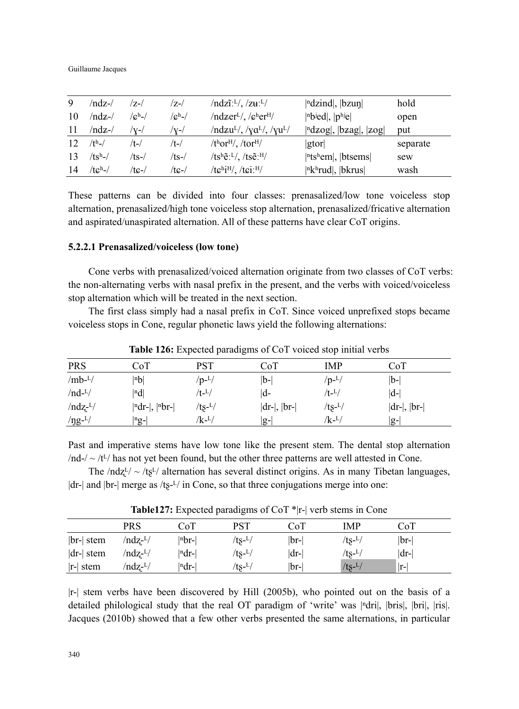Guillaume Jacques

| 9   | $/ndz$ - $/$ | /7-/            | /z-/            | $/ndz\tilde{i}$ : <sup>L</sup> $/$ , $/zu$ : <sup>L<math>/</math></sup> | $\vert$ <sup>n</sup> dzind $\vert$ , $\vert$ bzun $\vert$                      | hold     |
|-----|--------------|-----------------|-----------------|-------------------------------------------------------------------------|--------------------------------------------------------------------------------|----------|
| 10  | /ndz-/       | $\sqrt{c^h}$ -/ | $\sqrt{c^h}$ -/ | $/ndzerL$ , $/eferH$                                                    | $ n$ bied, $ p$ hiel                                                           | open     |
| -11 | $/ndz-$      | /v-/            | 'V-/            | $/ndzu^L/$ , $/\gamma a^L/$ , $/\gamma u^L/$                            | $\vert$ <sup>n</sup> dzog $\vert$ , $\vert$ bzag $\vert$ , $\vert$ zog $\vert$ | put      |
| 12  | $/th$ -/     | /t-/            | /t-/            | $/thorH$ , /tor <sup>H</sup> /                                          | gtor                                                                           | separate |
| 13  | $/tsh-/$     | $/ts$ -/        | /ts-/           | $/ts^h\tilde{e}$ : <sup>L</sup> /, /ts $\tilde{e}$ : <sup>H</sup> /     | $ \text{ntshem} $ , btsems                                                     | sew      |
| 14  | $/tch$ -/    | /tc-/           | /tc-/           | $/t\epsilon^{h}i^{H}$ , /t $\epsilon i^{H}$                             | $ n kh r u d $ , $ bkrus $                                                     | wash     |

These patterns can be divided into four classes: prenasalized/low tone voiceless stop alternation, prenasalized/high tone voiceless stop alternation, prenasalized/fricative alternation and aspirated/unaspirated alternation. All of these patterns have clear CoT origins.

#### **5.2.2.1 Prenasalized/voiceless (low tone)**

Cone verbs with prenasalized/voiced alternation originate from two classes of CoT verbs: the non-alternating verbs with nasal prefix in the present, and the verbs with voiced/voiceless stop alternation which will be treated in the next section.

The first class simply had a nasal prefix in CoT. Since voiced unprefixed stops became voiceless stops in Cone, regular phonetic laws yield the following alternations:

| <b>PRS</b>    | CoT                | PST                | CoT               | IMP                | CoT            |
|---------------|--------------------|--------------------|-------------------|--------------------|----------------|
| $/mb^{-L}/$   | $ n\mathbf{b} $    | $/p-L/$            | $ b-$             | $/p-L/$            | b-             |
| $/nd-L/$      | nd                 | /t- <sup>L</sup> / | d-                | /t- <sup>L</sup> / | $ d-$          |
| $/ndz$ - $L/$ | $ ndr- ,  rbr- $   | $/ts-L/$           | $ dr- $ , $ br- $ | $/ts-L/$           | $ dr- ,  br- $ |
| $\frac{1}{2}$ | $ ^{\rm n}$ g- $ $ | /k- <sup>L</sup> / | $ g-$             | /k- <sup>L</sup> / | lg-l           |

**Table 126:** Expected paradigms of CoT voiced stop initial verbs

Past and imperative stems have low tone like the present stem. The dental stop alternation  $/nd$ - $/$   $\sim$  /t<sup>L</sup>/ has not yet been found, but the other three patterns are well attested in Cone.

The  $/ndz^{L}/ \sim /ts^{L}/$  alternation has several distinct origins. As in many Tibetan languages,  $|dr-|$  and  $|br-|$  merge as /ts- $<sup>L</sup>/$  in Cone, so that three conjugations merge into one:</sup>

|              |                      |             | __                  |        |          |      |  |
|--------------|----------------------|-------------|---------------------|--------|----------|------|--|
|              | PRS                  | CoT         | PST                 | CoT    | IMP      | CoT  |  |
| $ br- $ stem | /ndz- <sup>L</sup> / | $ nbr- $    | $/ts-1/$            | $ br-$ | $/ts-L/$ | br-  |  |
| $ dr- $ stem | /ndz- <sup>L</sup> / | $ ^{n}dr- $ | /ts- <sup>L</sup> / | $ dr-$ | $/ts-L/$ | dr-  |  |
| $ r $ stem   | /ndz- <sup>L</sup>   | ∣ndr-l      | /ts- <sup>L</sup> / | lbr-   | $/ts-L/$ | lr-l |  |

**Table127:** Expected paradigms of CoT \*|r-| verb stems in Cone

|r-| stem verbs have been discovered by Hill (2005b), who pointed out on the basis of a detailed philological study that the real OT paradigm of 'write' was  $\lceil \frac{n}{\text{dr}} \rceil$ ,  $\lceil \text{b} \rceil$ ,  $\lceil \text{r} \rceil$ ,  $\lceil \text{r} \rceil$ ,  $\lceil \text{r} \rceil$ ,  $\lceil \text{r} \rceil$ ,  $\lceil \text{r} \rceil$ ,  $\lceil \text{r} \rceil$ ,  $\lceil \text{r} \rceil$ ,  $\lceil \text{r} \rceil$ Jacques (2010b) showed that a few other verbs presented the same alternations, in particular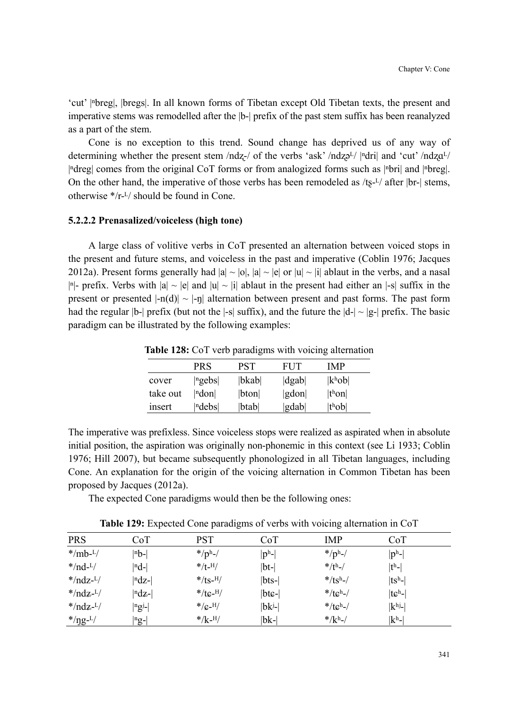'cut' |ⁿbreg|, |bregs|. In all known forms of Tibetan except Old Tibetan texts, the present and imperative stems was remodelled after the |b-| prefix of the past stem suffix has been reanalyzed as a part of the stem.

Cone is no exception to this trend. Sound change has deprived us of any way of determining whether the present stem /ndz-/ of the verbs 'ask' /ndz $\sigma^{L}$ / | $\alpha$ dri| and 'cut' /ndz $\sigma^{L}$ / |ⁿdreg| comes from the original CoT forms or from analogized forms such as |ⁿbri| and |ⁿbreg|. On the other hand, the imperative of those verbs has been remodeled as  $/ts^{-1/2}$  after  $|br-|$  stems, otherwise  $*/r$ - $\frac{L}{s}$  should be found in Cone.

#### **5.2.2.2 Prenasalized/voiceless (high tone)**

A large class of volitive verbs in CoT presented an alternation between voiced stops in the present and future stems, and voiceless in the past and imperative (Coblin 1976; Jacques 2012a). Present forms generally had  $|a| \sim |b|$ ,  $|a| \sim |e|$  or  $|u| \sim |i|$  ablaut in the verbs, and a nasal |<sup>n</sup>|- prefix. Verbs with  $|a| \sim |e|$  and  $|u| \sim |i|$  ablaut in the present had either an |-s| suffix in the present or presented  $|-n(d)| \sim |-n|$  alternation between present and past forms. The past form had the regular  $|b-|$  prefix (but not the  $|-s|$  suffix), and the future the  $|d-| \sim |g-|$  prefix. The basic paradigm can be illustrated by the following examples:

|          | PRS   | PST      | FUT                          | IMP                 |  |
|----------|-------|----------|------------------------------|---------------------|--|
| cover    | ngebs | bkab     | $\left  \text{dgab} \right $ | $ k^{\rm h}$ ob $ $ |  |
| take out | ndon  | $ b$ ton | gdon                         | t <sup>h</sup> on   |  |
| insert   | ndebs | btab     | gdab                         | t <sup>h</sup> ob   |  |

**Table 128:** CoT verb paradigms with voicing alternation

The imperative was prefixless. Since voiceless stops were realized as aspirated when in absolute initial position, the aspiration was originally non-phonemic in this context (see Li 1933; Coblin 1976; Hill 2007), but became subsequently phonologized in all Tibetan languages, including Cone. An explanation for the origin of the voicing alternation in Common Tibetan has been proposed by Jacques (2012a).

The expected Cone paradigms would then be the following ones:

| Table 129: Expected Cone paradigms of verbs with voicing alternation in CoT |            |        |      |         |
|-----------------------------------------------------------------------------|------------|--------|------|---------|
| $C_0$ T                                                                     | <b>DCT</b> | $C_0T$ | TMD. | $C_2$ T |

| <b>PRS</b>               | CoT                    | PST              | CoT      | IMP         | CoT             |  |
|--------------------------|------------------------|------------------|----------|-------------|-----------------|--|
| $*$ /mb- $L$             | $ n_{\mathbf{b}}$ -    | $*$ /ph-/        | $ p^h$ - | $*/p^h$ -/  | $ p^h$ -        |  |
| $*$ /nd- $L$ /           | $\vert n \mathrm{d}$ - | $*$ /t-H/        | $ bt-$   | $*$ /th-/   | $ t^h$ -        |  |
| $*$ /ndz- <sup>L</sup> / | $ ndz-$                | $*$ /ts- $^{H}/$ | $ bts-$  | $*$ /tsh-/  | $ tsh$ -        |  |
| $*$ /ndz- <sup>L</sup> / | $ n\mathrm{dz}-$       | $*$ /tc- $^{H}/$ | $ btc- $ | $*$ /tch-/  | $ t eh$ -       |  |
| $*$ /ndz- <sup>L</sup> / | $ {}^ng$ j-            | $*/c$ -H/        | $ bk^j-$ | $*$ /tch-/  | k <sup>hj</sup> |  |
| */ $\eta g$ - $^{L}$ /   | $ {}^ng$ -             | $*/k$ -H/        | $ bk-$   | $*/k^{h-1}$ | $ k^h $         |  |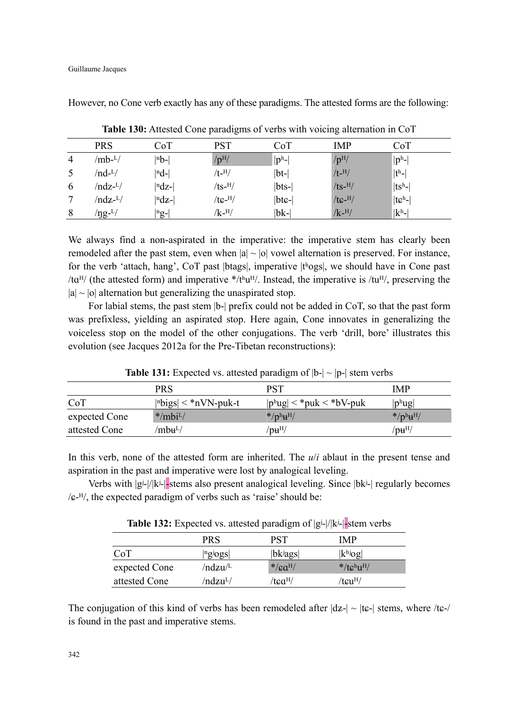However, no Cone verb exactly has any of these paradigms. The attested forms are the following:

|                | <b>PRS</b>       | CoT                           | PST               | $_{\rm CoT}$ | IMP               | CoT       |
|----------------|------------------|-------------------------------|-------------------|--------------|-------------------|-----------|
| $\overline{4}$ | /mb- $^{L}/$     | $ nb- $                       | /p <sup>H</sup> / | $ p^h$ -     | /p <sup>H</sup> / | $ p^h$ -  |
| 5              | $/nd-L/$         | $ nd-$                        | $/t$ - $^{H}/$    | $ bt- $      | $/t$ - $^{H}/$    | $ t^h-$   |
| 6              | $/ndz$ - $L/$    | $ ndz-$                       | $/ts$ -H $/$      | $ bts-$      | $/ts$ -H/         | $ tsh$ -  |
| 7              | /ndz- $L/$       | $ ndz-$                       | $/tc$ - $^{H}/$   | btc-         | $/tc$ -H          | $ t ch- $ |
| 8              | /ŋg- $^{\rm L/}$ | $\left  \right $ ng- $\left $ | $/k$ - $^{H/}$    | $ bk-$       | $/k$ - $^{H}/$    | $ k^h $   |

**Table 130:** Attested Cone paradigms of verbs with voicing alternation in CoT

We always find a non-aspirated in the imperative: the imperative stem has clearly been remodeled after the past stem, even when  $|a| \sim |b|$  vowel alternation is preserved. For instance, for the verb 'attach, hang', CoT past  $|{\rm bags}|$ , imperative  $|{\rm t}^{\rm bogs}|$ , we should have in Cone past /taH/ (the attested form) and imperative \*/tʰuH/. Instead, the imperative is /tuH/, preserving the  $|a| \sim |b|$  alternation but generalizing the unaspirated stop.

For labial stems, the past stem |b-| prefix could not be added in CoT, so that the past form was prefixless, yielding an aspirated stop. Here again, Cone innovates in generalizing the voiceless stop on the model of the other conjugations. The verb 'drill, bore' illustrates this evolution (see Jacques 2012a for the Pre-Tibetan reconstructions):

|               |                         | .                                |                          |
|---------------|-------------------------|----------------------------------|--------------------------|
|               | <b>PRS</b>              | PST                              | <b>IMP</b>               |
| CoT           | nbigs  $\lt$ *nVN-puk-t | $ p^h u g  < *p u k < *b V$ -puk | $ ph$ ug                 |
| expected Cone | $*$ /mbi <sup>L</sup> / | $*$ /ph <sub>u</sub> H/          | $*$ /ph <sub>H</sub> H/  |
| attested Cone | /mbʉʰ/                  | $/$ pu $^{H/}$                   | /p $\mathbf{u}^\text{H}$ |

**Table 131:** Expected vs. attested paradigm of  $|b-| \sim |p-|$  stem verbs

In this verb, none of the attested form are inherited. The  $u/i$  ablaut in the present tense and aspiration in the past and imperative were lost by analogical leveling.

Verbs with |gʲ-|/|kʲ-|-stems also present analogical leveling. Since |bkʲ-| regularly becomes  $\sqrt{\varepsilon}$ -H, the expected paradigm of verbs such as 'raise' should be:

**Table 132:** Expected vs. attested paradigm of |gʲ-|/|kʲ-|-stem verbs

|               | <b>PRS</b>           | PST                 | <b>IMP</b>               |
|---------------|----------------------|---------------------|--------------------------|
| CoT           | $ {}^n g$ logs       | $ b$ kjags          | $ k^{hj}$ og             |
| expected Cone | /ndzu/ <sup>L</sup>  | $*$ / $caH$ /       | $*$ /tchu <sup>H</sup> / |
| attested Cone | /ndzu <sup>L</sup> / | /tca <sup>H</sup> / | /tcu <sup>H</sup> /      |

The conjugation of this kind of verbs has been remodeled after  $|dz| \sim |t\epsilon|$  stems, where /t $\epsilon$ -/ is found in the past and imperative stems.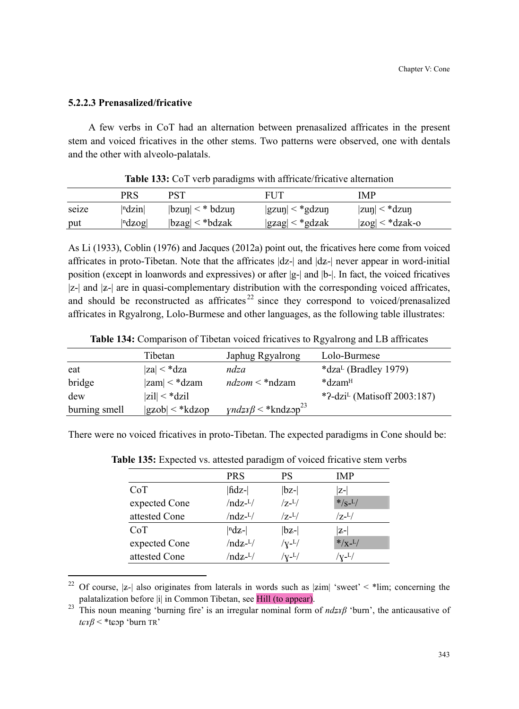### **5.2.2.3 Prenasalized/fricative**

 $\overline{a}$ 

A few verbs in CoT had an alternation between prenasalized affricates in the present stem and voiced fricatives in the other stems. Two patterns were observed, one with dentals and the other with alveolo-palatals.

|       | PRS                               | <b>PST</b>                                         | <b>FUT</b>            | <b>IMP</b>                               |
|-------|-----------------------------------|----------------------------------------------------|-----------------------|------------------------------------------|
| seize | $\vert$ <sup>n</sup> dzin $\vert$ | $ {\rm b}\text{zun}  < *{\rm b}\text{d}\text{zun}$ | $ gxup  < *gdzu \eta$ | $ z \text{u} \eta  < *d z \text{u} \eta$ |
| put   | $\vert$ <sup>n</sup> dzog $\vert$ | $ {\rm b}zag  < *{\rm bd}zak$                      | $ ggag  < *gdzak$     | $ zog  < *dzak-o$                        |

**Table 133:** CoT verb paradigms with affricate/fricative alternation

As Li (1933), Coblin (1976) and Jacques (2012a) point out, the fricatives here come from voiced affricates in proto-Tibetan. Note that the affricates  $|dz|$  and  $|dz|$  never appear in word-initial position (except in loanwords and expressives) or after |g-| and |b-|. In fact, the voiced fricatives  $|z-|$  and  $|z-|$  are in quasi-complementary distribution with the corresponding voiced affricates, and should be reconstructed as affricates  $22$  since they correspond to voiced/prenasalized affricates in Rgyalrong, Lolo-Burmese and other languages, as the following table illustrates:

|               | Tibetan                       | Japhug Rgyalrong                       | Lolo-Burmese                            |
|---------------|-------------------------------|----------------------------------------|-----------------------------------------|
| eat           | $ z_a  < *dza$                | ndza                                   | *dza <sup>L</sup> (Bradley 1979)        |
| bridge        | $ zam  < *dzam$               | $ndzom <$ *ndzam                       | *dzam <sup>H</sup>                      |
| dew           | $ zil  < *dzil$               |                                        | *?-dzi <sup>L</sup> (Matisoff 2003:187) |
| burning smell | $ {\rm gzob}  < *{\rm kdzop}$ | $\gamma n dz x \beta <$ *kndz $p^{23}$ |                                         |

**Table 134:** Comparison of Tibetan voiced fricatives to Rgyalrong and LB affricates

There were no voiced fricatives in proto-Tibetan. The expected paradigms in Cone should be:

|               | <b>PRS</b>                | PS                               | <b>IMP</b>             |
|---------------|---------------------------|----------------------------------|------------------------|
| CoT           | fidz-                     | $ bz-$                           | lz-l                   |
| expected Cone | $/ndz-L/$                 | $/7 - L/$                        | $*/s$ - $^{L}/$        |
| attested Cone | $/ndz$ - <sup>L</sup> $/$ | $/7 - L/$                        | $/z$ - $^{1/2}$        |
| CoT           | $ ndz-$                   | $ bz-$                           | lz-l                   |
| expected Cone | $/ndz$ - <sup>L</sup> $/$ | $/\mathrm{V}$ - $^{\mathrm{L}}/$ | $*/x$ - <sup>L</sup> / |
| attested Cone | $/ndz$ - $L/$             | $^{\prime}$ v- $^{\rm L/}$       | /v- <sup>L</sup> /     |

**Table 135:** Expected vs. attested paradigm of voiced fricative stem verbs

<sup>&</sup>lt;sup>22</sup> Of course, |z-| also originates from laterals in words such as  $|z|$  'sweet' < \*lim; concerning the palatalization before |i| in Common Tibetan, see Hill (to appear).

<sup>&</sup>lt;sup>23</sup> This noun meaning 'burning fire' is an irregular nominal form of *ndzxβ* 'burn', the anticausative of *tω*τβ < \*tωp 'burn TR'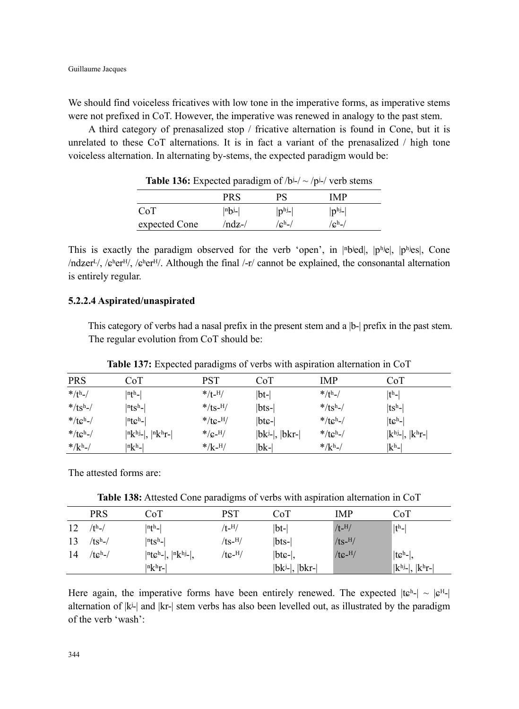We should find voiceless fricatives with low tone in the imperative forms, as imperative stems were not prefixed in CoT. However, the imperative was renewed in analogy to the past stem.

A third category of prenasalized stop / fricative alternation is found in Cone, but it is unrelated to these CoT alternations. It is in fact a variant of the prenasalized / high tone voiceless alternation. In alternating by-stems, the expected paradigm would be:

| <b>Thore Tool</b> Expected purding $\mathbf{H} \cup \mathbf{H}$ |             |                 |                |  |
|-----------------------------------------------------------------|-------------|-----------------|----------------|--|
|                                                                 | PRS         | РS              | IMP            |  |
| CoT                                                             | $ nb^{j-} $ | $ p^{hj}$ -     | $ p^{hj}$ -    |  |
| expected Cone                                                   | $/ndz-$     | $\sqrt{c^h}$ -/ | $\sqrt{c^h}$ - |  |

**Table 136:** Expected paradigm of  $/hi$ -/ $\sim$   $/hi$ -/ $v$ erb stems

This is exactly the paradigm observed for the verb 'open', in  $|n\text{b}$ ied,  $|p\text{b}$ <sub>i</sub>el,  $|p\text{b}$ <sub>i</sub>es<sup> $|$ </sup>, Cone  $/ndzer<sup>L</sup>, /e<sup>h</sup>er<sup>H</sup>, /e<sup>h</sup>er<sup>H</sup>. Although the final /-r/ cannot be explained, the consonantal alternation$ is entirely regular.

#### **5.2.2.4 Aspirated/unaspirated**

This category of verbs had a nasal prefix in the present stem and a  $|b-|$  prefix in the past stem. The regular evolution from CoT should be:

| <b>PRS</b>  | CoT                                 | PST              | CoT                     | IMP              | $_{\rm CoT}$                   |
|-------------|-------------------------------------|------------------|-------------------------|------------------|--------------------------------|
| $*/th$ -/   | $ n\text{th}_- $                    | $*/t$ -H/        | $ bt-$                  | $*/\text{th}$ -/ | $ t^{\rm h}- $                 |
| $*$ /tsh-/  | $ n$ ts <sup>h-</sup>               | */ts- $^{H}/$    | bts-                    | $*$ /tsh-/       | $ tsh$ -                       |
| $*$ /tch-/  | $ n_{\mathbf{C}}^{\text{h}}- $      | $*$ /te- $^{H}/$ | $ bte- $                | */tch-/          | $ t\varepsilonh$ -             |
| $*$ /tch-/  | $ n k^{hj}$ - $ ,  n k^{h} r$ - $ $ | $*/c$ -H/        | $ bk^{j}$ - $ ,  bkr- $ | */tch-/          | $ k^{hj}$ - $ ,  k^{h}r$ - $ $ |
| $*/k^{h-1}$ | $ n k h$ -                          | $*/k$ -H/        | bk-                     | $*/k^{h-1}$      | $\mathbf{k}^{\text{h}}$ -      |

**Table 137:** Expected paradigms of verbs with aspiration alternation in CoT

The attested forms are:

**Table 138:** Attested Cone paradigms of verbs with aspiration alternation in CoT

|    | PRS        | CoT                                                               | PST                | CoT                     | IMP                    | CoT                            |
|----|------------|-------------------------------------------------------------------|--------------------|-------------------------|------------------------|--------------------------------|
| 12 | $/th$ -/   | $ n\text{th-} $                                                   | /t- <sup>H</sup> / | $ bt-$                  | $/t$ <sup>-H</sup> $/$ | $ th$ -                        |
| 13 | $/ts^h$ -/ | $ n$ ts <sup>h-</sup> $ $                                         | /ts- $^{H}/$       | $ bts-$                 | $/ts$ -H/              |                                |
| 14 | $/teh$ -/  | $ n \text{t} \mathcal{C}^{\text{h}}- ,  n \text{k}^{\text{h}}- ,$ | /tc- $^{\rm H}/$   | $ bte- $ ,              | $/$ tc- $^{H}/$        | $ t\mathcal{G}^h$ - $ ,$       |
|    |            | $ n k h$ r- $ $                                                   |                    | $ bk^{j}$ - $ ,  bkr- $ |                        | $ k^{hj}$ - $ ,  k^{h}r$ - $ $ |

Here again, the imperative forms have been entirely renewed. The expected  $|t e^{h} - |e^{H}|$ alternation of |kʲ-| and |kr-| stem verbs has also been levelled out, as illustrated by the paradigm of the verb 'wash':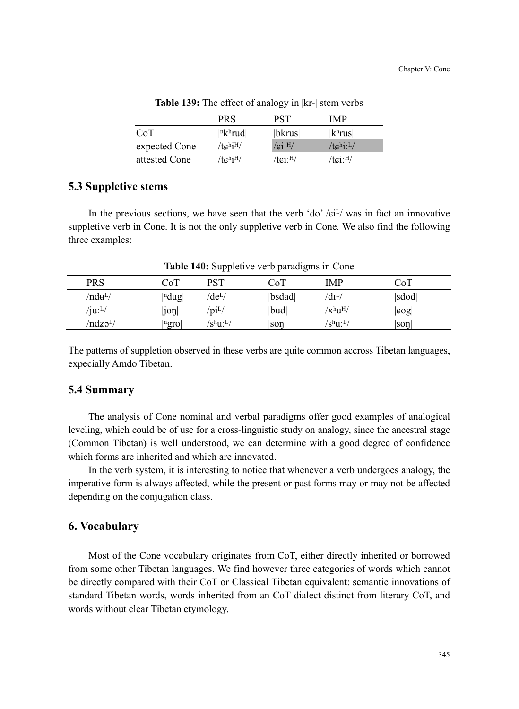|               | <b>PRS</b>                    | PST                  | IMP                     |
|---------------|-------------------------------|----------------------|-------------------------|
| CoT           | $ n k$ <sup>h</sup> rud       | bkrus                | k <sup>h</sup> rus      |
| expected Cone | $/tc^{\text{h}}i^{\text{H}}/$ | $/$ ci: $^{H}/$      | $/te^{\text{h}_1: L/2}$ |
| attested Cone | $/tc^{\text{hjH}}/$           | /tci: <sup>H</sup> / | $/tei$ : $^{H/}$        |

**Table 139:** The effect of analogy in |kr-| stem verbs

# **5.3 Suppletive stems**

In the previous sections, we have seen that the verb 'do'  $/ei^{L}$  was in fact an innovative suppletive verb in Cone. It is not the only suppletive verb in Cone. We also find the following three examples:

| PRS                                  | $\rm CoT$                | <b>PST</b>                            | $\rm CoT$ | IMP                           | CoT      |  |
|--------------------------------------|--------------------------|---------------------------------------|-----------|-------------------------------|----------|--|
| /ndʉ <sup>L</sup> /                  | $ $ <sup>n</sup> dug $ $ | /de <sup>L</sup> /                    | bsdad     | $\sqrt{dI^L}$                 | sdod     |  |
| $/$ j $\mathbf{u}$ : $^{\text{L}}$ / | joŋ                      | $\gamma$ pi <sup>L</sup> /            | bud       | $\rm \langle x^h u^H \rangle$ | $ \log $ |  |
| /ndz5 <sup>L</sup> /                 | ngro                     | $\mathrm{S^{h}U}$ : $^{\mathrm{L}}$ / | soŋ       | $/{\rm s}^{\rm h}$ u: $^{L}/$ | son      |  |

**Table 140:** Suppletive verb paradigms in Cone

The patterns of suppletion observed in these verbs are quite common accross Tibetan languages, expecially Amdo Tibetan.

#### **5.4 Summary**

The analysis of Cone nominal and verbal paradigms offer good examples of analogical leveling, which could be of use for a cross-linguistic study on analogy, since the ancestral stage (Common Tibetan) is well understood, we can determine with a good degree of confidence which forms are inherited and which are innovated.

In the verb system, it is interesting to notice that whenever a verb undergoes analogy, the imperative form is always affected, while the present or past forms may or may not be affected depending on the conjugation class.

### **6. Vocabulary**

Most of the Cone vocabulary originates from CoT, either directly inherited or borrowed from some other Tibetan languages. We find however three categories of words which cannot be directly compared with their CoT or Classical Tibetan equivalent: semantic innovations of standard Tibetan words, words inherited from an CoT dialect distinct from literary CoT, and words without clear Tibetan etymology.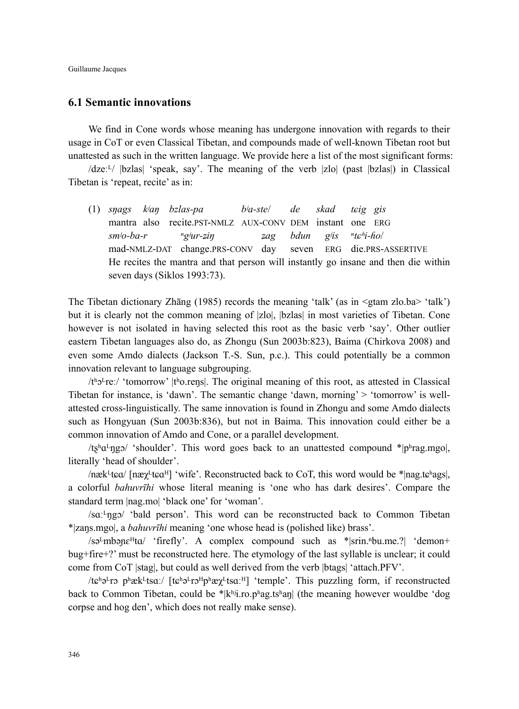Guillaume Jacques

### **6.1 Semantic innovations**

We find in Cone words whose meaning has undergone innovation with regards to their usage in CoT or even Classical Tibetan, and compounds made of well-known Tibetan root but unattested as such in the written language. We provide here a list of the most significant forms:

 $\langle$ dzeː<sup>L</sup>/  $|bz$ las| 'speak, say'. The meaning of the verb |zlo| (past  $|bz|$ las|) in Classical Tibetan is 'repeat, recite' as in:

(1) *sŋags kʲaŋ bzlas-pa bʲa-ste*/ *de skad tюig gis*  mantra also recite.PST-NMLZ AUX-CONV DEM instant one ERG  *smʲo-ba-r ⁿgʲur-҉iŋ ҉ag bdun gʲis ⁿtюʰi-ɦo*/ mad-NMLZ-DAT change.PRS-CONV day seven ERG die.PRS-ASSERTIVE He recites the mantra and that person will instantly go insane and then die within seven days (Siklos 1993:73).

The Tibetan dictionary Zhāng (1985) records the meaning 'talk' (as in <gtam zlo.ba> 'talk') but it is clearly not the common meaning of |zlo|, |bzlas| in most varieties of Tibetan. Cone however is not isolated in having selected this root as the basic verb 'say'. Other outlier eastern Tibetan languages also do, as Zhongu (Sun 2003b:823), Baima (Chirkova 2008) and even some Amdo dialects (Jackson T.-S. Sun, p.c.). This could potentially be a common innovation relevant to language subgrouping.

 $/t<sup>b</sup>2<sup>t</sup>$ reː/ 'tomorrow' |tʰo.rens|. The original meaning of this root, as attested in Classical Tibetan for instance, is 'dawn'. The semantic change 'dawn, morning' > 'tomorrow' is wellattested cross-linguistically. The same innovation is found in Zhongu and some Amdo dialects such as Hongyuan (Sun 2003b:836), but not in Baima. This innovation could either be a common innovation of Amdo and Cone, or a parallel development.

/tshaLngo/ 'shoulder'. This word goes back to an unattested compound \*|phrag.mgo|, literally 'head of shoulder'.

/næk $\frac{L}{4}$ teq/ $\frac{[n\omega_{\chi}L_{\text{t}}(m\omega_{\chi})]}{[n\omega_{\chi}L_{\text{t}}(m\omega_{\chi})]}$  are the  $\frac{[n\omega_{\chi}L_{\text{t}}(m\omega_{\chi})]}{[n\omega_{\chi}L_{\text{t}}(m\omega_{\chi})]}$ a colorful *bahuvrīhi* whose literal meaning is 'one who has dark desires'. Compare the standard term |nag.mo| 'black one' for 'woman'.

/saː<sup>L</sup>ngɔ/ 'bald person'. This word can be reconstructed back to Common Tibetan \*|zaŋs.mgo|, a *bahuvrīhi* meaning 'one whose head is (polished like) brass'.

/sə<sup>L</sup>mbən $\varepsilon$ <sup>H</sup>ta/ 'firefly'. A complex compound such as \*|srin.<sup>n</sup>bu.me.?| 'demon+ bug+fire+?' must be reconstructed here. The etymology of the last syllable is unclear; it could come from CoT |stag|, but could as well derived from the verb |btags| 'attach.PFV'.

/tɕʰə<sup>L</sup>rɔ pʰæk<sup>L</sup>tsaː/ [tɕʰə<sup>L</sup>rɔ<sup>H</sup>pʰæχ<sup>L</sup>tsaː<sup>H</sup>] 'temple'. This puzzling form, if reconstructed back to Common Tibetan, could be \*|kʰʲi.ro.pʰag.tsʰaŋ| (the meaning however wouldbe 'dog corpse and hog den', which does not really make sense).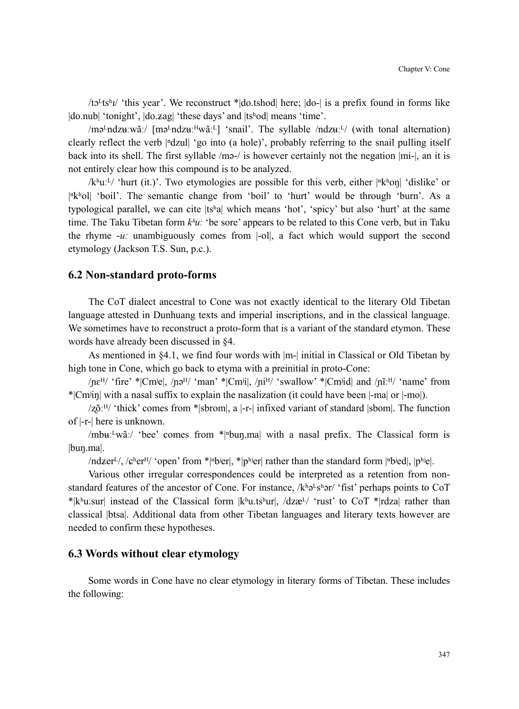/tɔ<sup>Ltsh</sup>I/ 'this year'. We reconstruct \*|do.tshod| here; |do-| is a prefix found in forms like |do.nub| 'tonight', |do.zag| 'these days' and |tshod| means 'time'.

/mə<sup>L</sup>ndz $u$ :wãː/ [mə<sup>L</sup>ndz $u$ ː<sup>H</sup>wãː<sup>L</sup>] 'snail'. The syllable /ndz $u$ ː<sup>L</sup>/ (with tonal alternation) clearly reflect the verb  $\left| \right|$ <sup>n</sup>dzul $\left| \right|$  'go into (a hole)', probably referring to the snail pulling itself back into its shell. The first syllable /mə-/ is however certainly not the negation |mi-|, an it is not entirely clear how this compound is to be analyzed.

/kʰuːL/ 'hurt (it.)'. Two etymologies are possible for this verb, either  $|\mathrm{R}$ <sup>h</sup>on| 'dislike' or  $|\mathbb{R}^k$ ol| 'boil'. The semantic change from 'boil' to 'hurt' would be through 'burn'. As a typological parallel, we can cite |tsʰa| which means 'hot', 'spicy' but also 'hurt' at the same time. The Taku Tibetan form *kʰuː* 'be sore' appears to be related to this Cone verb, but in Taku the rhyme -*uː* unambiguously comes from |-ol|, a fact which would support the second etymology (Jackson T.S. Sun, p.c.).

#### **6.2 Non-standard proto-forms**

The CoT dialect ancestral to Cone was not exactly identical to the literary Old Tibetan language attested in Dunhuang texts and imperial inscriptions, and in the classical language. We sometimes have to reconstruct a proto-form that is a variant of the standard etymon. These words have already been discussed in §4.

As mentioned in §4.1, we find four words with |m-| initial in Classical or Old Tibetan by high tone in Cone, which go back to etyma with a preinitial in proto-Cone:

/ $n\epsilon^{H}$  'fire' \*|Cm<sup>i</sup>e|, /nə<sup>H</sup>/ 'man' \*|Cm<sup>j</sup>i|, /n<sup>iH</sup>/ 'swallow' \*|Cm<sup>j</sup>id| and /nĩː<sup>H</sup>/ 'name' from \*|Cmʲiŋ| with a nasal suffix to explain the nasalization (it could have been |-ma| or |-mo|).

 $\sqrt{2\delta}$ : <sup>II</sup>/ 'thick' comes from \*|sbrom|, a |-r-| infixed variant of standard |sbom|. The function of |-r-| here is unknown.

/mbuː<sup>L</sup>wãː/ 'bee' comes from  $*$ |<sup>n</sup>buŋ.ma| with a nasal prefix. The Classical form is |buŋ.ma|.

/ndzer<sup>L</sup>/, / $e^{\text{heH}}/$  'open' from \*|<u>nbier|, \*|phier| rather than the standard form |nbied|, |phiel.</u>

Various other irregular correspondences could be interpreted as a retention from nonstandard features of the ancestor of Cone. For instance,  $/k^h\theta^Ls^h\theta r'$  fist' perhaps points to CoT \*|kʰu.sur| instead of the Classical form  $|k^h u_{\text{u}}|$ ,  $|dz^h u_{\text{u}}|$ ,  $|dz^h u_{\text{u}}|$  and  $|dx^h u_{\text{u}}|$  rather than classical |btsa|. Additional data from other Tibetan languages and literary texts however are needed to confirm these hypotheses.

### **6.3 Words without clear etymology**

Some words in Cone have no clear etymology in literary forms of Tibetan. These includes the following: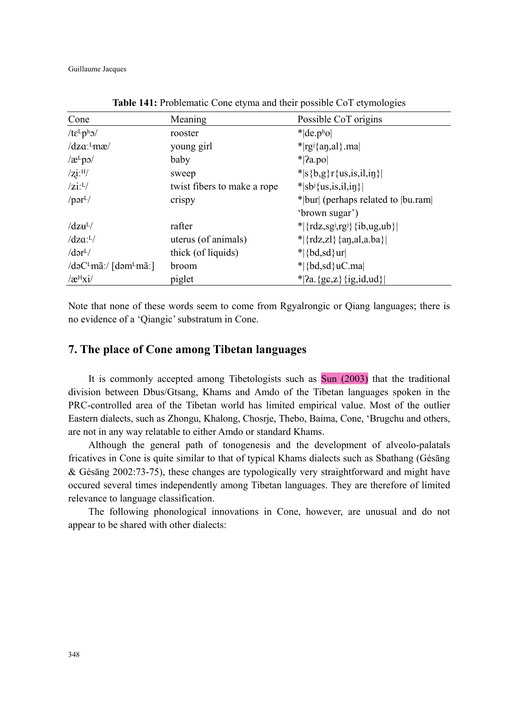Guillaume Jacques

| Cone                                                   | Meaning                     | Possible CoT origins                             |
|--------------------------------------------------------|-----------------------------|--------------------------------------------------|
| / $t\epsilon^L p^h$ o/                                 | rooster                     | $*$ de.pho                                       |
| $\frac{dza^L}{mg}$                                     | young girl                  | $*$  rg <sup>j</sup> {an,al}.ma                  |
| $\alpha$ <sup>L</sup> po $\alpha$                      | baby                        | $*$   $2a$ .pol                                  |
| $/zi$ : $^{H/}$                                        | sweep                       | * s{b,g}r{us,is,il,in}                           |
| $ z $ : <sup>L</sup> $/$                               | twist fibers to make a rope | $\ $ sb <sup>j</sup> {us,is,il,in}               |
| $\gamma$ pər <sup>L</sup> /                            | crispy                      | * bur  (perhaps related to  bu.ram               |
|                                                        |                             | 'brown sugar')                                   |
| $\frac{dz}{dt}$                                        | rafter                      | $\{ rdz, sgj, rgj\rangle\{ ib, ug, ub\rangle\} $ |
| $\frac{dz}{dt'}$                                       | uterus (of animals)         | * $ \{rdz, zl\} \{an, al, a. ba\} $              |
| $\gamma$ dər <sup>L</sup> $\gamma$                     | thick (of liquids)          | $\vert \{ bd, sd\} \text{ur} \vert$              |
| $\det(\text{Lm}\tilde{a})$ [dəm $\text{Lm}\tilde{a}$ ] | broom                       | $*$ {bd,sd} uC.ma                                |
| $\sqrt{\mathbf{a}^{\mathrm{H}}$ xi/                    | piglet                      | $^*$  ?a. {gc,z} {ig,id,ud}                      |

**Table 141:** Problematic Cone etyma and their possible CoT etymologies

Note that none of these words seem to come from Rgyalrongic or Qiang languages; there is no evidence of a 'Qiangic' substratum in Cone.

## **7. The place of Cone among Tibetan languages**

It is commonly accepted among Tibetologists such as Sun (2003) that the traditional division between Dbus/Gtsang, Khams and Amdo of the Tibetan languages spoken in the PRC-controlled area of the Tibetan world has limited empirical value. Most of the outlier Eastern dialects, such as Zhongu, Khalong, Chosrje, Thebo, Baima, Cone, 'Brugchu and others, are not in any way relatable to either Amdo or standard Khams.

Although the general path of tonogenesis and the development of alveolo-palatals fricatives in Cone is quite similar to that of typical Khams dialects such as Sbathang (Gésāng & Gésāng 2002:73-75), these changes are typologically very straightforward and might have occured several times independently among Tibetan languages. They are therefore of limited relevance to language classification.

The following phonological innovations in Cone, however, are unusual and do not appear to be shared with other dialects: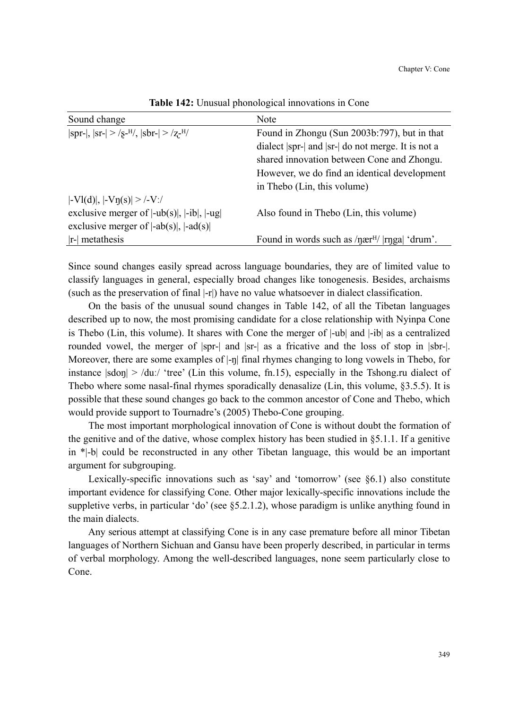| Sound change                                              | Note                                                                   |
|-----------------------------------------------------------|------------------------------------------------------------------------|
| $ spr- ,  sr-  >  s-H ,  shr-  >  z-H $                   | Found in Zhongu (Sun 2003b:797), but in that                           |
|                                                           | dialect  spr-  and  sr-  do not merge. It is not a                     |
|                                                           | shared innovation between Cone and Zhongu.                             |
|                                                           | However, we do find an identical development                           |
|                                                           | in Thebo (Lin, this volume)                                            |
| $ -Vl(d) ,  -V\eta(s)  >  -V /$                           |                                                                        |
| exclusive merger of $ -ub(s) $ , $ -ib $ , $ -ug $        | Also found in Thebo (Lin, this volume)                                 |
| exclusive merger of $ \text{-ab}(s) $ , $ \text{-ad}(s) $ |                                                                        |
| $ r$ - metathesis                                         | Found in words such as $\eta \text{ær}^{H}/\eta \text{rr}$ and 'drum'. |

**Table 142:** Unusual phonological innovations in Cone

Since sound changes easily spread across language boundaries, they are of limited value to classify languages in general, especially broad changes like tonogenesis. Besides, archaisms (such as the preservation of final |-r|) have no value whatsoever in dialect classification.

On the basis of the unusual sound changes in Table 142, of all the Tibetan languages described up to now, the most promising candidate for a close relationship with Nyinpa Cone is Thebo (Lin, this volume). It shares with Cone the merger of |-ub| and |-ib| as a centralized rounded vowel, the merger of  $|spr-|$  and  $|sr-|$  as a fricative and the loss of stop in  $|spr-|$ . Moreover, there are some examples of  $\vert$ -n $\vert$  final rhymes changing to long vowels in Thebo, for instance  $|\text{sdon}| > \text{du}$ : 'tree' (Lin this volume, fn.15), especially in the Tshong.ru dialect of Thebo where some nasal-final rhymes sporadically denasalize (Lin, this volume, §3.5.5). It is possible that these sound changes go back to the common ancestor of Cone and Thebo, which would provide support to Tournadre's (2005) Thebo-Cone grouping.

The most important morphological innovation of Cone is without doubt the formation of the genitive and of the dative, whose complex history has been studied in §5.1.1. If a genitive in \*|-b| could be reconstructed in any other Tibetan language, this would be an important argument for subgrouping.

Lexically-specific innovations such as 'say' and 'tomorrow' (see §6.1) also constitute important evidence for classifying Cone. Other major lexically-specific innovations include the suppletive verbs, in particular 'do' (see §5.2.1.2), whose paradigm is unlike anything found in the main dialects.

Any serious attempt at classifying Cone is in any case premature before all minor Tibetan languages of Northern Sichuan and Gansu have been properly described, in particular in terms of verbal morphology. Among the well-described languages, none seem particularly close to Cone.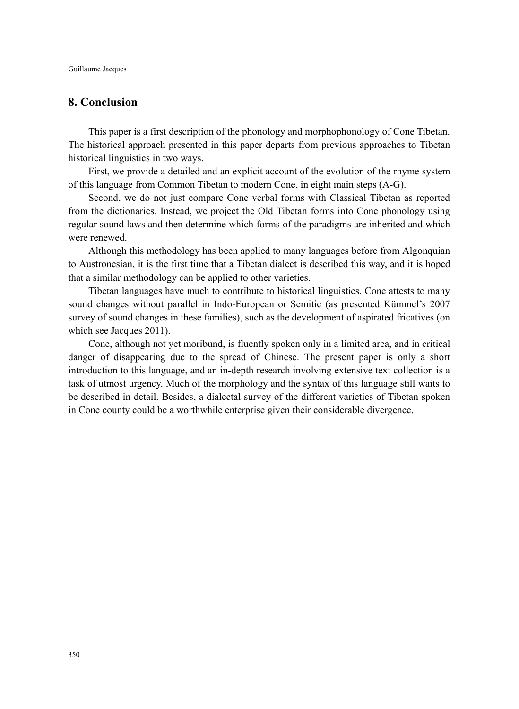# **8. Conclusion**

This paper is a first description of the phonology and morphophonology of Cone Tibetan. The historical approach presented in this paper departs from previous approaches to Tibetan historical linguistics in two ways.

First, we provide a detailed and an explicit account of the evolution of the rhyme system of this language from Common Tibetan to modern Cone, in eight main steps (A-G).

Second, we do not just compare Cone verbal forms with Classical Tibetan as reported from the dictionaries. Instead, we project the Old Tibetan forms into Cone phonology using regular sound laws and then determine which forms of the paradigms are inherited and which were renewed.

Although this methodology has been applied to many languages before from Algonquian to Austronesian, it is the first time that a Tibetan dialect is described this way, and it is hoped that a similar methodology can be applied to other varieties.

Tibetan languages have much to contribute to historical linguistics. Cone attests to many sound changes without parallel in Indo-European or Semitic (as presented Kümmel's 2007 survey of sound changes in these families), such as the development of aspirated fricatives (on which see Jacques 2011).

Cone, although not yet moribund, is fluently spoken only in a limited area, and in critical danger of disappearing due to the spread of Chinese. The present paper is only a short introduction to this language, and an in-depth research involving extensive text collection is a task of utmost urgency. Much of the morphology and the syntax of this language still waits to be described in detail. Besides, a dialectal survey of the different varieties of Tibetan spoken in Cone county could be a worthwhile enterprise given their considerable divergence.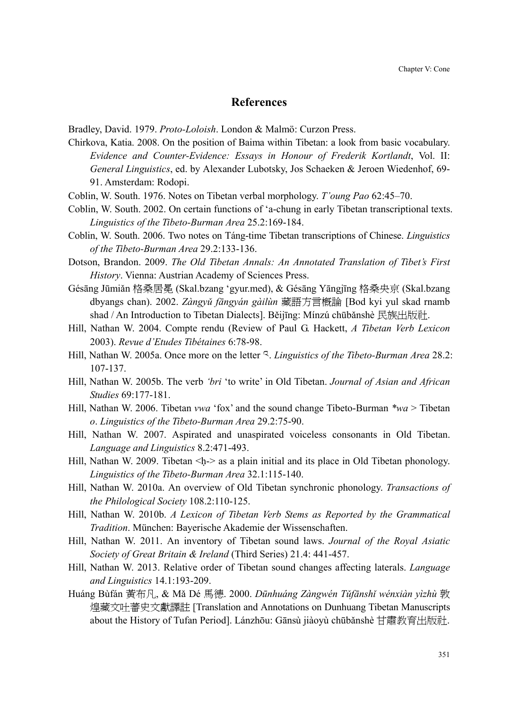### **References**

Bradley, David. 1979. *Proto-Loloish*. London & Malmö: Curzon Press.

- Chirkova, Katia. 2008. On the position of Baima within Tibetan: a look from basic vocabulary. *Evidence and Counter-Evidence: Essays in Honour of Frederik Kortlandt*, Vol. II: *General Linguistics*, ed. by Alexander Lubotsky, Jos Schaeken & Jeroen Wiedenhof, 69- 91. Amsterdam: Rodopi.
- Coblin, W. South. 1976. Notes on Tibetan verbal morphology. *T'oung Pao* 62:45–70.
- Coblin, W. South. 2002. On certain functions of 'a-chung in early Tibetan transcriptional texts. *Linguistics of the Tibeto-Burman Area* 25.2:169-184.
- Coblin, W. South. 2006. Two notes on Táng-time Tibetan transcriptions of Chinese. *Linguistics of the Tibeto-Burman Area* 29.2:133-136.
- Dotson, Brandon. 2009. *The Old Tibetan Annals: An Annotated Translation of Tibet's First History*. Vienna: Austrian Academy of Sciences Press.
- Gésāng Jūmiǎn 格桑居冕 (Skal.bzang 'gyur.med), & Gésāng Yāngjīng 格桑央京 (Skal.bzang dbyangs chan). 2002. *Zàngyǔ fāngyán gàilùn* 藏語方言概論 [Bod kyi yul skad rnamb shad / An Introduction to Tibetan Dialects]. Běijīng: Mínzú chūbǎnshè 民族出版社.
- Hill, Nathan W. 2004. Compte rendu (Review of Paul G. Hackett, *A Tibetan Verb Lexicon* 2003). *Revue d'Etudes Tibétaines* 6:78-98.
- Hill, Nathan W. 2005a. Once more on the letter य. *Linguistics of the Tibeto-Burman Area* 28.2: 107-137.
- Hill, Nathan W. 2005b. The verb *'bri* 'to write' in Old Tibetan. *Journal of Asian and African Studies* 69:177-181.
- Hill, Nathan W. 2006. Tibetan *vwa* 'fox' and the sound change Tibeto-Burman *\*wa* > Tibetan *o*. *Linguistics of the Tibeto-Burman Area* 29.2:75-90.
- Hill, Nathan W. 2007. Aspirated and unaspirated voiceless consonants in Old Tibetan. *Language and Linguistics* 8.2:471-493.
- Hill, Nathan W. 2009. Tibetan  $\langle h \rangle$  as a plain initial and its place in Old Tibetan phonology. *Linguistics of the Tibeto-Burman Area* 32.1:115-140.
- Hill, Nathan W. 2010a. An overview of Old Tibetan synchronic phonology. *Transactions of the Philological Society* 108.2:110-125.
- Hill, Nathan W. 2010b. *A Lexicon of Tibetan Verb Stems as Reported by the Grammatical Tradition*. München: Bayerische Akademie der Wissenschaften.
- Hill, Nathan W. 2011. An inventory of Tibetan sound laws. *Journal of the Royal Asiatic Society of Great Britain & Ireland* (Third Series) 21.4: 441-457.
- Hill, Nathan W. 2013. Relative order of Tibetan sound changes affecting laterals. *Language and Linguistics* 14.1:193-209.
- Huáng Bùfán 黃布凡, & Mӽ Dé 馬德. 2000. *Dūnhuáng Zàngwén TǔfƗnshǐ wénxiàn yìzhù* 敦 煌藏文吐蕃史文獻譯註 [Translation and Annotations on Dunhuang Tibetan Manuscripts about the History of Tufan Period]. Lánzhōu: Gānsù jiàoyù chūbǎnshè 甘肅教育出版社.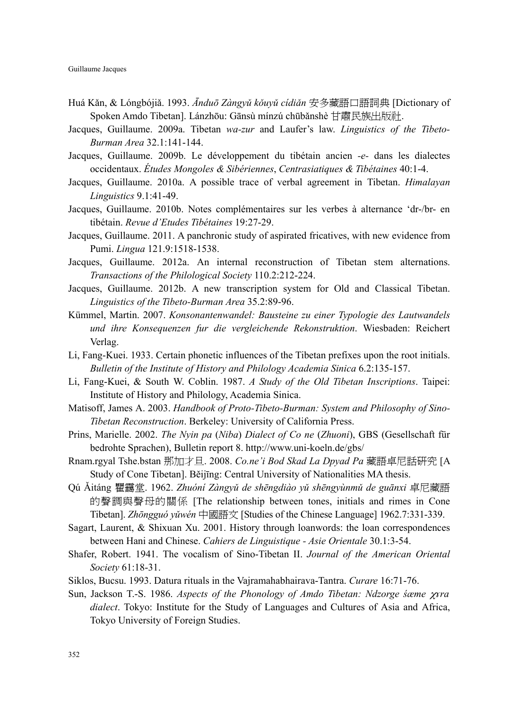- Huá Kӽn, & Lóngbójiӽ. 1993. *Ɩnduō Zàngyǔ kǒuyǔ cídiǎn* 安多藏語口語詞典 [Dictionary of Spoken Amdo Tibetan]. Lánzhōu: Gānsù mínzú chūbǎnshè 甘肅民族出版社.
- Jacques, Guillaume. 2009a. Tibetan *wa-zur* and Laufer's law. *Linguistics of the Tibeto-Burman Area* 32.1:141-144.
- Jacques, Guillaume. 2009b. Le développement du tibétain ancien *-e-* dans les dialectes occidentaux. *Études Mongoles & Sibériennes*, *Centrasiatiques & Tibétaines* 40:1-4.
- Jacques, Guillaume. 2010a. A possible trace of verbal agreement in Tibetan. *Himalayan Linguistics* 9.1:41-49.
- Jacques, Guillaume. 2010b. Notes complémentaires sur les verbes à alternance 'dr-/br- en tibétain. *Revue d'Etudes Tibétaines* 19:27-29.
- Jacques, Guillaume. 2011. A panchronic study of aspirated fricatives, with new evidence from Pumi. *Lingua* 121.9:1518-1538.
- Jacques, Guillaume. 2012a. An internal reconstruction of Tibetan stem alternations. *Transactions of the Philological Society* 110.2:212-224.
- Jacques, Guillaume. 2012b. A new transcription system for Old and Classical Tibetan. *Linguistics of the Tibeto-Burman Area* 35.2:89-96.
- Kümmel, Martin. 2007. *Konsonantenwandel: Bausteine zu einer Typologie des Lautwandels und ihre Konsequenzen fur die vergleichende Rekonstruktion*. Wiesbaden: Reichert Verlag.
- Li, Fang-Kuei. 1933. Certain phonetic influences of the Tibetan prefixes upon the root initials. *Bulletin of the Institute of History and Philology Academia Sinica* 6.2:135-157.
- Li, Fang-Kuei, & South W. Coblin. 1987. *A Study of the Old Tibetan Inscriptions*. Taipei: Institute of History and Philology, Academia Sinica.
- Matisoff, James A. 2003. *Handbook of Proto-Tibeto-Burman: System and Philosophy of Sino-Tibetan Reconstruction*. Berkeley: University of California Press.
- Prins, Marielle. 2002. *The Nyin pa* (*Niba*) *Dialect of Co ne* (*Zhuoni*), GBS (Gesellschaft für bedrohte Sprachen), Bulletin report 8. http://www.uni-koeln.de/gbs/
- Rnam.rgyal Tshe.bstan 那加才旦. 2008. *Co.ne'i Bod Skad La Dpyad Pa* 藏語卓尼話研究 [A Study of Cone Tibetan]. Běijīng: Central University of Nationalities MA thesis.
- Qú Ӽitáng 瞿靄堂. 1962. *Zhuóní Zàngyǔ de shēngdiào yǔ shēngyùnmǔ de guƗnxi* 卓尼藏語 的聲調與聲母的關係 [The relationship between tones, initials and rimes in Cone Tibetan]. *Zhōngguó yǔwén* 中國語文 [Studies of the Chinese Language] 1962.7:331-339.
- Sagart, Laurent, & Shixuan Xu. 2001. History through loanwords: the loan correspondences between Hani and Chinese. *Cahiers de Linguistique - Asie Orientale* 30.1:3-54.
- Shafer, Robert. 1941. The vocalism of Sino-Tibetan II. *Journal of the American Oriental Society* 61:18-31.
- Siklos, Bucsu. 1993. Datura rituals in the Vajramahabhairava-Tantra. *Curare* 16:71-76.
- Sun, Jackson T.-S. 1986. *Aspects of the Phonology of Amdo Tibetan: Ndzorge śæme* χ*ќra dialect*. Tokyo: Institute for the Study of Languages and Cultures of Asia and Africa, Tokyo University of Foreign Studies.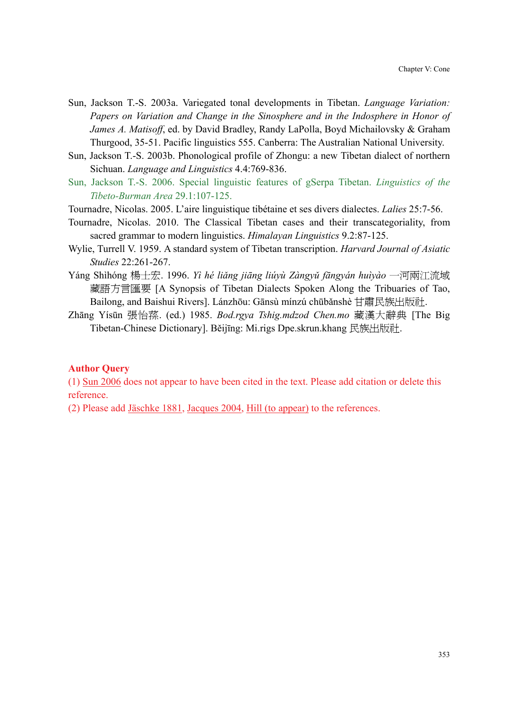- Sun, Jackson T.-S. 2003a. Variegated tonal developments in Tibetan. *Language Variation: Papers on Variation and Change in the Sinosphere and in the Indosphere in Honor of James A. Matisoff*, ed. by David Bradley, Randy LaPolla, Boyd Michailovsky & Graham Thurgood, 35-51. Pacific linguistics 555. Canberra: The Australian National University.
- Sun, Jackson T.-S. 2003b. Phonological profile of Zhongu: a new Tibetan dialect of northern Sichuan. *Language and Linguistics* 4.4:769-836.
- Sun, Jackson T.-S. 2006. Special linguistic features of gSerpa Tibetan. *Linguistics of the Tibeto-Burman Area* 29.1:107-125.
- Tournadre, Nicolas. 2005. L'aire linguistique tibétaine et ses divers dialectes. *Lalies* 25:7-56.
- Tournadre, Nicolas. 2010. The Classical Tibetan cases and their transcategoriality, from sacred grammar to modern linguistics. *Himalayan Linguistics* 9.2:87-125.
- Wylie, Turrell V. 1959. A standard system of Tibetan transcription. *Harvard Journal of Asiatic Studies* 22:261-267.
- Yáng Shìhóng 楊士宏. 1996. *Yì hé liǎng jiƗng liúyù Zàngyǔ fƗngyán huìyào* 一河兩江流域 藏語方言匯要 [A Synopsis of Tibetan Dialects Spoken Along the Tribuaries of Tao, Bailong, and Baishui Rivers]. Lánzhōu: Gānsù mínzú chūbǎnshè 甘肅民族出版社.
- Zhāng Yísūn 張怡蓀. (ed.) 1985. *Bod.rgya Tshig.mdzod Chen.mo* 藏漢大辭典 [The Big Tibetan-Chinese Dictionary]. Běijīng: Mi.rigs Dpe.skrun.khang 民族出版社.

#### **Author Query**

(1) Sun 2006 does not appear to have been cited in the text. Please add citation or delete this reference.

(2) Please add Jäschke 1881, Jacques 2004, Hill (to appear) to the references.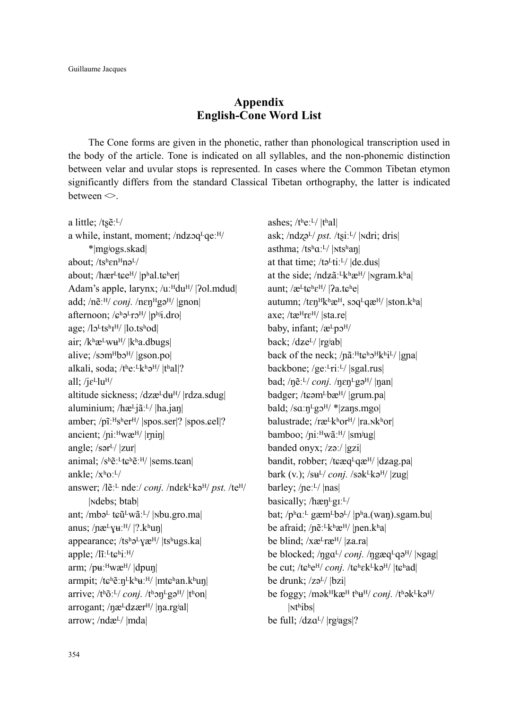# **Appendix English-Cone Word List**

The Cone forms are given in the phonetic, rather than phonological transcription used in the body of the article. Tone is indicated on all syllables, and the non-phonemic distinction between velar and uvular stops is represented. In cases where the Common Tibetan etymon significantly differs from the standard Classical Tibetan orthography, the latter is indicated between  $\leq$ .

a little;  $/ts\tilde{e}$ :  $L/$ a while, instant, moment;  $/ndz$ <sub>qe</sub>: $H/$ \*|mgʲogs.skad| about;  $/ts^h$ en $Hn$ ə<sup>L</sup>/ about; / $h$ ær<sup>L</sup>t $\varepsilon$ e<sup>H</sup>/ |pʰal.t $\varepsilon$ ʰer| Adam's apple, larynx; /uːHduH/ |?ol.mdud| add; /nẽː<sup>H</sup>/ *conj.* /nɛŋ<sup>H</sup>gə<sup>H</sup>/ |gnon| afternoon;  $\sqrt{e^{h}e^{L}r}$ <sup>H</sup>/  $|p^{h}$ i.dro| age; /lo<sup>L</sup>ts<sup>h</sup>I<sup>H</sup>/ |lo.tshod| air;  $/k$ <sup>h</sup> $\mathfrak{E}^L$ w $\mathfrak{u}^H$ /  $|k$ <sup>h</sup>a.dbugs| alive; /somHbo<sup>H</sup>/ |gson.po| alkali, soda;  $/t$ <sup>h</sup>e:<sup>L</sup>k<sup>h</sup>ə<sup>H</sup>/  $|t$ <sup>h</sup>al|? all; / $j\varepsilon$ <sup>L</sup>lu<sup>H</sup>/ altitude sickness; /dzæ $\frac{Id}{du}$ / |rdza.sdug| aluminium; /hæ<sup>L</sup>jãː<sup>L</sup>/ |ha.jan| amber; /pĩːHsherH/ |spos.ser|? |spos.eel|? ancient; /niː<sup>H</sup>wæ<sup>H</sup>/ |rnin| angle; /sər $\frac{1}{2}$ |zur| animal;  $/s^h \tilde{e}^L t \tilde{e}^h \tilde{e}^H$ / |sems.t $\epsilon$ an| ankle;  $/x$ <sup>h</sup>o:<sup>L</sup>/ answer; /lẽː<sup>L</sup> ndeː/ *conj.* /ndɛk<sup>L</sup>kə<sup>H</sup>/ *pst.* /te<sup>H</sup>/ |ɴdebs; btab| ant; /mbəL tɕũLwãːL/ |Nbu.gro.ma| anus; / $n$ æ<sup>L</sup> $\chi$ **u**:<sup>H</sup>/ |?.kʰuŋ| appearance; /tshəLyæH/ |tshugs.ka| apple;  $\frac{1}{i}$ <sup>t</sup>t $\varepsilon$ <sup>h</sup>i:<sup>H</sup>/ arm; / $\mu$ <sup>H</sup>wæ<sup>H</sup>/ |dpun armpit; /tɕʰẽːŋ<sup>L</sup>kʰ $\mathbf{u}$ ːH/ |mtɕʰan.kʰuŋ| arrive;  $/t<sup>h</sup>$ õː<sup>L</sup>/ *conj.*  $/t<sup>h</sup>$ on<sup>L</sup>gə<sup>H</sup>/  $|t<sup>h</sup>$ on arrogant; /næ<sup>L</sup>dzær<sup>H</sup>/ |na.rg<sup>j</sup>al| arrow; /ndæᴸ/ |mda|

ashes;  $/t$ <sup>h</sup>e:<sup>L</sup>/ $|t$ <sup>h</sup>al| ask; /ndzə<sup>L</sup>/ *pst.* /tsi<sup>:L</sup>/ |Ndri; dris| asthma; /tsha $\alpha$ <sup>L/</sup> |Ntshan| at that time;  $/t\sigma^L t$ i:<sup>L</sup>/  $|de.dus|$ at the side;  $/ndz\tilde{a}$ <sup>'Lkh</sup>æ<sup>H</sup>/ |Ngram.kha| aunt;  $\alpha$ <sup>L</sup>t $\varepsilon$ <sup>h</sup> $\varepsilon$ <sup>H</sup>/ |  $2a.t$  $\varepsilon$ <sup>h</sup> $e$ | autumn; /tɛŋ<sup>H</sup>kʰæ<sup>H</sup>, sɔq<sup>L</sup>qæ<sup>H</sup>/ |ston.kʰa| axe; / $t$ æ $H$ r $\varepsilon$  $H$ / |sta.re| baby, infant; /æLpo<sup>H</sup>/ back; /dze<sup>L</sup>/ |rg<sup>j</sup>ab| back of the neck;  $/n$  $\tilde{a}$ <sup>H</sup> $\tilde{t}$  $\tilde{b}$ <sup>H</sup> $\tilde{h}$ <sup>1</sup> $\tilde{h}$ <sup>1</sup> $\tilde{h}$  |gna| backbone; /geː<sup>L</sup>riː<sup>L</sup>/ |sgal.rus| bad; / $\eta \tilde{e}$ :<sup>L</sup>/ *conj.* / $\eta \epsilon \eta^L$ gə<sup>H</sup>/ | $\eta$ an| badger; /t $\epsilon$ əm<sup>L</sup>bæ<sup>H</sup>/ |grum.pa| bald;  $/sa:n<sup>L</sup>g3<sup>H</sup>/*|zans.mgo|$ balustrade; /ræ<sup>L</sup>kʰor<sup>H</sup>/ |ra.<sub>Nkʰor</sub>| bamboo; /niː<sup>H</sup>wãː<sup>H</sup>/ |smʲug| banded onyx; /zəː/ |gzi| bandit, robber; /tɛæq $L$ qæ $H$ /  $|dzag$ .pa| bark (v.);  $\sqrt{\text{su}^L/\text{conj.}}$  /sək $\frac{\text{su}^H/\text{g}^H/\text{g}^H/\text{g}^H/\text{g}^H/\text{g}^H/\text{g}^H/\text{g}^H/\text{g}^H/\text{g}^H/\text{g}^H/\text{g}^H/\text{g}^H/\text{g}^H/\text{g}^H/\text{g}^H/\text{g}^H/\text{g}^H/\text{g}^H/\text{g}^H/\text{g}^H/\text{g}^H/\text{g}^H/\text{g}^H/\text{g}^H/\text{g}^H/\text{$ barley; /neːL/ |nas| basically; /hæn<sup>L</sup>g<sub>I</sub>:<sup>L</sup>/ bat;  $/p^h a^L$  gæm $^L b^d$ /  $|p^h a$ .(wan).sgam.bu be afraid; / $n\tilde{e}$ :<sup>L</sup>k<sup>h</sup>æ<sup>H</sup>/ |pen.k<sup>h</sup>a| be blind;  $/xæ<sup>L</sup>rx<sup>H</sup>/|z<sub>a</sub>ra|$ be blocked; / $\eta$ ga<sup>L</sup>/ *conj.* / $\eta$ gæq<sup>L</sup>qə<sup>H</sup>/ | $\eta$ gag| be cut; /tɕʰe<sup>H</sup>/ *coni*. /tɕʰɛk<sup>L</sup>kə<sup>H</sup>/ |tɕʰad| be drunk;  $\frac{z}{v}$ /  $\frac{dz}{dz}$ be foggy; /mək<sup>H</sup>kæ<sup>H</sup> t<sup>h</sup>u<sup>H</sup>/ *conj.* /t<sup>h</sup>ək<sup>L</sup>kə<sup>H</sup>/ |<sub>Nthibs</sub> be full;  $\frac{dz}{dx}$  |rgiags|?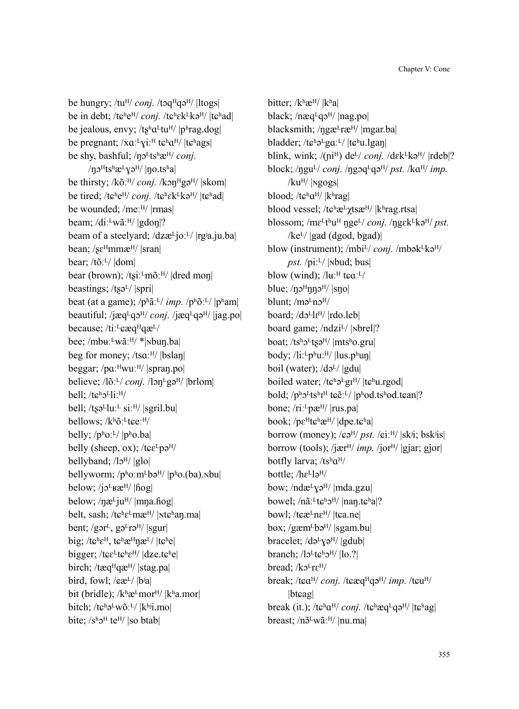be hungry; /tu<sup>H</sup>/ *conj.* /toq<sup>H</sup>qə<sup>H</sup>/ |ltogs| be in debt; /tɕʰe<sup>H</sup>/ *conj.* /tɕʰɛk<sup>L</sup>kə<sup>H</sup>/ |tɕʰad| be jealous, envy; / $ts^h a^L tu^H$ /  $|p^h rag.dog|$ be pregnant;  $/xa.^{L}$ vi:<sup>H</sup> t $\varepsilon$ <sup>h</sup> $a^{H}/$  |t $\varepsilon$ <sup>h</sup>ags| be shy, bashful; /no<sup>L</sup>tshæ<sup>H</sup>/ *conj*.  $/$ n $\sigma$ <sup>H</sup>ts<sup>h</sup>æ<sup>L</sup>y $\sigma$ <sup>H</sup>/ |no.ts<sup>h</sup>a| be thirsty; /kõː<sup> $H$ </sup>/ *conj.* /kɔn $H$ gə $^{H}$ / |skom| be tired; /tɕʰe<sup>H</sup>/ *conj.* /tɕʰɛk<sup>L</sup>kə<sup>H</sup>/ |tɕʰad| be wounded; /meːH/ |rmas| beam; /diːLwãː<sup>H</sup>/ |gdoŋ|? beam of a steelyard; /dzæ<sup>L</sup>joː<sup>L</sup>/ |rgʲa.ju.ba| bean;  $\sqrt{\text{se}^H}$ mmæ $\text{H}/|\text{tran}|$ bear; /tõːᴸ/ |dom| bear (brown); /tsiː<sup>L</sup>mõː<sup>H</sup>/ |dred mon| beastings; /tsəL/ |spri| beat (at a game); /pʰãːᴸ/ *imp.* /pʰõːᴸ/ |pʰam| beautiful; /jæq<sup>L</sup>qɔ<sup>H</sup>/ *conj.* /jæq<sup>L</sup>qɔ<sup>H</sup>/ |jag.po| because; /ti:<sup>L</sup>eæq<sup>H</sup>qæ<sup>L</sup>/ bee; /mbuːLwãː<sup>H</sup>/ \*|Nbun.ba| beg for money; /tsq;<sup>H</sup>/ |bslan| beggar;  $/pa$ <sup>H</sup>wu<sup>H</sup>/ |spran.po| believe; /lõː<sup>L</sup>/ *conj.* /lɔn<sup>L</sup>gə<sup>H</sup>/ |brlom| bell: /tɛholliːH/ bell;  $/t$ sə<sup>L</sup>luː<sup>L</sup> siː<sup>H</sup>/ |sgril.bu| bellows; /kʰõː<sup>L</sup>tɕeː<sup>H</sup>/ belly;  $/p<sup>h</sup>o<sup>\perp</sup>/|p<sup>h</sup>o$ .ba belly (sheep, ox); /t $\varepsilon \varepsilon^L$ pə<sup>H</sup>/ bellyband;  $\frac{1}{9}$  |glo| bellyworm;  $/p<sup>h</sup>o.m<sup>L</sup>b<sub>θ<sup>H</sup></sub>/|p<sup>h</sup>o.(ba).nbu|$ below;  $\frac{i}{2}$ <sub>below</sub>;  $\frac{i}{2}$ <sub>belog</sub> below;  $/$ næ<sup>L</sup>ju<sup>H</sup>/ |mna.fiog| belt, sash; /tɕʰɛ<sup>L</sup>mæ<sup>H</sup>/ |Ntɕʰaŋ.ma| bent; /gər $L$ , gə $L_{\text{T}}$ ə $\frac{H}{|S_{\text{S}}|}$ big; / $t\epsilon^h\epsilon^H$ ,  $t\epsilon^h\epsilon^H\eta\epsilon^L$ /  $|t\epsilon^h\epsilon|$ bigger; / $t\epsilon E^L t\epsilon^h E^H$ /  $|dze.t\epsilon^h e|$ birch; /tæq<sup>H</sup>qæ<sup>H</sup>/ |stag.pa| bird, fowl;  $\sqrt{\sec^2}$  | b<sup>i</sup>a| bit (bridle);  $/k$ <sup>h</sup> $\mathfrak{E}^L$ mor<sup>H</sup>/  $|k$ <sup>h</sup>a.mor bitch;  $/t\epsilon^{h}e^{L}w\tilde{o}L^{L}/|k^{h}i|$ .mo bite;  $/s<sup>h</sup>$ <sup>H</sup> te<sup>H</sup>/ |so btab|

bitter; /kʰæH/ |kʰa| black;  $/n$ æq<sup>L</sup>q $\sigma$ <sup>H</sup>/ |nag.po| blacksmith;  $\eta$ gæ<sup>L</sup>ræ<sup>H</sup>/ |mgar.ba| bladder; / $te^h e^L g a^L$ /  $|te^h u|$ .lgan blink, wink;  $/(ni^H)$  de<sup>L</sup>/ *conj.*  $/d \epsilon k^L k \partial^H / |rdeb|?$ block;  $/$ ngu<sup>L</sup> $/$  *conj.*  $/$ ngoq<sup>L</sup>qə<sup>H</sup> $/$  *pst.*  $/$ k $\alpha$ <sup>H $/$ </sup> *imp.*  $/ku<sup>H</sup>/$  |  $\nu$ gogs| blood; / $t\epsilon^h a^{H}$ /  $|k^h$ rag| blood vessel; /tɕʰæ<sup>L</sup>γtsæ<sup>H</sup>/ |kʰrag.rtsa| blossom; /m $\varepsilon^L$ tʰu<sup>H</sup> ŋge<sup>L</sup>/ *conj.* /ŋgɛk<sup>L</sup>kə<sup>H</sup>/ *pst.*  $/$ ke<sup>L</sup>/ $|$ gad (dgod, bgad)| blow (instrument); /mbi<sup>L</sup>/ *conj.* /mbək<sup>L</sup>kə<sup>H</sup>/ *pst.*  $\left| \frac{p}{p} \right| \times \left| \frac{p}{p} \right|$ blow (wind);  $/\mathrm{lu}$ <sup>II</sup> t $\epsilon a$ <sup>L</sup>/ blue;  $/$ n $\sigma$ <sup>H</sup> $\eta$ nn $\sigma$ <sup>H $/$ </sup> |sno| blunt;  $/m\partial^L n \partial^H$ board; /dɔ<sup>L</sup>lɪ<sup>H</sup>/ |rdo.leb| board game; /ndzi<sup>L</sup>/ |<sub>N</sub>brel|? boat; /tsholtsq<sup>H</sup>/ |mtsho.gru| body; /liː<sup>L</sup>pʰuː<sup>H</sup>/ |lus.pʰuŋ| boil (water);  $\frac{d}{dx}$ /  $\frac{d}{dx}$ boiled water; / $t\epsilon^{h}e^{L}gI^{H}/|t\epsilon^{h}u.rgod|$ bold;  $/p<sup>h</sup>2<sup>L</sup>ts<sup>h</sup>I<sup>H</sup> t<sub>E</sub>ë<sup>L</sup>/|p<sup>h</sup>od.t<sup>h</sup>od.t<sup>h</sup>ol.$ bone; /riː<sup>L</sup>pæ<sup>H</sup>/ |rus.pa| book; / $p\epsilon^H$ t $\epsilon^h$ æ<sup>H</sup>/ |dpe.t $\epsilon^h$ a| borrow (money); / $\epsilon \partial^{H}$ / *pst.* / $\epsilon i$ <sup>[H</sup>/ |sk<sup>j</sup>i; bsk<sup>j</sup>is| borrow (tools); /jær<sup> $H/$ </sup> *imp.* /jor $^{H/}$  |gjar; gjor| botfly larva;  $/ts<sup>h</sup>a<sup>H</sup>/$ bottle; /hɛLləH/ bow; /ndæ<sup>L</sup>yə<sup>H</sup>/ |mda.gzu| bowel; /nãː<sup>L</sup>tɕʰɔ<sup>H</sup>/ |nan.tɕʰa|? bowl; / $t$  $\varepsilon$ æ<sup>L</sup>n $\varepsilon$ <sup>H</sup>/  $|t$  $\varepsilon$ a.ne $|$ box; / $g$ æm<sup>L</sup>bə<sup>H</sup>/ |sgam.bu| bracelet;  $/d\rho^{L}$ y $\rho^{H}$ / |gdub| branch;  $\frac{1}{2}$ t $\varepsilon$ <sup>h</sup> $\frac{1}{2}$ <sup>H</sup> $\frac{1}{10}$ .? bread;  $/$ k $2$ <sup>L</sup>r $\varepsilon$ <sup>H</sup> $/$ break; /tɕɑ<sup>H</sup>/ *conj.* /tɕæq<sup>H</sup>qə<sup>H</sup>/ *imp.* /tɕu<sup>H</sup>/ |btcag| break (it.); /tɕʰa<sup>H</sup>/ *conj.* /tɕʰæq<sup>L</sup>qə<sup>H</sup>/ |tɕʰag| breast; /n $\tilde{\sigma}^L w \tilde{a}$ :<sup>H</sup>/ |nu.ma|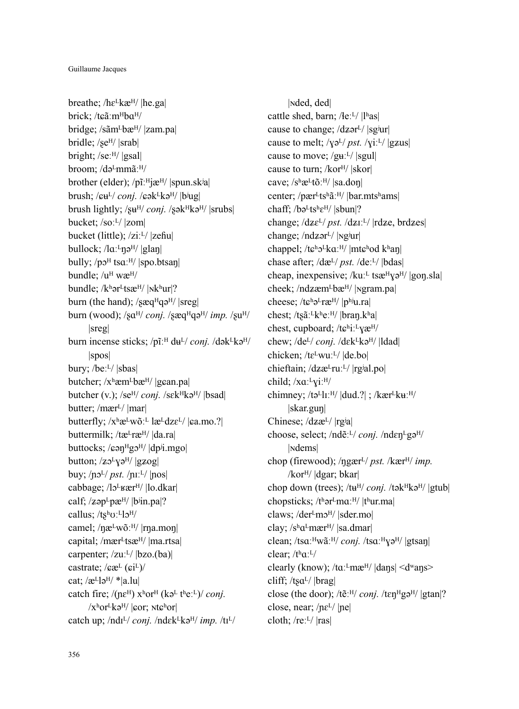breathe;  $/$ h $\varepsilon$ <sup>L</sup>kæ<sup>H</sup>/ |he.ga| brick; /tɕãːm<sup>H</sup>ba<sup>H</sup>/ bridge; /sãm<sup>L</sup>bæ<sup>H</sup>/ |zam.pa| bridle; /se<sup>H</sup>/ |srab| bright; /seːH/ |gsal| broom; /də<sup>L</sup>mmãː<sup>H</sup>/ brother (elder);  $/p\tilde{i}$ <sup>[H]</sup> $\tilde{j}$ æ<sup>H</sup>/ |spun.sk<sup>j</sup>a| brush; / $\epsilon \mathbf{u}^L$ /*conj.* / $\epsilon \mathbf{a}^L$ kə<sup>H</sup>/ |bʲug| brush lightly; /su<sup>H</sup>/ *conj.* /sək<sup>H</sup>kə<sup>H</sup>/ |srubs| bucket;  $/so:$ <sup>L</sup> $/$  |zom| bucket (little);  $\overline{z}$ i:<sup>L</sup>/  $\overline{z}$ eĥu $\overline{z}$ bullock;  $/la$ <sup> $\cdot$ </sup>nə<sup> $H/$ </sup> |glan| bully; /po<sup>H</sup> tsa<sup>ːH</sup>/ |spo.btsaŋ| bundle; /uH wæH/ bundle; /kʰər<sup>L</sup>tsæ<sup>H</sup>/ |Nkʰur|? burn (the hand);  $\sqrt{\sec^H q}$ burn (wood); /sa<sup>H</sup>/ *conj.* /sæq<sup>H</sup>qə<sup>H</sup>/ *imp.* /su<sup>H</sup>/ |sreg| burn incense sticks; /pĩː<sup>H</sup> du<sup>L</sup>/ *conj.* /dək<sup>L</sup>kə<sup>H</sup>/ |spos| bury; /beːL/ |sbas| butcher;  $/x^h$ æm<sup>L</sup>bæ<sup>H</sup>/ |gean.pa| butcher (v.); /se<sup>H</sup>/ *conj.* /sɛk<sup>H</sup>kə<sup>H</sup>/ |bsad| butter; /mær<sup>L</sup>/ |mar| butterfly;  $/x^h$ æ<sup>L</sup>wõː<sup>L</sup> læ<sup>L</sup>dz $\varepsilon$ <sup>L</sup>/  $|$  $\varrho$ a.mo.?| buttermilk; / $t\mathbf{a}^L r\mathbf{a}^H$ /  $|da_{\text{r}} a|$ buttocks; / $\epsilon$ ən<sup>H</sup>gɔ<sup>H</sup>/ |dpʲi.mgo| button;  $\sqrt{z}$  $\sqrt{y}$  $\sqrt{y}$ /  $\sqrt{z}$  $\sqrt{g(z)}$ buy;  $/p_0L/pst$ ,  $/$ nıː<sup>L</sup> $/$  |pos| cabbage; /lɔ<sup>L</sup>ʁær<sup>H</sup>/ |lo.dkar| calf;  $\langle z \circ p^L p x^H \rangle$  |biin.pa|? callus;  $/ts^h\sigma$ :  $Ll_0$ <sup>H</sup>/ camel; / $\eta$ æ<sup>L</sup>wõː<sup>H</sup>/ |rŋa.moŋ| capital; /mær<sup>L</sup>tsæ<sup>H</sup>/ |ma.rtsa| carpenter;  $/zu$ <sup> $L/$ </sup>  $|bzo.(ba)|$ castrate;  $\sqrt{\sec^2(6i^L)}$ cat;  $\alpha$ <sup>L</sup>lə<sup>H</sup>/ \*|a.lu| catch fire;  $/$ ( $ne^{H}$ )  $x^{h}$ or<sup>H</sup> ( $k$  $\sigma$ <sup>L</sup> t<sup>h</sup>e:<sup>L</sup>) $/$  *conj.*  $\sqrt{x^{\text{h}}$ or<sup>L</sup>kə<sup>H</sup>/  $\sqrt{\text{e}^{\text{h}}}$ or;  $\sqrt{\text{e}^{\text{h}}}$ or $\sqrt{\text{e}^{\text{h}}}$ catch up; /ndɪ<sup>L</sup>/ *conj.* /ndɛk<sup>L</sup>kə<sup>H</sup>/ *imp.* /tɪ<sup>L</sup>/

|ɴded, ded| cattle shed, barn; /łeːL/ |lʰas| cause to change;  $\frac{dz}{r}$  |sg<sup>j</sup>ur| cause to melt;  $/\gamma_9L / pst$ .  $/\gamma_1$ <sup>[L]</sup> |gzus| cause to move;  $/gu<sup>L</sup>/|sgu|$ cause to turn; /kor<sup>H</sup>/ |skor| cave; /shæ<sup>L</sup>tõː<sup>H</sup>/ |sa.doŋ| center; /pær<sup>L</sup>tshãː<sup>H</sup>/ |bar.mtshams| chaff;  $/ba^Lts^h\varepsilon^{H}/|sbun|?$ change; /dz $\varepsilon^{L}/$  *pst.* /dzi<sup>.L</sup>/ |rdze, brdzes| change;  $/ndz$ ər<sup>L</sup>/ | $\gamma$ g<sup>j</sup>ur| chappel; /tɕʰo<sup>L</sup>kɑː<sup>H</sup>/ |mtɕʰod kʰaŋ| chase after; /dæ<sup>L</sup>/ *pst.* /de<sup>'L</sup>/ |bdas| cheap, inexpensive; / $ku$ <sup> $\perp$ </sup> ts $\mathbb{R}^H$ <sub>V</sub> $\vartheta$ <sup>H</sup>/ |gon.sla| cheek; /ndzæm<sup>L</sup>bæ<sup>H</sup>/ |Ngram.pa| cheese; /tɕʰə<sup>L</sup>ræ<sup>H</sup>/ |pʰju.ra| chest; /tʂãː<sup>L</sup>kʰeː<sup>H</sup>/ |bran.kʰa| chest, cupboard; /tɕʰiːLvæH/ chew; /de<sup>L</sup>/ *conj.* /dɛk<sup>L</sup>kə<sup>H</sup>/ |ldad| chicken; /tɛ<sup>L</sup>wuː<sup>L</sup>/ |de.bo| chieftain;  $\frac{dz}{dt}ruL$ <sup>[</sup> $|rgialq$ ].po child;  $/xa$ <sup> $\cdot$ </sup> $y$ i<sup> $\cdot$  $\nshortparallel$ </sup> chimney; /tə $L_{\text{IL}}$ :  $H/$  |dud.?| ; /kær $L_{\text{R}}$ ku:  $H/$ |skar.guŋ| Chinese; /dzæ<sup>L</sup>/ |rg<sup>j</sup>a| choose, select; /ndẽːᴸ/ *conj.* /ndɛŋᴸgəᴴ/ |ɴdems| chop (firewood); / $\eta$ gær<sup>L</sup>/ *pst.* /kær<sup>H</sup>/ *imp.* /korᴴ/ |dgar; bkar| chop down (trees); /tu<sup>H</sup>/ *conj.* /tək<sup>H</sup>kə<sup>H</sup>/ |gtub| chopsticks; /tharLmaːH/ |thur.ma| claws; /der<sup>L</sup>mo<sup>H</sup>/ |sder.mo| clay;  $/s<sup>h</sup>a<sup>L</sup>ma<sup>H</sup>/|sa.dmar|$ clean; /tsɑː<sup>H</sup>wãː<sup>H</sup>/ *conj.* /tsɑː<sup>H</sup>Yə<sup>H</sup>/ |gtsaŋ| clear;  $/t<sup>h</sup>a$ <sup> $L$ </sup>/ clearly (know); / $\text{ta}$ <sup>T</sup>mæ<sup>H</sup>/ |dans| <d<sup>w</sup>ans> cliff; /tsa<sup>L</sup>/ |brag| close (the door); /te<sup> $H$ </sup>/ *conj.* /ten $H$ gə $H$ / |gtan|? close, near;  $/$ ne<sup>L</sup> $/$ |ne| cloth; / $re^L$ /  $|ras|$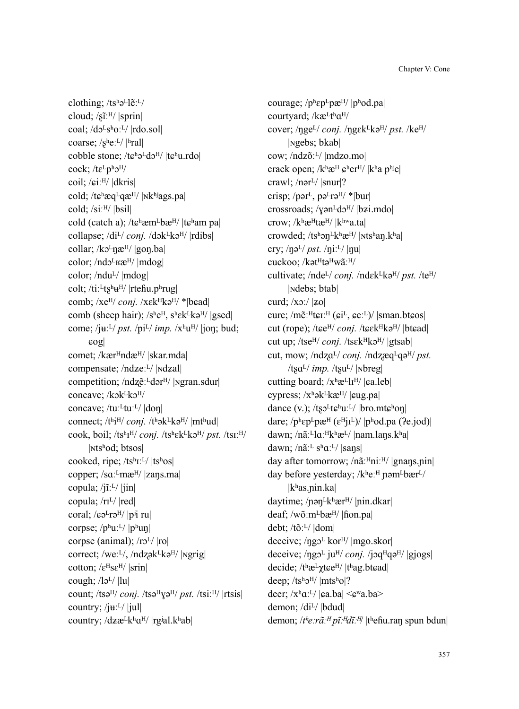clothing; /tshalletl/ cloud;  $\sqrt{s}$ ĩː<sup>H</sup>/ |sprin| coal;  $/d2^Ls^h0$ :<sup>L</sup>/  $|rdo.sol|$ coarse;  $/s$ <sup>h</sup>e:<sup>L</sup>/ |<sup>h</sup>ral| cobble stone;  $/t$  $\varepsilon$ <sup>h</sup> $\partial$ <sup>L</sup> $d\partial$ <sup>H</sup>/  $|t$  $\varepsilon$ <sup>h</sup>u.rdo| cock;  $/te^Lp^b2^H/$ coil; / $\epsilon i$ <sup>H</sup>/ |dkris| cold; / $t\epsilon$ <sup>h</sup>æq<sup>L</sup>qæ<sup>H</sup>/ |<sub>N</sub>k<sup>hj</sup>ags.pa| cold; /siːH/ |bsil| cold (catch a); /t $\varepsilon$ <sup>h</sup>æm<sup>L</sup>bæ<sup>H</sup>/ |t $\varepsilon$ <sup>h</sup>am pa| collapse; /di<sup>L</sup>/ *conj.* /dək<sup>L</sup>kə<sup>H</sup>/ |rdibs| collar; / $k$ <sup> $\sigma$  $n$ </sup> $\mathbb{R}^{H}$ /  $|$ gon.ba| color; /ndo<sup>L</sup><sub>K</sub>æ<sup>H</sup>/ |mdog| color; /ndu<sup>L</sup>/ |mdog| colt; /tiː<sup>L</sup>ts<sup>h</sup>u<sup>H</sup>/ |rteɦu.pʰrug| comb; /xe<sup>H</sup>/ *conj.* /xɛk<sup>H</sup>kə<sup>H</sup>/ \*|bɛad| comb (sheep hair);  $/s$ <sup>h</sup>e<sup>H</sup>, s<sup>h</sup>ek<sup>L</sup>kə<sup>H</sup>/ |gsed| come; /juːL/ *pst.* /pi<sup>L</sup>/ *imp.* /x<sup>h</sup>u<sup>H</sup>/ |jon; bud;  $|cos|$ comet; /kær<sup>H</sup>ndæ<sup>H</sup>/ |skar.mda| compensate; /ndzeːL/ | | Ndzal| competition; /ndzẽː<sup>L</sup>dər<sup>H</sup>/ |ngran.sdur| concave; /kɔk<sup>L</sup>kɔ<sup>H</sup>/ concave; /tu: $<sup>L</sup>$ tu: $<sup>L</sup>$ /  $|$ don $|$ </sup></sup> connect; /thi<sup>H</sup>/ *conj.* /thək<sup>L</sup>kə<sup>H</sup>/ |mthud| cook, boil; /tsʰɪᴴ/ *conj.* /tsʰɛkᴸkəᴴ/ *pst.* /tsɪːᴴ/ |ɴtsʰod; btsos| cooked, ripe;  $/ts^hI^L/|ts^h\text{os}|$ copper; /sɑː<sup>L</sup>mæ<sup>H</sup>/ |zaŋs.ma| copula; / $i$ ĩːL/  $|i$ in| copula; /rɪL/ |red| coral; / $\epsilon \partial^L r \partial^H / |p^j|$  ru corpse;  $/p^h u^L / |p^h u|$ corpse (animal);  $\langle r_0L \rangle$  |ro| correct; /weː<sup>L</sup>/, /ndzək<sup>L</sup>kə<sup>H</sup>/ |ngrig| cotton;  $\sqrt{\varepsilon^H s \varepsilon^H}$  |srin| cough;  $\frac{1}{2}$ / $\frac{1}{u}$ count; /tsə<sup>H</sup>/ *conj.* /tsə<sup>H</sup>/g<sup>H</sup>/ *pst.* /tsiː<sup>H</sup>/ |rtsis| country; / $j\text{H}$ <sup>[1</sup>/ $|j\text{H}$ ] country;  $\langle dz \mathbf{E}^{\mathrm{L}} \mathbf{k}^{\mathrm{h}} \mathbf{a}^{\mathrm{H}} / | \mathbf{r} \mathbf{g} | \mathbf{a} | \mathbf{k}^{\mathrm{h}} \mathbf{a} \mathbf{b} |$ 

courage;  $/p^h$  $\epsilon p^L$  $p^{\alpha}$ H $/$   $|p^h$ od.pa| courtyard; /kæLthaH/ cover; / $\eta$ ge<sup>L</sup>/ *conj.* / $\eta$ gɛk<sup>L</sup>kə<sup>H</sup>/ *pst.* /ke<sup>H</sup>/ |ɴgebs; bkab| cow; /ndzõːᴸ/ |mdzo.mo| crack open;  $/k$ <sup>h</sup>æ<sup>H</sup>  $\epsilon$ <sup>h</sup>er<sup>H</sup>/  $|k$ <sup>h</sup>a p<sup>hj</sup>e| crawl; /nər<sup>L</sup>/ |snur|? crisp; /pər<sup>L</sup>, pə<sup>L</sup>rə<sup>H</sup>/ \*|bur| crossroads;  $/\gamma$ ən<sup>L</sup>də<sup>H</sup>/ |bzi.mdo| crow;  $/k$ <sup>h</sup>æ<sup>H</sup>tæ<sup>H</sup>/  $|k$ <sup>hw</sup>a.ta crowded; /tshan<sup>Lkh</sup>æ<sup>H</sup>/ |ntshan.kha| cry;  $\ln 1 / pst$ .  $\ln 1 / |\ln 1|$ cuckoo; /kət<sup>H</sup>tə<sup>H</sup>wã:<sup>H</sup>/ cultivate; /nde<sup>L</sup>/ *conj.* /ndɛk<sup>L</sup>kə<sup>H</sup>/ *pst.* /te<sup>H</sup>/ |ɴdebs; btab| curd;  $\langle x \circ \rangle$  |zo| cure; /m $\tilde{e}$ <sup>[H</sup>ter<sup>H</sup> ( $\tilde{e}$ i<sup>L</sup>,  $\tilde{e}$ e $\tilde{e}$ <sup>L</sup>)/ |sman.bt $\tilde{e}$ os| cut (rope); /tɕe<sup>H</sup>/ *conj.* /tɕɛkʰkəʰ/ |btɕad| cut up; /tse<sup>H</sup>/ *conj.* /tsɛk<sup>H</sup>kə<sup>H</sup>/ |gtsab| cut, mow; /ndza<sup>L</sup>/ *conj.* /ndzæq<sup>L</sup>qə<sup>H</sup>/ *pst.*  $/tsa^L/mp.$   $/tsu^L/$  | $nbreg$ | cutting board;  $/x<sup>h</sup>æ<sup>L</sup>l<sup>H</sup>/|ga.leb|$ cypress;  $/x^h$ ək<sup>L</sup>kæ<sup>H</sup>/ | $\epsilon$ ug.pa| dance (v.);  $/t$ s $\nu$ <sup>L</sup>t $\varepsilon$ <sup>h</sup>u:<sup>L</sup>/ |bro.mt $\varepsilon$ <sup>h</sup>on| dare; / $p^h$  $\epsilon p^L$  $p^{\alpha}$ H $(\epsilon^H$  $\vert \textbf{r}^L$  $\rangle$  | $p^h$ od.pa (?e.jod)| dawn; /nãː<sup>L</sup>lɑː<sup>Hkh</sup>æ<sup>L</sup>/ |nam.laŋs.kʰa| dawn; /nãː<sup>L</sup> sʰɑː<sup>L</sup>/ |saŋs| day after tomorrow;  $/n\tilde{a}$ <sup>H</sup>ni<sup>H</sup>/ |gnans.nin| day before yesterday;  $/k$ <sup>h</sup>e:<sup>H</sup> pəm<sup>L</sup>bær<sup>L</sup>/ |kʰas.ɲin.ka| daytime; /pən<sup>L</sup>khær<sup>H</sup>/ |pin.dkar| deaf; /wõːm<sup>L</sup>bæ<sup>H</sup>/ | fion.pa| debt; /tõːᴸ/ |dom| deceive;  $/\eta g_0^L$  kor<sup> $H$ </sup>/ |mgo.skor| deceive; /ngɔ<sup>L</sup> ju<sup>H</sup>/ *conj.* /jɔq<sup>H</sup>qə<sup>H</sup>/ |gjogs| decide; /thæ<sup>L</sup>χtɕe<sup>H</sup>/ |thag.btɕad| deep;  $/ts^h2^H$  |mtsho|? deer;  $/x<sup>h</sup>a<sup>L</sup>/|ca.ba| \leq$   $\epsilon<sup>w</sup>a.ba$ demon; /di<sup>L</sup>/ |bdud| demon; /*tʰeːrãːᴴ pĩːᴴdĩːᴴ*/ |tʰeɦu.raŋ spun bdun|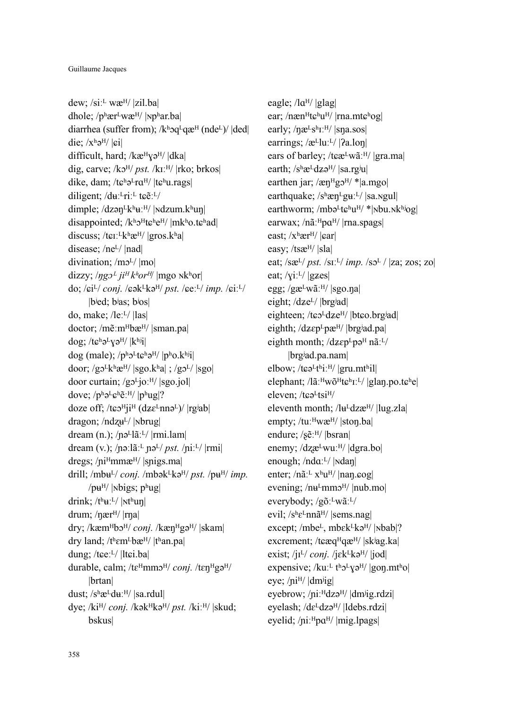dew;  $/si$ <sup> $\perp$ </sup> wæ<sup>H</sup>/ |zil.ba| dhole;  $/p^h$ ær<sup>L</sup>wæ<sup>H</sup>/ |Nphar.ba| diarrhea (suffer from);  $/k$ <sup>h</sup>oq<sup>L</sup>qæ<sup>H</sup> (nde<sup>L</sup>)/ |ded| die;  $/x<sup>h</sup>$ ə<sup>H</sup>/ | $\boldsymbol{\varepsilon}$ i| difficult, hard; /kæHyəH/ |dka| dig, carve; /kɔ<sup>H</sup>/ *pst.* /kɪː<sup>H</sup>/ |rko; brkos| dike, dam; / $t\epsilon^{h}$ ə<sup>L</sup>r $\alpha^{H/}$  | $t\epsilon^{h}$ u.rags| diligent;  $/du$ <sup>[L</sup>riː] t $\varepsilon$ ẽː[L] dimple;  $/dz$ ən<sup>Lkh</sup>uː<sup>H</sup>/ | Ndzum.khun| disappointed;  $/k^h 2^H$ t $\varepsilon^h e^H$ / |mkho.t $\varepsilon^h$ ad| discuss; /t $\epsilon$ <sup>L</sup>k<sup>h</sup>æ<sup>H</sup>/ |gros.kʰa| disease; /ne<sup>L</sup>/ |nad| divination;  $/m<sub>2</sub>$ /  $|m<sub>0</sub>|$ dizzy;  $\langle \eta g \rho^L j i^H k^h \rho r^H \rangle$  |mgo nkhor| do; / $\varepsilon i^{L}$ / *conj.* / $\varepsilon$ ək<sup>L</sup>kə<sup>H</sup>/ *pst.* / $\varepsilon$ eː<sup>L</sup>/ *imp.* / $\varepsilon$ iː<sup>L</sup>/ |bʲed; bʲas; bʲos| do, make; /leːL/ |las| doctor; /mẽːm<sup>H</sup>bæ<sup>H</sup>/ |sman.pa| dog; /t $\varepsilon$ <sup>h</sup>ə<sup>L</sup> $\gamma$ ə<sup>H</sup>/  $|k$ <sup>hj</sup>i $|$ dog (male);  $/p<sup>h</sup>2<sup>L</sup>$ t $\epsilon<sup>h</sup>3<sup>H</sup>/|p<sup>h</sup>0$ .k<sup>hj</sup>il door;  $/g2^Lk^h\mathcal{L}^{H}/|sgo.k^h a|$ ;  $/g2^L/|sgo|$ door curtain;  $/g2^L$ jo: $^{H}$ / |sgo.jol| dove;  $/p^h e^L e^h e^H / |p^h u g|?$ doze off; / $t$  $\varepsilon$  $\sigma$ <sup>H</sup>i<sup>H</sup> (dz $\varepsilon$ <sup>L</sup>nn $\sigma$ <sup>L</sup>)/ |rg<sup>j</sup>ab| dragon;  $/ndzu<sup>L</sup>/|rbrug|$ dream (n.); /pə<sup>L</sup>lãː<sup>L</sup>/ |rmi.lam| dream (v.); /pəːlãː<sup>L</sup> pə<sup>L</sup>/ *pst.* /piː<sup>L</sup>/ |rmi| dregs;  $/ni^H$ mmæ $/$  |spigs.ma| drill; /mb $\mu$ <sup>[</sup>/ *conj.* /mbək<sup>L</sup>kə<sup>H</sup>/ *pst.* /p $\mu$ <sup>H</sup>/ *imp.* / $p\mathbf{u}^H$ / |Nbigs;  $p^h$ ug| drink;  $/t<sup>h</sup>$ u:<sup>L</sup>/ | $Nt<sup>h</sup>$ un| drum; /nær<sup>H</sup>/ |rna| dry; /kæm<sup>H</sup>bɔ<sup>H</sup>/ *conj.* /kæn<sup>H</sup>gə<sup>H</sup>/ |skam| dry land; /themLbæ<sup>H</sup>/ |than.pa| dung; /tɕeːL/ |ltɕi.ba| durable, calm; /tɛ<sup>H</sup>mmɔ<sup>H</sup>/ *coni*. /tɛn<sup>H</sup>gə<sup>H</sup>/ |brtan| dust;  $/s$ <sup>h</sup>æ<sup>L</sup>d $u$ ː<sup>H</sup>/ |sa.rdul| dye; /ki<sup>H</sup>/ *conj.* /kək<sup>H</sup>kə<sup>H</sup>/ *pst.* /kiː<sup>H</sup>/ |skud; bskus|

eagle; /lɑ<sup>H</sup>/ |glag| ear; /næn<sup>H</sup>tɕʰu<sup>H</sup>/ |rna.mtɕʰog| early;  $/næ<sup>L</sup>s<sup>h</sup>L<sup>H</sup>/|sna.sos|$ earrings; / $\mathcal{E}^L$ luːL/ | $\mathcal{P}_a$ .lon| ears of barley; / $t$  $\varepsilon \mathbf{a}^L$ wãː $\frac{H}{I}$ |gra.ma| earth;  $/s<sup>h</sup>æ<sup>L</sup>dZə<sup>H</sup>/ |sa.rg<sup>j</sup>u|$ earthen jar; / $\text{expH}\text{g}^{\text{H}}\text{g}^{\text{H}}$ /\*|a.mgo| earthquake;  $/s<sup>h</sup>$ æn<sup>L</sup>g $u<sup>L</sup>/|sa$ .ngul earthworm; /mbə $L$ t $\mathbf{c}^{\text{h}}$ u<sup>H</sup>/ \*|Nbu.Nk<sup>hj</sup>og| earwax; /nãː<sup>H</sup>pɑ<sup>H</sup>/ |rna.spags| east;  $/x<sup>h</sup>$ ær<sup>H</sup>/ $|car|$ easy; /tsæ<sup>H</sup>/ |sla| eat; /sæ<sup>L</sup>/ *pst.* /sɪː<sup>L</sup>/ *imp.* /sɔ<sup>L</sup> / |za; zos; zo| eat;  $\langle \text{yi:}^L \rangle$  |gzes| egg; /gæ<sup>L</sup>wãː<sup>H</sup>/ |sgo.na| eight; /dze<sup>L</sup>/ |brg<sup>j</sup>ad| eighteen; /tɕɔ<sup>L</sup>dze<sup>H</sup>/ |btɕo.brgʲad| eighth; /dzɛp<sup>L</sup>pæ<sup>H</sup>/ |brgʲad.pa| eighth month;  $/dz\varepsilon p^L p e^H n \tilde{a}$ :<sup>L</sup>/ |brgʲad.pa.nam| elbow; / $t$  $\varepsilon$ ə<sup>L</sup> $t$ <sup>h</sup>iː<sup>H</sup>/ |gru.mt<sup>h</sup>il| elephant; /lãː<sup>H</sup>wõ<sup>H</sup>tɕʰɪː<sup>L</sup>/ |glan.po.tɕʰe| eleven:  $t$ t $\varepsilon$ ə $\frac{L}{t}$ tsi $\frac{H}{l}$ eleventh month; / $|u^L dz \mathcal{L}^{H}$ / |lug.zla| empty; /tuːHwæH/ |ston.ba| endure; /sẽːH/ |bsran| enemy;  $\langle dz \mathbf{e}^{\mathbf{L}} w \mathbf{u} \cdot \mathbf{H} / | \mathbf{d} \rangle$ enough; /ndɑː<sup>L</sup>/ |Ndaŋ| enter; / $n\tilde{a}$ <sup>'L</sup> x<sup>h</sup>u<sup>H</sup>/ |nan.cog| evening;  $/nu<sup>L</sup>mm<sub>2</sub><sup>H</sup>/|nub.mo|$ everybody; /gõː<sup>L</sup>wãː<sup>L</sup>/ evil;  $/s$ <sup>h</sup> $\varepsilon$ <sup>L</sup>nnã<sup>H</sup>/ |sems.nag| except; /mbe<sup>L</sup>, mbɛk<sup>L</sup>kə<sup>H</sup>/ |Nbab|? excrement; /tɕæq<sup>H</sup>qæ<sup>H</sup>/ |skʲag.ka| exist;  $/ii^{L}/conj. /j\epsilon k^{L}k\vartheta^{H}/|j\omega|$ expensive; /kuː<sup>L</sup> tʰɔ<sup>L</sup>Yə<sup>H</sup>/ |gon.mtʰo| eye;  $/n^H$ / $dm$ <sup> $j$ </sup>g| eyebrow; /niː<sup>H</sup>dzə<sup>H</sup>/ |dm<sup>j</sup>ig.rdzi| eyelash; /dɛ<sup>L</sup>dzə<sup>H</sup>/ |ldebs.rdzi| eyelid; /niː<sup>H</sup>pɑ<sup>H</sup>/ |mig.lpags|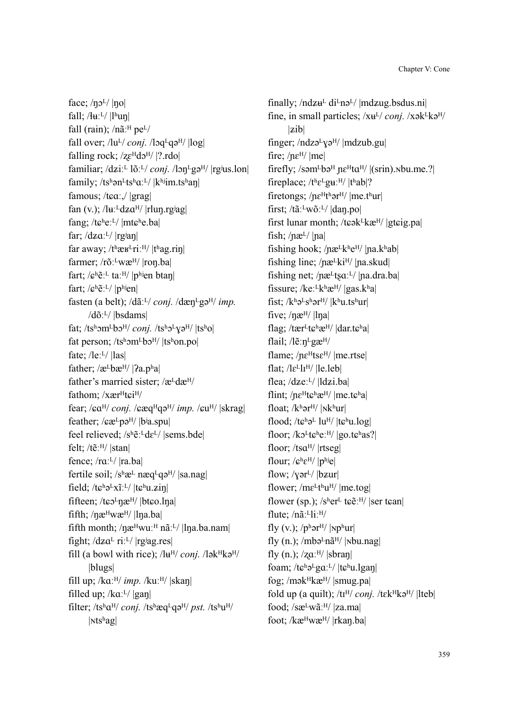face;  $/\eta$ <sup>L</sup>/ $|\eta$ o| fall;  $/$   $\frac{H_L}{V}$   $\frac{H_b}{m}$ fall (rain);  $/n$ ã<sup> $\text{H}$ </sup> pe<sup>L</sup>/ fall over;  $\frac{I_u L}{\gamma}$  *conj.*  $\frac{I_v L}{\gamma}$   $\frac{I_v L}{\gamma}$ falling rock;  $\sqrt{z}e^{H}d\sigma^{H}/$  |?.rdo| familiar; /dziː<sup>L</sup> lõː<sup>L</sup>/ *conj.* /lɔn<sup>L</sup>gə<sup>H</sup>/ |rgʲus.lon| family; /tshən<sup>L</sup>tshq:<sup>L</sup>/  $|k<sup>h</sup>$ jim.tshan| famous; /tɕɑː,/ |grag| fan (v.);  $/\nu$ <sup>1</sup>dz $\alpha$ <sup>H</sup>/ |rlun.rg<sup>j</sup>ag| fang; /tɕʰeːL/ |mtɕʰe.ba| far;  $\frac{dz}{dx}$ <sup>L</sup>/  $|rgian|$ far away; / $t^h$ æ $t^L$ riː<sup> $H$ </sup>/  $|t^h$ ag.rin| farmer; /rõː<sup>L</sup>wæ<sup>H</sup>/ |ron.ba| fart;  $\sqrt{\mathbf{e}^{\mathbf{h}}\tilde{\mathbf{e}}^{\mathbf{h}}$  ta:  $\mathbf{H}/|\mathbf{p}^{\mathbf{h}}|$  btan fart; / $\mathbf{c}^{\mathrm{h}}\tilde{\mathbf{e}}$ :<sup>L</sup>/  $|\mathbf{p}^{\mathrm{h}}\text{len}|$ fasten (a belt); /dã<sup>ːL</sup>/ *conj.* /dæn<sup>L</sup>gə<sup>H</sup>/ *imp.* /dõːᴸ/ |bsdams| fat; /ts<sup>h</sup>ɔm<sup>L</sup>bɔ<sup>H</sup>/ *conj.* /ts<sup>h</sup>ɔ<sup>L</sup>Yə<sup>H</sup>/ |tsho| fat person;  $/ts<sup>h</sup>$ om<sup>L</sup>bo<sup>H</sup>/  $|ts<sup>h</sup>$ on.po| fate;  $/$ leː<sup>L</sup> $/$  |las| father;  $\alpha$ <sup>L</sup>bæ<sup>H</sup>/ | $2a$ .p<sup>h</sup>a| father's married sister;  $/æ<sup>L</sup>dx<sup>H</sup>/$ fathom; /xær<sup>H</sup>t $\epsilon$ i<sup>H</sup>/ fear; / $ca^{H}/coni$ . / $ca^{H}/ca^{H}$ *imp. /* $cu^{H}/|skraq|$ feather;  $\sqrt{\mathbf{g}\mathbf{a}^{\mathsf{L}}}$ pə<sup>H</sup>/  $|\mathbf{b}$ <sup>j</sup>a.spu feel relieved;  $/s<sup>h</sup>$ ẽ:<sup>L</sup>dɛ<sup>L</sup>/ |sems.bde| felt;  $\ell$ tẽ: $\frac{H}{I}$ |stan| fence;  $/ra^{L}/|ra.ba|$ fertile soil;  $/s<sup>h</sup>æ<sup>L</sup> næq<sup>L</sup>qa<sup>H</sup>/|sa.nag|$ field; / $t e^{h} e^{L} x \tilde{i}$ :<sup>L</sup>/  $|t e^{h} u . \tilde{z} i \eta|$ fifteen; /t $\epsilon_0$ <sup>L</sup> $\eta$ æ<sup>H</sup>/ |bt $\epsilon_0$ .l $\eta$ a| fifth;  $/$ n $\mathbf{a}^{\text{H}}$ w $\mathbf{a}^{\text{H}}$ /  $|$ ln $|$ a.ba $|$ fifth month; / $\eta$ æ $^H$ wuː $^H$  nãː $^L$ / |l $\eta$ a.ba.nam| fight;  $/dz a^L$  ri: $L/$  |rgiag.res| fill (a bowl with rice);  $/\mathrm{lu}^{\mathrm{H}}$  *conj.*  $/\mathrm{lk}^{\mathrm{H}}$ kə $^{\mathrm{H}}$ / |blugs| fill up;  $/$ ka<sup> $:$ H</sup>/ *imp.*  $/$ ku $:$ <sup>H</sup>/  $|$ skan $|$ filled up;  $/$ ka<sup> $\lfloor$ </sup>/  $\lfloor$ gan $\rfloor$ filter;  $/ts^h a^H$  *conj.*  $/ts^h a^H$  *pst.*  $/ts^h u^H$  $|Ntshag|$ 

finally;  $/ndz\mu$ <sup>L</sup> di<sup>L</sup>nə<sup>L</sup>/ |mdzug.bsdus.ni| fine, in small particles;  $/xe^L/conj$ .  $/xe^Lk\partial^H/$  $|zib|$ finger;  $/ndzə<sup>L</sup>yə<sup>H</sup>/$   $|mdzub.gu|$ fire;  $n\varepsilon$ <sup>H</sup>/ lmel firefly;  $\sqrt{\text{sem}}$ <sup>L</sup>bə<sup>H</sup> ne<sup>H</sup>t $\alpha$ <sup>H</sup>/  $|\text{(srin)}$ . $\text{rbu.me.}$ ? fireplace;  $/t$ <sup>h</sup> $\varepsilon$ <sup>L</sup>gu<sup>:H</sup>/ $|t$ <sup>h</sup>ab|? firetongs;  $n\varepsilon^{H}$ thər<sup>H</sup>/ |me.thur| first; /tãːLwõːL/ |daŋ.po| first lunar month; /t $\epsilon$ ək $\frac{L}{k}$ kæ $\frac{H}{g}$  |gt $\epsilon$ ig.pa| fish;  $/$ næ<sup>L</sup> $/$ |na| fishing hook; / $n\mathbf{e}^L$ k<sup>h</sup>e<sup>H</sup>/  $|n\mathbf{a}.k\mathbf{b}|$ fishing line;  $/ne^Lki^H/$  |na.skud| fishing net;  $/$ næ<sup>L</sup>ts $a$ <sup>:L</sup>/ |na.dra.ba| fissure; /keː<sup>L</sup>kʰæ<sup>H</sup>/ |gas.kʰa| fist;  $/k^h$ ə<sup>L</sup>s<sup>h</sup>ər<sup>H</sup>/  $|k^h u$ .ts<sup>h</sup>ur| five;  $/$ næ<sup> $H/$ </sup> |lna| flag; /tær $L$ t $\varepsilon$ <sup>h</sup>æ<sup>H</sup>/  $|$ dar.t $\varepsilon$ <sup>h</sup>a| flail;  $\sqrt{\text{e}}$ : n<sup>L</sup>gæ<sup>H</sup>/ flame;  $/ne^{H}$ ts $\varepsilon^{H}/|me.rtsel|$ flat;  $\frac{1}{e^L}$ l $I^H$ /  $\left|$ le.leb $\right|$ flea;  $/dze:^{L}/ |ldzi.ba|$ flint;  $/ne^{Ht}$  $\varepsilon^{h}$  $\varepsilon^{H}$ /  $|me_{t}$  $\varepsilon^{h}$  $a|$ float; /khər<sup>H</sup>/ |Nkhur| flood; / $t\epsilon^{h}$ ə<sup>L</sup> lu<sup>H</sup>/  $|t\epsilon^{h}$ u.log| floor; /kɔ<sup>L</sup>tɕʰeː<sup>H</sup>/ |go.tɕʰas?| floor; /ts $a^{H/2}$ |rtseg| flour;  $\sqrt{\mathbf{e}^{\mathbf{h}}\mathbf{\varepsilon}^{\mathbf{H}}}$  |  $\mathbf{p}^{\mathbf{h}}$ je| flow;  $/\gamma$ ər<sup>L</sup>/  $|$ bzur $|$ flower; / $me^Lt^h u^H$ / |me.tog| flower (sp.);  $/s<sup>h</sup>er<sup>L</sup>$  t $\varepsilon \tilde{e}$ :<sup>H</sup>/ |ser t $\varepsilon$ an| flute;  $/n$  $\tilde{a}$ :  $\mathrm{Li}$ :  $\mathrm{H}/$ fly  $(v.); /p<sup>h</sup>$ ər<sup>H</sup>/ |Np<sup>h</sup>ur| fly  $(n.)$ ; /mbə<sup>L</sup>nã<sup>H</sup>/ |Nbu.nag| fly (n.);  $\frac{z}{a}$ <sup>H</sup>/  $\frac{|s \cdot z|}{a}$ foam; /t͡chəLgɑːL/ |t͡chu.lgan| fog; /mək $H$ kæ $H$ / |smug.pa| fold up (a quilt);  $/t^H$  *conj.*  $/t^H$ kə<sup>H</sup>/ |lteb| food; / $sæ^Lw\tilde{a}$ :<sup>H</sup>/ |za.ma| foot; /kæHwæH/ |rkan.ba|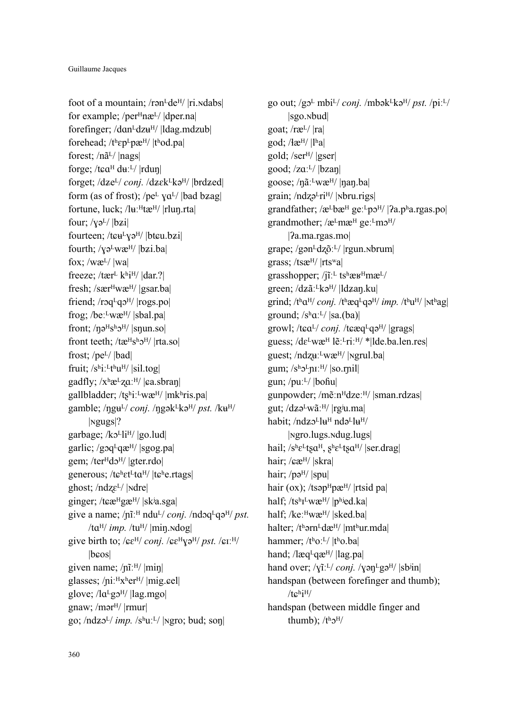foot of a mountain; /rən $L$ de<sup>H</sup>/ |ri. $N$ dabs| for example; /per<sup>H</sup>næ<sup>L</sup>/ |dper.na| forefinger; /dɑn<sup>L</sup>dz $u^H$ / |ldag.mdzub| forehead;  $/t<sup>h</sup> \epsilon p<sup>L</sup> pæ<sup>H</sup>/ |t<sup>h</sup> od.pal|$ forest; /nã<sup>L</sup>/ |nags| forge; /t $ca^H$  du<sup> $L$ </sup>/ |rdun| forget; /dze<sup>L</sup>/ *conj.* /dzek<sup>L</sup>kə<sup>H</sup>/ |brdzed| form (as of frost); /pe<sup>L</sup>  $\text{ya}^{\text{L}}$ /  $\text{bad }$  bzag fortune, luck; /luː<sup>H</sup>tæ<sup>H</sup>/ |rlun.rta| four;  $\sqrt{q^L}$  |bzi| fourteen; / $t$  $\varepsilon \frac{H}{V}$  $\varepsilon$ <sup>H</sup>/ |bt $\varepsilon$ u.b $\varepsilon$ i| fourth;  $\sqrt{v}e^Lw$ æ $\sqrt{v}$ /  $|bzi.ba|$ fox; /wæ $L$ / |wa| freeze; /tær $\frac{1}{k}$ k $\frac{1}{N}$  |dar.?| fresh; /sær<sup>H</sup>wæ<sup>H</sup>/ |gsar.ba| friend; /rɔq<sup>L</sup>qɔ<sup>H</sup>/ |rogs.po| frog; /be: $^L$ wæ<sup>H</sup>/ |sbal.pa| front;  $/\eta \partial^{H}S^{h} \partial^{H}/|S_{\eta} \eta|$ front teeth; /tæ<sup>H</sup>s<sup>h</sup> $\sigma$ <sup>H</sup>/ |rta.so| frost;  $/pe^{L}/|bad|$ fruit;  $/s^{\text{h}}i$ :  $^{\text{L}}t^{\text{h}}u^{\text{H}}$  | sil.tog| gadfly;  $/x^h \mathcal{E}^L Z \alpha$ <sup>: H</sup>/  $|ca.sbran|$ gallbladder; / $ts^hi:^Lw\mathcal{E}^H/$  |mkʰris.pa| gamble; /ŋgu<sup>L</sup>/ *conj.* /ŋgək<sup>L</sup>kə<sup>H</sup>/ *pst.* /ku<sup>H</sup>/ |ɴgugs|? garbage; /kɔ<sup>L</sup>li<sup>H</sup>/ |go.lud| garlic; /goq $L$ qæ $H$ / |sgog.pa| gem; /ter $Hd2^H$ / |gter.rdo| generous;  $/t \epsilon^h \epsilon t^L t a^H / |t \epsilon^h e \cdot r t a g s|$ ghost;  $/ndz\epsilon^{L}/|ndr\epsilon|$ ginger; /tɕæ<sup>H</sup>gæ<sup>H</sup>/ |skʲa.sga| give a name;  $/nT$ <sup>H</sup> ndu<sup>L</sup>/ *conj.*  $/ndqq^q$ <sup>H</sup>/ *pst.* /ta<sup>H</sup>/ *imp.* /tu<sup>H</sup>/ |min.ndog| give birth to;  $\sqrt{\varepsilon}e^{H}/\frac{\cosh(\sqrt{\varepsilon})e^{H}}{\varepsilon}}$  $|b$ cos $|$ given name; /ɲĩːᴴ/ |miŋ| glasses;  $/ni$ <sup>H</sup>x<sup>h</sup>er<sup>H</sup>/ |mig.cel| glove;  $/la<sup>L</sup>g<sup>H</sup>/$  |lag.mgo| gnaw; / $m$ ər<sup>H</sup>/ |rmur| go;  $/ndz_0<sup>L</sup>/imp.$   $/s<sup>h</sup>u<sup>L</sup>/$   $|$  <sub>N</sub>gro; bud; son|

go out; /gܧᴸ mbiᴸ/ *conj.* /mbəkᴸkəᴴ/ *pst.* /piːᴸ/ |sgo.ɴbud| goat; / $r$ æ $\frac{L}{|ra|}$ god; /ɬæᴴ/ |lʰa| gold; / $ser<sup>H</sup>/|gser|$ good;  $\left| \frac{z}{a} \right|$   $\left| \frac{b}{z} \right|$ goose; /nãːLwæH/ |nan.ba| grain;  $/ndz^2ri^H/$  |Noru.rigs| grandfather;  $\alpha$ <sup>L</sup>bæ<sup>H</sup> ge:<sup>L</sup>p $\alpha$ <sup>H</sup>/ | $\alpha$ .pʰa.rgas.po| grandmother;  $\alpha$ <sup>L</sup>m $\alpha$ <sup>H</sup> ge:<sup>L</sup>m $\alpha$ <sup>H</sup>/ |ʔa.ma.rgas.mo| grape; /gən $Edz\tilde{o}$ : $L$ / |rgun.nbrum| grass; /tsæᴴ/ |rtsʷa| grasshopper; / $\tilde{\mathbf{i}}$ <sup>1</sup> ts<sup>h</sup>æ $\mathbf{r}$ <sup>H</sup>mæ<sup>L</sup>/ green; /dzãː<sup>L</sup>kə<sup>H</sup>/ |ldzaŋ.ku| grind; /tha<sup>H</sup>/ *conj.* /thæq<sup>L</sup>qə<sup>H</sup>/ *imp.* /thu<sup>H</sup>/ |Nthag| ground;  $/s<sup>h</sup>a<sup>2</sup>/ |sa(ba)|$ growl; /tɕa<sup>L</sup>/ *conj.* /tɕæq<sup>L</sup>qə<sup>H</sup>/ |grags| guess; /dɛLwæH lẽːLriːH/ \*|lde.ba.len.res| guest; /ndݛݢːᴸwæᴴ/ |ɴgrul.ba| gum;  $/s<sup>h</sup>$ <sub>2</sub> $<sup>H</sup>/$  |so.rnil|</sup> gun; / $pu: L$ /  $|boful|$ gunpowder; /mẽːn<sup>H</sup>dzeː<sup>H</sup>/ |sman.rdzas| gut;  $/dz$ ə<sup>L</sup>wã: $^{H}/|rg$ <sup>i</sup>u.ma habit; /ndʑɔLluH ndəLluH/ |ɴgro.lugs.ɴdug.lugs| hail;  $/s^h \epsilon^L$ t $sa^H$ ,  $s^h \epsilon^L$ t $sa^H$ / |ser.drag| hair; / $\varepsilon \mathbf{r}$ <sup>H</sup>/ |skra| hair;  $/p\partial^{H}/|spu|$ hair (ox); /tsəp $H$ pæ $H$ / |rtsid pa| half; /tshILwæ<sup>H</sup>/ |phied.ka| half; /keː<sup>H</sup>wæ<sup>H</sup>/ |sked.ba| halter; /thorn<sup>L</sup>dæ<sup>H</sup>/ |mthur.mda| hammer; /thoːL/ |tho.ba| hand;  $/$ læq $L$ qæ $H/$  |lag.pa| hand over; /vĩː<sup>L</sup>/ *coni.* /vən<sup>L</sup>gə<sup>H</sup>/ |sb<sup>i</sup>in| handspan (between forefinger and thumb);  $/te^h$ i<sup>H</sup>/ handspan (between middle finger and thumb);  $/t<sup>h</sup>0<sup>H</sup>/$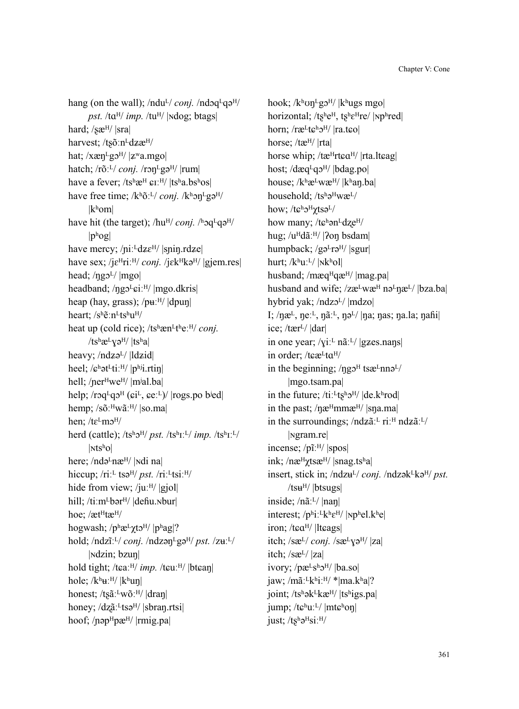hang (on the wall);  $/ndu^{L}/conj. /ndoq^{L}q^{H}/$ *pst.* /tܤᴴ/ *imp.* /tuᴴ/ |ɴdog; btags| hard;  $\sqrt{\text{seH}/\text{Sra}}$ harvest; /tsõːn<sup>L</sup>dzæ<sup>H</sup>/ hat;  $/x\alpha\eta^L$ g $\gamma^H$ / $|z^{\rm w}$ a.mgo| hatch; /rõː<sup>L</sup>/ *conj.* /rɔn<sup>L</sup>gə<sup>H</sup>/ |rum| have a fever;  $/ts^h$ æ<sup>H</sup>  $\epsilon$ I:<sup>H</sup>/  $|ts^h$ a.bs<sup>h</sup>os| have free time; /kʰõː<sup>L</sup>/ *conj.* /kʰɔn<sup>L</sup>gə<sup>H</sup>/ |kʰom| have hit (the target); /hu<sup>H</sup>/ *conj*. /hoq<sup>L</sup>qə<sup>H</sup>/  $|p^{\mathrm{h}}$ og $|$ have mercy; /piː<sup>L</sup>dzɛ<sup>H</sup>/ |spiŋ.rdze| have sex; /jɛ<sup>H</sup>riː<sup>H</sup>/ *conj.* /jɛk<sup>H</sup>kə<sup>H</sup>/ |gjem.res| head;  $/$ ngo<sup>L</sup> $/$ |mgo| headband; /ŋgɔ<sup>L</sup>ɕiː<sup>H</sup>/ |mgo.dkris| heap (hay, grass);  $/pu:$ <sup>H</sup>/  $|dpun|$ heart; /sʰẽ:n<sup>L</sup>tsʰu<sup>H</sup>/ heat up (cold rice); /tshæn<sup>Lth</sup>e:<sup>H</sup>/ *conj*. /tsh $\alpha$ <sup>L</sup> $\gamma$ ə<sup>H</sup>/ |tsha| heavy;  $/ndz<sub>9</sub>$ <sup>L</sup>/  $|ldz<sub>i</sub>$ d| heel;  $\sqrt{\mathbf{e}^{\mathbf{h}}}$ ət<sup>L</sup>ti: H/ $|\mathbf{p}^{\mathbf{h}}|$ .rtin hell; /ner<sup>H</sup>we<sup>H</sup>/ |m<sup>j</sup>al.ba| help;  $\langle$ rɔq<sup>L</sup>qɔ<sup>H</sup> ( $\varepsilon$ i<sup>L</sup>,  $\varepsilon$ eː<sup>L</sup>)/ |rogs.po b<sup>i</sup>ed| hemp;  $\sqrt{s}$ õː $\frac{H}{W}$ ãː $\frac{H}{I}$ |so.ma| hen:  $/te^L$ m $\mathcal{D}^H$ / herd (cattle);  $/ts^hJ^H/pst.$   $/ts^hI^L/$  *imp.*  $/ts^hI^L/$  $|\text{Nts}^{\text{h}}\text{o}|$ here;  $/nda<sup>L</sup>na<sup>H</sup>/|ndi$  na hiccup; /riː<sup>L</sup> tsə<sup>H</sup>/ *pst.* /riː<sup>L</sup>tsiː<sup>H</sup>/ hide from view; /juː $^{H}$ / |gjol| hill; /tiːm<sup>L</sup>bər<sup>H</sup>/ |defiu.Nbur| hoe; /æt<sup>H</sup>tæ<sup>H</sup>/ hogwash;  $/p^h$ æ<sup>L</sup> $\chi$ t $\varphi$ <sup>H</sup>/  $|p^h$ ag|? hold; /ndzĩː<sup>L</sup>/ *conj.* /ndzən<sup>L</sup>gə<sup>H</sup>/ *pst.* /zuː<sup>L</sup>/ |ɴdzin; bzuŋ| hold tight; /tɛaː<sup>H</sup>/ *imp.* /tɛuː<sup>H</sup>/ |btɛan| hole;  $/k^h u$ <sup>:H</sup>/  $|k^h u$ n| honest; /ts $\tilde{a}$ :<sup>L</sup>wõː<sup>H</sup>/ |dran| honey;  $\langle dz \tilde{a}^{\mu} \rangle$  |sbran.rtsi| hoof; /nəp<sup>H</sup>pæ<sup>H</sup>/ |rmig.pa|

hook; /kʰʊŋ<sup>L</sup>gɔ<sup>H</sup>/ |kʰugs mgo| horizontal; /tʂʰe<sup>H</sup>, tʂʰɛ<sup>H</sup>re/ |Npʰred| horn;  $/ræ<sup>L</sup>t<sub>ε</sub>h<sub>2</sub>H/$  |ra.t<sub>ε</sub>o|horse; /tæH/ |rta| horse whip;  $/$ tæ<sup>H</sup>rt $\alpha$ <sup>H</sup>/ |rta.lt $\alpha$ ag| host; / $d$ æq<sup>L</sup>q $2^{H/2}$ |bdag.po| house;  $/k$ <sup>h</sup>æ<sup>L</sup>wæ<sup>H</sup>/  $|k$ <sup>h</sup>an.ba household; /tsh<sub>2</sub>HwæL/ how; / $te^h$ <sub>2</sub>H<sub> $\gamma$ tsə<sup>L</sup>/</sub> how many; / $te^{\hbar}$ ən<sup>L</sup>dze<sup>H</sup>/ hug; /u<sup>H</sup>dãː<sup>H</sup>/ | ?on bsdam| humpback; /gə $Lr$ ə<sup>H</sup>/ |sgur| hurt; /khuːL/ |Nkhol| husband; /mæq<sup>H</sup>qæ<sup>H</sup>/ |mag.pa| husband and wife; /zæLwæH nəLnæL/ |bza.ba| hybrid yak; /ndzol/ |mdzo| I;  $/\eta$ æ<sup>L</sup>,  $\eta$ eː<sup>L</sup>,  $\eta$ ãː<sup>L</sup>,  $\eta$ ə<sup>L</sup>/ $|\eta$ a;  $\eta$ as;  $\eta$ a.la;  $\eta$ aĥi $|\eta$ ice; / $\text{tar}^{L}$ /  $\text{dar}$ in one year; / $\chi i$ <sup>[L</sup> nã<sup>[L</sup>/ |gzes.naŋs] in order; /tɕæLtaH/ in the beginning;  $/\eta$ g $\sigma$ <sup>H</sup> tsæ<sup>L</sup>nn $\sigma$ <sup>L</sup>/ |mgo.tsam.pa| in the future;  $/ti$ <sup> $L$ </sup>t $s<sup>h</sup>$  $J<sup>H</sup>/|$   $|de$  $R<sup>h</sup>$ rod $|$ in the past;  $/$ næ $^{\text{H}}$ mmæ $^{\text{H}}/$  |sna.ma| in the surroundings;  $/ndz \tilde{a}$ <sup>'L</sup> ri<sup>'H</sup> nd $z \tilde{a}$ <sup>'L</sup>/ |ɴgram.re| incense; /pĩːH/ |spos| ink; / $n\mathbf{a}^{\text{H}}\chi$ ts $\mathbf{a}^{\text{H}}$ / |snag.tsha| insert, stick in; /ndz $u^{L}$ / *conj.* /ndzək<sup>L</sup>kə<sup>H</sup>/ *pst.*  $/t\text{su}^H$ / $\vert \text{btsugs} \vert$ inside; /nãːᴸ/ |naŋ| interest;  $/phi$ <sup>L</sup>k<sup>h</sup> $\varepsilon$ <sup>H</sup>/ |<sub>N</sub>phel.k<sup>h</sup>e| iron; /tɕaH/ |ltɕags| itch; /sæ<sup>L</sup>/ *conj.* /sæ<sup>L</sup>Yə<sup>H</sup>/ |za| itch;  $\sqrt{3}$ æ<sup>L</sup> $\sqrt{2}$ |za| ivory;  $/px^Ls^h2^H/|ba.so|$ jaw; /mãː<sup>L</sup>kʰiːH/ \*|ma.kʰa|? joint;  $/ts^h\partial k^Lk\mathcal{E}^{H}/|ts^higs.pa|$ jump; / $t\mathbf{e}^{\mathrm{h}}u$ :<sup>L</sup>/ |mt $\mathbf{e}^{\mathrm{h}}$ on| just;  $/ts^h\partial^Hsi:H/$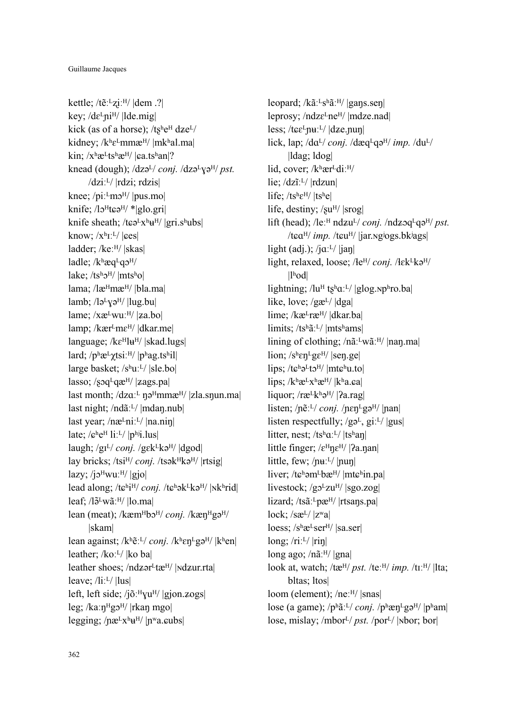kettle; / $t\tilde{e}$ :  $Lz$ iː H/  $|dem$  .? key;  $\frac{dE}{d}$ ni<sup>H</sup>/ |lde.mig| kick (as of a horse);  $/ts^he^H dze^L$ kidney;  $/k$ <sup>h</sup> $\varepsilon$ <sup>L</sup>mmæ<sup>H</sup>/ |mk<sup>h</sup>al.ma| kin:  $x^h$ æ<sup>L</sup>ts<sup>h</sup>æ<sup>H</sup>/ | $\epsilon$ a.ts<sup>h</sup>an|? knead (dough);  $\frac{dz}{dx}$  *conj.*  $\frac{dz}{dx}$   $\frac{dy}{dx}$  *pst.*  $\frac{dzi!^L}{relzij}$ ; rdzis knee;  $/pi$ <sup>L</sup>m $\sigma$ <sup>H</sup>/ |pus.mo| knife;  $\frac{1}{3}$ <sup>H</sup>teə<sup>H</sup>/ \*|glo.gri| knife sheath; /tɕə $Lx^h$ u<sup>H</sup>/ |gri.shubs| know;  $\langle X^h I^L \rangle$  | $\langle \text{ees} |$ ladder; /keːH/ |skas| ladle;  $/k$ <sup>h</sup>æq<sup>L</sup>q $\sigma$ <sup>H</sup>/ lake;  $/ts^h2^H/$  |mtsho| lama; /læ<sup>H</sup>mæ<sup>H</sup>/ |bla.ma| lamb; /lə<sup>L</sup>yə<sup>H</sup>/ |lug.bu| lame;  $/xæ^Lwu:$ <sup>H</sup> $/$  | $za.$ bo|  $lamp$ ; / $kær<sup>L</sup>me<sup>H</sup>/|dkarme|$  $language$ ; / $ke^Hlu^H/$  |skad.lugs| lard;  $/p^h$ æ<sup>L</sup> $\gamma$ tsi:<sup>H</sup>/ |p<sup>h</sup>ag.ts<sup>h</sup>il| large basket; /sʰuːᴸ/ |sle.bo| lasso; / $sq^Lq\mathfrak{E}^{H}/|zags.pa|$ last month;  $/dza$ <sup> $L$ </sup>  $\eta$ ə<sup>H</sup>mmæ<sup>H</sup>/ |zla.s $\eta$ un.ma| last night; /ndãː<sup>L</sup>/ |mdan.nub| last year;  $/næ<sup>L</sup>ni<sup>L</sup>/|na.nin|$ late;  $/e^he^H$  li: $L/$  |phij.lus| laugh; /gɪ<sup>L</sup>/ *conj.* /gɛk<sup>L</sup>kə<sup>H</sup>/ |dgod| lay bricks; /tsi<sup>H</sup>/ *conj.* /tsək<sup>H</sup>kə<sup>H</sup>/ |rtsig|  $lazy$ ; /jo $^H$ wuː $^H$ / |gjo| lead along; /tɕʰi<sup>H</sup>/ *conj.* /tɕʰək<sup>L</sup>kə<sup>H</sup>/ |Nkʰrid| leaf; /l $\tilde{\sigma}$ <sup>L</sup>wãː<sup>H</sup>/ |lo.ma| lean (meat); /kæm<sup>H</sup>bə<sup>H</sup>/ *conj.* /kæn<sup>H</sup>gə<sup>H</sup>/ |skam| lean against; /kʰẽː<sup>L</sup>/ *conj.* /kʰɛn<sup>L</sup>gə<sup>H</sup>/ |kʰen| leather; /koː<sup>L</sup>/ |ko ba| leather shoes; / $ndzer<sup>L</sup>tæ<sup>H</sup>/$  | $ndzur.rtal$ leave; /liːᴸ/ |lus| left, left side; /jõː $^{\text{H}}$ vu<sup>H</sup>/ |gjon. $\text{zogs}$ | leg; /kaː $\eta$ <sup>H</sup>gɔ<sup>H</sup>/ |rkan mgo| legging; / $n\mathbf{e}^L x^h u^H$ /  $|n^w a \cdot \text{cubs}|$ 

leopard; /kãː<sup>L</sup>sʰãː<sup>H</sup>/ |gaŋs.seŋ| leprosy; /ndzɛ<sup>L</sup>ne<sup>H</sup>/ |mdze.nad| less; /t $\varepsilon \varepsilon^L$ nuː<sup>L</sup>/  $|dz$ e.nun lick, lap;  $\frac{daL}{coni}$ ,  $\frac{daL}{deni}$ ,  $\frac{daL}{deni}$ |ldag; ldog| lid, cover; /kʰær<sup>L</sup>diː<sup>H</sup>/ lie; /dzĩː<sup>L</sup>/ |rdzun| life;  $/ts^h \epsilon^H / |ts^h e|$ life, destiny;  $\sqrt{\text{s}u^H/\text{[srog]}}$ lift (head);  $\sqrt{\text{le:}}^H \text{ndzu}^L / \text{conj.} / \text{ndzoq}^L \text{q}^H / \text{pst.}$ /t $ca^{H}/imp$ . /t $cu^{H}/$  |jar.ng<sup>j</sup>ogs.bk<sup>j</sup>ags| light (adj.); /j $a$ ː<sup>L</sup>/ |jaŋ| light, relaxed, loose; / $Ie^{H}$ *coni.* / $Ie^{H}$ kə<sup>H</sup>/  $|l<sup>h</sup>$ od $|$ lightning; /luH tshq:L/ |glog.nphro.ba| like, love; /gæL/ |dga| lime; /kæ<sup>L</sup>ræ<sup>H</sup>/ |dkar.ba| limits; /tshã:<sup>L</sup>/ |mtshams| lining of clothing; /nãːLwãːH/ |nan.ma| lion;  $/s^h$  $\epsilon n^L$ g $\epsilon$ <sup>H</sup>/ |sen.ge| lips; / $t\epsilon^h\partial^L t\partial^H$ / |mt $\epsilon^h u$ .to| lips;  $/k$ <sup>h</sup>æ<sup>L</sup> $x$ <sup>h</sup>æ<sup>H</sup>/  $|k$ <sup>h</sup>a.ea liquor; / $r \mathfrak{E}^L k^h \mathfrak{F}^H$ / [ $2a$ .rag] listen; /nẽː<sup>L</sup>/ *conj.* /nen<sup>L</sup>gə<sup>H</sup>/ |nan| listen respectfully;  $/g\phi^L$ , gi: $L$ / |gus| litter, nest; /tsʰaːL/  $|t\sinh u|$ little finger;  $\sqrt{\epsilon^H n \epsilon^H}$  |  $2a$ .nan| little, few; / $\mu$ <sup>L</sup>/  $\mu$ un| liver; /tɕʰəm<sup>L</sup>bæ<sup>H</sup>/ |mtɕʰin.pa| livestock;  $/g_0L_zu^H$ /  $|sgo.zog|$ lizard; /tsãː<sup>L</sup>pæ<sup>H</sup>/ |rtsans.pa|  $lock$ ; /sæ $\frac{L}{|z^{\omega}a|}$ loess; /shæ<sup>L</sup>ser<sup>H</sup>/ |sa.ser|  $long; /ri:$ <sup>L</sup>/ $|rin|$ long ago; / $n\tilde{a}$ <sup>H</sup>/ |gna| look at, watch; /tæH/ *pst.* /teːH/ *imp.* /tɪːH/ |lta; bltas; ltos| loom (element); /neːH/ |snas| lose (a game); /pʰãː<sup>L</sup>/ *conj.* /pʰæn<sup>L</sup>gə<sup>H</sup>/ |pʰam| lose, mislay; /mbor<sup>L</sup>/ *pst.* /por<sup>L</sup>/ |Nbor; bor|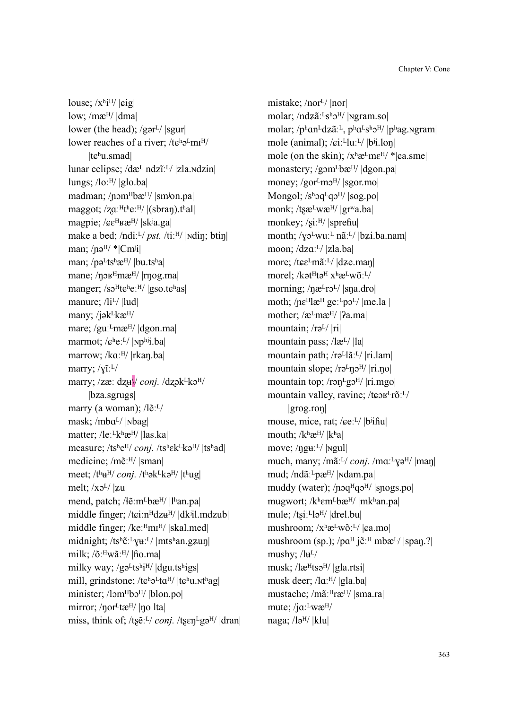louse;  $\frac{\chi h}{H}$  | $\left| \right|$  | $\left| \right|$ low;  $/mæ<sup>H</sup>/|dma|$ lower (the head); /gər $\frac{1}{\sqrt{2}}$  |sgur| lower reaches of a river;  $/t\varepsilon^h\partial^L m I^H/$ |tܨʰu.smad| lunar eclipse; /dæ<sup>L</sup> ndzĩː<sup>L</sup>/ |zla.<sub>N</sub>dzin| lungs; /loːH/ |glo.ba| madman; /nɔm<sup>H</sup>bæ<sup>H</sup>/ |smʲon.pa| maggot;  $\sqrt{z}a$ <sup>:H</sup>t<sup>h</sup>e:<sup>H</sup>/  $|$ (sbran).t<sup>h</sup>al magpie; / $\varepsilon$ <sup>H</sup> $\varepsilon$ <sup>H</sup> $\in$ <sup>H</sup>/ |sk<sup>j</sup>a.ga| make a bed; /ndiː<sup>L</sup>/ *pst.* /tiː<sup>H</sup>/ |**Ndin**; btin man;  $/no<sup>H</sup>/$  \*|Cm<sup>i</sup>i| man; / $p\vartheta$ <sup>L</sup>ts<sup>h</sup>æ<sup>H</sup>/ |bu.ts<sup>h</sup>a| mane;  $/$ n $\sigma$ <sup>H</sup> $m$ æ<sup>H</sup> $/$ |rnog.ma| manger; /so<sup>H</sup>te<sup>h</sup>eː<sup>H</sup>/ |gso.te<sup>h</sup>as| manure;  $\frac{I_iL}{I_u}$ |lud many; / $j\partial k^Lk\mathfrak{E}^{H/}$ mare; /guː<sup>L</sup>mæ<sup>H</sup>/ |dgon.ma| marmot; / $\mathcal{L}^h e^{L}$ / |Nphij.ba| marrow; /kɑː<sup>H</sup>/ |rkan.ba| marry;  $/\gamma$ ĩ:<sup>L</sup>/ marry; /zæː dzu*\/ conj.* /dzək<sup>L</sup>kə<sup>H</sup>/ |bza.sgrugs| marry (a woman); /lẽ:<sup>L</sup>/ mask; /mbaL/ |Nbag| matter; /leː<sup>L</sup>kʰæ<sup>H</sup>/ |las.ka| measure; /ts<sup>h</sup>e<sup>H</sup>/ *conj.* /tshek<sup>L</sup>kə<sup>H</sup>/ |tshad| medicine; /mẽːH/ |sman| meet; /t<sup>h</sup>u<sup>H</sup>/ *conj.* /t<sup>h</sup>ək<sup>L</sup>kə<sup>H</sup>/ |t<sup>h</sup>ug| melt;  $/x\partial^{L}/|z\mu|$ mend, patch; / $\{$ ẽ:m<sup>L</sup>bæ<sup>H</sup>/ |lʰan.pa| middle finger; /tɕiːnHdzu<sup>H</sup>/ |dkʲil.mdzub| middle finger; /keːHmɪH/ |skal.med| midnight; /tsʰẽːLvuːL/ |mtsʰan.gzun| milk;  $\sqrt{0}$ : Hwãː H/ | fio.ma| milky way;  $/g\varphi^L$ tshi<sup>H</sup>/ |dgu.tshigs| mill, grindstone; / $t\epsilon^{h}e^{L}t\alpha^{H}/|t\epsilon^{h}u$ .nthag| minister; /lɔm<sup>H</sup>bɔ<sup>H</sup>/ |blon.po| mirror; /nor<sup>L</sup>tæ<sup>H</sup>/ |no lta| miss, think of; /tʂẽː<sup>L</sup>/ *conj.* /tʂɛn<sup>L</sup>gə<sup>H</sup>/ |dran| mistake; /nor<sup>L</sup>/ |nor| molar; /ndzãː<sup>L</sup>sʰɔ<sup>H</sup>/ |Ngram.so| molar;  $/p^{\text{h}}$ an<sup>L</sup>dzã<sup>: L</sup>, pʰa<sup>L</sup>sʰɔ<sup>H</sup>/ |pʰag.ngram| mole (animal); / $\pi$ iːLluːL/ |bʲi.lon| mole (on the skin);  $/x<sup>h</sup>æ<sup>L</sup>me<sup>H</sup>/*|ca.sme|$ monastery; /gɔm<sup>L</sup>bæ<sup>H</sup>/ |dgon.pa| money; /gor<sup>L</sup>mo<sup>H</sup>/ |sgor.mo| Mongol;  $/s<sup>h</sup>$ q $q<sup>2</sup>$ H $/$  |sog.po| monk;  $/tsæ<sup>L</sup>wæ<sup>H</sup>/|gr<sup>w</sup>a.ba|$ monkey;  $\sqrt{\pi}$  | sprefiu month;  $/\gamma 2^L w u^L$  nã:<sup>L</sup>/ |bzi.ba.nam| moon; /dzܤːᴸ/ |zla.ba| more; /tɕε<sup>L</sup>mãː<sup>L</sup>/ |dʑe.man| morel; /kət<sup>H</sup>tə<sup>H</sup> x<sup>h</sup>æ<sup>L</sup>wõː<sup>L/</sup> morning; /næ<sup>L</sup>rɔ<sup>L</sup>/ |sna.dro| moth;  $/ne^{H}$ læ<sup>H</sup> ge:<sup>L</sup>p $o^{L}/$ |me.la | mother;  $\alpha$ <sup>L</sup>mæ<sup>H</sup>/ | $2a$ .ma| mountain;  $\pi$ <sup>L</sup>/  $\pi$ | mountain pass; /læL/ |la| mountain path; /rəLlãːL/ |ri.lam| mountain slope;  $/r\sigma^L\eta\sigma^H/|r\eta\rho|$ mountain top; /rən $E$ gə<sup>H</sup>/ |ri.mgo| mountain valley, ravine; /tɕɔʁ<sup>L</sup>rõː<sup>L</sup>/ |grog.roŋ| mouse, mice, rat; / $\epsilon e^{L}$ / |b<sup>ij</sup>hu| mouth;  $/k^h \mathfrak{E}^{H}/|k^h|$ move; /ŋgݛːᴸ/ |ɴgul| much, many; /mãː<sup>L</sup>/ *conj.* /mɑː<sup>L</sup>ɣə<sup>H</sup>/ |maŋ| mud; /ndãː<sup>L</sup>pæ<sup>H</sup>/ |<sub>N</sub>dam.pa| muddy (water);  $/pqqqqqH$ <sub>q</sub> $q$ H $/$  |spogs.po| mugwort; /kʰɛm<sup>L</sup>bæ<sup>H</sup>/ |mkʰan.pa| mule;  $/t\sin^{-1}\left|\frac{d}{dt}\right|$  |drel.bu| mushroom;  $x^h$ æ<sup>L</sup>wõː<sup>L</sup>/  $|$ ɛa.mo] mushroom (sp.); / $pa<sup>H</sup>$  jẽ<sup>: H</sup> mbæ<sup>L</sup>/ |span.?| mushy;  $/lu^{L}/$ musk;  $\langle$ læ<sup>H</sup>tsə<sup>H</sup>/ |gla.rtsi| musk deer; /lɑː<sup>H</sup>/ |gla.ba| mustache; /mãː<sup>H</sup>ræ<sup>H</sup>/ |sma.ra| mute; /jaːLwæH/ naga;  $\frac{1}{9}$ |/ $\frac{1}{1}$ |klu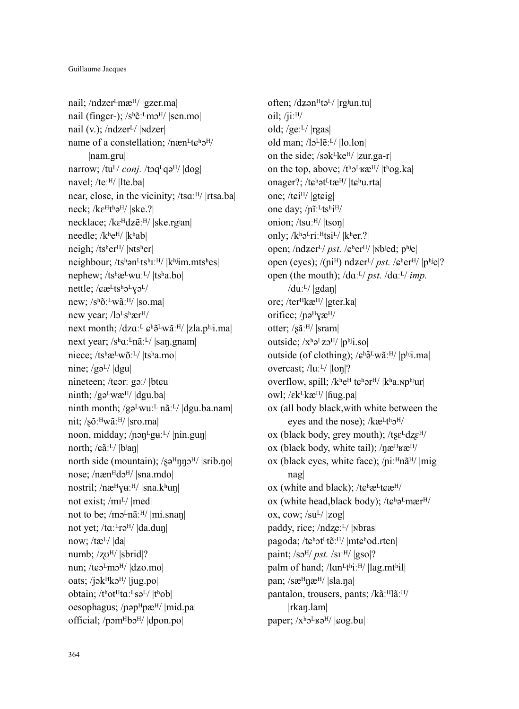nail; /ndzer<sup>L</sup>mæ<sup>H</sup>/ |gzer.ma| nail (finger-); /sʰẽː<sup>L</sup>mɔ<sup>H</sup>/ |sen.mo| nail (v.);  $/ndzer<sup>L</sup>/ |ndzer|$ name of a constellation; /næn<sup>L</sup>t $\varepsilon$ <sup>h</sup>ə<sup>H</sup>/ |nam.gru| narrow; /tu<sup>L</sup>/ *conj.* /tɔq<sup>L</sup>qə<sup>H</sup>/  $\vert$ dog| navel; /teːH/ |lte.ba| near, close, in the vicinity; /tsɑːH/ |rtsa.ba| neck;  $/ke^Ht^h\partial^H/|ske.$ ?| necklace; /kɛHdzẽːH/ |ske.rgʲan| needle; /kʰe<sup>H</sup>/ |kʰab| neigh; /tsʰerᴴ/ |ɴtsʰer| neighbour; /tshən<sup>L</sup>tsh<sub>I</sub>:H/ |khijm.mtshes| nephew; /tshæLwuːL/ |tsha.bo| nettle; / $c\alpha^L$ tsh $\partial^L$ <sub>V</sub> $\partial^L$ / new; /sʰõː<sup>L</sup>wãː<sup>H</sup>/ |so.ma| new year; /lo<sup>L</sup>s<sup>h</sup>ær<sup>H</sup>/ next month;  $/dza$ <sup> $L$ </sup>  $\epsilon$ <sup>h</sup> $\tilde{\sigma}$ <sup>L</sup>w $\tilde{a}$ <sup>'H</sup>/ |zla.phij.ma| next year; /sʰaː<sup>L</sup>nãː<sup>L</sup>/ |san.gnam| niece; /tshæLwõːL/ |tsha.mo| nine;  $/g\partial^{L}/|dgu|$ nineteen; /tɕərː gəː/ |btɕu| ninth;  $/g\phi^L$ wæ<sup>H</sup>/  $|$ dgu.ba ninth month; /gəLwuːL nãːL/  $\left|\frac{d}{dt}u\right|$ .ha.nam nit; / $s\tilde{o}$ : Hwãː H/ |sro.ma| noon, midday; /pən<sup>L</sup>guːL/ |pin.gun| north; /ܨãːᴸ/ |bʲaŋ| north side (mountain);  $\sqrt{s}e^{H} \eta \eta \sigma^{H}$  |srib.no| nose; /næn<sup>H</sup>dɔ<sup>H</sup>/ |sna.mdo| nostril; / $n$ æ $\frac{H}{V}$ u: $\frac{H}{I}$ |sna.kʰuŋ| not exist; /m<sup>L</sup>/ |med| not to be; /mə $\text{ln}\tilde{a}$ :  $\text{H}/\text{ln}i$ . snan $\text{L}$ not yet; /taː<sup>L</sup>rə<sup>H</sup>/ |da.duŋ| now; /tæᴸ/ |da| numb; /zo<sup>H</sup>/ |sbrid|? nun; / $t \in \mathbb{R}^L$ m $\mathbb{R}^H$ /  $|dz$ o.mo oats; /jək $Hk$ ə $H$ / |jug.po| obtain;  $/t<sup>h</sup>ot<sup>H</sup>ta<sup>L</sup>sa<sup>L</sup>/|t<sup>h</sup>ob|$ oesophagus; / $p$ əp $H$ pæ $H$ / |mid.pa| official;  $/pomHb2^H$ /  $|dpon.po|$ 

often; /dzən $Ht$ ə<sup>L</sup>/ |rgiun.tu| oil;  $/ii$ <sup> $H/$ </sup> old; /ge $:$ <sup>L</sup>/ |rgas| old man; /lo<sup>L</sup>le<sup>\*L</sup>/ |lo.lon| on the side; /sək $k$ ke<sup>H</sup>/ |zur.ga-r| on the top, above;  $/t<sup>h</sup>2<sup>E</sup>$ ug.ka| onager?; /tɕʰət<sup>L</sup>tæ<sup>H</sup>/ |tɕʰu.rta| one; /tɕi<sup>H</sup>/ |gtɕig| one day; /ni<sup>:LtshiH/</sup> onion; /tsuːH/ |tson| only;  $/k^h e^L r i$ :  $H t s i^L / |k^h e r$ .? open; /ndzer<sup>L</sup>/ *pst.* / $\epsilon$ <sup>h</sup>er<sup>H</sup>/ |<sub>N</sub>b<sup>j</sup>ed; p<sup>hj</sup>e| open (eyes); /(ni<sup>H</sup>) ndzer<sup>L</sup>/ *pst.* / $\epsilon$ <sup>h</sup>er<sup>H</sup>/ |p<sup>hj</sup>e|? open (the mouth); /dɑː<sup>L</sup>/ *pst.* /dɑː<sup>L</sup>/ *imp.* /duːL/  $|gdan|$ ore; /terHkæ<sup>H</sup>/ |gter.ka| orifice;  $/$ n $\theta$ <sup>H</sup> $\chi$ æ<sup>H</sup> $/$ otter; /sãːH/ |sram| outside;  $/x^h$ <sup>2</sup>z $2^H$ /  $|p^h$ <sup>j</sup>i.so outside (of clothing);  $\sqrt{\epsilon}$ <sup>h</sup> $\frac{3}{2}$ wãː<sup>H</sup>/ $|p^{\text{h}}$ ji.ma overcast; /luːL/ |lon|? overflow, spill;  $/k$ <sup>h</sup>e<sup>H</sup> t $\varepsilon$ <sup>h</sup>ər<sup>H</sup>/  $|k$ <sup>h</sup>a.np<sup>hj</sup>ur| owl;  $\sqrt{\varepsilon}$ k $\frac{1}{\varepsilon}$ kæ<sup>H</sup>/ | fiug.pa| ox (all body black,with white between the eyes and the nose);  $/$ kæ<sup>Lth</sup> $\sigma$ <sup>H</sup>/ ox (black body, grey mouth);  $/tse^{L}dze^{H/2}$ ox (black body, white tail);  $/\eta \mathbf{r}^{\text{H}} \mathbf{r}$ ox (black eyes, white face);  $/ni$ <sup>H</sup>n $\tilde{a}^H$ / |mig nag| ox (white and black);  $/te^h e^v$ t $e^v$ ox (white head, black body);  $/te^{h}$ ə<sup>L</sup>mær<sup>H</sup>/ ox, cow;  $\sqrt{\text{su}^L/\text{Zog}}}$ paddy, rice; /ndzeːL/ |Nbras| pagoda; /tɕʰɔt<sup>L</sup>tẽːH/ |mtɕʰod.rten| paint;  $\sqrt{8}$ <sup>H</sup>/ *pst.*  $\sqrt{8}$ I<sup>:H</sup>/  $\sqrt{8}$ <sub>SO</sub> $\sqrt{?}$ palm of hand; /lɑn<sup>Lth</sup>iːH/ |lag.mthil| pan;  $\sqrt{\text{se}^H}$ n $\mathcal{E}^H$ /  $\sqrt{\text{s}$ la.na| pantalon, trousers, pants; /kãːHlãːH/ |rkaŋ.lam| paper;  $/x<sup>h</sup>$ <sub>2</sub><sup>L</sup><sub>K</sub><sub>2</sub><sup>H</sup>/  $|$ <sub>c</sub>og.bu|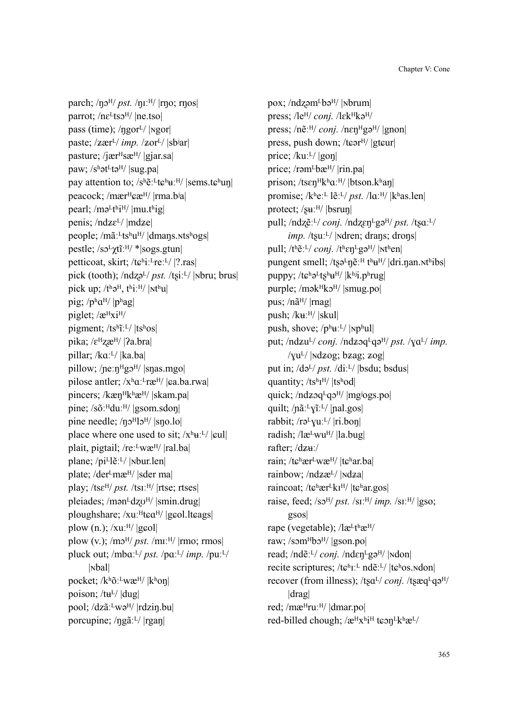parch; /ŋɔ<sup>H</sup>/ *pst.* /ŋɪː<sup>H</sup>/ |rŋo; rŋos| parrot; /nɛ<sup>L</sup>tsɔ<sup>H</sup>/ |ne.tso| pass (time);  $/$ ngor<sup>L</sup> $/$  |Ngor paste; /zær<sup>L</sup>/ *imp.* /zor<sup>L</sup>/ |sb<sup>j</sup>ar| pasture; /jær $H$ sæ $H$ / |gjar.sa paw;  $/s^h$ ət<sup>L</sup>tə<sup>H</sup>/ |sug.pa| pay attention to;  $/s^h \tilde{e}$ :  $t \epsilon^h u$ :  $H$  |sems.t $\epsilon^h u$ n| peacock; /mær<sup> $H$ </sup>ɕæ $^{H}$ / |rma.b<sup>i</sup>a| pearl;  $/m\varphi^L$ thi<sup>H</sup>/  $|mu_t$ <sup>h</sup>ig penis;  $/ndz\epsilon^{L}/|mdz\epsilon|$ people; /mãː<sup>L</sup>tsʰu<sup>H</sup>/ |dmans.ntsʰogs| pestle; /sܧᴸχtĩːᴴ/ \*|sogs.gtun| petticoat, skirt; / $t\epsilon^{h}$ iː<sup>L</sup>reː<sup>L</sup>/ |?.ras| pick (tooth); /ndzə<sup>L</sup>/ *pst.* /tsi<sup>.L</sup>/ |Nbru; brus| pick up;  $/t<sup>h</sup>$ ə<sup>H</sup>, t<sup>h</sup>i:<sup>H</sup>/ |<sub>Nthu</sub>| pig; /phaH/ |phag| piglet;  $\sqrt{\mathbf{a}^{\mathrm{H}}\mathbf{x}i^{\mathrm{H}}}$ pigment;  $/ts^{\text{h}}\tilde{\text{i}}$ :  $L'/|ts^{\text{h}}\text{os}|$ pika; / $\varepsilon$ <sup>H</sup>zæ<sup>H</sup>/ |**?**a.bra| pillar; /kɑː<sup>L</sup>/ |ka.ba| pillow; /neːnlbre// |snas.mgo| pilose antler;  $/x<sup>h</sup>a<sup>z</sup>rx<sup>H</sup>/|ca.ba.rwa|$ pincers; /kæn<sup>Hkh</sup>æ<sup>H</sup>/ |skam.pa| pine; /sõː<sup>H</sup>duː<sup>H</sup>/ |gsom.sdon| pine needle;  $/\eta 0^{\text{H}}10^{\text{H}}/ |\text{spo.lo}|$ place where one used to sit;  $/x<sup>h</sup>$ **u**:<sup> $L$ </sup>/  $|$ **cul**] plait, pigtail; /re $\cdot^L$ wæ<sup>H</sup>/ |ral.ba| plane; /pi<sup>L</sup>lẽːL/ |Nbur.len| plate; /der<sup>L</sup>mæ<sup>H</sup>/ |sder ma| play; /ts $\varepsilon^{H}/pst.$ /tsiːʰ/ |rtse; rtses| pleiades; /mən<sup>L</sup>dzo<sup>H</sup>/ |smin.drug| ploughshare; /xuː<sup>H</sup>tɕɑ<sup>H</sup>/ |gɕol.ltɕags| plow  $(n.)$ ; /xuː $^{H}/$  |g $\epsilon$ ol| plow (v.);  $/m<sup>H</sup>/pst.$  /m<sub>I</sub>:<sup>H</sup>/  $|{\rm rmo};$  rmos pluck out; /mbܤːᴸ/ *pst.* /pܤːᴸ/ *imp.* /puːᴸ/ |ɴbal| pocket; /kʰõːᴸwæᴴ/ |kʰoŋ| poison; / $t$  $t$ <sup>L</sup>/  $|$ dug $|$ pool; /dzãːLwə<sup>H</sup>/ |rdzin.bu| porcupine; /ŋgãːᴸ/ |rgaŋ|

pox; /ndzəm<sup>L</sup>bə<sup>H</sup>/ |Nbrum| press; /le<sup>H</sup>/ *conj.* /lɛk<sup>H</sup>kə<sup>H</sup>/ press; /nẽː<sup>H</sup>/ *conj.* /nɛn<code>Hgə</code><sup>H</sup>/ |gnon| press, push down; /tɕərʰ/ |gtɕur| price;  $/ku$ <sup>[L]</sup> |gon| price; /rəm $\frac{L}{b}$ bæ $\frac{H}{I}$ |rin.pa| prison; /tsɛŋ<sup>H</sup>kʰaː<sup>H</sup>/ |btson.kʰaŋ| promise; /kʰeː<sup>L</sup> lẽːL/ *pst.* /lɑː<sup>H</sup>/ |kʰas.len| protect;  $/\text{su:}^{\text{H}}$ /  $|\text{bsrun}|$ pull; /ndzẽː<sup>L</sup>/ *conj.* /ndzen<sup>L</sup>gə<sup>H</sup>/ *pst.* /tʂɑː<sup>L</sup>/ *imp.* /tsuː<sup>L</sup>/ | Ndren; drans; drons| pull;  $/t<sup>h</sup>$  $E<sup>L</sup>/conj. /t<sup>h</sup>$  $\epsilon$ n<sup>L</sup>gə<sup>H</sup>/ $|$ N<sup>th</sup>en| pungent smell; /tsə<sup>L</sup>n $\tilde{e}$ <sup>:H</sup> t<sup>h</sup> $\tilde{e}$ <sup>H</sup>/ |dri.nan.nt<sup>h</sup>ibs| puppy;  $/t \epsilon^h e^L t s^h u^H / |k^h i] p^h r u g$ purple; /mək<sup>H</sup>kə<sup>H</sup>/ |smug.po| pus; /nã<sup>H</sup>/ |rnag| push;  $/ku$ <sup> $H/$ </sup> |skul| push, shove;  $/p^h u^L / |np^h u|$ put; /ndzu<sup>L</sup>/ *conj.* /ndzoq<sup>L</sup>qə<sup>H</sup>/ *pst.* / $\chi$ a<sup>L</sup>/ *imp.*  $/\text{val}/\text{hd}$ zog; b $\text{zag}$ ;  $\text{zog}$ put in; /də<sup>L</sup>/ *pst.* /diː<sup>L</sup>/ |bsdu; bsdus| quantity; /tsh<sub>I</sub>H/ |tshod| quick; /ndz $qqqqqq$ <sup>H</sup>/ |mg<sup>j</sup>ogs.po| quilt;  $/n$  $\tilde{a}$ :  $\tilde{v}$  $\tilde{v}$ :  $\tilde{v}$  | nal.gos| rabbit;  $/r\partial^L y u^L / |r i.$ bon| radish; / $\text{lc}^{\text{L}}$ wu<sup>H</sup>/  $\text{la}^{\text{L}}$ bug| rafter; /dzu:/ rain; /tɕʰær<sup>L</sup>wæ<sup>H</sup>/ |tɕʰar.ba| rainbow; /ndzæ<sup>L</sup>/ |Ndza| raincoat; / $t\epsilon^h$ ær<sup>L</sup>kɪ<sup>H</sup>/  $|t\epsilon^h$ ar.gos raise, feed;  $\sqrt{25}$ <sup>H</sup>/ *pst.*  $\sqrt{S}$ I<sup>:H</sup>/ *imp.*  $\sqrt{S}$ I:<sup>H</sup>/ |gso; gsos| rape (vegetable); /læLthæH/ raw; /som<sup>H</sup>bo<sup>H</sup>/ |gson.po| read; /ndẽː<sup>L</sup>/ *conj.* /ndɛn<sup>L</sup>gə<sup>H</sup>/ |Ndon| recite scriptures; /tɕʰɪːL ndẽːL/ |tɕʰos.ndon| recover (from illness); /tsa<sup>L</sup>/ *conj.* /tsæq<sup>L</sup>qə<sup>H</sup>/ |drag| red; /mæ<sup>H</sup>ruː<sup>H</sup>/ |dmar.po| red-billed chough; / $\mathcal{X}^H$ x<sup>h</sup>i<sup>H</sup> t $\mathcal{L}$ on<sup>L</sup>k<sup>h</sup> $\mathcal{X}^L$ /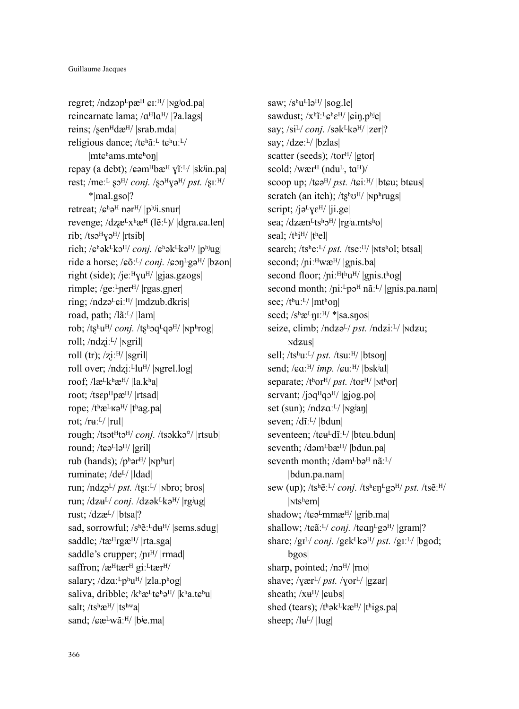regret;  $/ndzop<sup>L</sup>pæ<sup>H</sup>$   $g<sup>I</sup>/$  |ng<sup>j</sup>od.pdfreincarnate lama;  $\alpha^H$ l $\alpha^H$ / | $\gamma$ a.lags| reins; /sen<sup>H</sup>dæ<sup>H</sup>/ |srab.mda| religious dance;  $/t \epsilon^{h} \tilde{a}$ <sup>[Let</sup>] $t \epsilon^{h} u$ <sup>[Let</sup>] |mtܨʰams.mtܨʰoŋ| repay (a debt); / $\epsilon$ əm $^{H}$ bæ $^{H}$   $\tilde{Y}$ i<sup>r. $L$ </sup>/  $|$ sk $\tilde{Y}$ in.pa $|$ rest; /meː<sup>L</sup> so<sup>H</sup>/ *conj.* /so<sup>H</sup>/g<sup>H</sup>/ *pst.* /siː<sup>H</sup>/ \*|mal.gso|? retreat;  $\sqrt{e^h}$ ə<sup>H</sup> nər<sup>H</sup>/ |phij.snur| revenge;  $\langle dz \mathbf{a}^L x^h \mathbf{a}^H (l \tilde{\mathbf{e}}^L) / | \text{d} \text{gra}. \text{g.a.} \rangle$ rib;  $/ts$ ə $^{H}$ yə $^{H}$ / |rtsib| rich; / $\varepsilon^h$ ək<sup>L</sup>kɔ<sup>H</sup>/ *conj.* / $\varepsilon^h$ ək<sup>L</sup>kə<sup>H</sup>/ |phiug| ride a horse; / $\varepsilon$ õː<sup>L</sup>/ *conj.* / $\varepsilon$ on<sup>L</sup>gə<sup>H</sup>/ |bzon| right (side); /jeː $^{\text{H}}$ vu<sup>H</sup>/ |gjas.g $\angle$ ogs| rimple; /geː<sup>L</sup>ner<sup>H</sup>/ |rgas.gner| ring; /ndzə<sup>L</sup>giː<sup>H</sup>/ |mdzub.dkris| road, path; /lãːL/ |lam| rob; /tʂʰu<sup>H</sup>/ *conj.* /tʂʰɔq<sup>L</sup>qə<sup>H</sup>/ |Npʰrog| roll; /ndݢiːᴸ/ |ɴgril| roll (tr);  $\overline{z}$ i:<sup>H</sup>/ |sgril| roll over; /ndziː<sup>L</sup>lu<sup>H</sup>/ |<sub>Ngrel.log|</sub> roof;  $\frac{1}{\alpha}$ k $\frac{1}{\alpha}$ k $\frac{1}{\alpha}$ k $\frac{1}{\alpha}$ k $\frac{1}{\alpha}$ root; /ts $\varepsilon p^H$ pæ<sup>H</sup>/ |rtsad| rope;  $/t$ <sup>h</sup> $\mathbf{r}$ <sup>L</sup> $\mathbf{r}$  $\mathbf{s}$ <sup>H</sup> $/$   $|t$ <sup>h</sup>ag.pa rot;  $/ruL/$  |rul| rough; /tsət<sup>H</sup>tə<sup>H</sup>/ *conj.* /tsəkkə<sup>o</sup>/ |rtsub| round;  $/t \varepsilon \partial^L l \partial^H l$  |gril| rub (hands);  $/p<sup>h</sup>$ ər<sup>H</sup>/ |Np<sup>h</sup>ur| ruminate; /deᴸ/ |ldad| run; /ndzo<sup>L</sup>/ *pst.* /tsi<sup>L</sup>/ |Nbro; bros| run; /dzu<sup>L</sup>/ *conj.* /dzək<sup>L</sup>kə<sup>H</sup>/ |rg<sup>j</sup>ug| rust; /dzæᴸ/ |btsa|? sad, sorrowful; /sʰẽːLdu<sup>H</sup>/ |sems.sdug| saddle; /tæ<sup>H</sup>rgæ<sup>H</sup>/ |rta.sga| saddle's crupper; / $\mu$ <sup>H</sup>/ |rmad| saffron:  $\alpha^H$ tær $^H$  gi:  $^L$ tær $^H$ / salary;  $/dza$ <sup> $L$ </sup> $p$ <sup>h</sup> $u$ <sup> $H$ </sup>/ $|z$ la. $p$ <sup>h</sup> $o$ g| saliva, dribble; / $k^h$ æ<sup>L</sup>t $\varepsilon^h$ ə<sup>H</sup>/  $|k^h$ a.t $\varepsilon^h$ u| salt; /tshæ<sup>H</sup>/ |tshwa| sand; / $c\mathbf{a}^Lw\tilde{a}^H$ / |bʲe.ma|

saw;  $/s$ <sup>h</sup>u<sup>L</sup>lə<sup>H</sup>/ |sog.le| sawdust;  $/x^h\tilde{\mathbf{i}}$ :  $L\mathbf{c}^h\mathbf{\varepsilon}^H$ /  $|\mathbf{c}$ in.phiel say; /si<sup>L</sup>/ *conj.* /sək<sup>L</sup>kə<sup>H</sup>/ |zer|? say; /dzeː<sup>L</sup>/ |bzlas| scatter (seeds); /tor<sup>H</sup>/ |gtor| scold; /wær<sup>H</sup> (ndu<sup>L</sup>, ta<sup>H</sup>)/ scoop up; /tɕə<sup>H</sup>/ *pst.* /tɕiː<sup>H</sup>/ |btɕu; btɕus| scratch (an itch);  $/ts^hU^H/$  |Nphrugs| script; / $j\partial^{L}$ v $\varepsilon^{H}$ / | $j$ i.ge| sea; /dzæn<sup>L</sup>tsho<sup>H</sup>/ |rg<sup>j</sup>a.mtsho| seal;  $/t<sup>h</sup>i<sup>H</sup>/|t<sup>h</sup>e1|$ search; /tsheːL/ *pst.* /tseːH/ |Ntshol; btsal| second; /niːHwæH/ |gnis.ba| second floor;  $/pi$ <sup> $H$ thu</sub> $H/$  |gnis.thog|</sup> second month; / $pi$ <sup>1</sup>·<sup>L</sup> $p$ ə<sup>H</sup> nã<sup>1</sup>·<sup>L</sup>/ |gnis.pa.nam| see; /thuːL/ |mthon| seed;  $/s$ <sup>h</sup>æ<sup>L</sup>n<sub>I</sub>:<sup>H</sup>/ \*|sa.snos| seize, climb; /ndzə<sup>L</sup>/ *pst.* /ndziː<sup>L</sup>/ |Ndzu; **ndzus** sell; /ts<sup>h</sup>uː<sup>L</sup>/ *pst.* /tsuː<sup>H</sup>/ |btson| send; / $\epsilon a$ <sup>H</sup>/ *imp.* / $\epsilon u$ <sup>H</sup>/ |bsk<sup>j</sup>al| separate; /t<sup>h</sup>or<sup>H</sup>/ *pst.* /tor<sup>H</sup>/ |Nt<sup>h</sup>or| servant; /joq $HqqqH/$  |gjog.po| set (sun);  $/ndza$ <sup>'L</sup>/ | $\nu$ g<sup>j</sup>an| seven; /dĩːL/ |bdun| seventeen; /tɕʉLdĩːL/ |btɕu.bdun| seventh; /dəm<sup>L</sup>bæ<sup>H</sup>/ |bdun.pa| seventh month; /dəm<sup>L</sup>bə<sup>H</sup> nã:<sup>L</sup>/ |bdun.pa.nam| sew (up); /tsʰẽːᴸ/ *conj.* /tsʰɛŋᴸgəᴴ/ *pst.* /tsẽːᴴ/ |ɴtsʰem| shadow; /tɕə<sup>L</sup>mmæ<sup>H</sup>/ |grib.ma| shallow; /tɕãː<sup>L</sup>/ *conj.* /tɕɑn<sup>L</sup>gə<sup>H</sup>/ |gram|? share; /gɪ<sup>L</sup>/ *conj.* /gɛk<sup>L</sup>kə<sup>H</sup>/ *pst.* /gɪː<sup>L</sup>/ |bgod; bgos| sharp, pointed;  $/n<sub>2</sub>$ <sup>H</sup>/ |rno| shave;  $\sqrt{\text{chi}}$ / $\frac{pst}{\text{chi}}$ / $\sqrt{\text{chi}}$ / $\sqrt{\text{gzar}}$ sheath;  $/xu^{H}/|cubs|$ shed (tears);  $/t<sup>h</sup>$ ək<sup>L</sup>kæ<sup>H</sup>/  $|t<sup>h</sup>$ igs.pa sheep;  $/$ lu<sup>L</sup> $/$ |lug|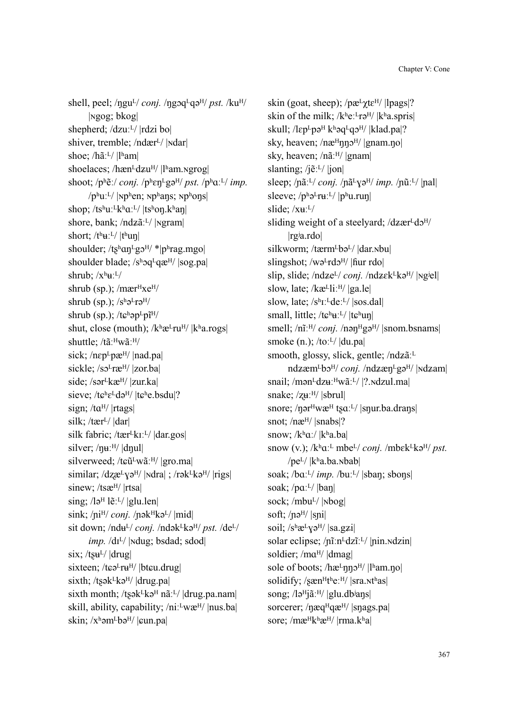shell, peel; / $\eta$ gu<sup>L</sup>/ *conj.* / $\eta$ goq<sup>L</sup>qə<sup>H</sup>/ *pst.* /ku<sup>H</sup>/ |ɴgog; bkog| shepherd; /dzuːL/ |rdzi bo| shiver, tremble; /ndær<sup>L</sup>/ |**Ndar**| shoe; /hãːL/ |lʰam| shoelaces; / $ham<sup>L</sup>dzu<sup>H</sup>/$  | $l<sup>h</sup>am.ngrogl$ shoot;  $/p^h \tilde{e}$ :/ *conj.*  $/p^h \epsilon n^L g a^H / p s t$ .  $/p^h a^L / \dot{m} p$ .  $/$ p<sup>h</sup>uː<sup>L</sup>/ |<sub>N</sub>p<sup>h</sup>en; <sub>N</sub>p<sup>h</sup>ans; <sub>N</sub>p<sup>h</sup>ons shop;  $/ts^h u^Lk^h a^L/ |ts^h o\eta.k^h a\eta|$ shore, bank;  $/ndz\tilde{a}$ <sup>[]</sup>/ |**Ngram**| short;  $/t^h u^2/t^h u$ n| shoulder;  $/ts<sup>h</sup>an<sup>L</sup>gs<sup>H</sup>/*/p<sup>h</sup>rag.mgo$ shoulder blade; /sʰɔq<sup>L</sup>qæ<sup>H</sup>/ |sog.pa| shrub;  $/x^h$ **u**:<sup>L</sup>/ shrub (sp.); / $m$ ær $Hxe^{H}$ / shrub (sp.);  $/s$ h $\sigma$ <sup>L</sup>r $\sigma$ <sup>H</sup>/ shrub (sp.); / $t\epsilon^h$ əp<sup>L</sup>pî<sup>H</sup>/ shut, close (mouth);  $/k$ <sup>h</sup> $\mathcal{R}$ <sup>L</sup>ru<sup>H</sup>/  $|k$ <sup>h</sup>a.rogs| shuttle; /tãːHwãːH/ sick;  $/nep<sup>L</sup>pæ<sup>H</sup>/|nad.pal|$ sickle;  $\sqrt{so^Lr}$ æ<sup>H</sup>/ |zor.ba| side; /sər<sup>L</sup>kæ<sup>H</sup>/ |zur.ka| sieve;  $/t e^{h} e^{L} d\theta^{H}$ /  $|t e^{h} e_{h} b_{h} d\theta|$ ? sign;  $/ta^{H}/$  |rtags| silk; / $t$ ær<sup>L</sup>/  $|dar|$ silk fabric; /tær<sup>L</sup>kıː<sup>L</sup>/ |dar.gos| silver;  $/$ nuː $^{H/}$  |dnul| silverweed; / $t\epsilon \tilde{u}^L w \tilde{a}^H$ / |gro.ma| similar; /dzæ $\frac{L}{V}$ yə<sup>H</sup>/ |**Ndra**| ; /rək $\frac{L}{V}$ kə<sup>H</sup>/ |rigs| sinew; /tsæ<sup>H</sup>/ |rtsa| sing;  $\lambda$ lə<sup> $\text{H}$ </sup> l $\tilde{\text{e}}$ :<sup>L</sup>/ |glu.len| sink; /ni<sup>H</sup>/ *conj.* /nək<sup>H</sup>kə<sup>L</sup>/ |mid| sit down; /ndu<sup>L</sup>/ *conj.* /ndək<sup>L</sup>kə<sup>H</sup>/ *pst.* /de<sup>L</sup>/ *imp.* /dɪ<sup>L</sup>/ | Ndug; bsdad; sdod|  $six$ ; /t $su<sup>L</sup>/$  |drug| sixteen; / $t$ cə<sup>L</sup>ru<sup>H</sup>/ |btcu.drug| sixth; /t $s$ ək $k$ kə<sup>H</sup>/ |drug.pa| sixth month; /tsək $k$ kə<sup> $H$ </sup> nã<sup> $L$ </sup>/ |drug.pa.nam| skill, ability, capability;  $/ni$ <sup>1</sup> $wæ<sup>H</sup>/$  |nus.ba| skin;  $/x^h$ əm<sup>L</sup>bə<sup>H</sup>/  $|$ cun.pa $|$ 

skin (goat, sheep); /pæ<sup>L</sup>χtε<sup>H</sup>/ |lpags|? skin of the milk;  $/k$ <sup>h</sup>e:<sup>L</sup>rə<sup>H</sup>/  $|k$ <sup>h</sup>a.spris skull; / $lep$ -pə $H$ kʰəq $L$ qə $H$ / |klad.pa|? sky, heaven;  $/ne^{H}$ nn $2^{H}/|$ gnam.no sky, heaven; /nãːᴴ/ |gnam| slanting; / $i\tilde{e}$ <sup>[L</sup>/ $|ion|$ sleep; /nãː<sup>L</sup>/ *conj.* /nã<sup>L</sup>Yə<sup>H</sup>/ *imp.* /nũː<sup>L</sup>/ |nal| sleeve;  $/p^h\partial^L r u^L/p^h u$ .run slide;  $/$ x $u$ <sup> $L$ </sup>/ sliding weight of a steelyard;  $\frac{d}{dx}$ er<sup>L</sup>d $\frac{d}{dx}$ |rgʲa.rdo| silkworm; /tærm<sup>L</sup>bə<sup>L</sup>/ |dar.<sub>N</sub>bu| slingshot; /wə $Lrdo^{H}/$  |fiur rdo| slip, slide; /ndze<sup>L</sup>/ *conj.* /ndzek<sup>L</sup>kə<sup>H</sup>/ |<sub>N</sub>giel| slow, late; /kæ<sup>L</sup>liː<sup>H</sup>/ |ga.le| slow, late; /sh<sub>I</sub>:L<sub>de</sub>:L/ |sos.dal| small, little; /t $\varepsilon^{h}$ uː<sup>L</sup>/ |t $\varepsilon^{h}$ uŋ| smell; /nĩː<sup>H</sup>/ *conj.* /nən<sup>H</sup>gə<sup>H</sup>/ |snom.bsnams| smoke  $(n.)$ ; /to: $\frac{L}{d}$  |du.pa| smooth, glossy, slick, gentle; /ndzã<sup>ːL</sup> ndzæm<sup>L</sup>bɔ<sup>H</sup>/ *conj.* /ndzæn<sup>L</sup>gə<sup>H</sup>/ |Ndzam| snail; /mən<sup>L</sup>dzuː<sup>H</sup>wãːL/ |?.*Ndzul.ma*| snake;  $\frac{z}{u}$ :<sup> $\frac{H}{s}$ </sup> |sbrul| snore; / $n$ ər $H$ wæ $H$  ts $a$ :<sup>L</sup>/ |snur.ba.drans| snot;  $/ne^{H}/$  |snabs|? snow;  $/k<sup>h</sup>a$ :/  $|k<sup>h</sup>a$ .ba snow  $(v.)$ ;  $/k^h a^L$  mbe<sup>L</sup>/ *conj.* /mb $\epsilon k^L k \partial^H$ / *pst.* / $pe^{L}$ / $|k<sup>h</sup>a$ .ba. $\nabla$ bab| soak; /bɑː<sup>L</sup>/ *imp.* /buː<sup>L</sup>/ |sban; sbons| soak;  $/pa$ <sup> $L$ </sup>/  $|ban|$ sock; /mbu<sup>L</sup>/ |Nbog| soft;  $/ne^{H}/$  |sni| soil;  $/s^h$  $\mathbb{E}[\sqrt{S^h} \mathbb{E}[\sqrt{S^h} \sqrt{S^h}]$  | sa.gzi solar eclipse; /nīːn<sup>L</sup>dzīː<sup>L</sup>/ |nin.ndzin| soldier; /ma<sup>H</sup>/ |dmag| sole of boots; /hæ<sup>L</sup>nno<sup>H</sup>/ |lham.no| solidify;  $\sqrt{\text{sgn}^H t^h e^{H}}$  |sra.nthas| song;  $\sqrt{\mathsf{a}^H}$ jã:<sup>H</sup>/ |glu.db<sup>j</sup>ans| sorcerer; / $\eta$ æq<sup>H</sup>qæ<sup>H</sup>/ |s $\eta$ ags.pa| sore; /mæ<sup>Hkh</sup>æ<sup>H</sup>/ |rma.kʰa|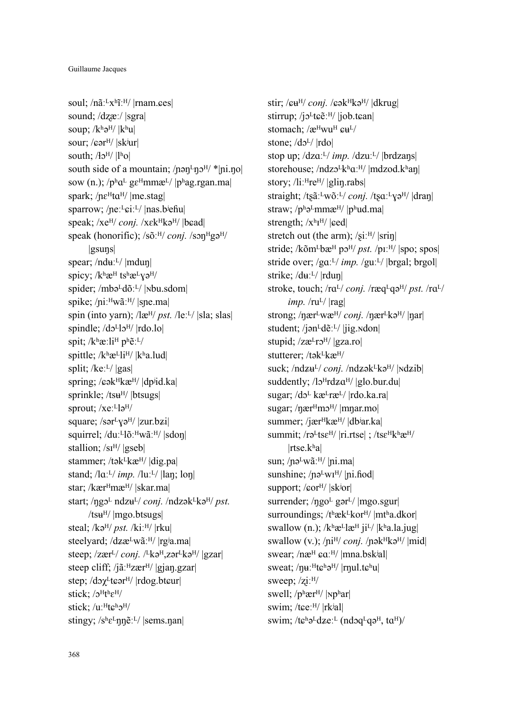soul;  $/n$ ãː<sup>L</sup>xʰĩː<sup>H</sup>/ |rnam.ees| sound; /dzæː/ |sgra| soup;  $/k$ <sup>h</sup> $\partial$ <sup>H</sup>/  $|k$ <sup>h</sup>u $|$ sour; / $\epsilon$ ər<sup>H</sup>/ |skʲur| south:  $\frac{A_0 H}{|l^h o|}$ south side of a mountain;  $/$ n $\varphi$ n $\varphi$ <sup>H</sup>/ \*|ni.no| sow (n.);  $/p^h a^L$  g $\varepsilon^H$ mmæ<sup>L</sup>/  $|p^h a$ g.rgan.ma spark;  $/ne^{H}ta^{H}/|me.stag|$ sparrow; /neː<sup>L</sup>ɛiː<sup>L</sup>/ |nas.bʲeɦu| speak; /xe<sup>H</sup>/ *conj.* /xɛk<sup>H</sup>kə<sup>H</sup>/ |bɕad| speak (honorific); /sõː<sup>H</sup>/ *conj.* /sɔn<sup>H</sup>gə<sup>H</sup>/ |gsuŋs| spear;  $/ndu<sup>L</sup>/|mdu<sub>n</sub>|$ spicy; /khæ<sup>H</sup> tshæLyaH/ spider; /mbə<sup>L</sup>dõː<sup>L</sup>/ |Nbu.sdom| spike; /niːHwãːH/ |sne.ma| spin (into yarn); /læ<sup>H</sup>/ *pst.* /leːL/ |sla; slas| spindle; /do<sup>L</sup>lo<sup>H</sup>/ |rdo.lo| spit; /kʰæːli<sup>H</sup> pʰẽːL/ spittle;  $/k$ <sup>h</sup>æ<sup>L</sup>li<sup>H</sup>/  $|k$ <sup>h</sup>a.lud split;  $/$ ke: $^{L}/$  |gas| spring; / $\epsilon \in \mathbb{R}^H$ kæ $\mathbb{H}/|\text{dpi}$ id.ka| sprinkle;  $/t\text{su}^H$ /  $\vert \text{btsugs} \vert$ sprout; /xe<sup>[L]</sup>a<sup>H</sup>/ square; /sər<sup>L</sup>yə<sup>H</sup>/ |zur.bzi| squirrel; /duː<sup>L</sup>lõː<sup>H</sup>wãː<sup>H</sup>/ |sdon| stallion; /si<sup>H</sup>/ |gseb| stammer; /tək $k$ kæ $\frac{H}{\text{diag}}$  |dig.pa| stand;  $/|a^2/mp$ .  $/|u^2|$   $|lan;lon|$ star; /kær<sup>H</sup>mæ<sup>H</sup>/ |skar.ma| start; /ŋgɔ<sup>L</sup> ndzu<sup>L</sup>/ *conj.* /ndzək<sup>L</sup>kə<sup>H</sup>/ *pst.*  $/t\text{su}^H/\text{|mgo.btsugs|}$ steal; /kə<sup>H</sup>/ *pst.* /kiː<sup>H</sup>/ |rku| steelyard; /dzæ<sup>L</sup>wãː<sup>H</sup>/ |rgʲa.ma| steep; /zær<sup>L</sup>/ *conj.* /<sup>L</sup>kə<sup>H</sup>,zər<sup>L</sup>kə<sup>H</sup>/ |gzar| steep cliff; / $i\tilde{a}$ : $^{H}$ zær $^{H}$ / |gian.gzar| step; /dɔχ<sup>L</sup>tɕər<sup>H</sup>/ |rdog.btɕur| stick;  $/2^H t^h \epsilon^H/$ stick; /uː<sup>H</sup>tcho<sup>H</sup>/ stingy;  $/s^h \epsilon^L \eta \eta \tilde{e}^L$ / |sems.nan|

stir; / $\epsilon \mathbf{u}^{\text{H}}$ /*conj.* / $\epsilon \mathbf{a}^{\text{H}}$ kə<sup>H</sup>/ |dkrug| stirrup; /jo<sup>L</sup>teẽ<sup>H</sup>/ |job.tean| stomach; /æHwuH cu<sup>L/</sup> stone;  $\frac{d^2y}{dr^2}$  |rdo| stop up;  $\langle dz \alpha^{L} / \dot{m} p$ .  $\langle dz \alpha^{L} / |b \rangle$ storehouse; /ndzo<sup>L</sup>kʰaː<sup>H</sup>/ |mdzod.kʰaŋ| story; /liː<sup>H</sup>re<sup>H</sup>/ |glin.rabs| straight; /tsãː<sup>L</sup>wõː<sup>L</sup>/ *conj.* /tsɑː<sup>L</sup>yə<sup>H</sup>/ |draŋ| straw;  $/p^h$ ə<sup>L</sup>mmæ<sup>H</sup>/ |p<sup>h</sup>ud.ma| strength;  $\langle X^{\rm h}I^{\rm H} \rangle$  | $\epsilon$ ed| stretch out (the arm);  $\sqrt{\sin^{H}/|\sinh^{H}|}$ stride; /kõm<sup>L</sup>bæ<sup>H</sup> pɔ<sup>H</sup>/ *pst.* /pɪː<sup>H</sup>/ |spo; spos| stride over; /gaː<sup>L</sup>/ *imp.* /guː<sup>L</sup>/ |brgal; brgol| strike; /duːL/ |rdun| stroke, touch; /ra<sup>L</sup>/ *conj.* /ræq<sup>L</sup>qə<sup>H</sup>/ *pst.* /ra<sup>L</sup>/ *imp.* /ru<sup>L</sup>/ |rag| strong; /ŋær<sup>L</sup>wæ<sup>H</sup>/ *conj.* /ŋær<sup>L</sup>kə<sup>H</sup>/ |ŋar| student; /jən $L$ d $\tilde{e}$ : $L$ / |jig.ndon| stupid;  $\frac{z}{z}e^{L}r5^{H}/\sqrt{gz}a$ .ro stutterer; /tək<sup>L</sup>kæ<sup>H</sup>/ suck; /ndzu<sup>L</sup>/ *conj.* /ndzək<sup>L</sup>kə<sup>H</sup>/ |ndzib| suddently;  $\frac{1}{3}$ <sup>H</sup>rdz $\alpha$ <sup>H</sup>/ |glo.bur.du sugar; /dɔ<sup>L</sup> kæ<sup>L</sup>ræ<sup>L</sup>/ |rdo.ka.ra| sugar;  $/$ nær $H$ m $\sigma$  $H$ / |mnar.mo| summer; /jær<sup> $H$ </sup>kæ $H$ / |dbʲar.ka| summit; /rə<sup>L</sup>ts $\varepsilon^{H}$ / |ri.rtse| ; /ts $\varepsilon^{H}$ khæ<sup>H</sup>/  $|$ rtse.k $a$ | sun; / $n\sigma^L w \tilde{a}$ : H/ | $n$ i.ma| sunshine;  $/no<sup>L</sup>wI<sup>H</sup>/|ni.fod|$ support; / $cor<sup>H</sup>/|sk<sup>j</sup>or|$ surrender;  $/\eta g_0$ <sup>L</sup> gər<sup>L</sup>/ |mgo.sgur| surroundings; /thæk<sup>L</sup>kor<sup>H</sup>/ |mtha.dkor| swallow (n.);  $/k$ <sup>h</sup>æ<sup>L</sup>læ<sup>H</sup> ji<sup>L</sup>/  $|k$ <sup>h</sup>a.la.jug| swallow (v.); /pi<sup>H</sup>/ *conj.* /pək<sup>H</sup>kə<sup>H</sup>/ |mid| swear;  $/ne^{H}$   $ca$ <sup> $H$ </sup>/  $|mna.b$ sk<sup>i</sup>al| sweat:  $/nu$ <sup>H</sup>t $\varepsilon$ <sup>h</sup>ə<sup>H</sup>/ |rnul.t $\varepsilon$ <sup>h</sup>u| sweep;  $\overline{z}$ i: $\frac{H}{I}$ swell;  $/p<sup>h</sup>ær<sup>H</sup>/$  |np<sup>h</sup>ar|swim; /tɕeːH/ |rkʲal| swim;  $/t\epsilon^h\partial^L dz e^{L}$  (nd $\partial q^L q \partial^H$ , ta<sup>H</sup>)/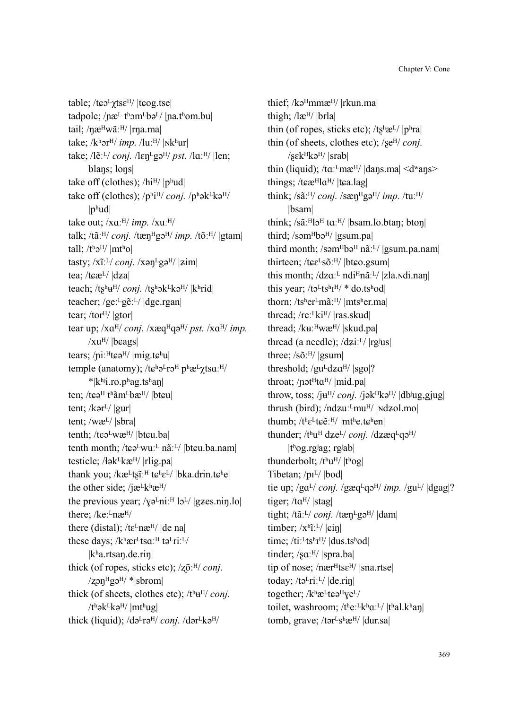table; /tω λευτέν | tω είναι | tω είναι | tadpole; / $næ<sup>L</sup>$  t<sup>h</sup>om<sup>L</sup>bə<sup>L</sup>/ | $n$ a.t<sup>h</sup>om.bu| tail; / $n$ æ<sup>H</sup>wãː<sup>H</sup>/ |rna.ma| take;  $/k<sup>h</sup>$ ər<sup>H</sup>/ *imp.* /luː<sup>H</sup>/  $|Nk<sup>h</sup>$ ur $|$ take; /lɛ̃ː<sup>L</sup>/ *conj.* /lɛn<sup>L</sup>gə<sup>H</sup>/ *pst.* /lɑː<sup>H</sup>/ |len; blaŋs; loŋs| take off (clothes);  $/hi^{H}/|p^{h}ud|$ take off (clothes); /phi<sup>H</sup>/ *conj.* /ph<sub>ak</sub>LkaH/  $|p^h u d|$ take out;  $/xa$ <sup> $H/$ </sup> *imp.*  $/xu$ <sup> $H/$ </sup> talk; /tãː<sup>H</sup>/ *conj.* /tæn<sup>H</sup>gə<sup>H</sup>/ *imp.* /tõː<sup>H</sup>/ |gtam| tall;  $/t<sup>h</sup>0<sup>H</sup>/$  |mt<sup>h</sup>o| tasty;  $/x$ ĩː<sup>L</sup>/ *conj.*  $/x$ ən<sup>L</sup>gə<sup>H</sup>/  $|zim|$ tea; / $text$ L}/ $\frac{dz}{dz}$ teach; /tʂʰu<sup>H</sup>/ *conj.* /tʂʰək<sup>L</sup>kə<sup>H</sup>/ |kʰrid| teacher; /geː<sup>L</sup>gɛ̃ː<sup>L</sup>/ |dge.rgan| tear; /tor $\frac{H}{|$  |gtor| tear up; /xa<sup>H</sup>/ *conj.* /xæq<sup>H</sup>qə<sup>H</sup>/ *pst.* /xa<sup>H</sup>/ *imp.*  $/xu<sup>H</sup>/|beags|$ tears;  $/ni$ <sup>H</sup>te $\theta$ <sup>H</sup>/ |mig.t $\varepsilon$ <sup>h</sup>u| temple (anatomy); /t͡cʰə<sup>L</sup>rɔ<sup>H</sup> pʰæ<sup>L</sup>γtsɑː<sup>H</sup>/ \*|kʰʲi.ro.pʰag.tsʰaŋ| ten; /tɕə $^{\rm H}$  tʰãm $^{\rm L}$ bæ $^{\rm H}$ /  $^{\rm H}$ btɕu $\parallel$ tent;  $/$ kər<sup>L</sup> $/$  |gur| tent; /wæᴸ/ |sbra| tenth; /tɕəLwæH/ |btɕu.ba| tenth month; /tɕəLwuːL nãːL/ |btɕu.ba.nam| testicle;  $\frac{\text{4a}}{\text{4a}}$ kæ<sup>H</sup>/  $\left| \text{rlig}. \text{pa} \right|$ thank you;  $/$ kæ<sup>L</sup>t $\tilde{\mathbf{g}}$ <sup>T</sup>:<sup>H</sup> t $\mathbf{g}$ <sup>h</sup> $\mathbf{g}$ <sup>L</sup>/  $|$ bka.drin.t $\mathbf{g}$ <sup>h</sup>e| the other side; /j $\mathbf{z}^L$ kh $\mathbf{z}^H$ / the previous year;  $/\gamma 2$ <sup>L</sup>ni<sup> $\cdot$ H</sup> l $2^{\text{L}}$ / |gzes.nin.lo| there; /keː<sup>L</sup>næ<sup>H</sup>/ there (distal); / $te^{L}næ^{H}$ /  $|de$  na these days; /kʰær<sup>L</sup>tsɑː<sup>H</sup> tə<sup>L</sup>riː<sup>L</sup>/ |kʰa.rtsaŋ.de.riŋ| thick (of ropes, sticks etc); /zõ<sup>ːH</sup>/ *conj*.  $\gamma$ zən $H$ gə $H$ / \*|sbrom| thick (of sheets, clothes etc);  $/t<sup>h</sup>u<sup>H</sup>/\text{conj.}$  $/t<sup>h</sup>$ ək $<sup>H</sup>$ kə<sup>H</sup>/ |mt<sup>h</sup>ug|</sup> thick (liquid); /də<sup>L</sup>rə<sup>H</sup>/ *conj.* /dər<sup>L</sup>kə<sup>H</sup>/

thief; /kə<sup>H</sup>mmæ<sup>H</sup>/ |rkun.ma| thigh; /læᴴ/ |brla| thin (of ropes, sticks etc);  $/ts<sup>h</sup>æ<sup>L</sup>/|p<sup>h</sup>ra|$ thin (of sheets, clothes etc); /se<sup>H</sup>/ *conj*.  $\sqrt{\text{s} \varepsilon}$ k $\text{F}$ kə<sup>H</sup>/  $\sqrt{\text{s} \varepsilon}$ thin (liquid);  $/ta$ <sup> $\tau$ </sup>mæ<sup>H</sup>/  $|dans$ *ma* $|$  <d<sup>w</sup>ang> things; /t $c\in H$ la<sup>H</sup>/ |t $c$ a.lag| think; /sãːᴴ/ *conj.* /sæŋᴴgəᴴ/ *imp.* /tuːᴴ/ |bsam| think; /sãː<sup>H</sup>lɔ<sup>H</sup> taː<sup>H</sup>/ |bsam.lo.btaŋ; btoŋ| third; /səm $^{H}$ bə $^{H}$ / |gsum.pa| third month; /səm $Hb$ ə $H$  nãː $L$ / |gsum.pa.nam| thirteen; /tɕɛ<sup>L</sup>sõː<sup>H</sup>/ |btɕo.gsum| this month;  $/dza$ <sup> $L$ </sup> ndi<sup>H</sup>nã<sup> $L$ </sup>/ |zla.ndi.nan| this year;  $/to^Lts^hI^H$ / \*|do.tshod| thorn; /tsher<sup>L</sup>mãː<sup>H</sup>/ |mtsher.ma| thread; /reː<sup>L</sup>ki<sup>H</sup>/ |ras.skud| thread; /kuː<sup>H</sup>wæ<sup>H</sup>/ |skud.pa| thread (a needle);  $/dzi$ <sup>[L]</sup>/  $|rg^jus|$ three; /sõːᴴ/ |gsum| threshold;  $/gu^Ldza^H/$  |sgo|? throat; / $p$ ət<sup> $H$ </sup>ta $H$ / |mid.pa| throw, toss; /ju<sup>H</sup>/ *conj.* /jək<sup>H</sup>kə<sup>H</sup>/ |dbʲug,gjug| thrush (bird);  $/ndzu$ <sup>L</sup>mu<sup>H</sup>/ | $ndzol$ .mo| thumb; /theLtee:H/ |mthe.tehen| thunder; /thu<sup>H</sup> dze<sup>L</sup>/ *conj.* /dzæq<sup>L</sup>qə<sup>H</sup>/ |tʰog.rgʲag; rgʲab| thunderbolt;  $/t<sup>h</sup>u<sup>H</sup>/|t<sup>h</sup>og|$ Tibetan;  $/pi^L/$   $|bod|$ tie up; /ga<sup>L</sup>/ *conj.* /gæq<sup>L</sup>qə<sup>H</sup>/ *imp.* /gu<sup>L</sup>/  $\frac{1}{2}$ dgag|? tiger; / $ta^H$ / |stag| tight; /tã<sup>ːL</sup>/ *conj.* /tæn<sup>L</sup>gə<sup>H</sup>/ |dam| timber;  $/x<sup>h</sup>$ ĩː<sup>L</sup>/ $|\sin|$ time; /tiː<sup>L</sup>ts<sup>h</sup>I<sup>H</sup>/ |dus.tshod| tinder;  $/ga$ <sup>[H</sup>/ |spra.ba] tip of nose; / $n$ ær $H$ ts $\varepsilon$ <sup>H</sup>/ |sna.rtse| today; /tə $\text{Lri:}$ <sup>L</sup>/  $|$ de.rin $|$ together;  $/k$ <sup>h</sup>æ<sup>L</sup>t $\epsilon$ ə<sup>H</sup>ye<sup>L</sup>/ toilet, washroom; /the: $L_k$ ha: $L/ |t$ hal.khan tomb, grave; /tər $E_s$ h $\mathbb{R}$ <sup>H</sup>/  $|dur.sa|$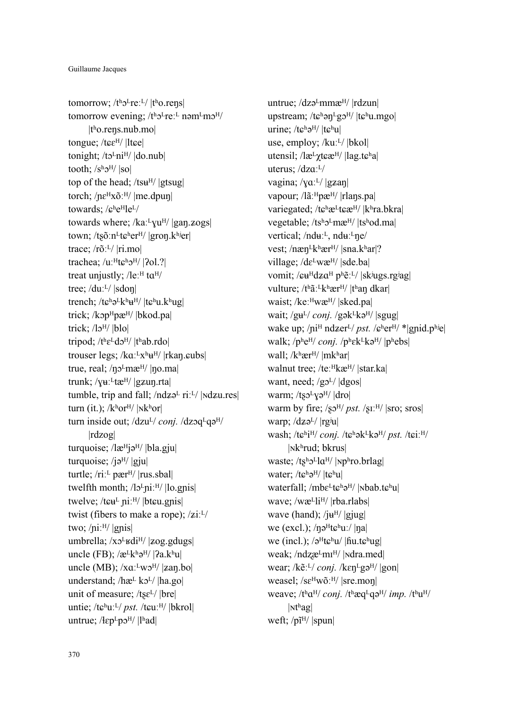tomorrow;  $/t<sup>h</sup>2<sup>L</sup>re<sup>L</sup>/|t<sup>h</sup>0.rens|$ tomorrow evening;  $/t<sup>h</sup>2<sup>L</sup>$ re:<sup>L</sup> nəm<sup>L</sup>m $2<sup>H</sup>/$ |tʰo.reŋs.nub.mo| tongue; /tɕε<sup>H</sup>/ |ltɕe| tonight;  $/to<sup>L</sup>ni<sup>H</sup>/ |do.nub|$ tooth;  $/s<sup>h</sup>2<sup>H</sup>/|so|$ top of the head; /ts $H^H$ / |gtsug| torch; / $n\varepsilon$ <sup>H</sup>xõː<sup>H</sup>/ |me.dpun| towards: / $c^h e^H$ le<sup>L</sup>/ towards where; /kaː<sup>L</sup>yu<sup>H</sup>/ |gaŋ.zogs| town; /tsõːn<sup>L</sup>t $\varepsilon$ <sup>h</sup>er<sup>H</sup>/ |gron.k<sup>hj</sup>er| trace; /rõːᴸ/ |ri.mo| trachea; /uː $H$ t $\varepsilon$ <sup>h</sup> $\frac{1}{2}$ // | $2$ ol.?| treat unjustly;  $\text{/}$ le:<sup> $\text{H}$ </sup> t $\text{at}$ <sup>H</sup>/ tree; /duːL/ |sdon| trench; /tɕʰə<sup>L</sup>kʰu<sup>H</sup>/ |tɕʰu.kʰug| trick; /kɔp<sup>H</sup>pæ<sup>H</sup>/ |bkod.pa| trick;  $\frac{1}{9}$  |blo| tripod; /theLdoH/ |thab.rdo| trouser legs; /kܤːᴸxʰݛᴴ/ |rkaŋ.ܨubs| true, real;  $/no\text{Im}\mathcal{E}^H/$  |no.ma| trunk;  $\sqrt{u}$ <sup>[[tæH</sup>/ |gzun.rta] tumble, trip and fall;  $/ndz^L$  ri:<sup>L</sup>/ | $ndzures$ | turn (it.);  $/k<sup>h</sup>$ or<sup>H</sup>/ |<sub>N</sub>k<sup>h</sup>or| turn inside out; /dzu<sup>L</sup>/ *conj.* /dzoq<sup>L</sup>qə<sup>H</sup>/ |rdzog| turquoise;  $\frac{1}{e^{H}}$ jə<sup>H</sup>/ |bla.gju| turquoise; /j $\sigma$ <sup>H</sup>/ |gju| turtle;  $/ri$ <sup> $\perp$ </sup> pær $\frac{H}{I}$  |rus.sbal| twelfth month;  $\frac{1}{2}$ u<sup>r</sup>/ $\frac{1}{2}$  |lo.gnis| twelve; / $t \in \mathbb{R}$  ni<sup>H</sup>/ |bt $\epsilon$ u.gnis| twist (fibers to make a rope);  $\frac{z_i L}{l}$ two;  $/ni$ <sup> $H/$ </sup> |gnis umbrella; /xɔ<sup>L</sup>ʁdi<sup>H</sup>/ |zog.gdugs| uncle (FB);  $\sqrt{\mathcal{E}^L \mathbf{k}^h \mathbf{a}^H}$  |  $\gamma$ a.khu| uncle (MB);  $/xa$ <sup> $\mu$ </sup>w $\sigma$ <sup> $\eta$ </sup> |zan.bo| understand; /hæL kɔL/ |ha.go| unit of measure;  $/ts\varepsilon^{L}/|bre|$ untie; /tɕʰuː<sup>L</sup>/ *pst.* /tɕuː<sup>H</sup>/ |bkrol| untrue;  $/$ ł $\varepsilon$ p $L$ p $\sigma$ <sup>H</sup> $/$  |lʰad|

untrue; /dzə<sup>L</sup>mmæ<sup>H</sup>/ |rdzun| upstream; /tɕʰən<sup>L</sup>gɔ<sup>H</sup>/ |tɕʰu.mgo| urine;  $/t \epsilon^h e^H / |t \epsilon^h u|$ use, employ; /kuːL/ |bkol| utensil;  $\langle$ læ<sup>L</sup> $\gamma$ t $\varepsilon \mathbb{E}^{\text{H}}$ /  $\langle$ lag.t $\varepsilon$ <sup>h</sup>a| uterus; /dzaːL/ vagina;  $/\gamma a$ <sup>[L]</sup> |gzan| vapour; /lãː<sup>H</sup>pæ<sup>H</sup>/ |rlans.pa| variegated; /tɕʰæ<sup>L</sup>tɕæ<sup>H</sup>/ |kʰra.bkra| vegetable; /tsholmæ<sup>H</sup>/ |tshod.ma| vertical; /nduː<sup>L</sup>, nduː<sup>L</sup>ne/ vest; /næn<sup>L</sup>kʰær<sup>H</sup>/ |sna.kʰar|? village; /dε<sup>L</sup>wæ<sup>H</sup>/ |sde.ba| vomit; / $\epsilon$ u<sup>H</sup>dza<sup>H</sup> pʰẽː<sup>L</sup>/ |skʲugs.rgʲag| vulture; /tʰãː<sup>L</sup>kʰær<sup>H</sup>/ |tʰan dkar| waist; /keː<sup>H</sup>wæ<sup>H</sup>/ |sked.pa| wait; /gu<sup>L</sup>/ *conj.* /gək<sup>L</sup>kə<sup>H</sup>/ |sgug| wake up; /ni<sup>H</sup> ndzer<sup>L</sup>/ *pst.* / $\varepsilon$ <sup>h</sup>er<sup>H</sup>/ \*|gnid.p<sup>hj</sup>e| walk; /phe<sup>H</sup>/ *conj.* /phek<sup>L</sup>kə<sup>H</sup>/ |phebs| wall; /kʰær<sup>H</sup>/ |mkʰar| walnut tree; /teːHkæH/ |star.ka| want, need;  $/g_0L$ /  $|dgos|$ warm; /tso<sup>L</sup>yə<sup>H</sup>/  $|d$ ro $|$ warm by fire;  $\sqrt{s}v^{H}/pst$ .  $\sqrt{s}$ <sup>II</sup>/  $\sqrt{s}$  sros warp;  $\frac{dz}{dt}$  |rg<sup>j</sup>u| wash; /tɕʰi<sup>H</sup>/ *conj.* /tɕʰək<sup>L</sup>kə<sup>H</sup>/ *pst.* /tɕiː<sup>H</sup>/ |ɴkʰrud; bkrus| waste;  $/t$ s<sup>h</sup>o<sup>L</sup>la<sup>H</sup>/ |Nphro.brlag| water; /tɕʰəH/ |tɕʰu| waterfall; /mbɛ<sup>L</sup>tɕʰə<sup>H</sup>/ |Nbab.tɕʰu| wave; /wæ<sup>L</sup>li<sup>H</sup>/ |rba.rlabs| wave (hand);  $/$ ju<sup>H</sup>/ |gjug| we (excl.);  $/\eta$ ə<sup>H</sup>t $\varepsilon$ <sup>h</sup>uː/  $|\eta$ a| we (incl.);  $\sqrt{a^{H}t}$ c<sup>h</sup>u/  $\left| \frac{f(t)}{dt} \right|$ weak; /ndzæ<sup>L</sup>mI<sup>H</sup>/ |Ndra.med| wear; /kẽː<sup>L</sup>/ *coni*. /kɛn<sup>L</sup>gə<sup>H</sup>/ |gon| weasel; /sɛ<sup>H</sup>wõː<sup>H</sup>/ |sre.mon| weave; /t<sup>h</sup>a<sup>H</sup>/ *conj.* /t<sup>h</sup>æq<sup>L</sup>qə<sup>H</sup>/ *imp.* /t<sup>h</sup>u<sup>H</sup>/  $|\text{nt}^\text{h}$ ag| weft;  $/p\tilde{i}^{H}/|spun|$